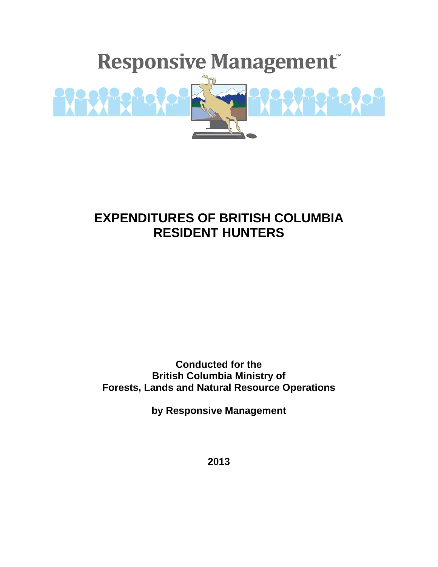

# **EXPENDITURES OF BRITISH COLUMBIA RESIDENT HUNTERS**

**Conducted for the British Columbia Ministry of Forests, Lands and Natural Resource Operations** 

**by Responsive Management** 

**2013**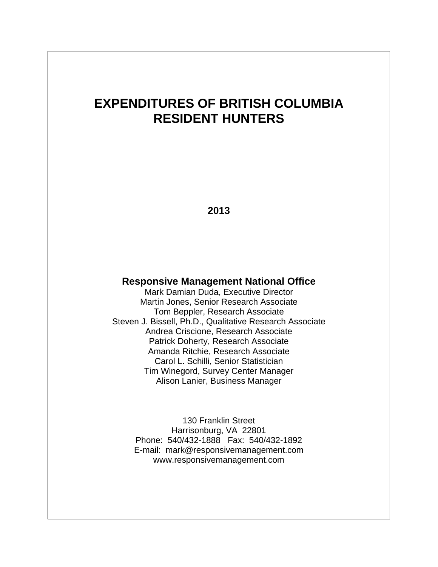# **EXPENDITURES OF BRITISH COLUMBIA RESIDENT HUNTERS**

**2013** 

### **Responsive Management National Office**

Mark Damian Duda, Executive Director Martin Jones, Senior Research Associate Tom Beppler, Research Associate Steven J. Bissell, Ph.D., Qualitative Research Associate Andrea Criscione, Research Associate Patrick Doherty, Research Associate Amanda Ritchie, Research Associate Carol L. Schilli, Senior Statistician Tim Winegord, Survey Center Manager Alison Lanier, Business Manager

> 130 Franklin Street Harrisonburg, VA 22801 Phone: 540/432-1888 Fax: 540/432-1892 E-mail: mark@responsivemanagement.com www.responsivemanagement.com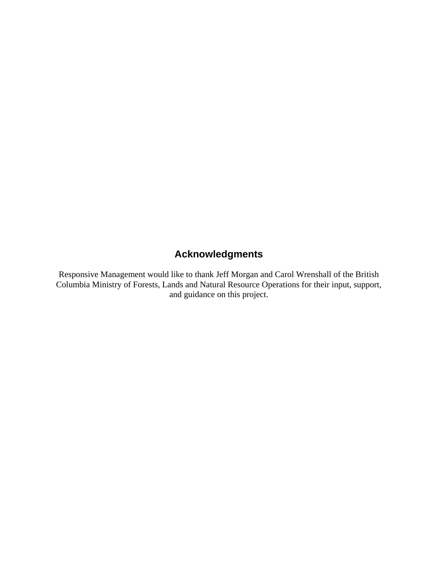## **Acknowledgments**

Responsive Management would like to thank Jeff Morgan and Carol Wrenshall of the British Columbia Ministry of Forests, Lands and Natural Resource Operations for their input, support, and guidance on this project.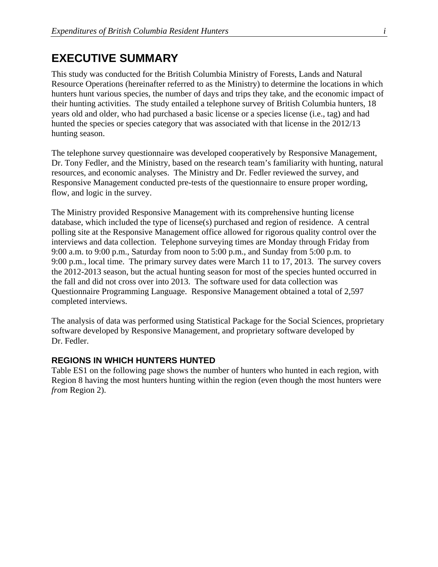### **EXECUTIVE SUMMARY**

This study was conducted for the British Columbia Ministry of Forests, Lands and Natural Resource Operations (hereinafter referred to as the Ministry) to determine the locations in which hunters hunt various species, the number of days and trips they take, and the economic impact of their hunting activities. The study entailed a telephone survey of British Columbia hunters, 18 years old and older, who had purchased a basic license or a species license (i.e., tag) and had hunted the species or species category that was associated with that license in the 2012/13 hunting season.

The telephone survey questionnaire was developed cooperatively by Responsive Management, Dr. Tony Fedler, and the Ministry, based on the research team's familiarity with hunting, natural resources, and economic analyses. The Ministry and Dr. Fedler reviewed the survey, and Responsive Management conducted pre-tests of the questionnaire to ensure proper wording, flow, and logic in the survey.

The Ministry provided Responsive Management with its comprehensive hunting license database, which included the type of license(s) purchased and region of residence. A central polling site at the Responsive Management office allowed for rigorous quality control over the interviews and data collection. Telephone surveying times are Monday through Friday from 9:00 a.m. to 9:00 p.m., Saturday from noon to 5:00 p.m., and Sunday from 5:00 p.m. to 9:00 p.m., local time. The primary survey dates were March 11 to 17, 2013. The survey covers the 2012-2013 season, but the actual hunting season for most of the species hunted occurred in the fall and did not cross over into 2013. The software used for data collection was Questionnaire Programming Language. Responsive Management obtained a total of 2,597 completed interviews.

The analysis of data was performed using Statistical Package for the Social Sciences, proprietary software developed by Responsive Management, and proprietary software developed by Dr. Fedler.

#### **REGIONS IN WHICH HUNTERS HUNTED**

Table ES1 on the following page shows the number of hunters who hunted in each region, with Region 8 having the most hunters hunting within the region (even though the most hunters were *from* Region 2).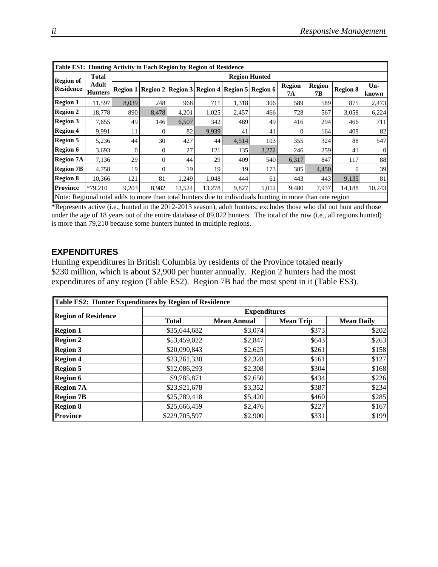|                                                                                                         | Table ES1: Hunting Activity in Each Region by Region of Residence |                      |          |                                                                 |        |       |       |                     |                     |                 |                |  |
|---------------------------------------------------------------------------------------------------------|-------------------------------------------------------------------|----------------------|----------|-----------------------------------------------------------------|--------|-------|-------|---------------------|---------------------|-----------------|----------------|--|
| <b>Region of</b>                                                                                        | <b>Total</b>                                                      | <b>Region Hunted</b> |          |                                                                 |        |       |       |                     |                     |                 |                |  |
| <b>Residence</b>                                                                                        | Adult<br><b>Hunters</b>                                           |                      |          | Region 1   Region 2   Region 3   Region 4   Region 5   Region 6 |        |       |       | <b>Region</b><br>7А | <b>Region</b><br>7B | <b>Region 8</b> | $Un-$<br>known |  |
| <b>Region 1</b>                                                                                         | 11.597                                                            | 8,039                | 248      | 968                                                             | 711    | 1,318 | 306   | 589                 | 589                 | 875             | 2,473          |  |
| <b>Region 2</b>                                                                                         | 18.778                                                            | 890                  | 8,478    | 4,201                                                           | 1,025  | 2,457 | 466   | 728                 | 567                 | 3,058           | 6,224          |  |
| <b>Region 3</b>                                                                                         | 7,655                                                             | 49                   | 146      | 6,507                                                           | 342    | 489   | 49    | 416                 | 294                 | 466             | 711            |  |
| <b>Region 4</b>                                                                                         | 9.991                                                             | 11                   | $\Omega$ | 82                                                              | 9.939  | 41    | 41    |                     | 164                 | 409             | 82             |  |
| <b>Region 5</b>                                                                                         | 5,236                                                             | 44                   | 30       | 427                                                             | 44     | 4,514 | 103   | 355                 | 324                 | 88              | 547            |  |
| <b>Region 6</b>                                                                                         | 3,693                                                             | $\theta$             | $\Omega$ | 27                                                              | 121    | 135   | 3,272 | 246                 | 259                 | 41              | $\mathbf{0}$   |  |
| <b>Region 7A</b>                                                                                        | 7,136                                                             | 29                   | $\Omega$ | 44                                                              | 29     | 409   | 540   | 6,317               | 847                 | 117             | 88             |  |
| <b>Region 7B</b>                                                                                        | 4,758                                                             | 19                   | $\Omega$ | 19                                                              | 19     | 19    | 173   | 385                 | 4,450               |                 | 39             |  |
| <b>Region 8</b>                                                                                         | 10.366                                                            | 121                  | 81       | 1.249                                                           | 1.048  | 444   | 61    | 443                 | 443                 | 9,135           | 81             |  |
| <b>Province</b>                                                                                         | $*79.210$                                                         | 9,203                | 8,982    | 13,524                                                          | 13,278 | 9,827 | 5,012 | 9,480               | 7,937               | 14,188          | 10,243         |  |
| Note: Regional total adds to more than total hunters due to individuals hunting in more than one region |                                                                   |                      |          |                                                                 |        |       |       |                     |                     |                 |                |  |

\*Represents active (i.e., hunted in the 2012-2013 season), adult hunters; excludes those who did not hunt and those under the age of 18 years out of the entire database of 89,022 hunters. The total of the row (i.e., all regions hunted) is more than 79,210 because some hunters hunted in multiple regions.

#### **EXPENDITURES**

Hunting expenditures in British Columbia by residents of the Province totaled nearly \$230 million, which is about \$2,900 per hunter annually. Region 2 hunters had the most expenditures of any region (Table ES2). Region 7B had the most spent in it (Table ES3).

| Table ES2: Hunter Expenditures by Region of Residence |                     |                    |                  |                   |  |  |  |  |  |  |
|-------------------------------------------------------|---------------------|--------------------|------------------|-------------------|--|--|--|--|--|--|
|                                                       | <b>Expenditures</b> |                    |                  |                   |  |  |  |  |  |  |
| <b>Region of Residence</b>                            | <b>Total</b>        | <b>Mean Annual</b> | <b>Mean Trip</b> | <b>Mean Daily</b> |  |  |  |  |  |  |
| <b>Region 1</b>                                       | \$35,644,682        | \$3,074            | \$373            | \$202             |  |  |  |  |  |  |
| <b>Region 2</b>                                       | \$53,459,022        | \$2,847            | \$643            | \$263             |  |  |  |  |  |  |
| <b>Region 3</b>                                       | \$20,090,843        | \$2,625            | \$261            | \$158             |  |  |  |  |  |  |
| <b>Region 4</b>                                       | \$23,261,330        | \$2,328            | \$161            | \$127             |  |  |  |  |  |  |
| <b>Region 5</b>                                       | \$12,086,293        | \$2,308            | \$304            | \$168             |  |  |  |  |  |  |
| <b>Region 6</b>                                       | \$9,785,871         | \$2,650            | \$434            | \$226             |  |  |  |  |  |  |
| <b>Region 7A</b>                                      | \$23,921,678        | \$3,352            | \$387            | \$234             |  |  |  |  |  |  |
| <b>Region 7B</b>                                      | \$25,789,418        | \$5,420            | \$460            | \$285             |  |  |  |  |  |  |
| <b>Region 8</b>                                       | \$25,666,459        | \$2,476            | \$227            | \$167             |  |  |  |  |  |  |
| <b>Province</b>                                       | \$229,705,597       | \$2,900            | \$331            | \$199             |  |  |  |  |  |  |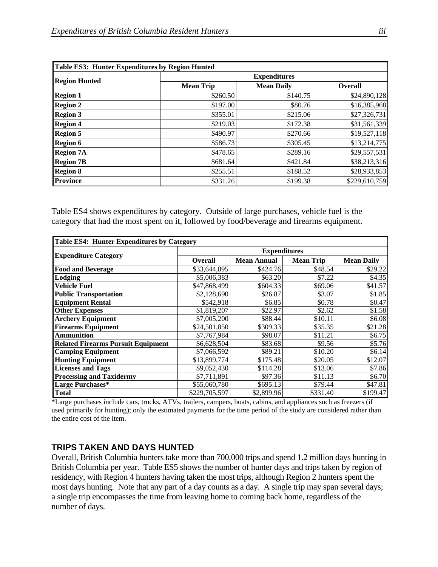| Table ES3: Hunter Expenditures by Region Hunted |                     |                   |                |  |  |  |  |  |  |
|-------------------------------------------------|---------------------|-------------------|----------------|--|--|--|--|--|--|
|                                                 | <b>Expenditures</b> |                   |                |  |  |  |  |  |  |
| <b>Region Hunted</b>                            | <b>Mean Trip</b>    | <b>Mean Daily</b> | <b>Overall</b> |  |  |  |  |  |  |
| <b>Region 1</b>                                 | \$260.50            | \$140.75          | \$24,890,128   |  |  |  |  |  |  |
| <b>Region 2</b>                                 | \$197.00            | \$80.76           | \$16,385,968   |  |  |  |  |  |  |
| <b>Region 3</b>                                 | \$355.01            | \$215.06          | \$27,326,731   |  |  |  |  |  |  |
| <b>Region 4</b>                                 | \$219.03            | \$172.38          | \$31,561,339   |  |  |  |  |  |  |
| <b>Region 5</b>                                 | \$490.97            | \$270.66          | \$19,527,118   |  |  |  |  |  |  |
| <b>Region 6</b>                                 | \$586.73            | \$305.45          | \$13,214,775   |  |  |  |  |  |  |
| <b>Region 7A</b>                                | \$478.65            | \$289.16          | \$29,557,531   |  |  |  |  |  |  |
| <b>Region 7B</b>                                | \$681.64            | \$421.84          | \$38,213,316   |  |  |  |  |  |  |
| <b>Region 8</b>                                 | \$255.51            | \$188.52          | \$28,933,853   |  |  |  |  |  |  |
| <b>Province</b>                                 | \$331.26            | \$199.38          | \$229,610,759  |  |  |  |  |  |  |

Table ES4 shows expenditures by category. Outside of large purchases, vehicle fuel is the category that had the most spent on it, followed by food/beverage and firearms equipment.

| <b>Table ES4: Hunter Expenditures by Category</b> |               |                     |                  |                   |  |  |  |  |  |
|---------------------------------------------------|---------------|---------------------|------------------|-------------------|--|--|--|--|--|
|                                                   |               | <b>Expenditures</b> |                  |                   |  |  |  |  |  |
| <b>Expenditure Category</b>                       | Overall       | <b>Mean Annual</b>  | <b>Mean Trip</b> | <b>Mean Daily</b> |  |  |  |  |  |
| <b>Food and Beverage</b>                          | \$33,644,895  | \$424.76            | \$48.54          | \$29.22           |  |  |  |  |  |
| Lodging                                           | \$5,006,383   | \$63.20             | \$7.22           | \$4.35            |  |  |  |  |  |
| Vehicle Fuel                                      | \$47,868,499  | \$604.33            | \$69.06          | \$41.57           |  |  |  |  |  |
| <b>Public Transportation</b>                      | \$2,128,690   | \$26.87             | \$3.07           | \$1.85            |  |  |  |  |  |
| <b>Equipment Rental</b>                           | \$542,918     | \$6.85              | \$0.78           | \$0.47            |  |  |  |  |  |
| <b>Other Expenses</b>                             | \$1,819,207   | \$22.97             | \$2.62           | \$1.58            |  |  |  |  |  |
| <b>Archery Equipment</b>                          | \$7,005,200   | \$88.44             | \$10.11          | \$6.08            |  |  |  |  |  |
| <b>Firearms Equipment</b>                         | \$24,501,850  | \$309.33            | \$35.35          | \$21.28           |  |  |  |  |  |
| <b>Ammunition</b>                                 | \$7,767,984   | \$98.07             | \$11.21          | \$6.75            |  |  |  |  |  |
| <b>Related Firearms Pursuit Equipment</b>         | \$6,628,504   | \$83.68             | \$9.56           | \$5.76            |  |  |  |  |  |
| <b>Camping Equipment</b>                          | \$7,066,592   | \$89.21             | \$10.20          | \$6.14            |  |  |  |  |  |
| <b>Hunting Equipment</b>                          | \$13,899,774  | \$175.48            | \$20.05          | \$12.07           |  |  |  |  |  |
| <b>Licenses and Tags</b>                          | \$9,052,430   | \$114.28            | \$13.06          | \$7.86            |  |  |  |  |  |
| <b>Processing and Taxidermy</b>                   | \$7,711,891   | \$97.36             | \$11.13          | \$6.70            |  |  |  |  |  |
| Large Purchases*                                  | \$55,060,780  | \$695.13            | \$79.44          | \$47.81           |  |  |  |  |  |
| Total                                             | \$229,705,597 | \$2,899.96          | \$331.40         | \$199.47          |  |  |  |  |  |

\*Large purchases include cars, trucks, ATVs, trailers, campers, boats, cabins, and appliances such as freezers (if used primarily for hunting); only the estimated payments for the time period of the study are considered rather than the entire cost of the item.

#### **TRIPS TAKEN AND DAYS HUNTED**

Overall, British Columbia hunters take more than 700,000 trips and spend 1.2 million days hunting in British Columbia per year. Table ES5 shows the number of hunter days and trips taken by region of residency, with Region 4 hunters having taken the most trips, although Region 2 hunters spent the most days hunting. Note that any part of a day counts as a day. A single trip may span several days; a single trip encompasses the time from leaving home to coming back home, regardless of the number of days.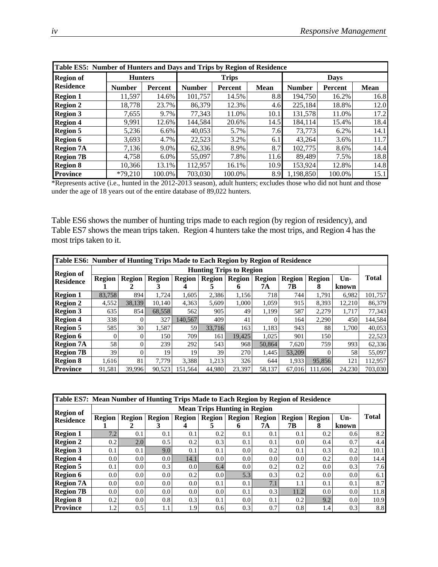| Table ES5: Number of Hunters and Days and Trips by Region of Residence |                |         |               |              |             |               |         |             |  |  |  |
|------------------------------------------------------------------------|----------------|---------|---------------|--------------|-------------|---------------|---------|-------------|--|--|--|
| <b>Region of</b>                                                       | <b>Hunters</b> |         |               | <b>Trips</b> |             | <b>Days</b>   |         |             |  |  |  |
| <b>Residence</b>                                                       | <b>Number</b>  | Percent | <b>Number</b> | Percent      | <b>Mean</b> | <b>Number</b> | Percent | <b>Mean</b> |  |  |  |
| <b>Region 1</b>                                                        | 11,597         | 14.6%   | 101.757       | 14.5%        | 8.8         | 194.750       | 16.2%   | 16.8        |  |  |  |
| <b>Region 2</b>                                                        | 18,778         | 23.7%   | 86,379        | 12.3%        | 4.6         | 225,184       | 18.8%   | 12.0        |  |  |  |
| <b>Region 3</b>                                                        | 7,655          | 9.7%    | 77,343        | 11.0%        | 10.1        | 131,578       | 11.0%   | 17.2        |  |  |  |
| <b>Region 4</b>                                                        | 9,991          | 12.6%   | 144,584       | 20.6%        | 14.5        | 184,114       | 15.4%   | 18.4        |  |  |  |
| <b>Region 5</b>                                                        | 5,236          | 6.6%    | 40,053        | 5.7%         | 7.6         | 73.773        | 6.2%    | 14.1        |  |  |  |
| <b>Region 6</b>                                                        | 3,693          | 4.7%    | 22,523        | 3.2%         | 6.1         | 43,264        | 3.6%    | 11.7        |  |  |  |
| <b>Region 7A</b>                                                       | 7,136          | 9.0%    | 62,336        | 8.9%         | 8.7         | 102,775       | 8.6%    | 14.4        |  |  |  |
| <b>Region 7B</b>                                                       | 4,758          | 6.0%    | 55,097        | 7.8%         | 11.6        | 89,489        | 7.5%    | 18.8        |  |  |  |
| <b>Region 8</b>                                                        | 10.366         | 13.1%   | 112,957       | 16.1%        | 10.9        | 153,924       | 12.8%   | 14.8        |  |  |  |
| <b>Province</b>                                                        | $*79,210$      | 100.0%  | 703,030       | 100.0%       | 8.9         | ,198,850      | 100.0%  | 15.1        |  |  |  |

\*Represents active (i.e., hunted in the 2012-2013 season), adult hunters; excludes those who did not hunt and those under the age of 18 years out of the entire database of 89,022 hunters.

Table ES6 shows the number of hunting trips made to each region (by region of residency), and Table ES7 shows the mean trips taken. Region 4 hunters take the most trips, and Region 4 has the most trips taken to it.

| Table ES6: Number of Hunting Trips Made to Each Region by Region of Residence |                                |               |               |               |               |               |               |               |               |        |              |  |
|-------------------------------------------------------------------------------|--------------------------------|---------------|---------------|---------------|---------------|---------------|---------------|---------------|---------------|--------|--------------|--|
| <b>Region of</b>                                                              | <b>Hunting Trips to Region</b> |               |               |               |               |               |               |               |               |        |              |  |
| <b>Residence</b>                                                              | <b>Region</b>                  | <b>Region</b> | <b>Region</b> | <b>Region</b> | <b>Region</b> | <b>Region</b> | <b>Region</b> | <b>Region</b> | <b>Region</b> | Un-    | <b>Total</b> |  |
|                                                                               |                                |               |               | 4             | $\mathbf{z}$  | 6             | 7А            | 7В            | 8             | known  |              |  |
| <b>Region 1</b>                                                               | 83,758                         | 894           | 1,724         | 1,605         | 2,386         | 1,156         | 718           | 744           | 1,791         | 6,982  | 101,757      |  |
| <b>Region 2</b>                                                               | 4,552                          | 38,139        | 10.140        | 4,363         | 5,609         | 1,000         | 1,059         | 915           | 8,393         | 12,210 | 86,379       |  |
| <b>Region 3</b>                                                               | 635                            | 854           | 68,558        | 562           | 905           | 49            | 1,199         | 587           | 2,279         | 1,717  | 77,343       |  |
| <b>Region 4</b>                                                               | 338                            | 0             | 327           | 140,567       | 409           | 41            |               | 164           | 2,290         | 450    | 144,584      |  |
| <b>Region 5</b>                                                               | 585                            | 30            | 1,587         | 59            | 33,716        | 163           | 1,183         | 943           | 88            | 1,700  | 40,053       |  |
| <b>Region 6</b>                                                               |                                | 0             | 150           | 709           | 161           | 19.425        | 1,025         | 901           | 150           |        | 22,523       |  |
| <b>Region 7A</b>                                                              | 58                             | 0             | 239           | 292           | 543           | 968           | 50,864        | 7,620         | 759           | 993    | 62,336       |  |
| <b>Region 7B</b>                                                              | 39                             | 0             | 19            | 19            | 39            | 270           | 1,445         | 53,209        | 0             | 58     | 55,097       |  |
| <b>Region 8</b>                                                               | 1,616                          | 81            | 7.779         | 3,388         | 1,213         | 326           | 644           | 1,933         | 95,856        | 121    | 112,957      |  |
| <b>Province</b>                                                               | 91,581                         | 39,996        | 90,523        | 151,564       | 44,980        | 23,397        | 58,137        | 67,016        | 111,606       | 24,230 | 703,030      |  |

| Table ES7: Mean Number of Hunting Trips Made to Each Region by Region of Residence |                                     |                  |                  |                  |                  |               |        |               |               |       |              |  |  |
|------------------------------------------------------------------------------------|-------------------------------------|------------------|------------------|------------------|------------------|---------------|--------|---------------|---------------|-------|--------------|--|--|
| <b>Region of</b>                                                                   | <b>Mean Trips Hunting in Region</b> |                  |                  |                  |                  |               |        |               |               |       |              |  |  |
| <b>Residence</b>                                                                   | <b>Region</b>                       | <b>Region</b>    | <b>Region</b>    | <b>Region</b>    | <b>Region</b>    | <b>Region</b> | Region | <b>Region</b> | <b>Region</b> | Un-   | <b>Total</b> |  |  |
|                                                                                    |                                     |                  |                  |                  |                  | 6             | 7А     | 7В            | 8             | known |              |  |  |
| <b>Region 1</b>                                                                    | 7.2                                 | 0.1              | 0.1              | 0.1              | 0.2              | 0.1           | 0.1    | 0.1           | 0.2           | 0.6   | 8.2          |  |  |
| <b>Region 2</b>                                                                    | 0.2                                 | 2.0              | 0.5              | 0.2              | 0.3              | 0.1           | 0.1    | 0.0           | 0.4           | 0.7   | 4.4          |  |  |
| <b>Region 3</b>                                                                    | 0.1                                 | 0.1              | 9.0              | 0.1              | 0.1              | 0.0           | 0.2    | 0.1           | 0.3           | 0.2   | 10.1         |  |  |
| <b>Region 4</b>                                                                    | 0.0                                 | $0.0\,$          | 0.0 <sub>l</sub> | 14.1             | 0.0              | 0.0           | 0.0    | 0.0           | 0.2           | 0.0   | 14.4         |  |  |
| <b>Region 5</b>                                                                    | 0.1                                 | 0.0 <sub>l</sub> | 0.3              | 0.0 <sub>l</sub> | 6.4              | 0.0           | 0.2    | 0.2           | $0.0\,$       | 0.3   | 7.6          |  |  |
| <b>Region 6</b>                                                                    | 0.0                                 | 0.0 <sub>l</sub> | 0.0 <sub>l</sub> | 0.2              | 0.0 <sub>l</sub> | 5.3           | 0.3    | 0.2           | 0.0           | 0.0   | 6.1          |  |  |
| <b>Region 7A</b>                                                                   | 0.0                                 | 0.0              | 0.0 <sub>l</sub> | 0.0              | 0.1              | 0.1           | 7.1    |               | 0.1           | 0.1   | 8.7          |  |  |
| <b>Region 7B</b>                                                                   | 0.0                                 | 0.0              | 0.0 <sub>l</sub> | 0.0 <sub>l</sub> | 0.0 <sub>l</sub> | 0.1           | 0.3    | 11.2          | 0.0           | 0.0   | 11.8         |  |  |
| <b>Region 8</b>                                                                    | 0.2                                 | 0.0              | 0.8              | 0.3              | 0.1              | 0.0           | 0.1    | 0.2           | 9.2           | 0.0   | 10.9         |  |  |
| <b>Province</b>                                                                    | 1.2 <sub>1</sub>                    | 0.5              | 1.1              | 1.9              | 0.6              | 0.3           | 0.7    | 0.8           | 1.4           | 0.3   | 8.8          |  |  |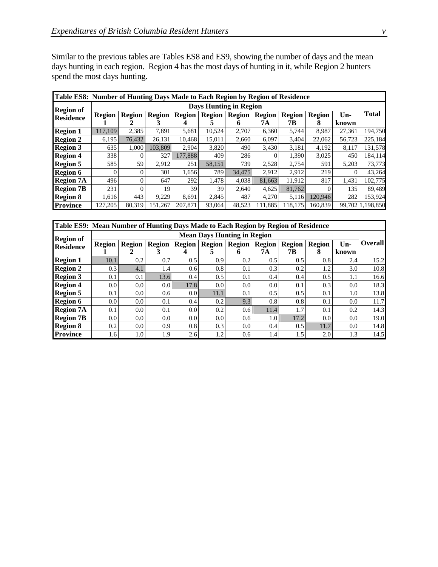Similar to the previous tables are Tables ES8 and ES9, showing the number of days and the mean days hunting in each region. Region 4 has the most days of hunting in it, while Region 2 hunters spend the most days hunting.

| Table ES8: Number of Hunting Days Made to Each Region by Region of Residence |                               |               |               |               |               |               |               |               |               |        |                  |  |
|------------------------------------------------------------------------------|-------------------------------|---------------|---------------|---------------|---------------|---------------|---------------|---------------|---------------|--------|------------------|--|
| <b>Region of</b>                                                             | <b>Days Hunting in Region</b> |               |               |               |               |               |               |               |               |        |                  |  |
| <b>Residence</b>                                                             | <b>Region</b>                 | <b>Region</b> | <b>Region</b> | <b>Region</b> | <b>Region</b> | <b>Region</b> | <b>Region</b> | <b>Region</b> | <b>Region</b> | Un-    | <b>Total</b>     |  |
|                                                                              |                               | 2             | 3             |               | C             | 6             | 7А            | 7В            | 8             | known  |                  |  |
| <b>Region 1</b>                                                              | 117.109                       | 2,385         | 7,891         | 5,681         | 10,524        | 2,707         | 6,360         | 5,744         | 8,987         | 27,361 | 194,750          |  |
| <b>Region 2</b>                                                              | 6,195                         | 76,432        | 26,131        | 10.468        | 15,011        | 2,660         | 6,097         | 3,404         | 22,062        | 56,723 | 225,184          |  |
| <b>Region 3</b>                                                              | 635                           | 1,000         | 103.809       | 2,904         | 3,820         | 490           | 3,430         | 3,181         | 4,192         | 8,117  | 131,578          |  |
| <b>Region 4</b>                                                              | 338                           |               | 327           | 177.888       | 409           | 286           |               | 1,390         | 3,025         | 450    | 184,114          |  |
| <b>Region 5</b>                                                              | 585                           | 59            | 2,912         | 251           | 58,151        | 739           | 2,528         | 2,754         | 591           | 5,203  | 73,773           |  |
| <b>Region 6</b>                                                              | 0                             |               | 301           | 1,656         | 789           | 34,475        | 2,912         | 2,912         | 219           | 0      | 43,264           |  |
| <b>Region 7A</b>                                                             | 496                           | 0             | 647           | 292           | 1,478         | 4,038         | 81,663        | 11,912        | 817           | 1,431  | 102,775          |  |
| <b>Region 7B</b>                                                             | 231                           |               | 19            | 39            | 39            | 2,640         | 4,625         | 81,762        | $\Omega$      | 135    | 89,489           |  |
| <b>Region 8</b>                                                              | 1,616                         | 443           | 9,229         | 8,691         | 2,845         | 487           | 4,270         | 5,116         | 120.946       | 282    | 153,924          |  |
| <b>Province</b>                                                              | 127,205                       | 80,319        | 151,267       | 207,871       | 93,064        | 48,523        | 11,885        | 18,175        | 160,839       |        | 99,702 1,198,850 |  |

| Table ES9: Mean Number of Hunting Days Made to Each Region by Region of Residence |                                    |                  |                  |               |               |                  |               |               |               |                  |                |  |  |
|-----------------------------------------------------------------------------------|------------------------------------|------------------|------------------|---------------|---------------|------------------|---------------|---------------|---------------|------------------|----------------|--|--|
| <b>Region of</b>                                                                  | <b>Mean Days Hunting in Region</b> |                  |                  |               |               |                  |               |               |               |                  |                |  |  |
| <b>Residence</b>                                                                  | <b>Region</b>                      | <b>Region</b>    | <b>Region</b>    | <b>Region</b> | <b>Region</b> | <b>Region</b>    | <b>Region</b> | <b>Region</b> | <b>Region</b> | $Un-$            | <b>Overall</b> |  |  |
|                                                                                   |                                    |                  |                  |               | э.            | 6                | 7А            | 7В            | 8             | known            |                |  |  |
| <b>Region 1</b>                                                                   | 10.1                               | 0.2              | 0.7              | 0.5           | 0.9           | 0.2              | 0.5           | 0.5           | 0.8           | 2.4              | 15.2           |  |  |
| <b>Region 2</b>                                                                   | 0.3                                | 4.1              | 1.4              | 0.6           | 0.8           | 0.1              | 0.3           | 0.2           | 1.2           | 3.0              | 10.8           |  |  |
| <b>Region 3</b>                                                                   | 0.1                                | 0.1              | 13.6             | 0.4           | $0.5^{\circ}$ | 0.1              | 0.4           | 0.4           | 0.5           | 1.1              | 16.6           |  |  |
| <b>Region 4</b>                                                                   | 0.0                                | 0.0              | 0.0 <sub>l</sub> | 17.8          | 0.0           | 0.0              | 0.0           | 0.1           | 0.3           | 0.0              | 18.3           |  |  |
| <b>Region 5</b>                                                                   | 0.1                                | 0.0              | 0.61             | 0.0           | 11.1          | 0.1              | 0.5           | 0.5           | 0.1           | 1.0              | 13.8           |  |  |
| <b>Region 6</b>                                                                   | 0.0                                | 0.0              | 0.1              | 0.4           | 0.2           | 9.3              | 0.8           | 0.8           | 0.1           | 0.0 <sub>l</sub> | 11.7           |  |  |
| <b>Region 7A</b>                                                                  | 0.1                                | 0.0              | 0.1              | 0.0           | 0.2           | 0.6 <sub>l</sub> | 11.4          | 1.7           | 0.1           | 0.2              | 14.3           |  |  |
| <b>Region 7B</b>                                                                  | 0.0 <sub>l</sub>                   | 0.0 <sub>l</sub> | 0.0              | 0.0           | 0.0           | 0.6              | 1.0           | 17.2          | 0.0           | 0.0 <sub>l</sub> | 19.0           |  |  |
| <b>Region 8</b>                                                                   | 0.2                                | 0.0              | 0.9              | 0.8           | 0.3           | 0.0              | 0.4           | 0.5           | 11.7          | $0.0\,$          | 14.8           |  |  |
| <b>Province</b>                                                                   | 1.61                               | 1.0              | 1.9              | 2.6           | 1.2           | 0.6              | 1.4           | 1.5           | 2.0           | 1.3              | 14.5           |  |  |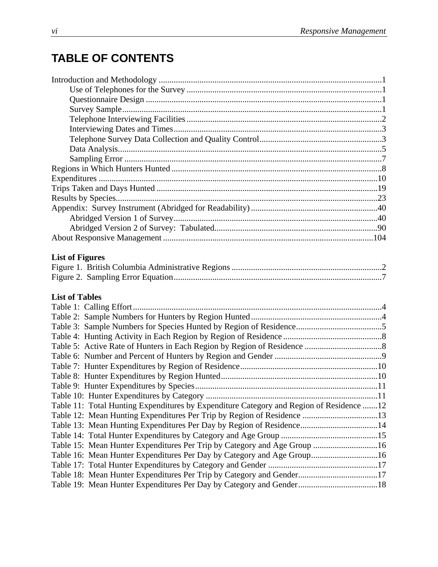# **TABLE OF CONTENTS**

| <b>List of Figures</b>                                                                  |  |
|-----------------------------------------------------------------------------------------|--|
|                                                                                         |  |
|                                                                                         |  |
|                                                                                         |  |
| <b>List of Tables</b>                                                                   |  |
|                                                                                         |  |
|                                                                                         |  |
|                                                                                         |  |
|                                                                                         |  |
|                                                                                         |  |
|                                                                                         |  |
|                                                                                         |  |
|                                                                                         |  |
|                                                                                         |  |
|                                                                                         |  |
| Table 11: Total Hunting Expenditures by Expenditure Category and Region of Residence 12 |  |
| Table 12: Mean Hunting Expenditures Per Trip by Region of Residence 13                  |  |
| Table 13: Mean Hunting Expenditures Per Day by Region of Residence14                    |  |
|                                                                                         |  |
| Table 15: Mean Hunter Expenditures Per Trip by Category and Age Group 16                |  |
| Table 16: Mean Hunter Expenditures Per Day by Category and Age Group16                  |  |
|                                                                                         |  |
| Table 18: Mean Hunter Expenditures Per Trip by Category and Gender17                    |  |
|                                                                                         |  |
|                                                                                         |  |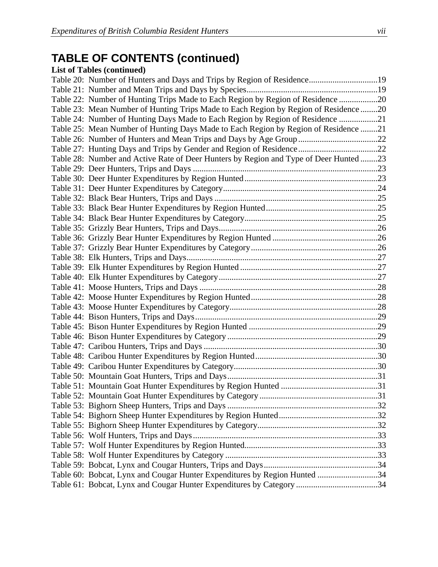# **TABLE OF CONTENTS (continued)**

### **List of Tables (continued)**

| Table 20: Number of Hunters and Days and Trips by Region of Residence19               |  |
|---------------------------------------------------------------------------------------|--|
|                                                                                       |  |
| Table 22: Number of Hunting Trips Made to Each Region by Region of Residence 20       |  |
| Table 23: Mean Number of Hunting Trips Made to Each Region by Region of Residence20   |  |
| Table 24: Number of Hunting Days Made to Each Region by Region of Residence 21        |  |
| Table 25: Mean Number of Hunting Days Made to Each Region by Region of Residence 21   |  |
|                                                                                       |  |
| Table 27: Hunting Days and Trips by Gender and Region of Residence22                  |  |
| Table 28: Number and Active Rate of Deer Hunters by Region and Type of Deer Hunted 23 |  |
|                                                                                       |  |
|                                                                                       |  |
|                                                                                       |  |
|                                                                                       |  |
|                                                                                       |  |
|                                                                                       |  |
|                                                                                       |  |
|                                                                                       |  |
|                                                                                       |  |
|                                                                                       |  |
|                                                                                       |  |
|                                                                                       |  |
|                                                                                       |  |
|                                                                                       |  |
|                                                                                       |  |
|                                                                                       |  |
|                                                                                       |  |
|                                                                                       |  |
|                                                                                       |  |
|                                                                                       |  |
|                                                                                       |  |
|                                                                                       |  |
|                                                                                       |  |
|                                                                                       |  |
|                                                                                       |  |
|                                                                                       |  |
|                                                                                       |  |
|                                                                                       |  |
|                                                                                       |  |
|                                                                                       |  |
|                                                                                       |  |
| Table 60: Bobcat, Lynx and Cougar Hunter Expenditures by Region Hunted 34             |  |
| Table 61: Bobcat, Lynx and Cougar Hunter Expenditures by Category 34                  |  |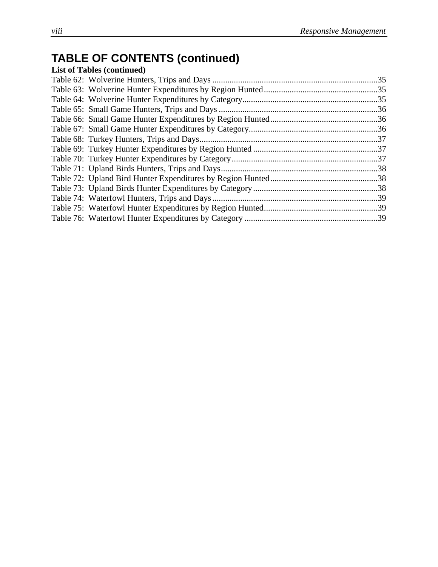# **TABLE OF CONTENTS (continued)**

| <b>List of Tables (continued)</b> |  |
|-----------------------------------|--|
|                                   |  |
|                                   |  |
|                                   |  |
|                                   |  |
|                                   |  |
|                                   |  |
|                                   |  |
|                                   |  |
|                                   |  |
|                                   |  |
|                                   |  |
|                                   |  |
|                                   |  |
|                                   |  |
|                                   |  |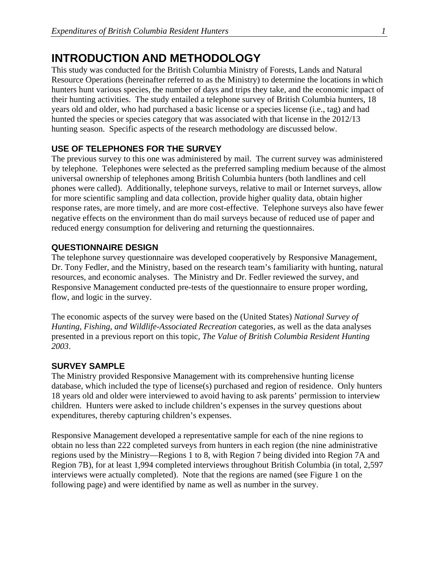### **INTRODUCTION AND METHODOLOGY**

This study was conducted for the British Columbia Ministry of Forests, Lands and Natural Resource Operations (hereinafter referred to as the Ministry) to determine the locations in which hunters hunt various species, the number of days and trips they take, and the economic impact of their hunting activities. The study entailed a telephone survey of British Columbia hunters, 18 years old and older, who had purchased a basic license or a species license (i.e., tag) and had hunted the species or species category that was associated with that license in the 2012/13 hunting season. Specific aspects of the research methodology are discussed below.

#### **USE OF TELEPHONES FOR THE SURVEY**

The previous survey to this one was administered by mail. The current survey was administered by telephone. Telephones were selected as the preferred sampling medium because of the almost universal ownership of telephones among British Columbia hunters (both landlines and cell phones were called). Additionally, telephone surveys, relative to mail or Internet surveys, allow for more scientific sampling and data collection, provide higher quality data, obtain higher response rates, are more timely, and are more cost-effective. Telephone surveys also have fewer negative effects on the environment than do mail surveys because of reduced use of paper and reduced energy consumption for delivering and returning the questionnaires.

#### **QUESTIONNAIRE DESIGN**

The telephone survey questionnaire was developed cooperatively by Responsive Management, Dr. Tony Fedler, and the Ministry, based on the research team's familiarity with hunting, natural resources, and economic analyses. The Ministry and Dr. Fedler reviewed the survey, and Responsive Management conducted pre-tests of the questionnaire to ensure proper wording, flow, and logic in the survey.

The economic aspects of the survey were based on the (United States) *National Survey of Hunting, Fishing, and Wildlife-Associated Recreation* categories, as well as the data analyses presented in a previous report on this topic, *The Value of British Columbia Resident Hunting 2003*.

#### **SURVEY SAMPLE**

The Ministry provided Responsive Management with its comprehensive hunting license database, which included the type of license(s) purchased and region of residence. Only hunters 18 years old and older were interviewed to avoid having to ask parents' permission to interview children. Hunters were asked to include children's expenses in the survey questions about expenditures, thereby capturing children's expenses.

Responsive Management developed a representative sample for each of the nine regions to obtain no less than 222 completed surveys from hunters in each region (the nine administrative regions used by the Ministry—Regions 1 to 8, with Region 7 being divided into Region 7A and Region 7B), for at least 1,994 completed interviews throughout British Columbia (in total, 2,597 interviews were actually completed). Note that the regions are named (see Figure 1 on the following page) and were identified by name as well as number in the survey.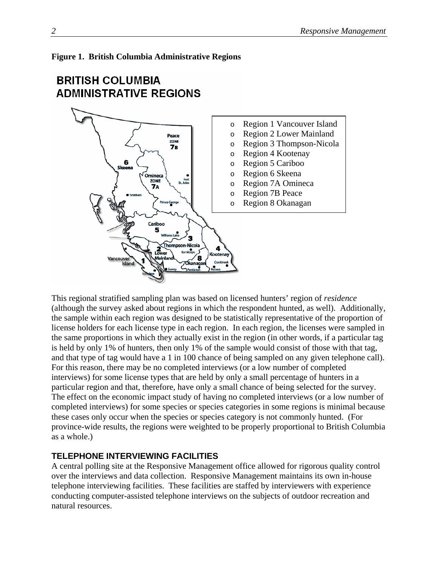

# **BRITISH COLUMBIA ADMINISTRATIVE REGIONS**



This regional stratified sampling plan was based on licensed hunters' region of *residence* (although the survey asked about regions in which the respondent hunted, as well). Additionally, the sample within each region was designed to be statistically representative of the proportion of license holders for each license type in each region. In each region, the licenses were sampled in the same proportions in which they actually exist in the region (in other words, if a particular tag is held by only 1% of hunters, then only 1% of the sample would consist of those with that tag, and that type of tag would have a 1 in 100 chance of being sampled on any given telephone call). For this reason, there may be no completed interviews (or a low number of completed interviews) for some license types that are held by only a small percentage of hunters in a particular region and that, therefore, have only a small chance of being selected for the survey. The effect on the economic impact study of having no completed interviews (or a low number of completed interviews) for some species or species categories in some regions is minimal because these cases only occur when the species or species category is not commonly hunted. (For province-wide results, the regions were weighted to be properly proportional to British Columbia as a whole.)

### **TELEPHONE INTERVIEWING FACILITIES**

A central polling site at the Responsive Management office allowed for rigorous quality control over the interviews and data collection. Responsive Management maintains its own in-house telephone interviewing facilities. These facilities are staffed by interviewers with experience conducting computer-assisted telephone interviews on the subjects of outdoor recreation and natural resources.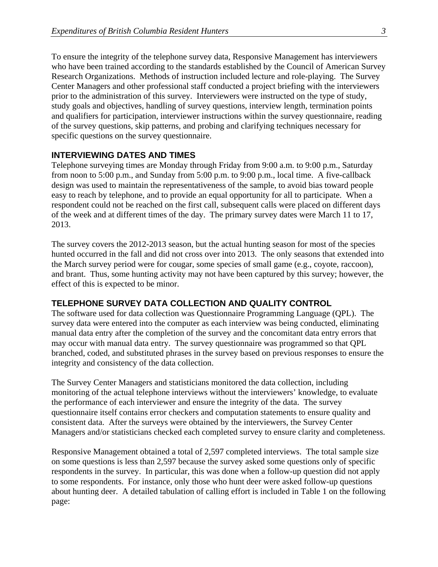To ensure the integrity of the telephone survey data, Responsive Management has interviewers who have been trained according to the standards established by the Council of American Survey Research Organizations. Methods of instruction included lecture and role-playing. The Survey Center Managers and other professional staff conducted a project briefing with the interviewers prior to the administration of this survey. Interviewers were instructed on the type of study, study goals and objectives, handling of survey questions, interview length, termination points and qualifiers for participation, interviewer instructions within the survey questionnaire, reading of the survey questions, skip patterns, and probing and clarifying techniques necessary for specific questions on the survey questionnaire.

#### **INTERVIEWING DATES AND TIMES**

Telephone surveying times are Monday through Friday from 9:00 a.m. to 9:00 p.m., Saturday from noon to 5:00 p.m., and Sunday from 5:00 p.m. to 9:00 p.m., local time. A five-callback design was used to maintain the representativeness of the sample, to avoid bias toward people easy to reach by telephone, and to provide an equal opportunity for all to participate. When a respondent could not be reached on the first call, subsequent calls were placed on different days of the week and at different times of the day. The primary survey dates were March 11 to 17, 2013.

The survey covers the 2012-2013 season, but the actual hunting season for most of the species hunted occurred in the fall and did not cross over into 2013. The only seasons that extended into the March survey period were for cougar, some species of small game (e.g., coyote, raccoon), and brant. Thus, some hunting activity may not have been captured by this survey; however, the effect of this is expected to be minor.

#### **TELEPHONE SURVEY DATA COLLECTION AND QUALITY CONTROL**

The software used for data collection was Questionnaire Programming Language (QPL). The survey data were entered into the computer as each interview was being conducted, eliminating manual data entry after the completion of the survey and the concomitant data entry errors that may occur with manual data entry. The survey questionnaire was programmed so that QPL branched, coded, and substituted phrases in the survey based on previous responses to ensure the integrity and consistency of the data collection.

The Survey Center Managers and statisticians monitored the data collection, including monitoring of the actual telephone interviews without the interviewers' knowledge, to evaluate the performance of each interviewer and ensure the integrity of the data. The survey questionnaire itself contains error checkers and computation statements to ensure quality and consistent data. After the surveys were obtained by the interviewers, the Survey Center Managers and/or statisticians checked each completed survey to ensure clarity and completeness.

Responsive Management obtained a total of 2,597 completed interviews. The total sample size on some questions is less than 2,597 because the survey asked some questions only of specific respondents in the survey. In particular, this was done when a follow-up question did not apply to some respondents. For instance, only those who hunt deer were asked follow-up questions about hunting deer. A detailed tabulation of calling effort is included in Table 1 on the following page: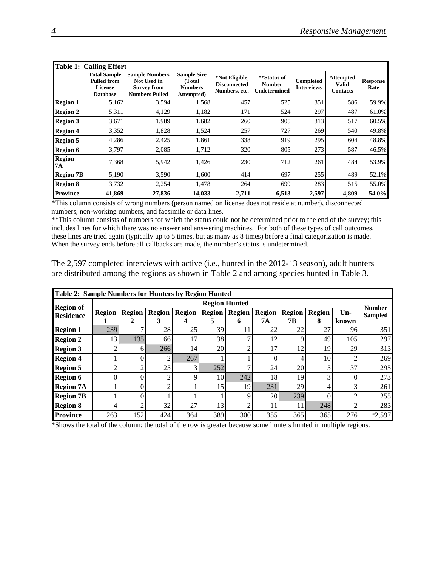|                            | <b>Table 1: Calling Effort</b>                                                 |                                                                                            |                                                              |                                                        |                                                     |                                |                                                     |                         |  |  |  |  |
|----------------------------|--------------------------------------------------------------------------------|--------------------------------------------------------------------------------------------|--------------------------------------------------------------|--------------------------------------------------------|-----------------------------------------------------|--------------------------------|-----------------------------------------------------|-------------------------|--|--|--|--|
|                            | <b>Total Sample</b><br><b>Pulled from</b><br><b>License</b><br><b>Database</b> | <b>Sample Numbers</b><br><b>Not Used in</b><br><b>Survey from</b><br><b>Numbers Pulled</b> | <b>Sample Size</b><br>(Total<br><b>Numbers</b><br>Attempted) | *Not Eligible,<br><b>Disconnected</b><br>Numbers, etc. | **Status of<br><b>Number</b><br><b>Undetermined</b> | Completed<br><b>Interviews</b> | <b>Attempted</b><br><b>Valid</b><br><b>Contacts</b> | <b>Response</b><br>Rate |  |  |  |  |
| <b>Region 1</b>            | 5,162                                                                          | 3,594                                                                                      | 1,568                                                        | 457                                                    | 525                                                 | 351                            | 586                                                 | 59.9%                   |  |  |  |  |
| <b>Region 2</b>            | 5,311                                                                          | 4,129                                                                                      | 1,182                                                        | 171                                                    | 524                                                 | 297                            | 487                                                 | 61.0%                   |  |  |  |  |
| <b>Region 3</b>            | 3,671                                                                          | 1,989                                                                                      | 1,682                                                        | 260                                                    | 905                                                 | 313                            | 517                                                 | 60.5%                   |  |  |  |  |
| <b>Region 4</b>            | 3,352                                                                          | 1,828                                                                                      | 1,524                                                        | 257                                                    | 727                                                 | 269                            | 540                                                 | 49.8%                   |  |  |  |  |
| <b>Region 5</b>            | 4,286                                                                          | 2,425                                                                                      | 1,861                                                        | 338                                                    | 919                                                 | 295                            | 604                                                 | 48.8%                   |  |  |  |  |
| <b>Region 6</b>            | 3,797                                                                          | 2,085                                                                                      | 1,712                                                        | 320                                                    | 805                                                 | 273                            | 587                                                 | 46.5%                   |  |  |  |  |
| <b>Region</b><br><b>7A</b> | 7,368                                                                          | 5,942                                                                                      | 1,426                                                        | 230                                                    | 712                                                 | 261                            | 484                                                 | 53.9%                   |  |  |  |  |
| <b>Region 7B</b>           | 5,190                                                                          | 3,590                                                                                      | 1,600                                                        | 414                                                    | 697                                                 | 255                            | 489                                                 | 52.1%                   |  |  |  |  |
| <b>Region 8</b>            | 3,732                                                                          | 2,254                                                                                      | 1,478                                                        | 264                                                    | 699                                                 | 283                            | 515                                                 | 55.0%                   |  |  |  |  |
| <b>Province</b>            | 41,869                                                                         | 27,836                                                                                     | 14,033                                                       | 2,711                                                  | 6,513                                               | 2,597                          | 4,809                                               | 54.0%                   |  |  |  |  |

\*This column consists of wrong numbers (person named on license does not reside at number), disconnected numbers, non-working numbers, and facsimile or data lines.

\*\*This column consists of numbers for which the status could not be determined prior to the end of the survey; this includes lines for which there was no answer and answering machines. For both of these types of call outcomes, these lines are tried again (typically up to 5 times, but as many as 8 times) before a final categorization is made. When the survey ends before all callbacks are made, the number's status is undetermined.

The 2,597 completed interviews with active (i.e., hunted in the 2012-13 season), adult hunters are distributed among the regions as shown in Table 2 and among species hunted in Table 3.

|                  | <b>Table 2: Sample Numbers for Hunters by Region Hunted</b> |               |                    |                    |                    |                    |                     |                     |                    |                |                                 |
|------------------|-------------------------------------------------------------|---------------|--------------------|--------------------|--------------------|--------------------|---------------------|---------------------|--------------------|----------------|---------------------------------|
| <b>Region of</b> | <b>Region Hunted</b>                                        |               |                    |                    |                    |                    |                     |                     |                    |                |                                 |
| <b>Residence</b> | <b>Region</b>                                               | <b>Region</b> | <b>Region</b><br>3 | <b>Region</b><br>4 | <b>Region</b><br>C | <b>Region</b><br>0 | <b>Region</b><br>7А | <b>Region</b><br>7Β | <b>Region</b><br>8 | $Un-$<br>known | <b>Number</b><br><b>Sampled</b> |
| <b>Region 1</b>  | 239                                                         |               | 28                 | 25                 | 39                 |                    | 22                  | 22                  | 27                 | 96             | 351                             |
| <b>Region 2</b>  | 13                                                          | 135           | 66                 | 17                 | 38                 | $\mathbf{r}$       | 12                  | 9                   | 49                 | 105            | 297                             |
| <b>Region 3</b>  |                                                             | 6             | 266                | 14                 | 20                 | ↑                  | 17                  | 12                  | 19                 | 29             | 313                             |
| <b>Region 4</b>  |                                                             | $\Omega$      |                    | 267                |                    |                    |                     |                     | 10                 | ◠              | 269                             |
| <b>Region 5</b>  | ⌒                                                           | ി             | 25                 | 3                  | 252                | ⇁                  | 24                  | 20                  | 5                  | 37             | 295                             |
| <b>Region 6</b>  | 0                                                           | $\Omega$      | っ                  | 9                  | 10                 | 242                | 18                  | 19                  | 3                  | 0              | 273                             |
| <b>Region 7A</b> |                                                             | $\Omega$      | ◠                  |                    | 15                 | 19                 | 231                 | 29                  | 4                  | 3              | 261                             |
| <b>Region 7B</b> |                                                             | $\Omega$      |                    |                    |                    | 9                  | 20                  | 239                 | 0                  | ↑              | 255                             |
| <b>Region 8</b>  | 4                                                           | റ             | 32                 | 27                 | 13                 | ∍                  | 11                  | 11                  | 248                | ◠              | 283                             |
| <b>Province</b>  | 263                                                         | 152           | 424                | 364                | 389                | 300                | 355                 | 365                 | 365                | 276            | $*2,597$                        |

\*Shows the total of the column; the total of the row is greater because some hunters hunted in multiple regions.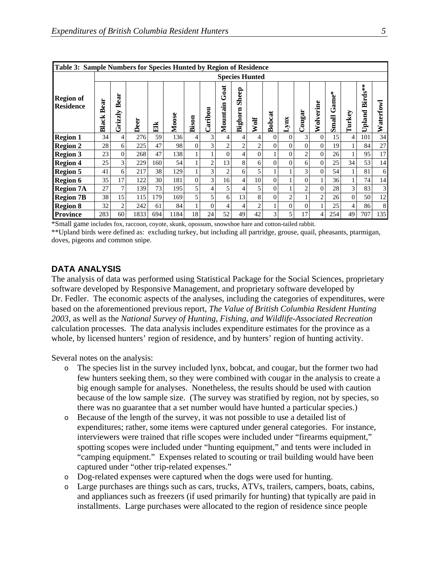| Table 3: Sample Numbers for Species Hunted by Region of Residence |               |                 |      |     |       |                |                |                  |                  |                |               |                |                |                |                           |          |                   |                |
|-------------------------------------------------------------------|---------------|-----------------|------|-----|-------|----------------|----------------|------------------|------------------|----------------|---------------|----------------|----------------|----------------|---------------------------|----------|-------------------|----------------|
| <b>Species Hunted</b>                                             |               |                 |      |     |       |                |                |                  |                  |                |               |                |                |                |                           |          |                   |                |
| <b>Region of</b><br><b>Residence</b>                              | Bear<br>Black | Bear<br>Grizzly | Deer | EIK | Moose | Bison          | Caribou        | Goat<br>Mountain | Sheep<br>Bighorn | Wolf           | <b>Bobcat</b> | <b>xux</b>     | Cougar         | olverine<br>₹  | ame*<br>ڻ<br><b>Small</b> | Turkey   | Birds**<br>Upland | aterfowl<br>₿  |
| <b>Region 1</b>                                                   | 34            | 4               | 276  | 59  | 136   | $\overline{4}$ | 3              | 4                | 4                | 4              | $\Omega$      | $\Omega$       | 3              | 0              | 15                        | 4        | 101               | 34             |
| <b>Region 2</b>                                                   | 28            | 6               | 225  | 47  | 98    | $\Omega$       | 3              | 2                | 2                | 2              | $\Omega$      | $\Omega$       | $\Omega$       | $\theta$       | 19                        |          | 84                | 27             |
| <b>Region 3</b>                                                   | 23            | $\theta$        | 268  | 47  | 138   |                |                | $\Omega$         | 4                | $\Omega$       |               | $\Omega$       | $\overline{c}$ | $\theta$       | 26                        |          | 95                | 17             |
| <b>Region 4</b>                                                   | 25            | 3               | 229  | 160 | 54    |                | $\overline{2}$ | 13               | 8                | 6              | $\Omega$      | $\Omega$       | 6              | $\theta$       | 25                        | 34       | 53                | 14             |
| <b>Region 5</b>                                                   | 41            | 6               | 217  | 38  | 129   |                | 3              | $\overline{2}$   | 6                | 5              |               |                | 3              | $\theta$       | 54                        |          | 81                | 6              |
| <b>Region 6</b>                                                   | 35            | 17              | 122  | 30  | 181   | $\overline{0}$ | 3              | 16               | $\overline{4}$   | 10             | $\Omega$      |                | $\theta$       |                | 36                        |          | 74                | 14             |
| <b>Region 7A</b>                                                  | 27            | 7               | 139  | 73  | 195   | 5 <sup>1</sup> | 4              | 5.               | 4                | 5              | $\theta$      |                | $\overline{2}$ | $\mathbf{0}$   | 28                        | 3        | 83                | $\overline{3}$ |
| <b>Region 7B</b>                                                  | 38            | 15              | 115  | 179 | 169   | 5              | 5              | 6                | 13               | 8              | $\Omega$      | $\overline{2}$ |                | $\overline{2}$ | 26                        | $\Omega$ | 50                | 12             |
| <b>Region 8</b>                                                   | 32            | $\overline{2}$  | 242  | 61  | 84    |                | $\Omega$       | 4                | 4                | $\overline{c}$ |               | $\Omega$       | $\theta$       |                | 25                        | 4        | 86                | 8              |
| <b>Province</b>                                                   | 283           | 60              | 1833 | 694 | 1184  | 18             | 24             | 52               | 49               | 42             | 3             | 5              | 17             | 4              | 254                       | 49       | 707               | 135            |

\*Small game includes fox, raccoon, coyote, skunk, opossum, snowshoe hare and cotton-tailed rabbit.

\*\*Upland birds were defined as: excluding turkey, but including all partridge, grouse, quail, pheasants, ptarmigan, doves, pigeons and common snipe.

#### **DATA ANALYSIS**

The analysis of data was performed using Statistical Package for the Social Sciences, proprietary software developed by Responsive Management, and proprietary software developed by Dr. Fedler. The economic aspects of the analyses, including the categories of expenditures, were based on the aforementioned previous report, *The Value of British Columbia Resident Hunting 2003*, as well as the *National Survey of Hunting, Fishing, and Wildlife-Associated Recreation* calculation processes. The data analysis includes expenditure estimates for the province as a whole, by licensed hunters' region of residence, and by hunters' region of hunting activity.

Several notes on the analysis:

- o The species list in the survey included lynx, bobcat, and cougar, but the former two had few hunters seeking them, so they were combined with cougar in the analysis to create a big enough sample for analyses. Nonetheless, the results should be used with caution because of the low sample size. (The survey was stratified by region, not by species, so there was no guarantee that a set number would have hunted a particular species.)
- o Because of the length of the survey, it was not possible to use a detailed list of expenditures; rather, some items were captured under general categories. For instance, interviewers were trained that rifle scopes were included under "firearms equipment," spotting scopes were included under "hunting equipment," and tents were included in "camping equipment." Expenses related to scouting or trail building would have been captured under "other trip-related expenses."
- o Dog-related expenses were captured when the dogs were used for hunting.
- o Large purchases are things such as cars, trucks, ATVs, trailers, campers, boats, cabins, and appliances such as freezers (if used primarily for hunting) that typically are paid in installments. Large purchases were allocated to the region of residence since people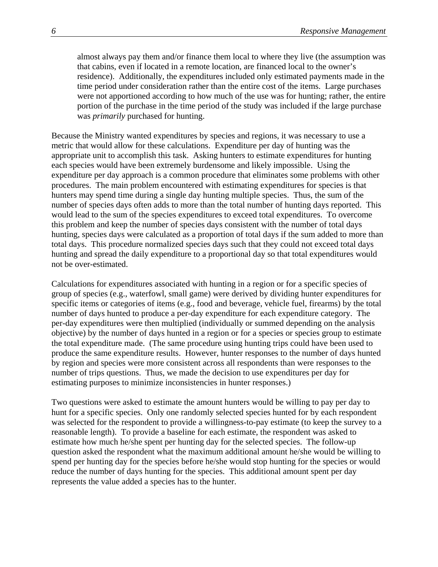almost always pay them and/or finance them local to where they live (the assumption was that cabins, even if located in a remote location, are financed local to the owner's residence). Additionally, the expenditures included only estimated payments made in the time period under consideration rather than the entire cost of the items. Large purchases were not apportioned according to how much of the use was for hunting; rather, the entire portion of the purchase in the time period of the study was included if the large purchase was *primarily* purchased for hunting.

Because the Ministry wanted expenditures by species and regions, it was necessary to use a metric that would allow for these calculations. Expenditure per day of hunting was the appropriate unit to accomplish this task. Asking hunters to estimate expenditures for hunting each species would have been extremely burdensome and likely impossible. Using the expenditure per day approach is a common procedure that eliminates some problems with other procedures. The main problem encountered with estimating expenditures for species is that hunters may spend time during a single day hunting multiple species. Thus, the sum of the number of species days often adds to more than the total number of hunting days reported. This would lead to the sum of the species expenditures to exceed total expenditures. To overcome this problem and keep the number of species days consistent with the number of total days hunting, species days were calculated as a proportion of total days if the sum added to more than total days. This procedure normalized species days such that they could not exceed total days hunting and spread the daily expenditure to a proportional day so that total expenditures would not be over-estimated.

Calculations for expenditures associated with hunting in a region or for a specific species of group of species (e.g., waterfowl, small game) were derived by dividing hunter expenditures for specific items or categories of items (e.g., food and beverage, vehicle fuel, firearms) by the total number of days hunted to produce a per-day expenditure for each expenditure category. The per-day expenditures were then multiplied (individually or summed depending on the analysis objective) by the number of days hunted in a region or for a species or species group to estimate the total expenditure made. (The same procedure using hunting trips could have been used to produce the same expenditure results. However, hunter responses to the number of days hunted by region and species were more consistent across all respondents than were responses to the number of trips questions. Thus, we made the decision to use expenditures per day for estimating purposes to minimize inconsistencies in hunter responses.)

Two questions were asked to estimate the amount hunters would be willing to pay per day to hunt for a specific species. Only one randomly selected species hunted for by each respondent was selected for the respondent to provide a willingness-to-pay estimate (to keep the survey to a reasonable length). To provide a baseline for each estimate, the respondent was asked to estimate how much he/she spent per hunting day for the selected species. The follow-up question asked the respondent what the maximum additional amount he/she would be willing to spend per hunting day for the species before he/she would stop hunting for the species or would reduce the number of days hunting for the species. This additional amount spent per day represents the value added a species has to the hunter.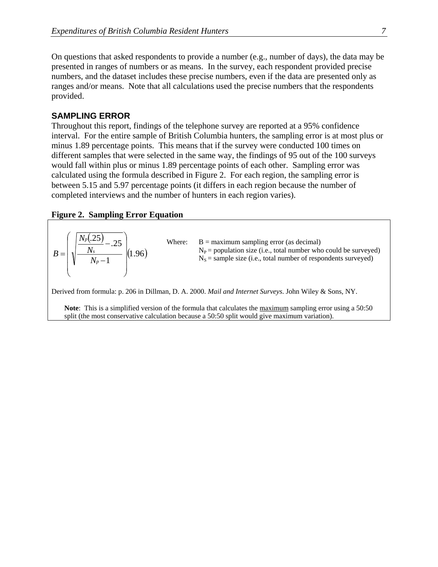On questions that asked respondents to provide a number (e.g., number of days), the data may be presented in ranges of numbers or as means. In the survey, each respondent provided precise numbers, and the dataset includes these precise numbers, even if the data are presented only as ranges and/or means. Note that all calculations used the precise numbers that the respondents provided.

#### **SAMPLING ERROR**

Throughout this report, findings of the telephone survey are reported at a 95% confidence interval. For the entire sample of British Columbia hunters, the sampling error is at most plus or minus 1.89 percentage points. This means that if the survey were conducted 100 times on different samples that were selected in the same way, the findings of 95 out of the 100 surveys would fall within plus or minus 1.89 percentage points of each other. Sampling error was calculated using the formula described in Figure 2. For each region, the sampling error is between 5.15 and 5.97 percentage points (it differs in each region because the number of completed interviews and the number of hunters in each region varies).

#### **Figure 2. Sampling Error Equation**

| $B = \left(\sqrt{\frac{N_p(.25)}{N_p - 1}} - .25\right) (1.96)$ | Where: | $B =$ maximum sampling error (as decimal)<br>$N_P$ = population size (i.e., total number who could be surveyed)<br>$N_s$ = sample size (i.e., total number of respondents surveyed) |
|-----------------------------------------------------------------|--------|-------------------------------------------------------------------------------------------------------------------------------------------------------------------------------------|
|                                                                 |        | Derived from formula: p. 206 in Dillman, D. A. 2000. Mail and Internet Surveys. John Wiley & Sons, NY.                                                                              |

**Note**: This is a simplified version of the formula that calculates the maximum sampling error using a 50:50 split (the most conservative calculation because a 50:50 split would give maximum variation).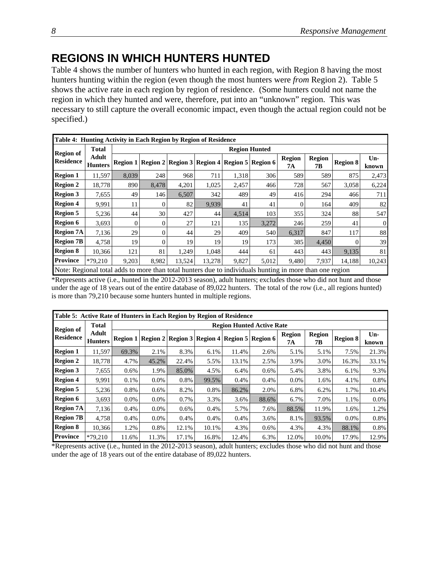# **REGIONS IN WHICH HUNTERS HUNTED**

Table 4 shows the number of hunters who hunted in each region, with Region 8 having the most hunters hunting within the region (even though the most hunters were *from* Region 2). Table 5 shows the active rate in each region by region of residence. (Some hunters could not name the region in which they hunted and were, therefore, put into an "unknown" region. This was necessary to still capture the overall economic impact, even though the actual region could not be specified.)

|                  | Table 4: Hunting Activity in Each Region by Region of Residence                                         |          |                      |                                                                 |        |       |       |                     |                     |                 |                |  |  |
|------------------|---------------------------------------------------------------------------------------------------------|----------|----------------------|-----------------------------------------------------------------|--------|-------|-------|---------------------|---------------------|-----------------|----------------|--|--|
| <b>Region of</b> | <b>Total</b>                                                                                            |          | <b>Region Hunted</b> |                                                                 |        |       |       |                     |                     |                 |                |  |  |
| <b>Residence</b> | <b>Adult</b><br><b>Hunters</b>                                                                          |          |                      | Region 1   Region 2   Region 3   Region 4   Region 5   Region 6 |        |       |       | <b>Region</b><br>7А | <b>Region</b><br>7В | <b>Region 8</b> | $Un-$<br>known |  |  |
| <b>Region 1</b>  | 11.597                                                                                                  | 8.039    | 248                  | 968                                                             | 711    | 1,318 | 306   | 589                 | 589                 | 875             | 2,473          |  |  |
| <b>Region 2</b>  | 18,778                                                                                                  | 890      | 8,478                | 4,201                                                           | 1,025  | 2,457 | 466   | 728                 | 567                 | 3,058           | 6,224          |  |  |
| <b>Region 3</b>  | 7,655                                                                                                   | 49       | 1461                 | 6,507                                                           | 342    | 489   | 49    | 416                 | 294                 | 466             | 711            |  |  |
| <b>Region 4</b>  | 9,991                                                                                                   | 11       | $\Omega$             | 82                                                              | 9,939  | 41    | 41    |                     | 164                 | 409             | 82             |  |  |
| <b>Region 5</b>  | 5,236                                                                                                   | 44       | 30                   | 427                                                             | 44     | 4,514 | 103   | 355                 | 324                 | 88              | 547            |  |  |
| <b>Region 6</b>  | 3,693                                                                                                   | $\theta$ | $\Omega$             | 27                                                              | 121    | 135   | 3,272 | 246                 | 259                 | 41              | $\overline{0}$ |  |  |
| <b>Region 7A</b> | 7,136                                                                                                   | 29       | $\Omega$             | 44                                                              | 29     | 409   | 540   | 6,317               | 847                 | 117             | 88             |  |  |
| <b>Region 7B</b> | 4,758                                                                                                   | 19       | $\Omega$             | 19                                                              | 19     | 19    | 173   | 385                 | 4,450               | $\Omega$        | 39             |  |  |
| <b>Region 8</b>  | 10,366                                                                                                  | 121      | 81                   | 1,249                                                           | 1,048  | 444   | 61    | 443                 | 443                 | 9,135           | 81             |  |  |
| <b>Province</b>  | $*79,210$                                                                                               | 9,203    | 8,982                | 13,524                                                          | 13,278 | 9,827 | 5,012 | 9,480               | 7,937               | 14,188          | 10,243         |  |  |
|                  | Note: Regional total adds to more than total hunters due to individuals hunting in more than one region |          |                      |                                                                 |        |       |       |                     |                     |                 |                |  |  |

\*Represents active (i.e., hunted in the 2012-2013 season), adult hunters; excludes those who did not hunt and those under the age of 18 years out of the entire database of 89,022 hunters. The total of the row (i.e., all regions hunted) is more than 79,210 because some hunters hunted in multiple regions.

|                  | Table 5: Active Rate of Hunters in Each Region by Region of Residence |         |                                  |                                                                 |         |         |         |                     |                     |                 |                |  |  |
|------------------|-----------------------------------------------------------------------|---------|----------------------------------|-----------------------------------------------------------------|---------|---------|---------|---------------------|---------------------|-----------------|----------------|--|--|
| <b>Region of</b> | <b>Total</b>                                                          |         | <b>Region Hunted Active Rate</b> |                                                                 |         |         |         |                     |                     |                 |                |  |  |
| <b>Residence</b> | Adult<br><b>Hunters</b>                                               |         |                                  | Region 1   Region 2   Region 3   Region 4   Region 5   Region 6 |         |         |         | <b>Region</b><br>7А | <b>Region</b><br>7В | <b>Region 8</b> | $Un-$<br>known |  |  |
| <b>Region 1</b>  | 11.597                                                                | 69.3%   | 2.1%                             | 8.3%                                                            | $6.1\%$ | 11.4%   | 2.6%    | 5.1%                | 5.1%                | 7.5%            | 21.3%          |  |  |
| <b>Region 2</b>  | 18,778                                                                | 4.7%    | 45.2%                            | 22.4%                                                           | 5.5%    | 13.1%   | 2.5%    | 3.9%                | 3.0%                | 16.3%           | 33.1%          |  |  |
| <b>Region 3</b>  | 7,655                                                                 | $0.6\%$ | 1.9%                             | 85.0%                                                           | 4.5%    | 6.4%    | $0.6\%$ | 5.4%                | 3.8%                | 6.1%            | 9.3%           |  |  |
| <b>Region 4</b>  | 9.991                                                                 | $0.1\%$ | $0.0\%$                          | $0.8\%$                                                         | 99.5%   | 0.4%    | 0.4%    | 0.0%                | 1.6%                | 4.1%            | 0.8%           |  |  |
| <b>Region 5</b>  | 5,236                                                                 | 0.8%    | $0.6\%$                          | 8.2%                                                            | 0.8%    | 86.2%   | 2.0%    | 6.8%                | 6.2%                | 1.7%            | 10.4%          |  |  |
| <b>Region 6</b>  | 3,693                                                                 | $0.0\%$ | $0.0\%$                          | 0.7%                                                            | 3.3%    | 3.6%    | 88.6%   | 6.7%                | 7.0%                | 1.1%            | $0.0\%$        |  |  |
| <b>Region 7A</b> | 7,136                                                                 | $0.4\%$ | $0.0\%$                          | 0.6%                                                            | $0.4\%$ | 5.7%    | 7.6%    | 88.5%               | 11.9%               | 1.6%            | 1.2%           |  |  |
| <b>Region 7B</b> | 4.758                                                                 | $0.4\%$ | $0.0\%$                          | 0.4%                                                            | $0.4\%$ | $0.4\%$ | 3.6%    | 8.1%                | 93.5%               | $0.0\%$         | 0.8%           |  |  |
| <b>Region 8</b>  | 10,366                                                                | 1.2%    | 0.8%                             | 12.1%                                                           | 10.1%   | 4.3%    | $0.6\%$ | 4.3%                | 4.3%                | 88.1%           | 0.8%           |  |  |
| <b>Province</b>  | $*79.210$                                                             | 11.6%   | 11.3%                            | 17.1%                                                           | 16.8%   | 12.4%   | 6.3%    | 12.0%               | 10.0%               | 17.9%           | 12.9%          |  |  |

\*Represents active (i.e., hunted in the 2012-2013 season), adult hunters; excludes those who did not hunt and those under the age of 18 years out of the entire database of 89,022 hunters.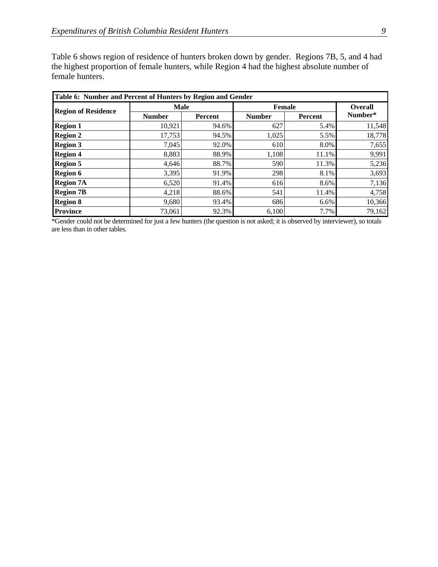Table 6 shows region of residence of hunters broken down by gender. Regions 7B, 5, and 4 had the highest proportion of female hunters, while Region 4 had the highest absolute number of female hunters.

| Table 6: Number and Percent of Hunters by Region and Gender |               |         |               |         |                |  |  |  |  |  |
|-------------------------------------------------------------|---------------|---------|---------------|---------|----------------|--|--|--|--|--|
| <b>Region of Residence</b>                                  | <b>Male</b>   |         | <b>Female</b> |         | <b>Overall</b> |  |  |  |  |  |
|                                                             | <b>Number</b> | Percent | <b>Number</b> | Percent | Number*        |  |  |  |  |  |
| <b>Region 1</b>                                             | 10,921        | 94.6%   | 627           | 5.4%    | 11,548         |  |  |  |  |  |
| <b>Region 2</b>                                             | 17,753        | 94.5%   | 1,025         | 5.5%    | 18,778         |  |  |  |  |  |
| <b>Region 3</b>                                             | 7,045         | 92.0%   | 610           | 8.0%    | 7,655          |  |  |  |  |  |
| <b>Region 4</b>                                             | 8,883         | 88.9%   | 1,108         | 11.1%   | 9,991          |  |  |  |  |  |
| <b>Region 5</b>                                             | 4,646         | 88.7%   | 590           | 11.3%   | 5,236          |  |  |  |  |  |
| <b>Region 6</b>                                             | 3,395         | 91.9%   | 298           | 8.1%    | 3,693          |  |  |  |  |  |
| <b>Region 7A</b>                                            | 6,520         | 91.4%   | 616           | 8.6%    | 7,136          |  |  |  |  |  |
| <b>Region 7B</b>                                            | 4,218         | 88.6%   | 541           | 11.4%   | 4,758          |  |  |  |  |  |
| <b>Region 8</b>                                             | 9,680         | 93.4%   | 686           | 6.6%    | 10,366         |  |  |  |  |  |
| <b>Province</b>                                             | 73,061        | 92.3%   | 6,100         | 7.7%    | 79,162         |  |  |  |  |  |

\*Gender could not be determined for just a few hunters (the question is not asked; it is observed by interviewer), so totals are less than in other tables.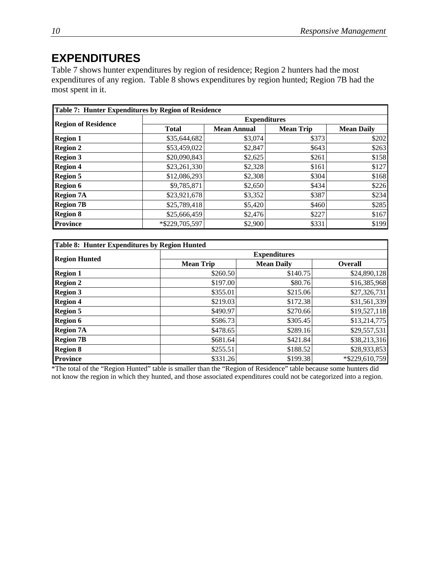## **EXPENDITURES**

Table 7 shows hunter expenditures by region of residence; Region 2 hunters had the most expenditures of any region. Table 8 shows expenditures by region hunted; Region 7B had the most spent in it.

|                            | Table 7: Hunter Expenditures by Region of Residence |                    |                  |                   |  |  |  |  |  |  |  |
|----------------------------|-----------------------------------------------------|--------------------|------------------|-------------------|--|--|--|--|--|--|--|
| <b>Region of Residence</b> | <b>Expenditures</b>                                 |                    |                  |                   |  |  |  |  |  |  |  |
|                            | <b>Total</b>                                        | <b>Mean Annual</b> | <b>Mean Trip</b> | <b>Mean Daily</b> |  |  |  |  |  |  |  |
| <b>Region 1</b>            | \$35,644,682                                        | \$3,074            | \$373            | \$202             |  |  |  |  |  |  |  |
| <b>Region 2</b>            | \$53,459,022                                        | \$2,847            | \$643            | \$263             |  |  |  |  |  |  |  |
| <b>Region 3</b>            | \$20,090,843                                        | \$2,625            | \$261            | \$158             |  |  |  |  |  |  |  |
| <b>Region 4</b>            | \$23,261,330                                        | \$2,328            | \$161            | \$127             |  |  |  |  |  |  |  |
| <b>Region 5</b>            | \$12,086,293                                        | \$2,308            | \$304            | \$168             |  |  |  |  |  |  |  |
| <b>Region 6</b>            | \$9,785,871                                         | \$2,650            | \$434            | \$226             |  |  |  |  |  |  |  |
| <b>Region 7A</b>           | \$23,921,678                                        | \$3,352            | \$387            | \$234             |  |  |  |  |  |  |  |
| <b>Region 7B</b>           | \$25,789,418                                        | \$5,420            | \$460            | \$285             |  |  |  |  |  |  |  |
| <b>Region 8</b>            | \$25,666,459                                        | \$2,476            | \$227            | \$167             |  |  |  |  |  |  |  |
| <b>Province</b>            | *\$229,705,597                                      | \$2,900            | \$331            | \$199             |  |  |  |  |  |  |  |

| <b>Table 8: Hunter Expenditures by Region Hunted</b> |                  |                     |                |
|------------------------------------------------------|------------------|---------------------|----------------|
| <b>Region Hunted</b>                                 |                  | <b>Expenditures</b> |                |
|                                                      | <b>Mean Trip</b> | <b>Mean Daily</b>   | <b>Overall</b> |
| <b>Region 1</b>                                      | \$260.50         | \$140.75            | \$24,890,128   |
| <b>Region 2</b>                                      | \$197.00         | \$80.76             | \$16,385,968   |
| <b>Region 3</b>                                      | \$355.01         | \$215.06            | \$27,326,731   |
| <b>Region 4</b>                                      | \$219.03         | \$172.38            | \$31,561,339   |
| <b>Region 5</b>                                      | \$490.97         | \$270.66            | \$19,527,118   |
| <b>Region 6</b>                                      | \$586.73         | \$305.45            | \$13,214,775   |
| <b>Region 7A</b>                                     | \$478.65         | \$289.16            | \$29,557,531   |
| <b>Region 7B</b>                                     | \$681.64]        | \$421.84            | \$38,213,316   |
| <b>Region 8</b>                                      | \$255.51         | \$188.52            | \$28,933,853   |
| <b>Province</b>                                      | \$331.26         | \$199.38            | *\$229,610,759 |

\*The total of the "Region Hunted" table is smaller than the "Region of Residence" table because some hunters did not know the region in which they hunted, and those associated expenditures could not be categorized into a region.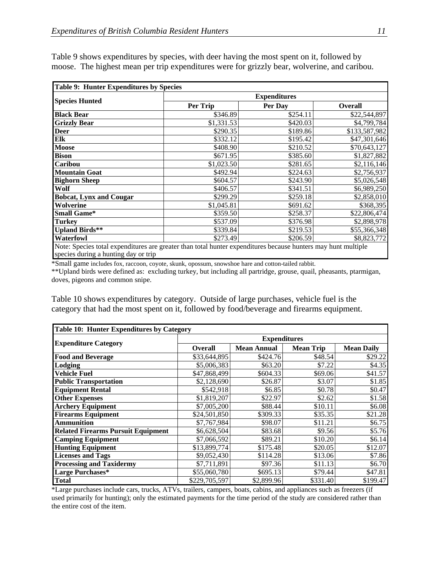| <b>Table 9: Hunter Expenditures by Species</b>                                                                                                        |            |                     |                |
|-------------------------------------------------------------------------------------------------------------------------------------------------------|------------|---------------------|----------------|
|                                                                                                                                                       |            | <b>Expenditures</b> |                |
| <b>Species Hunted</b>                                                                                                                                 | Per Trip   | Per Day             | <b>Overall</b> |
| <b>Black Bear</b>                                                                                                                                     | \$346.89   | \$254.11            | \$22,544,897   |
| <b>Grizzly Bear</b>                                                                                                                                   | \$1,331.53 | \$420.03            | \$4,799,784    |
| Deer                                                                                                                                                  | \$290.35   | \$189.86            | \$133,587,982  |
| Elk                                                                                                                                                   | \$332.12   | \$195.42            | \$47,301,646   |
| Moose                                                                                                                                                 | \$408.90   | \$210.52            | \$70,643,127   |
| <b>Bison</b>                                                                                                                                          | \$671.95   | \$385.60            | \$1,827,882    |
| Caribou                                                                                                                                               | \$1,023.50 | \$281.65            | \$2,116,146    |
| <b>Mountain Goat</b>                                                                                                                                  | \$492.94   | \$224.63            | \$2,756,937    |
| <b>Bighorn Sheep</b>                                                                                                                                  | \$604.57   | \$243.90            | \$5,026,548    |
| Wolf                                                                                                                                                  | \$406.57   | \$341.51            | \$6,989,250    |
| <b>Bobcat, Lynx and Cougar</b>                                                                                                                        | \$299.29   | \$259.18            | \$2,858,010    |
| Wolverine                                                                                                                                             | \$1,045.81 | \$691.62            | \$368,395      |
| <b>Small Game*</b>                                                                                                                                    | \$359.50   | \$258.37            | \$22,806,474   |
| Turkey                                                                                                                                                | \$537.09   | \$376.98            | \$2,898,978    |
| <b>Upland Birds**</b>                                                                                                                                 | \$339.84   | \$219.53            | \$55,366,348   |
| Waterfowl                                                                                                                                             | \$273.49   | \$206.59            | \$8,823,772    |
| Note: Species total expenditures are greater than total hunter expenditures because hunters may hunt multiple<br>species during a hunting day or trip |            |                     |                |

Table 9 shows expenditures by species, with deer having the most spent on it, followed by moose. The highest mean per trip expenditures were for grizzly bear, wolverine, and caribou.

\*Small game includes fox, raccoon, coyote, skunk, opossum, snowshoe hare and cotton-tailed rabbit.

\*\*Upland birds were defined as: excluding turkey, but including all partridge, grouse, quail, pheasants, ptarmigan, doves, pigeons and common snipe.

Table 10 shows expenditures by category. Outside of large purchases, vehicle fuel is the category that had the most spent on it, followed by food/beverage and firearms equipment.

| <b>Table 10: Hunter Expenditures by Category</b> |                |                     |                  |                   |  |  |  |  |  |  |
|--------------------------------------------------|----------------|---------------------|------------------|-------------------|--|--|--|--|--|--|
|                                                  |                | <b>Expenditures</b> |                  |                   |  |  |  |  |  |  |
| <b>Expenditure Category</b>                      | <b>Overall</b> | <b>Mean Annual</b>  | <b>Mean Trip</b> | <b>Mean Daily</b> |  |  |  |  |  |  |
| <b>Food and Beverage</b>                         | \$33,644,895   | \$424.76            | \$48.54          | \$29.22           |  |  |  |  |  |  |
| Lodging                                          | \$5,006,383    | \$63.20             | \$7.22           | \$4.35            |  |  |  |  |  |  |
| Vehicle Fuel                                     | \$47,868,499   | \$604.33            | \$69.06          | \$41.57           |  |  |  |  |  |  |
| <b>Public Transportation</b>                     | \$2,128,690    | \$26.87             | \$3.07           | \$1.85            |  |  |  |  |  |  |
| <b>Equipment Rental</b>                          | \$542,918      | \$6.85              | \$0.78           | \$0.47            |  |  |  |  |  |  |
| <b>Other Expenses</b>                            | \$1,819,207    | \$22.97             | \$2.62           | \$1.58            |  |  |  |  |  |  |
| <b>Archery Equipment</b>                         | \$7,005,200    | \$88.44             | \$10.11          | \$6.08            |  |  |  |  |  |  |
| <b>Firearms Equipment</b>                        | \$24,501,850   | \$309.33            | \$35.35          | \$21.28           |  |  |  |  |  |  |
| <b>Ammunition</b>                                | \$7,767,984    | \$98.07             | \$11.21          | \$6.75            |  |  |  |  |  |  |
| <b>Related Firearms Pursuit Equipment</b>        | \$6,628,504    | \$83.68             | \$9.56           | \$5.76            |  |  |  |  |  |  |
| <b>Camping Equipment</b>                         | \$7,066,592    | \$89.21             | \$10.20          | \$6.14            |  |  |  |  |  |  |
| <b>Hunting Equipment</b>                         | \$13,899,774   | \$175.48            | \$20.05          | \$12.07           |  |  |  |  |  |  |
| <b>Licenses and Tags</b>                         | \$9,052,430    | \$114.28            | \$13.06          | \$7.86            |  |  |  |  |  |  |
| <b>Processing and Taxidermy</b>                  | \$7,711,891    | \$97.36             | \$11.13          | \$6.70            |  |  |  |  |  |  |
| Large Purchases*                                 | \$55,060,780   | \$695.13            | \$79.44          | \$47.81           |  |  |  |  |  |  |
| Total                                            | \$229,705,597  | \$2,899.96          | \$331.40         | \$199.47          |  |  |  |  |  |  |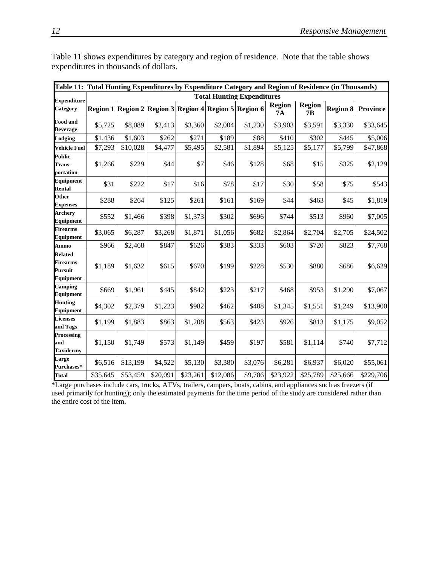| Table 11: Total Hunting Expenditures by Expenditure Category and Region of Residence (in Thousands) |          |                                   |          |          |                                                       |         |                     |                     |          |                 |  |  |  |  |
|-----------------------------------------------------------------------------------------------------|----------|-----------------------------------|----------|----------|-------------------------------------------------------|---------|---------------------|---------------------|----------|-----------------|--|--|--|--|
| <b>Expenditure</b>                                                                                  |          | <b>Total Hunting Expenditures</b> |          |          |                                                       |         |                     |                     |          |                 |  |  |  |  |
| <b>Category</b>                                                                                     |          |                                   |          |          | Region 1 Region 2 Region 3 Region 4 Region 5 Region 6 |         | <b>Region</b><br>7A | <b>Region</b><br>7B | Region 8 | <b>Province</b> |  |  |  |  |
| <b>Food and</b><br><b>Beverage</b>                                                                  | \$5,725  | \$8,089                           | \$2,413  | \$3,360  | \$2,004                                               | \$1,230 | \$3,903             | \$3,591             | \$3,330  | \$33,645        |  |  |  |  |
| Lodging                                                                                             | \$1,436  | \$1,603                           | \$262    | \$271    | \$189                                                 | \$88    | \$410               | \$302               | \$445    | \$5,006         |  |  |  |  |
| <b>Vehicle Fuel</b>                                                                                 | \$7,293  | \$10,028                          | \$4,477  | \$5,495  | \$2,581                                               | \$1,894 | \$5,125             | \$5,177             | \$5,799  | \$47,868        |  |  |  |  |
| <b>Public</b><br><b>Trans-</b><br>portation                                                         | \$1,266  | \$229                             | \$44     | \$7      | \$46                                                  | \$128   | \$68                | \$15                | \$325    | \$2,129         |  |  |  |  |
| <b>Equipment</b><br><b>Rental</b>                                                                   | \$31     | \$222                             | \$17     | \$16     | \$78                                                  | \$17    | \$30                | \$58                | \$75     | \$543           |  |  |  |  |
| Other<br><b>Expenses</b>                                                                            | \$288    | \$264                             | \$125    | \$261    | \$161                                                 | \$169   | \$44                | \$463               | \$45     | \$1,819         |  |  |  |  |
| <b>Archery</b><br>Equipment                                                                         | \$552    | \$1,466                           | \$398    | \$1,373  | \$302                                                 | \$696   | \$744               | \$513               | \$960    | \$7,005         |  |  |  |  |
| <b>Firearms</b><br>Equipment                                                                        | \$3,065  | \$6,287                           | \$3,268  | \$1,871  | \$1,056                                               | \$682   | \$2,864             | \$2,704             | \$2,705  | \$24,502        |  |  |  |  |
| Ammo                                                                                                | \$966    | \$2,468                           | \$847    | \$626    | \$383                                                 | \$333   | \$603               | \$720               | \$823    | \$7,768         |  |  |  |  |
| Related<br><b>Firearms</b><br>Pursuit<br>Equipment                                                  | \$1,189  | \$1,632                           | \$615    | \$670    | \$199                                                 | \$228   | \$530               | \$880               | \$686    | \$6,629         |  |  |  |  |
| Camping<br><b>Equipment</b>                                                                         | \$669    | \$1,961                           | \$445    | \$842    | \$223                                                 | \$217   | \$468               | \$953               | \$1,290  | \$7,067         |  |  |  |  |
| <b>Hunting</b><br>Equipment                                                                         | \$4,302  | \$2,379                           | \$1,223  | \$982    | \$462                                                 | \$408   | \$1,345             | \$1,551             | \$1,249  | \$13,900        |  |  |  |  |
| <b>Licenses</b><br>and Tags                                                                         | \$1,199  | \$1,883                           | \$863    | \$1,208  | \$563                                                 | \$423   | \$926               | \$813               | \$1,175  | \$9,052         |  |  |  |  |
| Processing<br>and<br><b>Taxidermy</b>                                                               | \$1,150  | \$1,749                           | \$573    | \$1,149  | \$459                                                 | \$197   | \$581               | \$1,114             | \$740    | \$7,712         |  |  |  |  |
| Large<br>Purchases*                                                                                 | \$6,516  | \$13,199                          | \$4,522  | \$5,130  | \$3,380                                               | \$3,076 | \$6,281             | \$6,937             | \$6,020  | \$55,061        |  |  |  |  |
| <b>Total</b>                                                                                        | \$35,645 | \$53,459                          | \$20,091 | \$23,261 | \$12,086                                              | \$9,786 | \$23,922            | \$25,789            | \$25,666 | \$229,706       |  |  |  |  |

Table 11 shows expenditures by category and region of residence. Note that the table shows expenditures in thousands of dollars.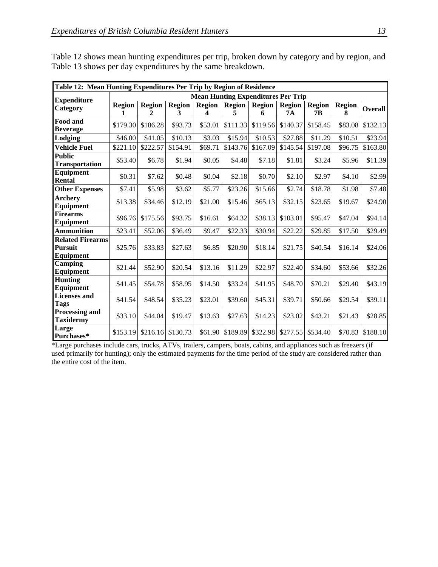|                                                               | Table 12: Mean Hunting Expenditures Per Trip by Region of Residence |                    |                    |                    |                                           |          |                     |                     |                    |                |  |
|---------------------------------------------------------------|---------------------------------------------------------------------|--------------------|--------------------|--------------------|-------------------------------------------|----------|---------------------|---------------------|--------------------|----------------|--|
| <b>Expenditure</b>                                            |                                                                     |                    |                    |                    | <b>Mean Hunting Expenditures Per Trip</b> |          |                     |                     |                    |                |  |
| Category                                                      | <b>Region</b>                                                       | <b>Region</b><br>2 | <b>Region</b><br>3 | <b>Region</b><br>4 | <b>Region</b>   Region<br>5               | 6        | <b>Region</b><br>7A | <b>Region</b><br>7Β | <b>Region</b><br>8 | <b>Overall</b> |  |
| Food and<br><b>Beverage</b>                                   | \$179.30                                                            | \$186.28           | \$93.73            | \$53.01            | \$111.33                                  | \$119.56 | \$140.37            | \$158.45            | \$83.08            | \$132.13       |  |
| Lodging                                                       | \$46.00                                                             | \$41.05            | \$10.13            | \$3.03             | \$15.94                                   | \$10.53  | \$27.88             | \$11.29             | \$10.51            | \$23.94        |  |
| <b>Vehicle Fuel</b>                                           | \$221.10                                                            | \$222.57           | \$154.91           | \$69.71            | \$143.76                                  | \$167.09 | \$145.54            | \$197.08            | \$96.75            | \$163.80       |  |
| <b>Public</b><br><b>Transportation</b>                        | \$53.40                                                             | \$6.78             | \$1.94             | \$0.05             | \$4.48                                    | \$7.18   | \$1.81              | \$3.24              | \$5.96             | \$11.39        |  |
| <b>Equipment</b><br><b>Rental</b>                             | \$0.31                                                              | \$7.62             | \$0.48             | \$0.04             | \$2.18                                    | \$0.70   | \$2.10              | \$2.97              | \$4.10             | \$2.99         |  |
| <b>Other Expenses</b>                                         | \$7.41                                                              | \$5.98             | \$3.62             | \$5.77             | \$23.26                                   | \$15.66  | \$2.74              | \$18.78             | \$1.98             | \$7.48         |  |
| <b>Archery</b><br><b>Equipment</b>                            | \$13.38                                                             | \$34.46            | \$12.19            | \$21.00            | \$15.46                                   | \$65.13  | \$32.15             | \$23.65             | \$19.67            | \$24.90        |  |
| <b>Firearms</b><br>Equipment                                  | \$96.76                                                             | \$175.56           | \$93.75            | \$16.61            | \$64.32                                   | \$38.13  | \$103.01            | \$95.47             | \$47.04            | \$94.14        |  |
| <b>Ammunition</b>                                             | \$23.41                                                             | \$52.06            | \$36.49            | \$9.47             | \$22.33                                   | \$30.94  | \$22.22             | \$29.85             | \$17.50            | \$29.49        |  |
| <b>Related Firearms</b><br><b>Pursuit</b><br><b>Equipment</b> | \$25.76                                                             | \$33.83            | \$27.63            | \$6.85             | \$20.90                                   | \$18.14  | \$21.75             | \$40.54             | \$16.14            | \$24.06        |  |
| Camping<br>Equipment                                          | \$21.44                                                             | \$52.90            | \$20.54            | \$13.16            | \$11.29                                   | \$22.97  | \$22.40             | \$34.60             | \$53.66            | \$32.26        |  |
| <b>Hunting</b><br><b>Equipment</b>                            | \$41.45                                                             | \$54.78            | \$58.95            | \$14.50            | \$33.24                                   | \$41.95  | \$48.70             | \$70.21             | \$29.40            | \$43.19        |  |
| <b>Licenses</b> and<br><b>Tags</b>                            | \$41.54                                                             | \$48.54            | \$35.23            | \$23.01            | \$39.60                                   | \$45.31  | \$39.71             | \$50.66             | \$29.54            | \$39.11        |  |
| <b>Processing and</b><br><b>Taxidermy</b>                     | \$33.10                                                             | \$44.04            | \$19.47            | \$13.63            | \$27.63                                   | \$14.23  | \$23.02             | \$43.21             | \$21.43            | \$28.85        |  |
| Large<br>Purchases*                                           | \$153.19                                                            | \$216.16           | \$130.73           | \$61.90            | \$189.89                                  | \$322.98 | \$277.55            | \$534.40            | \$70.83            | \$188.10       |  |

Table 12 shows mean hunting expenditures per trip, broken down by category and by region, and Table 13 shows per day expenditures by the same breakdown.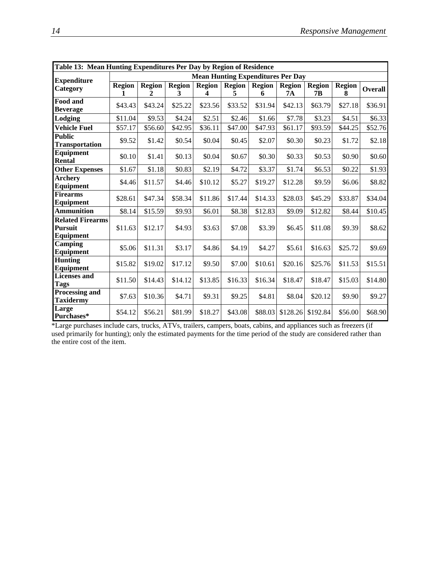|                                                               | Table 13: Mean Hunting Expenditures Per Day by Region of Residence |                               |                    |                    |                                          |                    |                     |                     |                    |                |  |
|---------------------------------------------------------------|--------------------------------------------------------------------|-------------------------------|--------------------|--------------------|------------------------------------------|--------------------|---------------------|---------------------|--------------------|----------------|--|
| <b>Expenditure</b>                                            |                                                                    |                               |                    |                    | <b>Mean Hunting Expenditures Per Day</b> |                    |                     |                     |                    |                |  |
| Category                                                      | <b>Region</b>                                                      | <b>Region</b><br>$\mathbf{2}$ | <b>Region</b><br>3 | <b>Region</b><br>4 | <b>Region</b><br>5                       | <b>Region</b><br>6 | <b>Region</b><br>7A | <b>Region</b><br>7Β | <b>Region</b><br>8 | <b>Overall</b> |  |
| Food and<br><b>Beverage</b>                                   | \$43.43                                                            | \$43.24                       | \$25.22            | \$23.56            | \$33.52                                  | \$31.94            | \$42.13             | \$63.79             | \$27.18            | \$36.91        |  |
| Lodging                                                       | \$11.04                                                            | \$9.53                        | \$4.24             | \$2.51             | \$2.46                                   | \$1.66             | \$7.78              | \$3.23              | \$4.51             | \$6.33         |  |
| <b>Vehicle Fuel</b>                                           | \$57.17                                                            | \$56.60                       | \$42.95            | \$36.11            | \$47.00                                  | \$47.93            | \$61.17             | \$93.59             | \$44.25            | \$52.76        |  |
| <b>Public</b><br><b>Transportation</b>                        | \$9.52                                                             | \$1.42                        | \$0.54             | \$0.04             | \$0.45                                   | \$2.07             | \$0.30              | \$0.23              | \$1.72             | \$2.18         |  |
| Equipment<br><b>Rental</b>                                    | \$0.10                                                             | \$1.41                        | \$0.13             | \$0.04             | \$0.67                                   | \$0.30             | \$0.33              | \$0.53              | \$0.90             | \$0.60         |  |
| <b>Other Expenses</b>                                         | \$1.67                                                             | \$1.18                        | \$0.83             | \$2.19             | \$4.72                                   | \$3.37             | \$1.74              | \$6.53              | \$0.22             | \$1.93         |  |
| <b>Archery</b><br>Equipment                                   | \$4.46                                                             | \$11.57                       | \$4.46             | \$10.12            | \$5.27                                   | \$19.27            | \$12.28             | \$9.59              | \$6.06             | \$8.82         |  |
| <b>Firearms</b><br>Equipment                                  | \$28.61                                                            | \$47.34                       | \$58.34            | \$11.86            | \$17.44                                  | \$14.33            | \$28.03             | \$45.29             | \$33.87            | \$34.04        |  |
| <b>Ammunition</b>                                             | \$8.14                                                             | \$15.59                       | \$9.93             | \$6.01             | \$8.38                                   | \$12.83            | \$9.09              | \$12.82             | \$8.44             | \$10.45        |  |
| <b>Related Firearms</b><br><b>Pursuit</b><br><b>Equipment</b> | \$11.63                                                            | \$12.17                       | \$4.93             | \$3.63             | \$7.08                                   | \$3.39             | \$6.45              | \$11.08             | \$9.39             | \$8.62         |  |
| Camping<br>Equipment                                          | \$5.06                                                             | \$11.31                       | \$3.17             | \$4.86             | \$4.19                                   | \$4.27             | \$5.61              | \$16.63             | \$25.72            | \$9.69         |  |
| <b>Hunting</b><br>Equipment                                   | \$15.82                                                            | \$19.02                       | \$17.12            | \$9.50             | \$7.00                                   | \$10.61            | \$20.16             | \$25.76             | \$11.53            | \$15.51        |  |
| <b>Licenses</b> and<br><b>Tags</b>                            | \$11.50                                                            | \$14.43                       | \$14.12            | \$13.85            | \$16.33                                  | \$16.34            | \$18.47             | \$18.47             | \$15.03            | \$14.80        |  |
| <b>Processing and</b><br><b>Taxidermy</b>                     | \$7.63                                                             | \$10.36                       | \$4.71             | \$9.31             | \$9.25                                   | \$4.81             | \$8.04              | \$20.12             | \$9.90             | \$9.27         |  |
| Large<br>Purchases*                                           | \$54.12                                                            | \$56.21                       | \$81.99            | \$18.27            | \$43.08                                  | \$88.03            | \$128.26            | \$192.84            | \$56.00            | \$68.90        |  |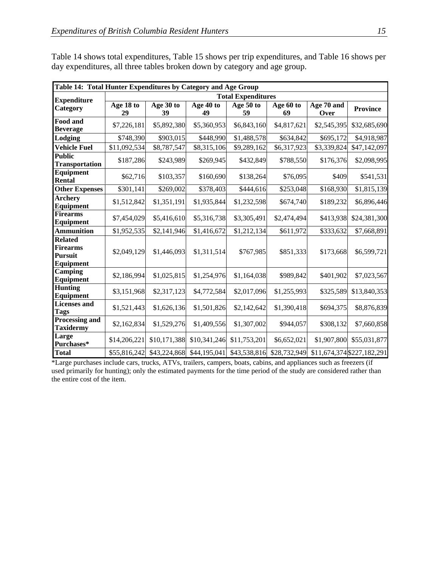|                                                           | Table 14: Total Hunter Expenditures by Category and Age Group |                 |                           |                           |                 |                    |                            |  |  |  |  |  |
|-----------------------------------------------------------|---------------------------------------------------------------|-----------------|---------------------------|---------------------------|-----------------|--------------------|----------------------------|--|--|--|--|--|
| <b>Expenditure</b>                                        |                                                               |                 |                           | <b>Total Expenditures</b> |                 |                    |                            |  |  |  |  |  |
| Category                                                  | Age 18 to<br>29                                               | Age 30 to<br>39 | Age 40 to<br>49           | Age 50 to<br>59           | Age 60 to<br>69 | Age 70 and<br>Over | <b>Province</b>            |  |  |  |  |  |
| Food and<br><b>Beverage</b>                               | \$7,226,181                                                   | \$5,892,380     | \$5,360,953               | \$6,843,160               | \$4,817,621     | \$2,545,395        | \$32,685,690               |  |  |  |  |  |
| Lodging                                                   | \$748,390                                                     | \$903,015       | \$448,990                 | \$1,488,578               | \$634,842       | \$695,172          | \$4,918,987                |  |  |  |  |  |
| <b>Vehicle Fuel</b>                                       | \$11,092,534                                                  | \$8,787,547     | \$8,315,106               | \$9,289,162               | \$6,317,923     | \$3,339,824        | \$47,142,097               |  |  |  |  |  |
| <b>Public</b><br><b>Transportation</b>                    | \$187,286                                                     | \$243,989       | \$269,945                 | \$432,849                 | \$788,550       | \$176,376          | \$2,098,995                |  |  |  |  |  |
| <b>Equipment</b><br><b>Rental</b>                         | \$62,716                                                      | \$103,357       | \$160,690                 | \$138,264                 | \$76,095        | \$409              | \$541,531                  |  |  |  |  |  |
| <b>Other Expenses</b>                                     | \$301,141                                                     | \$269,002       | \$378,403                 | \$444,616                 | \$253,048       | \$168,930          | \$1,815,139                |  |  |  |  |  |
| <b>Archery</b><br>Equipment                               | \$1,512,842                                                   | \$1,351,191     | \$1,935,844               | \$1,232,598               | \$674,740       | \$189,232          | \$6,896,446                |  |  |  |  |  |
| <b>Firearms</b><br><b>Equipment</b>                       | \$7,454,029                                                   | \$5,416,610     | \$5,316,738               | \$3,305,491               | \$2,474,494     | \$413,938          | \$24,381,300               |  |  |  |  |  |
| <b>Ammunition</b>                                         | \$1,952,535                                                   | \$2,141,946     | \$1,416,672               | \$1,212,134               | \$611,972       | \$333,632          | \$7,668,891                |  |  |  |  |  |
| <b>Related</b><br><b>Firearms</b><br>Pursuit<br>Equipment | \$2,049,129                                                   | \$1,446,093     | \$1,311,514               | \$767,985                 | \$851,333       | \$173,668          | \$6,599,721                |  |  |  |  |  |
| Camping<br><b>Equipment</b>                               | \$2,186,994                                                   | \$1,025,815     | \$1,254,976               | \$1,164,038               | \$989,842       | \$401,902          | \$7,023,567                |  |  |  |  |  |
| <b>Hunting</b><br><b>Equipment</b>                        | \$3,151,968                                                   | \$2,317,123     | \$4,772,584               | \$2,017,096               | \$1,255,993     | \$325,589          | \$13,840,353               |  |  |  |  |  |
| <b>Licenses</b> and<br>Tags                               | \$1,521,443                                                   | \$1,626,136     | \$1,501,826               | \$2,142,642               | \$1,390,418     | \$694,375          | \$8,876,839                |  |  |  |  |  |
| <b>Processing and</b><br><b>Taxidermy</b>                 | \$2,162,834                                                   | \$1,529,276     | \$1,409,556               | \$1,307,002               | \$944,057       | \$308,132          | \$7,660,858                |  |  |  |  |  |
| Large<br>Purchases*                                       | \$14,206,221                                                  | \$10,171,388    | \$10,341,246              | \$11,753,201              | \$6,652,021     | \$1,907,800        | \$55,031,877               |  |  |  |  |  |
| <b>Total</b>                                              | \$55,816,242                                                  |                 | \$43,224,868 \$44,195,041 | \$43,538,816              | \$28,732,949    |                    | \$11,674,374 \$227,182,291 |  |  |  |  |  |

Table 14 shows total expenditures, Table 15 shows per trip expenditures, and Table 16 shows per day expenditures, all three tables broken down by category and age group.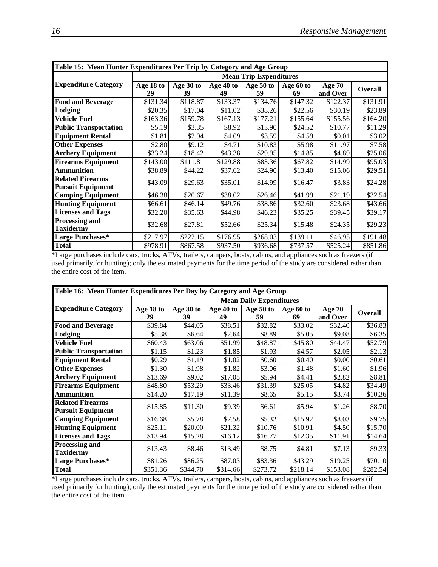|                                                     | Table 15: Mean Hunter Expenditures Per Trip by Category and Age Group |           |           |                               |           |          |                |  |  |  |  |
|-----------------------------------------------------|-----------------------------------------------------------------------|-----------|-----------|-------------------------------|-----------|----------|----------------|--|--|--|--|
|                                                     |                                                                       |           |           | <b>Mean Trip Expenditures</b> |           |          |                |  |  |  |  |
| <b>Expenditure Category</b>                         | Age 18 to                                                             | Age 30 to | Age 40 to | Age 50 to                     | Age 60 to | Age 70   | <b>Overall</b> |  |  |  |  |
|                                                     | 29                                                                    | 39        | 49        | 59                            | 69        | and Over |                |  |  |  |  |
| <b>Food and Beverage</b>                            | \$131.34                                                              | \$118.87  | \$133.37  | \$134.76                      | \$147.32  | \$122.37 | \$131.91       |  |  |  |  |
| Lodging                                             | \$20.35                                                               | \$17.04   | \$11.02   | \$38.26                       | \$22.56   | \$30.19  | \$23.89        |  |  |  |  |
| <b>Vehicle Fuel</b>                                 | \$163.36                                                              | \$159.78  | \$167.13  | \$177.21                      | \$155.64  | \$155.56 | \$164.20       |  |  |  |  |
| <b>Public Transportation</b>                        | \$5.19                                                                | \$3.35    | \$8.92    | \$13.90                       | \$24.52   | \$10.77  | \$11.29        |  |  |  |  |
| <b>Equipment Rental</b>                             | \$1.81                                                                | \$2.94    | \$4.09    | \$3.59                        | \$4.59    | \$0.01   | \$3.02         |  |  |  |  |
| <b>Other Expenses</b>                               | \$2.80                                                                | \$9.12    | \$4.71    | \$10.83                       | \$5.98    | \$11.97  | \$7.58         |  |  |  |  |
| <b>Archery Equipment</b>                            | \$33.24                                                               | \$18.42   | \$43.38   | \$29.95                       | \$14.85   | \$4.89   | \$25.06        |  |  |  |  |
| <b>Firearms Equipment</b>                           | \$143.00                                                              | \$111.81  | \$129.88  | \$83.36                       | \$67.82   | \$14.99  | \$95.03        |  |  |  |  |
| <b>Ammunition</b>                                   | \$38.89                                                               | \$44.22   | \$37.62   | \$24.90                       | \$13.40   | \$15.06  | \$29.51        |  |  |  |  |
| <b>Related Firearms</b><br><b>Pursuit Equipment</b> | \$43.09                                                               | \$29.63   | \$35.01   | \$14.99                       | \$16.47   | \$3.83   | \$24.28        |  |  |  |  |
| <b>Camping Equipment</b>                            | \$46.38                                                               | \$20.67   | \$38.02   | \$26.46                       | \$41.99   | \$21.19  | \$32.54        |  |  |  |  |
| <b>Hunting Equipment</b>                            | \$66.61                                                               | \$46.14   | \$49.76   | \$38.86                       | \$32.60   | \$23.68  | \$43.66        |  |  |  |  |
| <b>Licenses and Tags</b>                            | \$32.20                                                               | \$35.63   | \$44.98   | \$46.23                       | \$35.25   | \$39.45  | \$39.17        |  |  |  |  |
| <b>Processing and</b><br><b>Taxidermy</b>           | \$32.68                                                               | \$27.81   | \$52.66   | \$25.34                       | \$15.48   | \$24.35  | \$29.23        |  |  |  |  |
| Large Purchases*                                    | \$217.97                                                              | \$222.15  | \$176.95  | \$268.03                      | \$139.11  | \$46.95  | \$191.48       |  |  |  |  |
| <b>Total</b>                                        | \$978.91                                                              | \$867.58  | \$937.50  | \$936.68                      | \$737.57  | \$525.24 | \$851.86       |  |  |  |  |

\*Large purchases include cars, trucks, ATVs, trailers, campers, boats, cabins, and appliances such as freezers (if used primarily for hunting); only the estimated payments for the time period of the study are considered rather than the entire cost of the item.

| Table 16: Mean Hunter Expenditures Per Day by Category and Age Group |                 |                 |                 |                                |                 |                           |                |  |  |  |
|----------------------------------------------------------------------|-----------------|-----------------|-----------------|--------------------------------|-----------------|---------------------------|----------------|--|--|--|
|                                                                      |                 |                 |                 | <b>Mean Daily Expenditures</b> |                 |                           |                |  |  |  |
| <b>Expenditure Category</b>                                          | Age 18 to<br>29 | Age 30 to<br>39 | Age 40 to<br>49 | Age 50 to<br>59                | Age 60 to<br>69 | <b>Age 70</b><br>and Over | <b>Overall</b> |  |  |  |
| <b>Food and Beverage</b>                                             | \$39.84         | \$44.05         | \$38.51         | \$32.82                        | \$33.02         | \$32.40                   | \$36.83        |  |  |  |
| Lodging                                                              | \$5.38          | \$6.64          | \$2.64          | \$8.89                         | \$5.05          | \$9.08                    | \$6.35         |  |  |  |
| Vehicle Fuel                                                         | \$60.43         | \$63.06         | \$51.99         | \$48.87                        | \$45.80         | \$44.47                   | \$52.79        |  |  |  |
| <b>Public Transportation</b>                                         | \$1.15          | \$1.23          | \$1.85          | \$1.93                         | \$4.57          | \$2.05                    | \$2.13         |  |  |  |
| <b>Equipment Rental</b>                                              | \$0.29          | \$1.19          | \$1.02          | \$0.60                         | \$0.40          | \$0.00                    | \$0.61         |  |  |  |
| <b>Other Expenses</b>                                                | \$1.30          | \$1.98          | \$1.82          | \$3.06                         | \$1.48          | \$1.60                    | \$1.96         |  |  |  |
| <b>Archery Equipment</b>                                             | \$13.69         | \$9.02          | \$17.05         | \$5.94                         | \$4.41          | \$2.82                    | \$8.81         |  |  |  |
| <b>Firearms Equipment</b>                                            | \$48.80         | \$53.29         | \$33.46         | \$31.39                        | \$25.05         | \$4.82                    | \$34.49        |  |  |  |
| Ammunition                                                           | \$14.20         | \$17.19         | \$11.39         | \$8.65                         | \$5.15          | \$3.74                    | \$10.36        |  |  |  |
| <b>Related Firearms</b><br><b>Pursuit Equipment</b>                  | \$15.85         | \$11.30         | \$9.39          | \$6.61                         | \$5.94          | \$1.26                    | \$8.70         |  |  |  |
| <b>Camping Equipment</b>                                             | \$16.68         | \$5.78          | \$7.58          | \$5.32                         | \$15.92         | \$8.03                    | \$9.75         |  |  |  |
| <b>Hunting Equipment</b>                                             | \$25.11         | \$20.00         | \$21.32         | \$10.76                        | \$10.91         | \$4.50                    | \$15.70        |  |  |  |
| <b>Licenses and Tags</b>                                             | \$13.94         | \$15.28         | \$16.12         | \$16.77                        | \$12.35         | \$11.91                   | \$14.64        |  |  |  |
| <b>Processing and</b><br><b>Taxidermy</b>                            | \$13.43         | \$8.46          | \$13.49         | \$8.75                         | \$4.81          | \$7.13                    | \$9.33         |  |  |  |
| Large Purchases*                                                     | \$81.26         | \$86.25         | \$87.03         | \$83.36                        | \$43.29         | \$19.25                   | \$70.10        |  |  |  |
| <b>Total</b>                                                         | \$351.36        | \$344.70        | \$314.66        | \$273.72                       | \$218.14        | \$153.08                  | \$282.54       |  |  |  |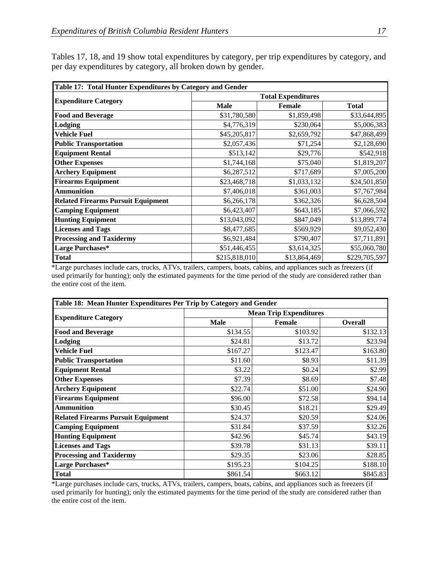|                                           | Table 17: Total Hunter Expenditures by Category and Gender |                           |               |  |  |  |  |  |  |  |  |
|-------------------------------------------|------------------------------------------------------------|---------------------------|---------------|--|--|--|--|--|--|--|--|
|                                           |                                                            | <b>Total Expenditures</b> |               |  |  |  |  |  |  |  |  |
| <b>Expenditure Category</b>               | <b>Male</b>                                                | <b>Female</b>             | <b>Total</b>  |  |  |  |  |  |  |  |  |
| <b>Food and Beverage</b>                  | \$31,780,580                                               | \$1,859,498               | \$33,644,895  |  |  |  |  |  |  |  |  |
| Lodging                                   | \$4,776,319                                                | \$230,064                 | \$5,006,383   |  |  |  |  |  |  |  |  |
| Vehicle Fuel                              | \$45,205,817                                               | \$2,659,792               | \$47,868,499  |  |  |  |  |  |  |  |  |
| <b>Public Transportation</b>              | \$2,057,436                                                | \$71,254                  | \$2,128,690   |  |  |  |  |  |  |  |  |
| <b>Equipment Rental</b>                   | \$513,142                                                  | \$29,776                  | \$542,918     |  |  |  |  |  |  |  |  |
| <b>Other Expenses</b>                     | \$1,744,168                                                | \$75,040                  | \$1,819,207   |  |  |  |  |  |  |  |  |
| <b>Archery Equipment</b>                  | \$6,287,512                                                | \$717,689                 | \$7,005,200   |  |  |  |  |  |  |  |  |
| <b>Firearms Equipment</b>                 | \$23,468,718                                               | \$1,033,132               | \$24,501,850  |  |  |  |  |  |  |  |  |
| <b>Ammunition</b>                         | \$7,406,018                                                | \$361,003                 | \$7,767,984   |  |  |  |  |  |  |  |  |
| <b>Related Firearms Pursuit Equipment</b> | \$6,266,178                                                | \$362,326                 | \$6,628,504   |  |  |  |  |  |  |  |  |
| <b>Camping Equipment</b>                  | \$6,423,407                                                | \$643,185                 | \$7,066,592   |  |  |  |  |  |  |  |  |
| <b>Hunting Equipment</b>                  | \$13,043,092                                               | \$847,049                 | \$13,899,774  |  |  |  |  |  |  |  |  |
| <b>Licenses and Tags</b>                  | \$8,477,685                                                | \$569,929                 | \$9,052,430   |  |  |  |  |  |  |  |  |
| <b>Processing and Taxidermy</b>           | \$6,921,484                                                | \$790,407                 | \$7,711,891   |  |  |  |  |  |  |  |  |
| Large Purchases*                          | \$51,446,455                                               | \$3,614,325               | \$55,060,780  |  |  |  |  |  |  |  |  |
| <b>Total</b>                              | \$215,818,010                                              | \$13,864,469              | \$229,705,597 |  |  |  |  |  |  |  |  |

Tables 17, 18, and 19 show total expenditures by category, per trip expenditures by category, and per day expenditures by category, all broken down by gender.

\*Large purchases include cars, trucks, ATVs, trailers, campers, boats, cabins, and appliances such as freezers (if used primarily for hunting); only the estimated payments for the time period of the study are considered rather than the entire cost of the item.

| Table 18: Mean Hunter Expenditures Per Trip by Category and Gender |             |                               |                |  |  |  |  |  |  |  |
|--------------------------------------------------------------------|-------------|-------------------------------|----------------|--|--|--|--|--|--|--|
|                                                                    |             | <b>Mean Trip Expenditures</b> |                |  |  |  |  |  |  |  |
| <b>Expenditure Category</b>                                        | <b>Male</b> | Female                        | <b>Overall</b> |  |  |  |  |  |  |  |
| <b>Food and Beverage</b>                                           | \$134.55    | \$103.92                      | \$132.13       |  |  |  |  |  |  |  |
| Lodging                                                            | \$24.81     | \$13.72                       | \$23.94        |  |  |  |  |  |  |  |
| <b>Vehicle Fuel</b>                                                | \$167.27    | \$123.47                      | \$163.80       |  |  |  |  |  |  |  |
| <b>Public Transportation</b>                                       | \$11.60     | \$8.93                        | \$11.39        |  |  |  |  |  |  |  |
| <b>Equipment Rental</b>                                            | \$3.22      | \$0.24                        | \$2.99         |  |  |  |  |  |  |  |
| <b>Other Expenses</b>                                              | \$7.39      | \$8.69                        | \$7.48         |  |  |  |  |  |  |  |
| <b>Archery Equipment</b>                                           | \$22.74     | \$51.00                       | \$24.90        |  |  |  |  |  |  |  |
| <b>Firearms Equipment</b>                                          | \$96.00     | \$72.58                       | \$94.14        |  |  |  |  |  |  |  |
| <b>Ammunition</b>                                                  | \$30.45     | \$18.21                       | \$29.49        |  |  |  |  |  |  |  |
| <b>Related Firearms Pursuit Equipment</b>                          | \$24.37     | \$20.59                       | \$24.06        |  |  |  |  |  |  |  |
| <b>Camping Equipment</b>                                           | \$31.84     | \$37.59                       | \$32.26        |  |  |  |  |  |  |  |
| <b>Hunting Equipment</b>                                           | \$42.96     | \$45.74                       | \$43.19        |  |  |  |  |  |  |  |
| <b>Licenses and Tags</b>                                           | \$39.78     | \$31.13                       | \$39.11        |  |  |  |  |  |  |  |
| <b>Processing and Taxidermy</b>                                    | \$29.35     | \$23.06                       | \$28.85        |  |  |  |  |  |  |  |
| Large Purchases*                                                   | \$195.23    | \$104.25                      | \$188.10       |  |  |  |  |  |  |  |
| <b>Total</b>                                                       | \$861.54    | \$663.12                      | \$845.83       |  |  |  |  |  |  |  |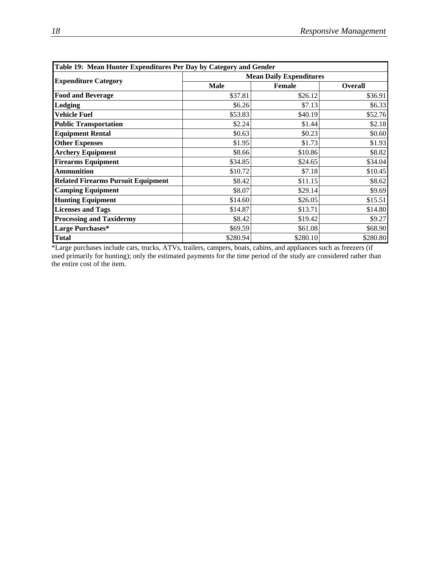|                                           | Table 19: Mean Hunter Expenditures Per Day by Category and Gender |                                |                |  |  |  |  |  |  |  |
|-------------------------------------------|-------------------------------------------------------------------|--------------------------------|----------------|--|--|--|--|--|--|--|
| <b>Expenditure Category</b>               |                                                                   | <b>Mean Daily Expenditures</b> |                |  |  |  |  |  |  |  |
|                                           | <b>Male</b>                                                       | <b>Female</b>                  | <b>Overall</b> |  |  |  |  |  |  |  |
| <b>Food and Beverage</b>                  | \$37.81                                                           | \$26.12                        | \$36.91        |  |  |  |  |  |  |  |
| Lodging                                   | \$6.26                                                            | \$7.13                         | \$6.33         |  |  |  |  |  |  |  |
| <b>Vehicle Fuel</b>                       | \$53.83                                                           | \$40.19                        | \$52.76        |  |  |  |  |  |  |  |
| <b>Public Transportation</b>              | \$2.24                                                            | \$1.44                         | \$2.18         |  |  |  |  |  |  |  |
| <b>Equipment Rental</b>                   | \$0.63                                                            | \$0.23                         | \$0.60         |  |  |  |  |  |  |  |
| <b>Other Expenses</b>                     | \$1.95                                                            | \$1.73                         | \$1.93         |  |  |  |  |  |  |  |
| <b>Archery Equipment</b>                  | \$8.66                                                            | \$10.86                        | \$8.82         |  |  |  |  |  |  |  |
| <b>Firearms Equipment</b>                 | \$34.85                                                           | \$24.65                        | \$34.04        |  |  |  |  |  |  |  |
| <b>Ammunition</b>                         | \$10.72                                                           | \$7.18                         | \$10.45        |  |  |  |  |  |  |  |
| <b>Related Firearms Pursuit Equipment</b> | \$8.42                                                            | \$11.15                        | \$8.62         |  |  |  |  |  |  |  |
| <b>Camping Equipment</b>                  | \$8.07                                                            | \$29.14                        | \$9.69         |  |  |  |  |  |  |  |
| <b>Hunting Equipment</b>                  | \$14.60                                                           | \$26.05                        | \$15.51        |  |  |  |  |  |  |  |
| <b>Licenses and Tags</b>                  | \$14.87                                                           | \$13.71                        | \$14.80        |  |  |  |  |  |  |  |
| <b>Processing and Taxidermy</b>           | \$8.42                                                            | \$19.42                        | \$9.27         |  |  |  |  |  |  |  |
| <b>Large Purchases*</b>                   | \$69.59                                                           | \$61.08                        | \$68.90        |  |  |  |  |  |  |  |
| <b>Total</b>                              | \$280.94                                                          | \$280.10                       | \$280.80       |  |  |  |  |  |  |  |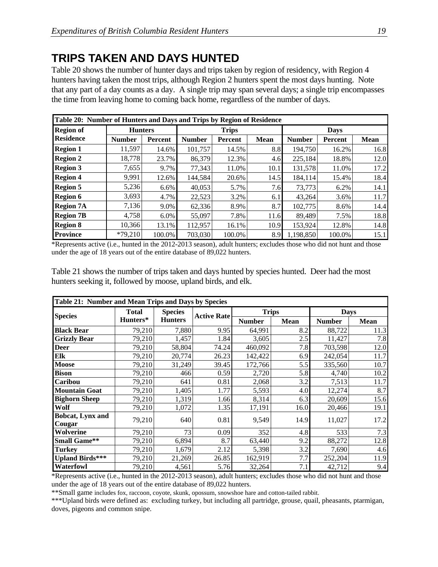## **TRIPS TAKEN AND DAYS HUNTED**

Table 20 shows the number of hunter days and trips taken by region of residency, with Region 4 hunters having taken the most trips, although Region 2 hunters spent the most days hunting. Note that any part of a day counts as a day. A single trip may span several days; a single trip encompasses the time from leaving home to coming back home, regardless of the number of days.

|                  | Table 20: Number of Hunters and Days and Trips by Region of Residence |         |               |              |             |               |         |             |  |  |  |  |
|------------------|-----------------------------------------------------------------------|---------|---------------|--------------|-------------|---------------|---------|-------------|--|--|--|--|
| <b>Region of</b> | <b>Hunters</b>                                                        |         |               | <b>Trips</b> |             | <b>Days</b>   |         |             |  |  |  |  |
| <b>Residence</b> | <b>Number</b>                                                         | Percent | <b>Number</b> | Percent      | <b>Mean</b> | <b>Number</b> | Percent | <b>Mean</b> |  |  |  |  |
| <b>Region 1</b>  | 11,597                                                                | 14.6%   | 101,757       | 14.5%        | 8.8         | 194,750       | 16.2%   | 16.8        |  |  |  |  |
| <b>Region 2</b>  | 18.778                                                                | 23.7%   | 86,379        | 12.3%        | 4.6         | 225,184       | 18.8%   | 12.0        |  |  |  |  |
| <b>Region 3</b>  | 7,655                                                                 | 9.7%    | 77,343        | 11.0%        | 10.1        | 131,578       | 11.0%   | 17.2        |  |  |  |  |
| <b>Region 4</b>  | 9,991                                                                 | 12.6%   | 144.584       | 20.6%        | 14.5        | 184.114       | 15.4%   | 18.4        |  |  |  |  |
| <b>Region 5</b>  | 5,236                                                                 | 6.6%    | 40,053        | 5.7%         | 7.6         | 73,773        | 6.2%    | 14.1        |  |  |  |  |
| <b>Region 6</b>  | 3,693                                                                 | 4.7%    | 22,523        | 3.2%         | 6.1         | 43.264        | 3.6%    | 11.7        |  |  |  |  |
| <b>Region 7A</b> | 7,136                                                                 | 9.0%    | 62,336        | 8.9%         | 8.7         | 102,775       | 8.6%    | 14.4        |  |  |  |  |
| <b>Region 7B</b> | 4,758                                                                 | $6.0\%$ | 55,097        | 7.8%         | 11.6        | 89.489        | 7.5%    | 18.8        |  |  |  |  |
| <b>Region 8</b>  | 10,366                                                                | 13.1%   | 112,957       | 16.1%        | 10.9        | 153,924       | 12.8%   | 14.8        |  |  |  |  |
| <b>Province</b>  | $*79,210$                                                             | 100.0%  | 703,030       | 100.0%       | 8.9         | 1,198,850     | 100.0%  | 15.1        |  |  |  |  |

\*Represents active (i.e., hunted in the 2012-2013 season), adult hunters; excludes those who did not hunt and those under the age of 18 years out of the entire database of 89,022 hunters.

Table 21 shows the number of trips taken and days hunted by species hunted. Deer had the most hunters seeking it, followed by moose, upland birds, and elk.

|                        | Table 21: Number and Mean Trips and Days by Species |                |                    |               |      |               |             |  |  |  |  |  |
|------------------------|-----------------------------------------------------|----------------|--------------------|---------------|------|---------------|-------------|--|--|--|--|--|
| <b>Species</b>         | <b>Total</b>                                        | <b>Species</b> | <b>Active Rate</b> | <b>Trips</b>  |      | <b>Days</b>   |             |  |  |  |  |  |
|                        | Hunters*                                            | <b>Hunters</b> |                    | <b>Number</b> | Mean | <b>Number</b> | <b>Mean</b> |  |  |  |  |  |
| <b>Black Bear</b>      | 79,210                                              | 7,880          | 9.95               | 64,991        | 8.2  | 88,722        | 11.3        |  |  |  |  |  |
| <b>Grizzly Bear</b>    | 79,210                                              | 1,457          | 1.84               | 3,605         | 2.5  | 11,427        | 7.8         |  |  |  |  |  |
| <b>Deer</b>            | 79,210                                              | 58,804         | 74.24              | 460,092       | 7.8  | 703,598       | 12.0        |  |  |  |  |  |
| Elk                    | 79,210                                              | 20,774         | 26.23              | 142,422       | 6.9  | 242,054       | 11.7        |  |  |  |  |  |
| <b>Moose</b>           | 79,210                                              | 31,249         | 39.45              | 172,766       | 5.5  | 335,560       | 10.7        |  |  |  |  |  |
| <b>Bison</b>           | 79,210                                              | 466            | 0.59               | 2,720         | 5.8  | 4,740         | 10.2        |  |  |  |  |  |
| Caribou                | 79,210                                              | 641            | 0.81               | 2,068         | 3.2  | 7,513         | 11.7        |  |  |  |  |  |
| <b>Mountain Goat</b>   | 79,210                                              | 1,405          | 1.77               | 5,593         | 4.0  | 12,274        | 8.7         |  |  |  |  |  |
| <b>Bighorn Sheep</b>   | 79,210                                              | 1,319          | 1.66               | 8,314         | 6.3  | 20,609        | 15.6        |  |  |  |  |  |
| Wolf                   | 79,210                                              | 1,072          | 1.35               | 17,191        | 16.0 | 20,466        | 19.1        |  |  |  |  |  |
| Bobcat, Lynx and       | 79,210                                              | 640            | 0.81               | 9,549         | 14.9 | 11,027        | 17.2        |  |  |  |  |  |
| Cougar<br>Wolverine    | 79,210                                              | 73             | 0.09               | 352           | 4.8  | 533           | 7.3         |  |  |  |  |  |
| <b>Small Game**</b>    | 79,210                                              | 6,894          | 8.7                | 63,440        | 9.2  | 88,272        | 12.8        |  |  |  |  |  |
| <b>Turkey</b>          | 79,210                                              | 1,679          | 2.12               | 5,398         | 3.2  | 7,690         | 4.6         |  |  |  |  |  |
| <b>Upland Birds***</b> | 79,210                                              | 21,269         | 26.85              | 162,919       | 7.7  | 252,204       | 11.9        |  |  |  |  |  |
| Waterfowl              | 79,210                                              | 4,561          | 5.76               | 32,264        | 7.1  | 42,712        | 9.4         |  |  |  |  |  |

\*Represents active (i.e., hunted in the 2012-2013 season), adult hunters; excludes those who did not hunt and those under the age of 18 years out of the entire database of 89,022 hunters.

\*\*Small game includes fox, raccoon, coyote, skunk, opossum, snowshoe hare and cotton-tailed rabbit.

\*\*\*Upland birds were defined as: excluding turkey, but including all partridge, grouse, quail, pheasants, ptarmigan, doves, pigeons and common snipe.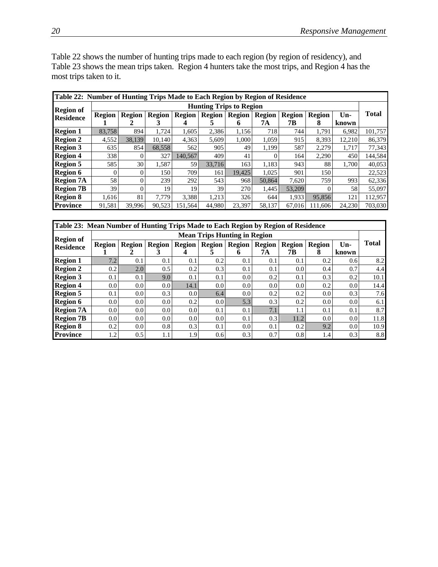Table 22 shows the number of hunting trips made to each region (by region of residency), and Table 23 shows the mean trips taken. Region 4 hunters take the most trips, and Region 4 has the most trips taken to it.

| Table 22: Number of Hunting Trips Made to Each Region by Region of Residence |                                |               |               |               |               |               |               |               |               |        |         |  |  |
|------------------------------------------------------------------------------|--------------------------------|---------------|---------------|---------------|---------------|---------------|---------------|---------------|---------------|--------|---------|--|--|
| <b>Region of</b>                                                             | <b>Hunting Trips to Region</b> |               |               |               |               |               |               |               |               |        |         |  |  |
| <b>Residence</b>                                                             | <b>Region</b>                  | <b>Region</b> | <b>Region</b> | <b>Region</b> | <b>Region</b> | <b>Region</b> | <b>Region</b> | <b>Region</b> | <b>Region</b> | Un-    | Total   |  |  |
|                                                                              |                                |               | 3             | 4             | C.            | 6             | 7А            | 7В            | 8             | known  |         |  |  |
| <b>Region 1</b>                                                              | 83,758                         | 894           | 1.724         | 1,605         | 2,386         | 1,156         | 718           | 744           | 1,791         | 6,982  | 101,757 |  |  |
| <b>Region 2</b>                                                              | 4,552                          | 38.139        | 10.140        | 4,363         | 5,609         | 1.000         | 1,059         | 915           | 8,393         | 12,210 | 86,379  |  |  |
| <b>Region 3</b>                                                              | 635                            | 854           | 68,558        | 562           | 905           | 49            | 1,199         | 587           | 2,279         | 1,717  | 77,343  |  |  |
| <b>Region 4</b>                                                              | 338                            | 0             | 327           | 140,567       | 409           | 41            |               | 164           | 2,290         | 450    | 144,584 |  |  |
| <b>Region 5</b>                                                              | 585                            | 30            | 1,587         | 59            | 33.716        | 163           | 1,183         | 943           | 88            | 1.700  | 40,053  |  |  |
| <b>Region 6</b>                                                              |                                |               | 150           | 709           | 161           | 19.425        | 1.025         | 901           | 150           |        | 22,523  |  |  |
| <b>Region 7A</b>                                                             | 58                             | 0             | 239           | 292           | 543           | 968           | 50,864        | 7,620         | 759           | 993    | 62,336  |  |  |
| <b>Region 7B</b>                                                             | 39                             | 0             | 19            | 19            | 39            | 270           | 1.445         | 53,209        |               | 58     | 55,097  |  |  |
| <b>Region 8</b>                                                              | 1,616                          | 81            | 7.779         | 3.388         | 1,213         | 326           | 644           | 1.933         | 95,856        | 121    | 112,957 |  |  |
| <b>Province</b>                                                              | 91,581                         | 39,996        | 90,523        | 151,564       | 44,980        | 23,397        | 58,137        | 67,016        | 111,606       | 24,230 | 703,030 |  |  |

| Table 23: Mean Number of Hunting Trips Made to Each Region by Region of Residence |                                     |                  |                  |                  |        |                  |        |               |                  |                  |              |  |  |
|-----------------------------------------------------------------------------------|-------------------------------------|------------------|------------------|------------------|--------|------------------|--------|---------------|------------------|------------------|--------------|--|--|
| <b>Region of</b>                                                                  | <b>Mean Trips Hunting in Region</b> |                  |                  |                  |        |                  |        |               |                  |                  |              |  |  |
| <b>Residence</b>                                                                  | Region                              | <b>Region</b>    | <b>Region</b>    | <b>Region</b>    | Region | <b>Region</b>    | Region | <b>Region</b> | <b>Region</b>    | $Un-$            | <b>Total</b> |  |  |
|                                                                                   |                                     |                  |                  | 4                | C.     | 6                | 7А     | 7В            | 8                | known            |              |  |  |
| <b>Region 1</b>                                                                   | 7.2                                 | 0.1              | 0.1              | 0.1              | 0.2    | 0.1              | 0.1    | 0.1           | 0.2              | 0.6              | 8.2          |  |  |
| <b>Region 2</b>                                                                   | 0.2                                 | 2.0              | 0.5              | 0.2              | 0.3    | 0.1              | 0.1    | $0.0\,$       | 0.4              | 0.7              | 4.4          |  |  |
| <b>Region 3</b>                                                                   | 0.1                                 | 0.1              | 9.0              | 0.1              | 0.1    | 0.0              | 0.2    | 0.1           | 0.3              | 0.2              | 10.1         |  |  |
| <b>Region 4</b>                                                                   | 0.0 <sub>l</sub>                    | 0.0 <sub>l</sub> | 0.01             | 14.1             | 0.0    | $0.0\,$          | 0.0    | $0.0\,$       | 0.2              | 0.0              | 14.4         |  |  |
| <b>Region 5</b>                                                                   | 0.1                                 | 0.0 <sub>1</sub> | 0.3              | 0.01             | 6.4    | 0.0 <sub>l</sub> | 0.2    | 0.2           | 0.0 <sub>l</sub> | 0.3              | 7.6          |  |  |
| <b>Region 6</b>                                                                   | 0.0 <sub>l</sub>                    | 0.0 <sub>l</sub> | 0.0 <sub>1</sub> | 0.2              | 0.01   | 5.3              | 0.3    | 0.2           | 0.0              | 0.0 <sub>l</sub> | 6.1          |  |  |
| <b>Region 7A</b>                                                                  | 0.01                                | 0.0 <sub>l</sub> | 0.0 <sub>1</sub> | 0.0 <sub>l</sub> | 0.1    | 0.1              | 7.1    | 1.1           | 0.1              | 0.1              | 8.7          |  |  |
| <b>Region 7B</b>                                                                  | 0.0 <sub>l</sub>                    | 0.0              | 0.0 <sub>1</sub> | 0.0 <sub>l</sub> | 0.0    | 0.1              | 0.3    | 11.2          | 0.0              | 0.0              | 11.8         |  |  |
| <b>Region 8</b>                                                                   | 0.2                                 | 0.0 <sub>l</sub> | 0.8 <sub>l</sub> | 0.3              | 0.1    | 0.0              | 0.1    | 0.2           | 9.2              | 0.0              | 10.9         |  |  |
| <b>Province</b>                                                                   | 1.21                                | 0.5              | 1.1              | 1.9              | 0.6    | 0.3              | 0.7    | 0.8           | 1.4              | 0.3              | 8.8          |  |  |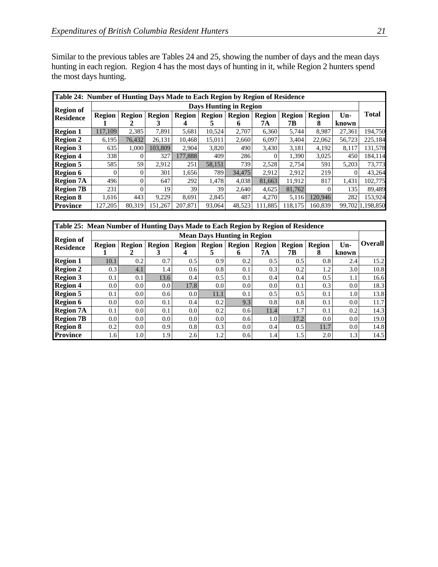Similar to the previous tables are Tables 24 and 25, showing the number of days and the mean days hunting in each region. Region 4 has the most days of hunting in it, while Region 2 hunters spend the most days hunting.

| Table 24: Number of Hunting Days Made to Each Region by Region of Residence |                               |               |               |               |               |               |               |               |               |        |                  |
|-----------------------------------------------------------------------------|-------------------------------|---------------|---------------|---------------|---------------|---------------|---------------|---------------|---------------|--------|------------------|
| <b>Region of</b>                                                            | <b>Days Hunting in Region</b> |               |               |               |               |               |               |               |               |        |                  |
| <b>Residence</b>                                                            | <b>Region</b>                 | <b>Region</b> | <b>Region</b> | <b>Region</b> | <b>Region</b> | <b>Region</b> | <b>Region</b> | <b>Region</b> | <b>Region</b> | $Un-$  | <b>Total</b>     |
|                                                                             |                               |               |               |               |               | O             | 7А            | 7В            | 8             | known  |                  |
| <b>Region 1</b>                                                             | 117,109                       | 2,385         | 7,891         | 5,681         | 10,524        | 2,707         | 6,360         | 5,744         | 8,987         | 27,361 | 194,750          |
| <b>Region 2</b>                                                             | 6,195                         | 76,432        | 26,131        | 10.468        | 15,011        | 2,660         | 6,097         | 3,404         | 22,062        | 56,723 | 225,184          |
| <b>Region 3</b>                                                             | 635                           | 1,000         | 103,809       | 2,904         | 3,820         | 490           | 3,430         | 3,181         | 4,192         | 8.117  | 131,578          |
| <b>Region 4</b>                                                             | 338                           |               | 327           | 177,888       | 409           | 286           |               | 1,390         | 3,025         | 450    | 184.114          |
| <b>Region 5</b>                                                             | 585                           | 59            | 2,912         | 251           | 58,151        | 739           | 2,528         | 2,754         | 591           | 5,203  | 73,773           |
| <b>Region 6</b>                                                             | $\Omega$                      | $\Omega$      | 301           | 1,656         | 789           | 34,475        | 2,912         | 2,912         | 219           |        | 43,264           |
| <b>Region 7A</b>                                                            | 496                           | 0             | 647           | 292           | 1,478         | 4,038         | 81,663        | 11,912        | 817           | 1,431  | 102,775          |
| <b>Region 7B</b>                                                            | 231                           | $\Omega$      | 19            | 39            | 39            | 2,640         | 4.625         | 81,762        |               | 135    | 89,489           |
| <b>Region 8</b>                                                             | 1,616                         | 443           | 9,229         | 8,691         | 2,845         | 487           | 4,270         | 5,116         | 120,946       | 282    | 153,924          |
| <b>Province</b>                                                             | 127,205                       | 80,319        | 151,267       | 207,871       | 93,064        | 48,523        | 11,885        | 118,175       | 160.839       |        | 99,702 1,198,850 |

| Table 25: Mean Number of Hunting Days Made to Each Region by Region of Residence |                                    |                  |                  |                  |                  |                  |               |               |        |       |                |
|----------------------------------------------------------------------------------|------------------------------------|------------------|------------------|------------------|------------------|------------------|---------------|---------------|--------|-------|----------------|
| <b>Region of</b>                                                                 | <b>Mean Days Hunting in Region</b> |                  |                  |                  |                  |                  |               |               |        |       |                |
| <b>Residence</b>                                                                 | <b>Region</b>                      | <b>Region</b>    | <b>Region</b>    | <b>Region</b>    | <b>Region</b>    | <b>Region</b>    | <b>Region</b> | <b>Region</b> | Region | $Un-$ | <b>Overall</b> |
|                                                                                  |                                    | 2                |                  |                  |                  | 6                | 7А            | 7В            | x      | known |                |
| <b>Region 1</b>                                                                  | 10.1                               | 0.2              | 0.7              | 0.5              | 0.9              | 0.2              | 0.5           | 0.5           | 0.8    | 2.4   | 15.2           |
| <b>Region 2</b>                                                                  | 0.3                                | 4.1              | 1.4              | 0.6              | 0.8              | 0.1              | 0.3           | 0.2           | 1.2    | 3.0   | 10.8           |
| <b>Region 3</b>                                                                  | 0.1                                | 0.1              | 13.6             | 0.4              | $0.5^{\circ}$    | 0.1              | 0.4           | 0.4           | 0.5    | 1.1   | 16.6           |
| <b>Region 4</b>                                                                  | 0.0                                | 0.0              | 0.0              | 17.8             | 0.0              | 0.0              | 0.0           | 0.1           | 0.3    | 0.0   | 18.3           |
| <b>Region 5</b>                                                                  | 0.1                                | 0.0 <sub>l</sub> | 0.6 <sub>l</sub> | 0.01             | 11.1             | 0.1              | 0.5           | 0.5           | 0.1    | 1.0   | 13.8           |
| <b>Region 6</b>                                                                  | 0.0                                | 0.0 <sub>l</sub> | 0.1              | 0.4              | 0.2              | 9.3              | 0.8           | 0.8           | 0.1    | 0.0   | 11.7           |
| <b>Region 7A</b>                                                                 | 0.1                                | 0.0              | 0.1              | $0.0\,$          | 0.2              | 0.6              | 11.4          | 1.7           | 0.1    | 0.2   | 14.3           |
| <b>Region 7B</b>                                                                 | 0.0 <sub>l</sub>                   | 0.0 <sub>l</sub> | 0.0 <sub>l</sub> | 0.0 <sub>l</sub> | 0.0 <sub>l</sub> | 0.6              | 1.0           | 17.2          | 0.0    | 0.0   | 19.0           |
| <b>Region 8</b>                                                                  | 0.2                                | 0.0              | 0.9              | 0.8              | 0.3              | 0.0 <sub>l</sub> | 0.4           | 0.5           | 11.7   | 0.0   | 14.8           |
| <b>Province</b>                                                                  | 1.61                               | 1.0              | 1.9              | 2.6              | 1.2              | 0.61             | 1.4           | 1.5           | 2.0    | 1.3   | 14.5           |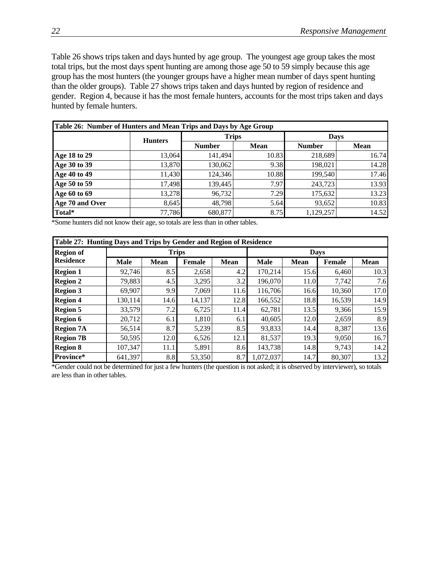Table 26 shows trips taken and days hunted by age group. The youngest age group takes the most total trips, but the most days spent hunting are among those age 50 to 59 simply because this age group has the most hunters (the younger groups have a higher mean number of days spent hunting than the older groups). Table 27 shows trips taken and days hunted by region of residence and gender. Region 4, because it has the most female hunters, accounts for the most trips taken and days hunted by female hunters.

| Table 26: Number of Hunters and Mean Trips and Days by Age Group |                |               |             |               |             |  |  |
|------------------------------------------------------------------|----------------|---------------|-------------|---------------|-------------|--|--|
|                                                                  | <b>Hunters</b> | <b>Trips</b>  |             | <b>Days</b>   |             |  |  |
|                                                                  |                | <b>Number</b> | <b>Mean</b> | <b>Number</b> | <b>Mean</b> |  |  |
| Age 18 to 29                                                     | 13,064         | 141,494       | 10.83       | 218,689       | 16.74       |  |  |
| Age 30 to 39                                                     | 13,870         | 130,062       | 9.38        | 198,021       | 14.28       |  |  |
| Age 40 to 49                                                     | 11,430         | 124,346       | 10.88       | 199,540       | 17.46       |  |  |
| Age 50 to 59                                                     | 17,498         | 139,445       | 7.97        | 243,723       | 13.93       |  |  |
| Age 60 to 69                                                     | 13,278         | 96,732        | 7.29        | 175,632       | 13.23       |  |  |
| Age 70 and Over                                                  | 8,645          | 48,798        | 5.64        | 93,652        | 10.83       |  |  |
| Total*                                                           | 77,786         | 680,877       | 8.75        | 1,129,257     | 14.52       |  |  |

\*Some hunters did not know their age, so totals are less than in other tables.

| Table 27: Hunting Days and Trips by Gender and Region of Residence |             |              |        |             |             |             |        |             |  |
|--------------------------------------------------------------------|-------------|--------------|--------|-------------|-------------|-------------|--------|-------------|--|
| <b>Region of</b>                                                   |             | <b>Trips</b> |        |             |             | <b>Days</b> |        |             |  |
| <b>Residence</b>                                                   | <b>Male</b> | <b>Mean</b>  | Female | <b>Mean</b> | <b>Male</b> | <b>Mean</b> | Female | <b>Mean</b> |  |
| <b>Region 1</b>                                                    | 92,746      | 8.5          | 2,658  | 4.2         | 170,214     | 15.6        | 6,460  | 10.3        |  |
| <b>Region 2</b>                                                    | 79,883      | 4.5          | 3,295  | 3.2         | 196,070     | 11.0        | 7,742  | 7.6         |  |
| <b>Region 3</b>                                                    | 69,907      | 9.9          | 7,069  | 11.6        | 116,706     | 16.6        | 10,360 | 17.0        |  |
| <b>Region 4</b>                                                    | 130,114     | 14.6         | 14,137 | 12.8        | 166,552     | 18.8        | 16,539 | 14.9        |  |
| <b>Region 5</b>                                                    | 33,579      | 7.2          | 6,725  | 11.4        | 62,781      | 13.5        | 9,366  | 15.9        |  |
| <b>Region 6</b>                                                    | 20,712      | 6.1          | 1,810  | 6.1         | 40,605      | 12.0        | 2,659  | 8.9         |  |
| <b>Region 7A</b>                                                   | 56,514      | 8.7          | 5,239  | 8.5         | 93,833      | 14.4        | 8,387  | 13.6        |  |
| <b>Region 7B</b>                                                   | 50,595      | 12.0         | 6,526  | 12.1        | 81,537      | 19.3        | 9,050  | 16.7        |  |
| <b>Region 8</b>                                                    | 107.347     | 11.1         | 5,891  | 8.6         | 143,738     | 14.8        | 9,743  | 14.2        |  |
| Province*                                                          | 641,397     | 8.8          | 53,350 | 8.7         | 1,072,037   | 14.7        | 80,307 | 13.2        |  |

\*Gender could not be determined for just a few hunters (the question is not asked; it is observed by interviewer), so totals are less than in other tables.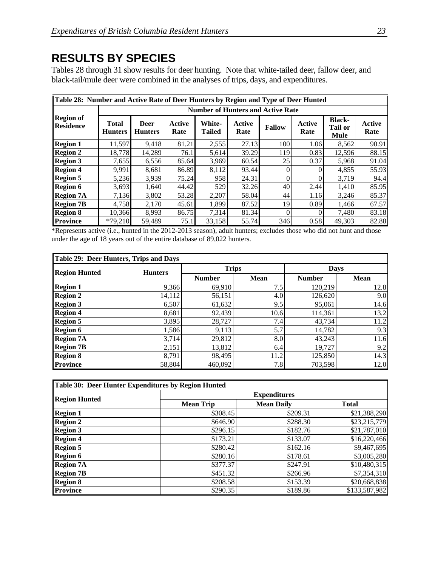## **RESULTS BY SPECIES**

Tables 28 through 31 show results for deer hunting. Note that white-tailed deer, fallow deer, and black-tail/mule deer were combined in the analyses of trips, days, and expenditures.

| Table 28: Number and Active Rate of Deer Hunters by Region and Type of Deer Hunted |                         |                                          |                |                                |                |               |                |                                                |                       |  |  |  |
|------------------------------------------------------------------------------------|-------------------------|------------------------------------------|----------------|--------------------------------|----------------|---------------|----------------|------------------------------------------------|-----------------------|--|--|--|
| <b>Region of</b><br><b>Residence</b>                                               |                         | <b>Number of Hunters and Active Rate</b> |                |                                |                |               |                |                                                |                       |  |  |  |
|                                                                                    | Total<br><b>Hunters</b> | <b>Deer</b><br><b>Hunters</b>            | Active<br>Rate | <b>White-</b><br><b>Tailed</b> | Active<br>Rate | <b>Fallow</b> | Active<br>Rate | <b>Black-</b><br><b>Tail or</b><br><b>Mule</b> | <b>Active</b><br>Rate |  |  |  |
| <b>Region 1</b>                                                                    | 11.597                  | 9.418                                    | 81.21          | 2,555                          | 27.13          | 100           | 1.06           | 8,562                                          | 90.91                 |  |  |  |
| <b>Region 2</b>                                                                    | 18,778                  | 14.289                                   | 76.1           | 5,614                          | 39.29          | 119           | 0.83           | 12,596                                         | 88.15                 |  |  |  |
| <b>Region 3</b>                                                                    | 7,655                   | 6,556                                    | 85.64          | 3,969                          | 60.54          | 25            | 0.37           | 5,968                                          | 91.04                 |  |  |  |
| <b>Region 4</b>                                                                    | 9.991                   | 8.681                                    | 86.89          | 8,112                          | 93.44          | $\Omega$      |                | 4.855                                          | 55.93                 |  |  |  |
| <b>Region 5</b>                                                                    | 5,236                   | 3,939                                    | 75.24          | 958                            | 24.31          | $\theta$      |                | 3,719                                          | 94.4                  |  |  |  |
| <b>Region 6</b>                                                                    | 3,693                   | 1.640                                    | 44.42          | 529                            | 32.26          | 40            | 2.44           | 1,410                                          | 85.95                 |  |  |  |
| <b>Region 7A</b>                                                                   | 7,136                   | 3,802                                    | 53.28          | 2,207                          | 58.04          | 44            | 1.16           | 3,246                                          | 85.37                 |  |  |  |
| <b>Region 7B</b>                                                                   | 4.758                   | 2,170                                    | 45.61          | 1.899                          | 87.52          | 19            | 0.89           | 1,466                                          | 67.57                 |  |  |  |
| <b>Region 8</b>                                                                    | 10,366                  | 8.993                                    | 86.75          | 7,314                          | 81.34          | $\Omega$      |                | 7,480                                          | 83.18                 |  |  |  |
| <b>Province</b>                                                                    | $*79,210$               | 59.489                                   | 75.1           | 33.158                         | 55.74          | 346           | 0.58           | 49.303                                         | 82.88                 |  |  |  |

\*Represents active (i.e., hunted in the 2012-2013 season), adult hunters; excludes those who did not hunt and those under the age of 18 years out of the entire database of 89,022 hunters.

| Table 29: Deer Hunters, Trips and Days |                |               |             |               |             |  |  |  |
|----------------------------------------|----------------|---------------|-------------|---------------|-------------|--|--|--|
| <b>Region Hunted</b>                   | <b>Hunters</b> | <b>Trips</b>  |             | <b>Days</b>   |             |  |  |  |
|                                        |                | <b>Number</b> | <b>Mean</b> | <b>Number</b> | <b>Mean</b> |  |  |  |
| <b>Region 1</b>                        | 9,366          | 69,910        | 7.5         | 120,219       | 12.8        |  |  |  |
| <b>Region 2</b>                        | 14,112         | 56,151        | 4.0         | 126,620       | 9.0         |  |  |  |
| <b>Region 3</b>                        | 6,507          | 61,632        | 9.5         | 95,061        | 14.6        |  |  |  |
| <b>Region 4</b>                        | 8,681          | 92,439        | 10.6        | 114,361       | 13.2        |  |  |  |
| <b>Region 5</b>                        | 3,895          | 28,727        | 7.4         | 43,734        | 11.2        |  |  |  |
| <b>Region 6</b>                        | 1,586          | 9,113         | 5.7         | 14,782        | 9.3         |  |  |  |
| <b>Region 7A</b>                       | 3,714          | 29,812        | 8.0         | 43,243        | 11.6        |  |  |  |
| <b>Region 7B</b>                       | 2,151          | 13,812        | 6.4         | 19,727        | 9.2         |  |  |  |
| <b>Region 8</b>                        | 8,791          | 98,495        | 11.2        | 125,850       | 14.3        |  |  |  |
| <b>Province</b>                        | 58,804         | 460,092       | 7.8         | 703,598       | 12.0        |  |  |  |

| Table 30: Deer Hunter Expenditures by Region Hunted |                     |                   |               |  |  |  |  |
|-----------------------------------------------------|---------------------|-------------------|---------------|--|--|--|--|
|                                                     | <b>Expenditures</b> |                   |               |  |  |  |  |
| <b>Region Hunted</b>                                | <b>Mean Trip</b>    | <b>Mean Daily</b> | <b>Total</b>  |  |  |  |  |
| <b>Region 1</b>                                     | \$308.45            | \$209.31          | \$21,388,290  |  |  |  |  |
| <b>Region 2</b>                                     | \$646.90            | \$288.30          | \$23,215,779  |  |  |  |  |
| <b>Region 3</b>                                     | \$296.15            | \$182.76          | \$21,787,010  |  |  |  |  |
| <b>Region 4</b>                                     | \$173.21            | \$133.07          | \$16,220,466  |  |  |  |  |
| <b>Region 5</b>                                     | \$280.42]           | \$162.16          | \$9,467,695   |  |  |  |  |
| <b>Region 6</b>                                     | \$280.16            | \$178.61          | \$3,005,280   |  |  |  |  |
| <b>Region 7A</b>                                    | \$377.37            | \$247.91          | \$10,480,315  |  |  |  |  |
| <b>Region 7B</b>                                    | \$451.32            | \$266.96          | \$7,354,310   |  |  |  |  |
| <b>Region 8</b>                                     | \$208.58            | \$153.39          | \$20,668,838  |  |  |  |  |
| <b>Province</b>                                     | \$290.35            | \$189.86          | \$133,587,982 |  |  |  |  |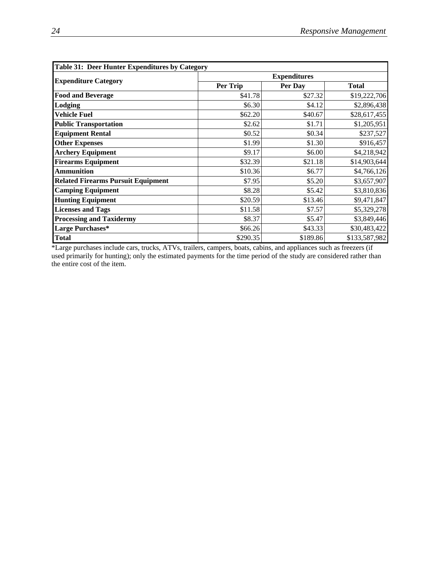| <b>Table 31: Deer Hunter Expenditures by Category</b> |          |                     |               |  |  |  |  |
|-------------------------------------------------------|----------|---------------------|---------------|--|--|--|--|
|                                                       |          | <b>Expenditures</b> |               |  |  |  |  |
| <b>Expenditure Category</b>                           | Per Trip | Per Day             | <b>Total</b>  |  |  |  |  |
| <b>Food and Beverage</b>                              | \$41.78  | \$27.32             | \$19,222,706  |  |  |  |  |
| Lodging                                               | \$6.30   | \$4.12              | \$2,896,438   |  |  |  |  |
| <b>Vehicle Fuel</b>                                   | \$62.20  | \$40.67             | \$28,617,455  |  |  |  |  |
| <b>Public Transportation</b>                          | \$2.62   | \$1.71              | \$1,205,951   |  |  |  |  |
| <b>Equipment Rental</b>                               | \$0.52   | \$0.34              | \$237,527     |  |  |  |  |
| <b>Other Expenses</b>                                 | \$1.99   | \$1.30              | \$916,457     |  |  |  |  |
| <b>Archery Equipment</b>                              | \$9.17   | \$6.00              | \$4,218,942   |  |  |  |  |
| <b>Firearms Equipment</b>                             | \$32.39  | \$21.18             | \$14,903,644  |  |  |  |  |
| <b>Ammunition</b>                                     | \$10.36  | \$6.77              | \$4,766,126   |  |  |  |  |
| <b>Related Firearms Pursuit Equipment</b>             | \$7.95   | \$5.20              | \$3,657,907   |  |  |  |  |
| <b>Camping Equipment</b>                              | \$8.28   | \$5.42              | \$3,810,836   |  |  |  |  |
| <b>Hunting Equipment</b>                              | \$20.59  | \$13.46             | \$9,471,847   |  |  |  |  |
| <b>Licenses and Tags</b>                              | \$11.58  | \$7.57              | \$5,329,278   |  |  |  |  |
| <b>Processing and Taxidermy</b>                       | \$8.37   | \$5.47              | \$3,849,446   |  |  |  |  |
| Large Purchases*                                      | \$66.26  | \$43.33             | \$30,483,422  |  |  |  |  |
| <b>Total</b>                                          | \$290.35 | \$189.86            | \$133,587,982 |  |  |  |  |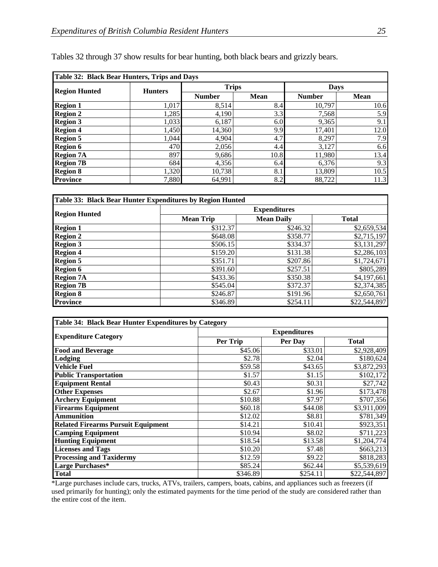| Table 32: Black Bear Hunters, Trips and Days |                |               |             |               |             |  |  |  |
|----------------------------------------------|----------------|---------------|-------------|---------------|-------------|--|--|--|
| <b>Region Hunted</b>                         | <b>Hunters</b> | <b>Trips</b>  |             | <b>Days</b>   |             |  |  |  |
|                                              |                | <b>Number</b> | <b>Mean</b> | <b>Number</b> | <b>Mean</b> |  |  |  |
| <b>Region 1</b>                              | 1,017          | 8,514         | 8.4         | 10,797        | 10.6        |  |  |  |
| <b>Region 2</b>                              | 1,285          | 4,190         | 3.3         | 7,568         | 5.9         |  |  |  |
| <b>Region 3</b>                              | 1,033          | 6,187         | 6.0         | 9,365         | 9.1         |  |  |  |
| <b>Region 4</b>                              | 1,450          | 14,360        | 9.9         | 17,401        | 12.0        |  |  |  |
| <b>Region 5</b>                              | 1,044          | 4,904         | 4.7         | 8,297         | 7.9         |  |  |  |
| <b>Region 6</b>                              | 470            | 2,056         | 4.4         | 3,127         | 6.6         |  |  |  |
| <b>Region 7A</b>                             | 897            | 9,686         | 10.8        | 11,980        | 13.4        |  |  |  |
| <b>Region 7B</b>                             | 684            | 4,356         | 6.4         | 6,376         | 9.3         |  |  |  |
| <b>Region 8</b>                              | 1,320          | 10.738        | 8.1         | 13.809        | 10.5        |  |  |  |
| <b>Province</b>                              | 7,880          | 64,991        | 8.2         | 88,722        | 11.3        |  |  |  |

|  |  |  | Tables 32 through 37 show results for bear hunting, both black bears and grizzly bears. |
|--|--|--|-----------------------------------------------------------------------------------------|
|--|--|--|-----------------------------------------------------------------------------------------|

| Table 33: Black Bear Hunter Expenditures by Region Hunted |                     |                   |              |  |  |  |  |  |
|-----------------------------------------------------------|---------------------|-------------------|--------------|--|--|--|--|--|
|                                                           | <b>Expenditures</b> |                   |              |  |  |  |  |  |
| <b>Region Hunted</b>                                      | <b>Mean Trip</b>    | <b>Mean Daily</b> | <b>Total</b> |  |  |  |  |  |
| <b>Region 1</b>                                           | \$312.37            | \$246.32          | \$2,659,534  |  |  |  |  |  |
| <b>Region 2</b>                                           | \$648.08            | \$358.77          | \$2,715,197  |  |  |  |  |  |
| <b>Region 3</b>                                           | \$506.15            | \$334.37          | \$3,131,297  |  |  |  |  |  |
| <b>Region 4</b>                                           | \$159.20            | \$131.38          | \$2,286,103  |  |  |  |  |  |
| <b>Region 5</b>                                           | \$351.71            | \$207.86          | \$1,724,671  |  |  |  |  |  |
| <b>Region 6</b>                                           | \$391.60            | \$257.51          | \$805,289    |  |  |  |  |  |
| <b>Region 7A</b>                                          | \$433.36            | \$350.38          | \$4,197,661  |  |  |  |  |  |
| <b>Region 7B</b>                                          | \$545.04            | \$372.37          | \$2,374,385  |  |  |  |  |  |
| <b>Region 8</b>                                           | \$246.87            | \$191.96          | \$2,650,761  |  |  |  |  |  |
| <b>Province</b>                                           | \$346.89            | \$254.11          | \$22,544,897 |  |  |  |  |  |

| Table 34: Black Bear Hunter Expenditures by Category |          |                     |              |  |  |  |  |
|------------------------------------------------------|----------|---------------------|--------------|--|--|--|--|
|                                                      |          | <b>Expenditures</b> |              |  |  |  |  |
| <b>Expenditure Category</b>                          | Per Trip | Per Day             | <b>Total</b> |  |  |  |  |
| <b>Food and Beverage</b>                             | \$45.06  | \$33.01             | \$2,928,409  |  |  |  |  |
| Lodging                                              | \$2.78   | \$2.04              | \$180,624    |  |  |  |  |
| Vehicle Fuel                                         | \$59.58  | \$43.65             | \$3,872,293  |  |  |  |  |
| <b>Public Transportation</b>                         | \$1.57   | \$1.15              | \$102,172    |  |  |  |  |
| <b>Equipment Rental</b>                              | \$0.43   | \$0.31              | \$27,742     |  |  |  |  |
| <b>Other Expenses</b>                                | \$2.67   | \$1.96              | \$173,478    |  |  |  |  |
| <b>Archery Equipment</b>                             | \$10.88  | \$7.97              | \$707,356    |  |  |  |  |
| <b>Firearms Equipment</b>                            | \$60.18  | \$44.08             | \$3,911,009  |  |  |  |  |
| <b>Ammunition</b>                                    | \$12.02  | \$8.81              | \$781,349    |  |  |  |  |
| <b>Related Firearms Pursuit Equipment</b>            | \$14.21  | \$10.41             | \$923,351    |  |  |  |  |
| <b>Camping Equipment</b>                             | \$10.94  | \$8.02              | \$711,223    |  |  |  |  |
| <b>Hunting Equipment</b>                             | \$18.54  | \$13.58             | \$1,204,774  |  |  |  |  |
| <b>Licenses and Tags</b>                             | \$10.20  | \$7.48              | \$663,213    |  |  |  |  |
| <b>Processing and Taxidermy</b>                      | \$12.59  | \$9.22              | \$818,283    |  |  |  |  |
| Large Purchases*                                     | \$85.24  | \$62.44             | \$5,539,619  |  |  |  |  |
| <b>Total</b>                                         | \$346.89 | \$254.11            | \$22,544,897 |  |  |  |  |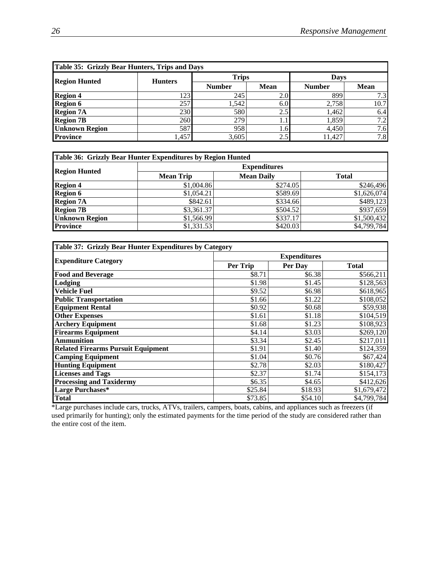| Table 35: Grizzly Bear Hunters, Trips and Days |                |               |             |               |             |  |
|------------------------------------------------|----------------|---------------|-------------|---------------|-------------|--|
| <b>Region Hunted</b>                           | <b>Hunters</b> | <b>Trips</b>  |             | <b>Days</b>   |             |  |
|                                                |                | <b>Number</b> | <b>Mean</b> | <b>Number</b> | <b>Mean</b> |  |
| <b>Region 4</b>                                | 123            | 245           | 2.0         | 899           | 7.3         |  |
| <b>Region 6</b>                                | 257            | 1,542         | 6.0         | 2,758         | 10.7        |  |
| <b>Region 7A</b>                               | 230            | 580           | 2.5         | 1.462         | 6.4         |  |
| <b>Region 7B</b>                               | 260            | 279           | 1.1         | 1.859         | 7.2         |  |
| <b>Unknown Region</b>                          | 587            | 958           | 1.61        | 4.450         | 7.6         |  |
| <b>Province</b>                                | l,457          | 3,605         | 2.5         | 11.427        | 7.8         |  |

| Table 36: Grizzly Bear Hunter Expenditures by Region Hunted |                  |                     |              |  |
|-------------------------------------------------------------|------------------|---------------------|--------------|--|
| <b>Region Hunted</b>                                        |                  | <b>Expenditures</b> |              |  |
|                                                             | <b>Mean Trip</b> | <b>Mean Daily</b>   | <b>Total</b> |  |
| <b>Region 4</b>                                             | \$1,004.86       | \$274.05            | \$246,496    |  |
| <b>Region 6</b>                                             | \$1,054.21       | \$589.69            | \$1,626,074  |  |
| <b>Region 7A</b>                                            | \$842.61         | \$334.66            | \$489,123    |  |
| <b>Region 7B</b>                                            | \$3,361.37       | \$504.52            | \$937,659    |  |
| <b>Unknown Region</b>                                       | \$1,566.99       | \$337.17            | \$1,500,432  |  |
| <b>Province</b>                                             | \$1,331.53       | \$420.03            | \$4,799,784  |  |

| Table 37: Grizzly Bear Hunter Expenditures by Category |                     |         |              |  |  |
|--------------------------------------------------------|---------------------|---------|--------------|--|--|
|                                                        | <b>Expenditures</b> |         |              |  |  |
| <b>Expenditure Category</b>                            | Per Trip            | Per Day | <b>Total</b> |  |  |
| <b>Food and Beverage</b>                               | \$8.71              | \$6.38  | \$566,211    |  |  |
| Lodging                                                | \$1.98              | \$1.45  | \$128,563    |  |  |
| <b>Vehicle Fuel</b>                                    | \$9.52              | \$6.98  | \$618,965    |  |  |
| <b>Public Transportation</b>                           | \$1.66              | \$1.22  | \$108,052    |  |  |
| <b>Equipment Rental</b>                                | \$0.92              | \$0.68  | \$59,938     |  |  |
| <b>Other Expenses</b>                                  | \$1.61              | \$1.18  | \$104,519    |  |  |
| <b>Archery Equipment</b>                               | \$1.68              | \$1.23  | \$108,923    |  |  |
| <b>Firearms Equipment</b>                              | \$4.14              | \$3.03  | \$269,120    |  |  |
| <b>Ammunition</b>                                      | \$3.34              | \$2.45  | \$217,011    |  |  |
| <b>Related Firearms Pursuit Equipment</b>              | \$1.91              | \$1.40  | \$124,359    |  |  |
| <b>Camping Equipment</b>                               | \$1.04              | \$0.76  | \$67,424     |  |  |
| <b>Hunting Equipment</b>                               | \$2.78              | \$2.03  | \$180,427    |  |  |
| <b>Licenses and Tags</b>                               | \$2.37              | \$1.74  | \$154,173    |  |  |
| <b>Processing and Taxidermy</b>                        | \$6.35              | \$4.65  | \$412,626    |  |  |
| Large Purchases*                                       | \$25.84             | \$18.93 | \$1,679,472  |  |  |
| <b>Total</b>                                           | \$73.85             | \$54.10 | \$4,799,784  |  |  |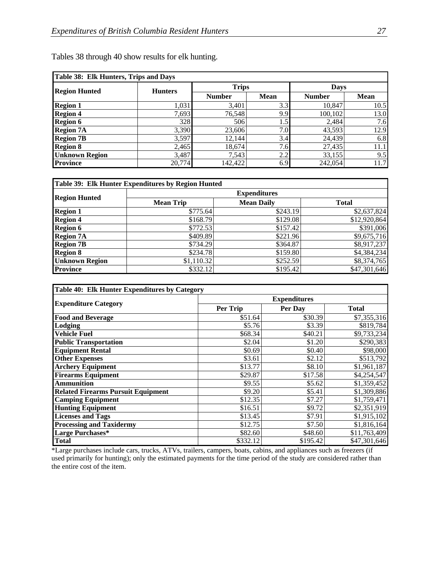| Table 38: Elk Hunters, Trips and Days |                |               |             |               |             |  |
|---------------------------------------|----------------|---------------|-------------|---------------|-------------|--|
| <b>Region Hunted</b>                  | <b>Hunters</b> | <b>Trips</b>  |             |               | <b>Days</b> |  |
|                                       |                | <b>Number</b> | <b>Mean</b> | <b>Number</b> | Mean        |  |
| <b>Region 1</b>                       | 1,031          | 3,401         | 3.3         | 10,847        | 10.5        |  |
| <b>Region 4</b>                       | 7,693          | 76,548        | 9.9         | 100,102       | 13.0        |  |
| <b>Region 6</b>                       | 328            | 506           | 1.5         | 2,484         | 7.6         |  |
| <b>Region 7A</b>                      | 3,390          | 23,606        | 7.0         | 43,593        | 12.9        |  |
| <b>Region 7B</b>                      | 3,597          | 12,144        | 3.4         | 24,439        | 6.8         |  |
| <b>Region 8</b>                       | 2,465          | 18,674        | 7.6         | 27,435        | 11.1        |  |
| <b>Unknown Region</b>                 | 3,487          | 7,543         | 2.2         | 33,155        | 9.5         |  |
| <b>Province</b>                       | 20,774         | 142,422       | 6.9         | 242,054       | 11.7        |  |

Tables 38 through 40 show results for elk hunting.

| Table 39: Elk Hunter Expenditures by Region Hunted |                     |                   |              |  |  |  |
|----------------------------------------------------|---------------------|-------------------|--------------|--|--|--|
| <b>Region Hunted</b>                               | <b>Expenditures</b> |                   |              |  |  |  |
|                                                    | <b>Mean Trip</b>    | <b>Mean Daily</b> | <b>Total</b> |  |  |  |
| <b>Region 1</b>                                    | \$775.64            | \$243.19          | \$2,637,824  |  |  |  |
| <b>Region 4</b>                                    | \$168.79            | \$129.08          | \$12,920,864 |  |  |  |
| <b>Region 6</b>                                    | \$772.53            | \$157.42          | \$391,006    |  |  |  |
| <b>Region 7A</b>                                   | \$409.89            | \$221.96          | \$9,675,716  |  |  |  |
| <b>Region 7B</b>                                   | \$734.29            | \$364.87          | \$8,917,237  |  |  |  |
| <b>Region 8</b>                                    | \$234.78            | \$159.80          | \$4,384,234  |  |  |  |
| <b>Unknown Region</b>                              | \$1,110.32          | \$252.59          | \$8,374,765  |  |  |  |
| <b>Province</b>                                    | \$332.12            | \$195.42          | \$47,301,646 |  |  |  |

| Table 40: Elk Hunter Expenditures by Category |                     |          |              |  |  |
|-----------------------------------------------|---------------------|----------|--------------|--|--|
|                                               | <b>Expenditures</b> |          |              |  |  |
| <b>Expenditure Category</b>                   | Per Trip            | Per Day  | <b>Total</b> |  |  |
| <b>Food and Beverage</b>                      | \$51.64             | \$30.39  | \$7,355,316  |  |  |
| Lodging                                       | \$5.76              | \$3.39   | \$819,784    |  |  |
| <b>Vehicle Fuel</b>                           | \$68.34             | \$40.21  | \$9,733,234  |  |  |
| <b>Public Transportation</b>                  | \$2.04              | \$1.20   | \$290,383    |  |  |
| <b>Equipment Rental</b>                       | \$0.69              | \$0.40   | \$98,000     |  |  |
| <b>Other Expenses</b>                         | \$3.61              | \$2.12   | \$513,792    |  |  |
| <b>Archery Equipment</b>                      | \$13.77             | \$8.10   | \$1,961,187  |  |  |
| <b>Firearms Equipment</b>                     | \$29.87             | \$17.58  | \$4,254,547  |  |  |
| <b>Ammunition</b>                             | \$9.55              | \$5.62   | \$1,359,452  |  |  |
| <b>Related Firearms Pursuit Equipment</b>     | \$9.20              | \$5.41   | \$1,309,886  |  |  |
| <b>Camping Equipment</b>                      | \$12.35             | \$7.27   | \$1,759,471  |  |  |
| <b>Hunting Equipment</b>                      | \$16.51             | \$9.72   | \$2,351,919  |  |  |
| <b>Licenses and Tags</b>                      | \$13.45             | \$7.91   | \$1,915,102  |  |  |
| <b>Processing and Taxidermy</b>               | \$12.75             | \$7.50   | \$1,816,164  |  |  |
| Large Purchases*                              | \$82.60             | \$48.60  | \$11,763,409 |  |  |
| <b>Total</b>                                  | \$332.12            | \$195.42 | \$47,301,646 |  |  |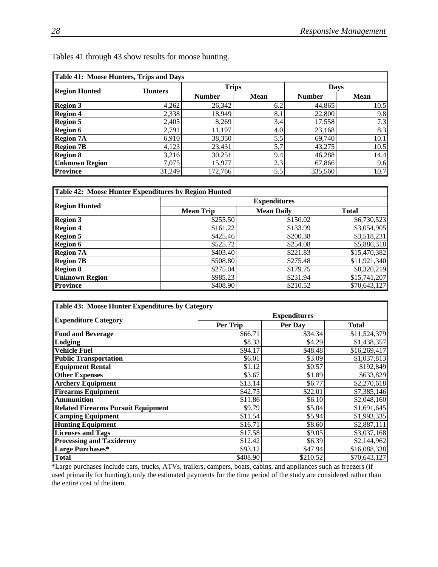| Table 41: Moose Hunters, Trips and Days |                |               |             |               |             |  |
|-----------------------------------------|----------------|---------------|-------------|---------------|-------------|--|
| <b>Region Hunted</b>                    | <b>Hunters</b> | <b>Trips</b>  |             |               | <b>Days</b> |  |
|                                         |                | <b>Number</b> | <b>Mean</b> | <b>Number</b> | <b>Mean</b> |  |
| <b>Region 3</b>                         | 4,262          | 26,342        | 6.2         | 44,865        | 10.5        |  |
| <b>Region 4</b>                         | 2,338          | 18,949        | 8.1         | 22,800        | 9.8         |  |
| <b>Region 5</b>                         | 2,405          | 8,269         | 3.4         | 17,558        | 7.3         |  |
| <b>Region 6</b>                         | 2,791          | 11,197        | 4.0         | 23,168        | 8.3         |  |
| <b>Region 7A</b>                        | 6,910          | 38,350        | 5.5         | 69,740        | 10.1        |  |
| <b>Region 7B</b>                        | 4,123          | 23,431        | 5.7         | 43,275        | 10.5        |  |
| <b>Region 8</b>                         | 3,216          | 30,251        | 9.4         | 46,288        | 14.4        |  |
| <b>Unknown Region</b>                   | 7,075          | 15,977        | 2.3         | 67,866        | 9.6         |  |
| <b>Province</b>                         | 31,249         | 172,766       | 5.5         | 335,560       | 10.7        |  |

Tables 41 through 43 show results for moose hunting.

| Table 42: Moose Hunter Expenditures by Region Hunted |                  |                     |              |  |
|------------------------------------------------------|------------------|---------------------|--------------|--|
|                                                      |                  | <b>Expenditures</b> |              |  |
| <b>Region Hunted</b>                                 | <b>Mean Trip</b> | <b>Mean Daily</b>   | <b>Total</b> |  |
| <b>Region 3</b>                                      | \$255.50         | \$150.02            | \$6,730,523  |  |
| <b>Region 4</b>                                      | \$161.22         | \$133.99            | \$3,054,905  |  |
| <b>Region 5</b>                                      | \$425.46         | \$200.38            | \$3,518,231  |  |
| <b>Region 6</b>                                      | \$525.72]        | \$254.08            | \$5,886,318  |  |
| <b>Region 7A</b>                                     | \$403.40         | \$221.83            | \$15,470,382 |  |
| <b>Region 7B</b>                                     | \$508.80         | \$275.48            | \$11,921,340 |  |
| <b>Region 8</b>                                      | \$275.04         | \$179.75            | \$8,320,219  |  |
| <b>Unknown Region</b>                                | \$985.23         | \$231.94            | \$15,741,207 |  |
| <b>Province</b>                                      | \$408.90         | \$210.52            | \$70,643,127 |  |

| Table 43: Moose Hunter Expenditures by Category |                     |          |              |  |  |  |
|-------------------------------------------------|---------------------|----------|--------------|--|--|--|
|                                                 | <b>Expenditures</b> |          |              |  |  |  |
| <b>Expenditure Category</b>                     | Per Trip            | Per Day  | <b>Total</b> |  |  |  |
| <b>Food and Beverage</b>                        | \$66.71             | \$34.34  | \$11,524,379 |  |  |  |
| Lodging                                         | \$8.33              | \$4.29   | \$1,438,357  |  |  |  |
| Vehicle Fuel                                    | \$94.17             | \$48.48  | \$16,269,417 |  |  |  |
| <b>Public Transportation</b>                    | \$6.01              | \$3.09   | \$1,037,813  |  |  |  |
| <b>Equipment Rental</b>                         | \$1.12              | \$0.57   | \$192,849    |  |  |  |
| <b>Other Expenses</b>                           | \$3.67              | \$1.89   | \$633,829    |  |  |  |
| <b>Archery Equipment</b>                        | \$13.14             | \$6.77   | \$2,270,618  |  |  |  |
| <b>Firearms Equipment</b>                       | \$42.75             | \$22.01  | \$7,385,146  |  |  |  |
| <b>Ammunition</b>                               | \$11.86             | \$6.10   | \$2,048,160  |  |  |  |
| <b>Related Firearms Pursuit Equipment</b>       | \$9.79              | \$5.04   | \$1,691,645  |  |  |  |
| <b>Camping Equipment</b>                        | \$11.54             | \$5.94   | \$1,993,335  |  |  |  |
| <b>Hunting Equipment</b>                        | \$16.71             | \$8.60   | \$2,887,111  |  |  |  |
| <b>Licenses and Tags</b>                        | \$17.58             | \$9.05   | \$3,037,168  |  |  |  |
| <b>Processing and Taxidermy</b>                 | \$12.42             | \$6.39   | \$2,144,962  |  |  |  |
| Large Purchases*                                | \$93.12             | \$47.94  | \$16,088,338 |  |  |  |
| <b>Total</b>                                    | \$408.90            | \$210.52 | \$70,643,127 |  |  |  |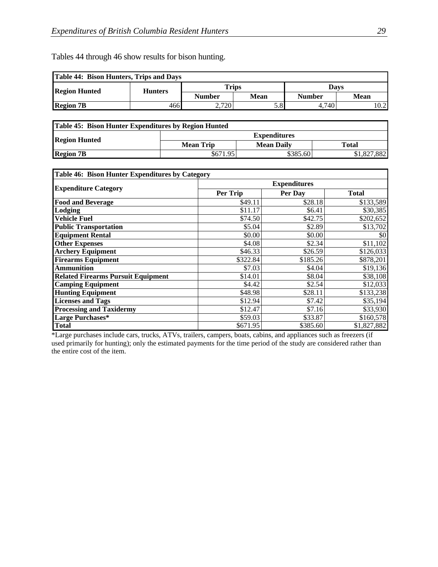Tables 44 through 46 show results for bison hunting.

| <b>Table 44: Bison Hunters, Trips and Days</b> |                |               |      |               |      |
|------------------------------------------------|----------------|---------------|------|---------------|------|
| <b>Region Hunted</b>                           | <b>Hunters</b> | Trips         |      | Davs          |      |
|                                                |                | <b>Number</b> | Mean | <b>Number</b> | Mean |
| <b>Region 7B</b>                               | 466            | 2,720         | 5.8  | 4.740         | 10.2 |

| Table 45: Bison Hunter Expenditures by Region Hunted |                     |                   |             |  |
|------------------------------------------------------|---------------------|-------------------|-------------|--|
|                                                      | <b>Expenditures</b> |                   |             |  |
| <b>Region Hunted</b>                                 | <b>Mean Trip</b>    | <b>Mean Daily</b> | Total       |  |
| <b>Region 7B</b>                                     | \$671.95            | \$385.60          | \$1,827,882 |  |

| Table 46: Bison Hunter Expenditures by Category |                     |          |              |  |  |  |
|-------------------------------------------------|---------------------|----------|--------------|--|--|--|
|                                                 | <b>Expenditures</b> |          |              |  |  |  |
| <b>Expenditure Category</b>                     | Per Trip            | Per Day  | <b>Total</b> |  |  |  |
| <b>Food and Beverage</b>                        | \$49.11             | \$28.18  | \$133,589    |  |  |  |
| Lodging                                         | \$11.17             | \$6.41   | \$30,385     |  |  |  |
| <b>Vehicle Fuel</b>                             | \$74.50             | \$42.75  | \$202,652    |  |  |  |
| <b>Public Transportation</b>                    | \$5.04              | \$2.89   | \$13,702     |  |  |  |
| <b>Equipment Rental</b>                         | \$0.00              | \$0.00   | \$0          |  |  |  |
| <b>Other Expenses</b>                           | \$4.08              | \$2.34   | \$11,102     |  |  |  |
| <b>Archery Equipment</b>                        | \$46.33             | \$26.59  | \$126,033    |  |  |  |
| <b>Firearms Equipment</b>                       | \$322.84            | \$185.26 | \$878,201    |  |  |  |
| <b>Ammunition</b>                               | \$7.03              | \$4.04   | \$19,136     |  |  |  |
| <b>Related Firearms Pursuit Equipment</b>       | \$14.01             | \$8.04   | \$38,108     |  |  |  |
| <b>Camping Equipment</b>                        | \$4.42              | \$2.54   | \$12,033     |  |  |  |
| <b>Hunting Equipment</b>                        | \$48.98             | \$28.11  | \$133,238    |  |  |  |
| <b>Licenses and Tags</b>                        | \$12.94             | \$7.42   | \$35,194     |  |  |  |
| <b>Processing and Taxidermy</b>                 | \$12.47             | \$7.16   | \$33,930     |  |  |  |
| Large Purchases*                                | \$59.03             | \$33.87  | \$160,578    |  |  |  |
| <b>Total</b>                                    | \$671.95            | \$385.60 | \$1,827,882  |  |  |  |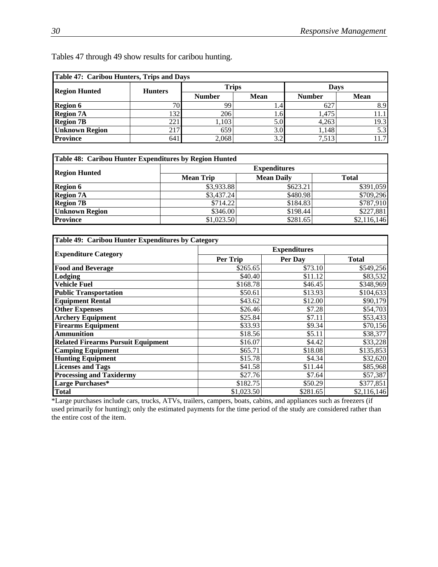| Table 47: Caribou Hunters, Trips and Days |                 |               |               |               |             |  |
|-------------------------------------------|-----------------|---------------|---------------|---------------|-------------|--|
| <b>Region Hunted</b>                      | <b>Hunters</b>  | <b>Trips</b>  |               | Davs          |             |  |
|                                           |                 | <b>Number</b> | <b>Mean</b>   | <b>Number</b> | <b>Mean</b> |  |
| <b>Region 6</b>                           | 70 <sub>1</sub> | 99            |               | 627           | 8.9         |  |
| <b>Region 7A</b>                          | 1321            | 206           | $1.6^{\circ}$ | 1.475         |             |  |
| <b>Region 7B</b>                          | 221             | 1.103         | 5.0           | 4,263         | 19.3        |  |
| <b>Unknown Region</b>                     | 217             | 659           | 3.0           | 1,148         | 5.3         |  |
| <b>Province</b>                           | 641             | 2,068         | 3.2           | 7.513         | 11.7        |  |

Tables 47 through 49 show results for caribou hunting.

| Table 48: Caribou Hunter Expenditures by Region Hunted |                     |                   |              |  |  |  |
|--------------------------------------------------------|---------------------|-------------------|--------------|--|--|--|
| <b>Region Hunted</b>                                   | <b>Expenditures</b> |                   |              |  |  |  |
|                                                        | <b>Mean Trip</b>    | <b>Mean Daily</b> | <b>Total</b> |  |  |  |
| <b>Region 6</b>                                        | \$3,933.88          | \$623.21          | \$391,059    |  |  |  |
| <b>Region 7A</b>                                       | \$3,437.24          | \$480.98          | \$709,296    |  |  |  |
| <b>Region 7B</b>                                       | \$714.22            | \$184.83          | \$787,910    |  |  |  |
| <b>Unknown Region</b>                                  | \$346.00            | \$198.44          | \$227,881    |  |  |  |
| <b>Province</b>                                        | \$1,023.50          | \$281.65          | \$2,116,146  |  |  |  |

| Table 49: Caribou Hunter Expenditures by Category |            |                     |              |  |  |
|---------------------------------------------------|------------|---------------------|--------------|--|--|
|                                                   |            | <b>Expenditures</b> |              |  |  |
| <b>Expenditure Category</b>                       | Per Trip   | Per Day             | <b>Total</b> |  |  |
| <b>Food and Beverage</b>                          | \$265.65   | \$73.10             | \$549,256    |  |  |
| Lodging                                           | \$40.40    | \$11.12             | \$83,532     |  |  |
| <b>Vehicle Fuel</b>                               | \$168.78   | \$46.45             | \$348,969    |  |  |
| <b>Public Transportation</b>                      | \$50.61    | \$13.93             | \$104,633    |  |  |
| <b>Equipment Rental</b>                           | \$43.62    | \$12.00             | \$90,179     |  |  |
| <b>Other Expenses</b>                             | \$26.46    | \$7.28              | \$54,703     |  |  |
| <b>Archery Equipment</b>                          | \$25.84    | \$7.11              | \$53,433     |  |  |
| <b>Firearms Equipment</b>                         | \$33.93    | \$9.34              | \$70,156     |  |  |
| <b>Ammunition</b>                                 | \$18.56    | \$5.11              | \$38,377     |  |  |
| <b>Related Firearms Pursuit Equipment</b>         | \$16.07    | \$4.42              | \$33,228     |  |  |
| <b>Camping Equipment</b>                          | \$65.71    | \$18.08             | \$135,853    |  |  |
| <b>Hunting Equipment</b>                          | \$15.78    | \$4.34              | \$32,620     |  |  |
| <b>Licenses and Tags</b>                          | \$41.58    | \$11.44             | \$85,968     |  |  |
| <b>Processing and Taxidermy</b>                   | \$27.76    | \$7.64              | \$57,387     |  |  |
| Large Purchases*                                  | \$182.75   | \$50.29             | \$377,851    |  |  |
| Total                                             | \$1,023.50 | \$281.65            | \$2,116,146  |  |  |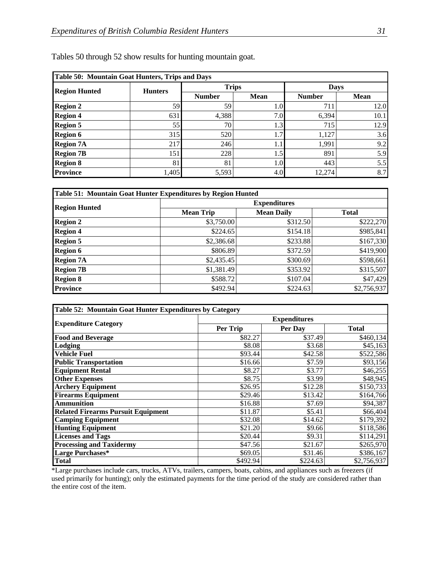| Table 50: Mountain Goat Hunters, Trips and Days |                |               |              |               |             |  |
|-------------------------------------------------|----------------|---------------|--------------|---------------|-------------|--|
| <b>Region Hunted</b>                            | <b>Hunters</b> |               | <b>Trips</b> | <b>Days</b>   |             |  |
|                                                 |                | <b>Number</b> | Mean         | <b>Number</b> | <b>Mean</b> |  |
| <b>Region 2</b>                                 | 59             | 59            | 1.0          | 711           | 12.0        |  |
| <b>Region 4</b>                                 | 631            | 4,388         | 7.0          | 6,394         | 10.1        |  |
| <b>Region 5</b>                                 | 55             | 70            | 1.3          | 715           | 12.9        |  |
| <b>Region 6</b>                                 | 315            | 520           | 1.7          | 1,127         | 3.6         |  |
| <b>Region 7A</b>                                | 217            | 246           | 1.1          | 1,991         | 9.2         |  |
| <b>Region 7B</b>                                | 151            | 228           | 1.5          | 891           | 5.9         |  |
| <b>Region 8</b>                                 | 81             | 81            | 1.0          | 443           | 5.5         |  |
| <b>Province</b>                                 | 1,405          | 5,593         | 4.0          | 12,274        | 8.7         |  |

| Table 51: Mountain Goat Hunter Expenditures by Region Hunted |                     |                   |              |  |  |  |
|--------------------------------------------------------------|---------------------|-------------------|--------------|--|--|--|
|                                                              | <b>Expenditures</b> |                   |              |  |  |  |
| <b>Region Hunted</b>                                         | <b>Mean Trip</b>    | <b>Mean Daily</b> | <b>Total</b> |  |  |  |
| <b>Region 2</b>                                              | \$3,750.00          | \$312.50          | \$222,270    |  |  |  |
| <b>Region 4</b>                                              | \$224.65            | \$154.18          | \$985,841    |  |  |  |
| <b>Region 5</b>                                              | \$2,386.68          | \$233.88          | \$167,330    |  |  |  |
| <b>Region 6</b>                                              | \$806.89            | \$372.59          | \$419,900    |  |  |  |
| <b>Region 7A</b>                                             | \$2,435.45          | \$300.69          | \$598,661    |  |  |  |
| <b>Region 7B</b>                                             | \$1,381.49          | \$353.92          | \$315,507    |  |  |  |
| <b>Region 8</b>                                              | \$588.72            | \$107.04          | \$47,429     |  |  |  |
| <b>Province</b>                                              | \$492.94            | \$224.63          | \$2,756,937  |  |  |  |

| Table 52: Mountain Goat Hunter Expenditures by Category |          |                     |                       |  |  |
|---------------------------------------------------------|----------|---------------------|-----------------------|--|--|
|                                                         |          | <b>Expenditures</b> |                       |  |  |
| <b>Expenditure Category</b>                             | Per Trip | Per Day             | <b>Total</b>          |  |  |
| <b>Food and Beverage</b>                                | \$82.27  | \$37.49             | \$460,134             |  |  |
| Lodging                                                 | \$8.08   | \$3.68              | \$45,163              |  |  |
| <b>Vehicle Fuel</b>                                     | \$93.44  | \$42.58             | $\overline{$}522,586$ |  |  |
| <b>Public Transportation</b>                            | \$16.66  | \$7.59              | \$93,156              |  |  |
| <b>Equipment Rental</b>                                 | \$8.27   | \$3.77              | \$46,255              |  |  |
| <b>Other Expenses</b>                                   | \$8.75   | \$3.99              | \$48,945              |  |  |
| <b>Archery Equipment</b>                                | \$26.95  | \$12.28             | \$150,733             |  |  |
| <b>Firearms Equipment</b>                               | \$29.46  | \$13.42             | \$164,766             |  |  |
| <b>Ammunition</b>                                       | \$16.88  | \$7.69              | \$94,387              |  |  |
| <b>Related Firearms Pursuit Equipment</b>               | \$11.87  | \$5.41              | \$66,404              |  |  |
| <b>Camping Equipment</b>                                | \$32.08  | \$14.62             | \$179,392             |  |  |
| <b>Hunting Equipment</b>                                | \$21.20  | \$9.66              | \$118,586             |  |  |
| <b>Licenses and Tags</b>                                | \$20.44  | \$9.31              | \$114,291             |  |  |
| <b>Processing and Taxidermy</b>                         | \$47.56  | \$21.67             | \$265,970             |  |  |
| Large Purchases*                                        | \$69.05  | \$31.46             | \$386,167             |  |  |
| <b>Total</b>                                            | \$492.94 | \$224.63            | \$2,756,937           |  |  |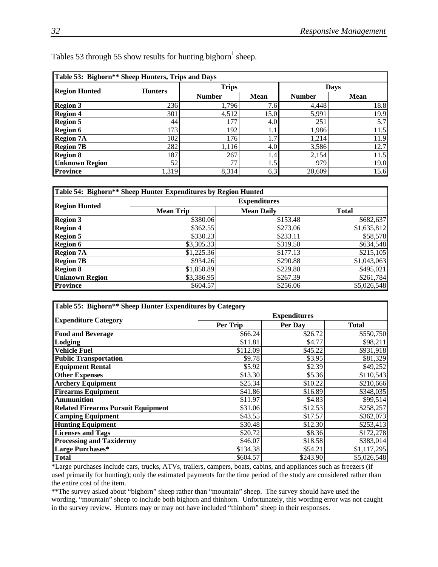| Table 53: Bighorn** Sheep Hunters, Trips and Days |                |               |             |               |             |  |  |
|---------------------------------------------------|----------------|---------------|-------------|---------------|-------------|--|--|
| <b>Region Hunted</b>                              | <b>Hunters</b> | <b>Trips</b>  |             |               | <b>Days</b> |  |  |
|                                                   |                | <b>Number</b> | <b>Mean</b> | <b>Number</b> | <b>Mean</b> |  |  |
| <b>Region 3</b>                                   | 236            | 1,796         | 7.6         | 4,448         | 18.8        |  |  |
| <b>Region 4</b>                                   | 301            | 4,512         | 15.0        | 5,991         | 19.9        |  |  |
| <b>Region 5</b>                                   | 44             | 177           | 4.0         | 251           | 5.7         |  |  |
| <b>Region 6</b>                                   | 173            | 192           |             | 1,986         | 11.5        |  |  |
| <b>Region 7A</b>                                  | 102            | 176           | 1.7'        | 1,214         | 11.9        |  |  |
| <b>Region 7B</b>                                  | 282            | 1,116         | 4.0         | 3,586         | 12.7        |  |  |
| <b>Region 8</b>                                   | 187            | 267           | 1.4         | 2,154         | 11.5        |  |  |
| <b>Unknown Region</b>                             | 52             | 77            | 1.5         | 979           | 19.0        |  |  |
| <b>Province</b>                                   | 1,319          | 8,314         | 6.3         | 20,609        | 15.6        |  |  |

| Tables 53 through 55 show results for hunting bighorn <sup>1</sup> sheep. |  |  |  |  |
|---------------------------------------------------------------------------|--|--|--|--|
|                                                                           |  |  |  |  |

| Table 54: Bighorn** Sheep Hunter Expenditures by Region Hunted |                  |                     |              |  |  |  |
|----------------------------------------------------------------|------------------|---------------------|--------------|--|--|--|
|                                                                |                  | <b>Expenditures</b> |              |  |  |  |
| <b>Region Hunted</b>                                           | <b>Mean Trip</b> | <b>Mean Daily</b>   | <b>Total</b> |  |  |  |
| <b>Region 3</b>                                                | \$380.06         | \$153.48            | \$682,637    |  |  |  |
| <b>Region 4</b>                                                | \$362.55         | \$273.06            | \$1,635,812  |  |  |  |
| <b>Region 5</b>                                                | \$330.23         | \$233.11            | \$58,578     |  |  |  |
| <b>Region 6</b>                                                | \$3,305.33       | \$319.50            | \$634,548    |  |  |  |
| <b>Region 7A</b>                                               | \$1,225.36       | \$177.13            | \$215,105    |  |  |  |
| <b>Region 7B</b>                                               | \$934.26         | \$290.88            | \$1,043,063  |  |  |  |
| <b>Region 8</b>                                                | \$1,850.89       | \$229.80            | \$495,021    |  |  |  |
| <b>Unknown Region</b>                                          | \$3,386.95       | \$267.39            | \$261,784    |  |  |  |
| <b>Province</b>                                                | \$604.57         | \$256.06            | \$5,026,548  |  |  |  |

| Table 55: Bighorn** Sheep Hunter Expenditures by Category |          |                     |              |  |  |
|-----------------------------------------------------------|----------|---------------------|--------------|--|--|
|                                                           |          | <b>Expenditures</b> |              |  |  |
| <b>Expenditure Category</b>                               | Per Trip | Per Day             | <b>Total</b> |  |  |
| <b>Food and Beverage</b>                                  | \$66.24  | \$26.72             | \$550,750    |  |  |
| Lodging                                                   | \$11.81  | \$4.77              | \$98,211     |  |  |
| <b>Vehicle Fuel</b>                                       | \$112.09 | \$45.22             | \$931,918    |  |  |
| <b>Public Transportation</b>                              | \$9.78   | \$3.95              | \$81,329     |  |  |
| <b>Equipment Rental</b>                                   | \$5.92   | \$2.39              | \$49,252     |  |  |
| <b>Other Expenses</b>                                     | \$13.30  | \$5.36              | \$110,543    |  |  |
| <b>Archery Equipment</b>                                  | \$25.34  | \$10.22             | \$210,666    |  |  |
| <b>Firearms Equipment</b>                                 | \$41.86  | \$16.89             | \$348,035    |  |  |
| <b>Ammunition</b>                                         | \$11.97  | \$4.83              | \$99,514     |  |  |
| <b>Related Firearms Pursuit Equipment</b>                 | \$31.06  | \$12.53             | \$258,257    |  |  |
| <b>Camping Equipment</b>                                  | \$43.55  | \$17.57             | \$362,073    |  |  |
| <b>Hunting Equipment</b>                                  | \$30.48  | \$12.30             | \$253,413    |  |  |
| <b>Licenses and Tags</b>                                  | \$20.72  | \$8.36              | \$172,278    |  |  |
| <b>Processing and Taxidermy</b>                           | \$46.07  | \$18.58             | \$383,014    |  |  |
| Large Purchases*                                          | \$134.38 | \$54.21             | \$1,117,295  |  |  |
| <b>Total</b>                                              | \$604.57 | \$243.90            | \$5,026,548  |  |  |

\*Large purchases include cars, trucks, ATVs, trailers, campers, boats, cabins, and appliances such as freezers (if used primarily for hunting); only the estimated payments for the time period of the study are considered rather than the entire cost of the item.

\*\*The survey asked about "bighorn" sheep rather than "mountain" sheep. The survey should have used the wording, "mountain" sheep to include both bighorn and thinhorn. Unfortunately, this wording error was not caught in the survey review. Hunters may or may not have included "thinhorn" sheep in their responses.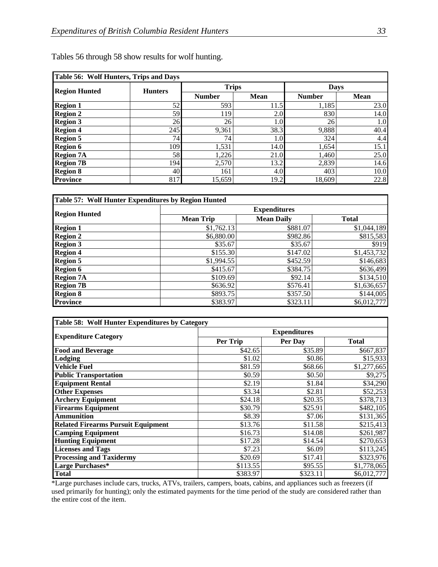| Table 56: Wolf Hunters, Trips and Days |                |               |             |               |             |  |
|----------------------------------------|----------------|---------------|-------------|---------------|-------------|--|
| <b>Region Hunted</b>                   | <b>Hunters</b> | <b>Trips</b>  |             | <b>Days</b>   |             |  |
|                                        |                | <b>Number</b> | <b>Mean</b> | <b>Number</b> | <b>Mean</b> |  |
| <b>Region 1</b>                        | 52             | 593           | 11.5        | 1,185         | 23.0        |  |
| <b>Region 2</b>                        | 59             | 119           | 2.0         | 830           | 14.0        |  |
| <b>Region 3</b>                        | 26             | 26            | 1.0         | 26            | 1.0         |  |
| <b>Region 4</b>                        | 245            | 9,361         | 38.3        | 9,888         | 40.4        |  |
| <b>Region 5</b>                        | 74             | 74            | 1.0         | 324           | 4.4         |  |
| <b>Region 6</b>                        | 109            | 1,531         | 14.0        | 1,654         | 15.1        |  |
| <b>Region 7A</b>                       | 58             | 1,226         | 21.0        | 1,460         | 25.0        |  |
| <b>Region 7B</b>                       | 194            | 2,570         | 13.2        | 2,839         | 14.6        |  |
| <b>Region 8</b>                        | 40             | 161           | 4.0         | 403           | 10.0        |  |
| <b>Province</b>                        | 817            | 15,659        | 19.2        | 18,609        | 22.8        |  |

Tables 56 through 58 show results for wolf hunting.

| Table 57: Wolf Hunter Expenditures by Region Hunted |                     |                   |              |  |  |  |
|-----------------------------------------------------|---------------------|-------------------|--------------|--|--|--|
|                                                     | <b>Expenditures</b> |                   |              |  |  |  |
| <b>Region Hunted</b>                                | <b>Mean Trip</b>    | <b>Mean Daily</b> | <b>Total</b> |  |  |  |
| <b>Region 1</b>                                     | \$1,762.13          | \$881.07          | \$1,044,189  |  |  |  |
| <b>Region 2</b>                                     | \$6,880.00          | \$982.86          | \$815,583    |  |  |  |
| <b>Region 3</b>                                     | \$35.67             | \$35.67           | \$919        |  |  |  |
| <b>Region 4</b>                                     | \$155.30            | \$147.02          | \$1,453,732  |  |  |  |
| <b>Region 5</b>                                     | \$1,994.55          | \$452.59          | \$146,683    |  |  |  |
| <b>Region 6</b>                                     | \$415.67            | \$384.75          | \$636,499    |  |  |  |
| <b>Region 7A</b>                                    | \$109.69            | \$92.14           | \$134,510    |  |  |  |
| <b>Region 7B</b>                                    | \$636.92            | \$576.41          | \$1,636,657  |  |  |  |
| <b>Region 8</b>                                     | \$893.75            | \$357.50          | \$144,005    |  |  |  |
| <b>Province</b>                                     | \$383.97            | \$323.11          | \$6,012,777  |  |  |  |

| Table 58: Wolf Hunter Expenditures by Category |                     |          |              |  |  |  |  |
|------------------------------------------------|---------------------|----------|--------------|--|--|--|--|
|                                                | <b>Expenditures</b> |          |              |  |  |  |  |
| <b>Expenditure Category</b>                    | Per Trip            | Per Day  | <b>Total</b> |  |  |  |  |
| <b>Food and Beverage</b>                       | \$42.65             | \$35.89  | \$667,837    |  |  |  |  |
| Lodging                                        | \$1.02              | \$0.86   | \$15,933     |  |  |  |  |
| Vehicle Fuel                                   | \$81.59             | \$68.66  | \$1,277,665  |  |  |  |  |
| <b>Public Transportation</b>                   | \$0.59              | \$0.50   | \$9,275      |  |  |  |  |
| <b>Equipment Rental</b>                        | \$2.19              | \$1.84   | \$34,290     |  |  |  |  |
| <b>Other Expenses</b>                          | \$3.34              | \$2.81   | \$52,253     |  |  |  |  |
| <b>Archery Equipment</b>                       | \$24.18             | \$20.35  | \$378,713    |  |  |  |  |
| <b>Firearms Equipment</b>                      | \$30.79             | \$25.91  | \$482,105    |  |  |  |  |
| <b>Ammunition</b>                              | \$8.39              | \$7.06   | \$131,365    |  |  |  |  |
| <b>Related Firearms Pursuit Equipment</b>      | \$13.76             | \$11.58  | \$215,413    |  |  |  |  |
| <b>Camping Equipment</b>                       | \$16.73             | \$14.08  | \$261,987    |  |  |  |  |
| <b>Hunting Equipment</b>                       | \$17.28             | \$14.54  | \$270,653    |  |  |  |  |
| <b>Licenses and Tags</b>                       | \$7.23              | \$6.09   | \$113,245    |  |  |  |  |
| <b>Processing and Taxidermy</b>                | \$20.69             | \$17.41  | \$323,976    |  |  |  |  |
| Large Purchases*                               | \$113.55            | \$95.55  | \$1,778,065  |  |  |  |  |
| <b>Total</b>                                   | \$383.97            | \$323.11 | \$6,012,777  |  |  |  |  |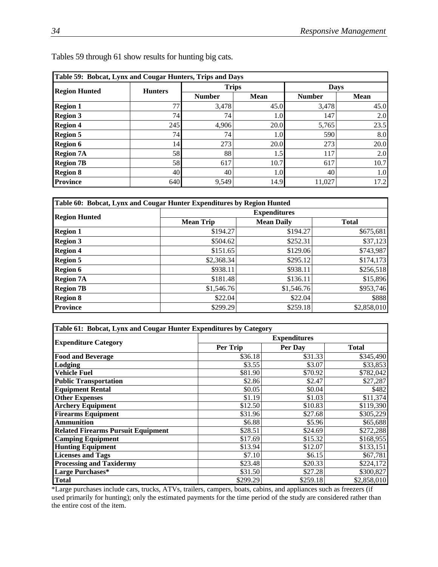| Table 59: Bobcat, Lynx and Cougar Hunters, Trips and Days |                |               |             |               |             |  |
|-----------------------------------------------------------|----------------|---------------|-------------|---------------|-------------|--|
| <b>Region Hunted</b>                                      | <b>Hunters</b> | <b>Trips</b>  |             |               | <b>Days</b> |  |
|                                                           |                | <b>Number</b> | <b>Mean</b> | <b>Number</b> | <b>Mean</b> |  |
| <b>Region 1</b>                                           | 77             | 3,478         | 45.0        | 3,478         | 45.0        |  |
| <b>Region 3</b>                                           | 74             | 74            | 1.0         | 147           | 2.0         |  |
| <b>Region 4</b>                                           | 245            | 4,906         | 20.0        | 5,765         | 23.5        |  |
| <b>Region 5</b>                                           | 74             | 74            | 1.0         | 590           | 8.0         |  |
| <b>Region 6</b>                                           | 14             | 273           | 20.0        | 273           | 20.0        |  |
| <b>Region 7A</b>                                          | 58             | 88            | 1.5         | 117           | 2.0         |  |
| <b>Region 7B</b>                                          | 58             | 617           | 10.7        | 617           | 10.7        |  |
| <b>Region 8</b>                                           | 40             | 40            | 1.0         | 40            | 1.0         |  |
| <b>Province</b>                                           | 640            | 9,549         | 14.9        | 11,027        | 17.2        |  |

Tables 59 through 61 show results for hunting big cats.

| Table 60: Bobcat, Lynx and Cougar Hunter Expenditures by Region Hunted |                     |                   |              |  |  |  |
|------------------------------------------------------------------------|---------------------|-------------------|--------------|--|--|--|
|                                                                        | <b>Expenditures</b> |                   |              |  |  |  |
| <b>Region Hunted</b>                                                   | <b>Mean Trip</b>    | <b>Mean Daily</b> | <b>Total</b> |  |  |  |
| <b>Region 1</b>                                                        | \$194.27            | \$194.27          | \$675,681    |  |  |  |
| <b>Region 3</b>                                                        | \$504.62            | \$252.31          | \$37,123     |  |  |  |
| <b>Region 4</b>                                                        | \$151.65            | \$129.06          | \$743,987    |  |  |  |
| <b>Region 5</b>                                                        | \$2,368.34          | \$295.12          | \$174,173    |  |  |  |
| <b>Region 6</b>                                                        | \$938.11            | \$938.11          | \$256,518    |  |  |  |
| <b>Region 7A</b>                                                       | \$181.48            | \$136.11          | \$15,896     |  |  |  |
| <b>Region 7B</b>                                                       | \$1,546.76          | \$1,546.76        | \$953,746    |  |  |  |
| <b>Region 8</b>                                                        | \$22.04             | \$22.04           | \$888        |  |  |  |
| <b>Province</b>                                                        | \$299.29            | \$259.18          | \$2,858,010  |  |  |  |

| Table 61: Bobcat, Lynx and Cougar Hunter Expenditures by Category |                     |          |              |  |  |  |
|-------------------------------------------------------------------|---------------------|----------|--------------|--|--|--|
|                                                                   | <b>Expenditures</b> |          |              |  |  |  |
| <b>Expenditure Category</b>                                       | Per Trip            | Per Day  | <b>Total</b> |  |  |  |
| <b>Food and Beverage</b>                                          | \$36.18             | \$31.33  | \$345,490    |  |  |  |
| Lodging                                                           | \$3.55              | \$3.07   | \$33,853     |  |  |  |
| <b>Vehicle Fuel</b>                                               | \$81.90             | \$70.92  | \$782,042    |  |  |  |
| <b>Public Transportation</b>                                      | \$2.86              | \$2.47   | \$27,287     |  |  |  |
| <b>Equipment Rental</b>                                           | \$0.05              | \$0.04   | \$482        |  |  |  |
| <b>Other Expenses</b>                                             | \$1.19              | \$1.03   | \$11,374     |  |  |  |
| <b>Archery Equipment</b>                                          | \$12.50             | \$10.83  | \$119,390    |  |  |  |
| <b>Firearms Equipment</b>                                         | \$31.96             | \$27.68  | \$305,229    |  |  |  |
| <b>Ammunition</b>                                                 | \$6.88              | \$5.96   | \$65,688     |  |  |  |
| <b>Related Firearms Pursuit Equipment</b>                         | \$28.51             | \$24.69  | \$272,288    |  |  |  |
| <b>Camping Equipment</b>                                          | \$17.69             | \$15.32  | \$168,955    |  |  |  |
| <b>Hunting Equipment</b>                                          | \$13.94             | \$12.07  | \$133,151    |  |  |  |
| <b>Licenses and Tags</b>                                          | \$7.10              | \$6.15   | \$67,781     |  |  |  |
| <b>Processing and Taxidermy</b>                                   | \$23.48             | \$20.33  | \$224,172    |  |  |  |
| <b>Large Purchases*</b>                                           | \$31.50             | \$27.28  | \$300,827    |  |  |  |
| <b>Total</b>                                                      | \$299.29            | \$259.18 | \$2,858,010  |  |  |  |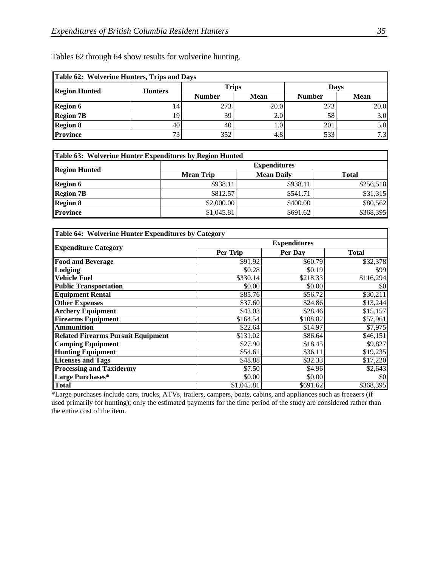| Table 62: Wolverine Hunters, Trips and Days |                          |               |             |               |             |  |
|---------------------------------------------|--------------------------|---------------|-------------|---------------|-------------|--|
| <b>Region Hunted</b>                        | <b>Hunters</b>           | <b>Trips</b>  |             | <b>Davs</b>   |             |  |
|                                             |                          | <b>Number</b> | <b>Mean</b> | <b>Number</b> | <b>Mean</b> |  |
| <b>Region 6</b>                             |                          | 273           | 20.0        | 273           | 20.0        |  |
| <b>Region 7B</b>                            |                          | 39            | 2.0         | 58            | 3.0         |  |
| <b>Region 8</b>                             | 40                       | 40            | 1.0         | 201           | 5.0         |  |
| <b>Province</b>                             | $\overline{\phantom{a}}$ | 352           | 4.8         | 533           | 7.3         |  |

Tables 62 through 64 show results for wolverine hunting.

| Table 63: Wolverine Hunter Expenditures by Region Hunted |                  |                     |              |  |  |
|----------------------------------------------------------|------------------|---------------------|--------------|--|--|
| <b>Region Hunted</b>                                     |                  | <b>Expenditures</b> |              |  |  |
|                                                          | <b>Mean Trip</b> | <b>Mean Daily</b>   | <b>Total</b> |  |  |
| <b>Region 6</b>                                          | \$938.11         | \$938.11            | \$256,518    |  |  |
| <b>Region 7B</b>                                         | \$812.57         | \$541.71            | \$31,315     |  |  |
| <b>Region 8</b>                                          | \$2,000.00       | \$400.00]           | \$80,562     |  |  |
| <b>Province</b>                                          | \$1,045.81       | \$691.62]           | \$368,395    |  |  |

| Table 64: Wolverine Hunter Expenditures by Category |                     |          |              |  |  |  |
|-----------------------------------------------------|---------------------|----------|--------------|--|--|--|
|                                                     | <b>Expenditures</b> |          |              |  |  |  |
| <b>Expenditure Category</b>                         | Per Trip            | Per Day  | <b>Total</b> |  |  |  |
| <b>Food and Beverage</b>                            | \$91.92             | \$60.79  | \$32,378     |  |  |  |
| Lodging                                             | \$0.28              | \$0.19   | \$99         |  |  |  |
| <b>Vehicle Fuel</b>                                 | \$330.14            | \$218.33 | \$116,294    |  |  |  |
| <b>Public Transportation</b>                        | \$0.00              | \$0.00   | \$0          |  |  |  |
| <b>Equipment Rental</b>                             | \$85.76             | \$56.72  | \$30,211     |  |  |  |
| <b>Other Expenses</b>                               | \$37.60             | \$24.86  | \$13,244     |  |  |  |
| <b>Archery Equipment</b>                            | \$43.03             | \$28.46  | \$15,157     |  |  |  |
| <b>Firearms Equipment</b>                           | \$164.54            | \$108.82 | \$57,961     |  |  |  |
| <b>Ammunition</b>                                   | \$22.64             | \$14.97  | \$7,975      |  |  |  |
| <b>Related Firearms Pursuit Equipment</b>           | \$131.02            | \$86.64  | \$46,151     |  |  |  |
| <b>Camping Equipment</b>                            | \$27.90             | \$18.45  | \$9,827      |  |  |  |
| <b>Hunting Equipment</b>                            | \$54.61             | \$36.11  | \$19,235     |  |  |  |
| <b>Licenses and Tags</b>                            | \$48.88             | \$32.33  | \$17,220     |  |  |  |
| <b>Processing and Taxidermy</b>                     | \$7.50              | \$4.96   | \$2,643      |  |  |  |
| Large Purchases*                                    | \$0.00              | \$0.00   | \$0          |  |  |  |
| <b>Total</b>                                        | \$1,045.81          | \$691.62 | \$368,395    |  |  |  |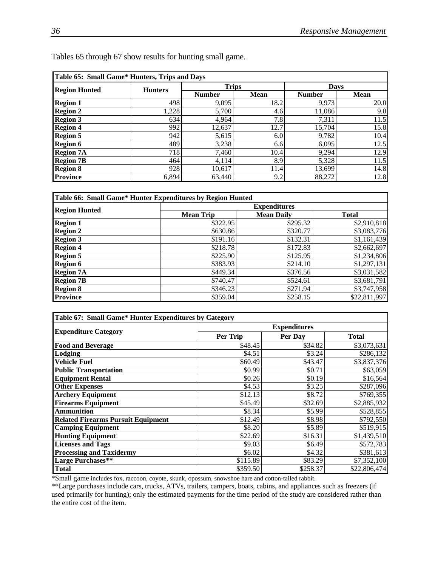| Table 65: Small Game* Hunters, Trips and Days |                |               |             |               |             |  |
|-----------------------------------------------|----------------|---------------|-------------|---------------|-------------|--|
| <b>Region Hunted</b>                          | <b>Hunters</b> | <b>Trips</b>  |             | <b>Days</b>   |             |  |
|                                               |                | <b>Number</b> | <b>Mean</b> | <b>Number</b> | <b>Mean</b> |  |
| <b>Region 1</b>                               | 498            | 9,095         | 18.2        | 9,973         | 20.0        |  |
| <b>Region 2</b>                               | 1,228          | 5,700         | 4.6         | 11,086        | 9.0         |  |
| <b>Region 3</b>                               | 634            | 4,964         | 7.8         | 7,311         | 11.5        |  |
| <b>Region 4</b>                               | 992            | 12,637        | 12.7        | 15,704        | 15.8        |  |
| <b>Region 5</b>                               | 942            | 5,615         | 6.0         | 9,782         | 10.4        |  |
| <b>Region 6</b>                               | 489            | 3,238         | 6.6         | 6,095         | 12.5        |  |
| <b>Region 7A</b>                              | 718            | 7,460         | 10.4        | 9,294         | 12.9        |  |
| <b>Region 7B</b>                              | 464            | 4,114         | 8.9         | 5,328         | 11.5        |  |
| <b>Region 8</b>                               | 928            | 10,617        | 11.4        | 13,699        | 14.8        |  |
| <b>Province</b>                               | 6,894          | 63,440        | 9.2         | 88,272        | 12.8        |  |

Tables 65 through 67 show results for hunting small game.

| Table 66: Small Game* Hunter Expenditures by Region Hunted |                     |                   |              |  |  |  |
|------------------------------------------------------------|---------------------|-------------------|--------------|--|--|--|
|                                                            | <b>Expenditures</b> |                   |              |  |  |  |
| <b>Region Hunted</b>                                       | <b>Mean Trip</b>    | <b>Mean Daily</b> | <b>Total</b> |  |  |  |
| <b>Region 1</b>                                            | \$322.95            | \$295.32          | \$2,910,818  |  |  |  |
| <b>Region 2</b>                                            | \$630.86            | \$320.77          | \$3,083,776  |  |  |  |
| <b>Region 3</b>                                            | \$191.16            | \$132.31          | \$1,161,439  |  |  |  |
| <b>Region 4</b>                                            | \$218.78            | \$172.83          | \$2,662,697  |  |  |  |
| <b>Region 5</b>                                            | \$225.90            | \$125.95          | \$1,234,806  |  |  |  |
| <b>Region 6</b>                                            | \$383.93            | \$214.10          | \$1,297,131  |  |  |  |
| <b>Region 7A</b>                                           | \$449.34            | \$376.56          | \$3,031,582  |  |  |  |
| <b>Region 7B</b>                                           | \$740.47            | \$524.61          | \$3,681,791  |  |  |  |
| <b>Region 8</b>                                            | \$346.23            | \$271.94          | \$3,747,958  |  |  |  |
| <b>Province</b>                                            | \$359.04            | \$258.15          | \$22,811,997 |  |  |  |

| Table 67: Small Game* Hunter Expenditures by Category |                     |          |              |  |  |  |
|-------------------------------------------------------|---------------------|----------|--------------|--|--|--|
|                                                       | <b>Expenditures</b> |          |              |  |  |  |
| <b>Expenditure Category</b>                           | Per Trip            | Per Day  | <b>Total</b> |  |  |  |
| <b>Food and Beverage</b>                              | \$48.45             | \$34.82  | \$3,073,631  |  |  |  |
| Lodging                                               | \$4.51              | \$3.24   | \$286,132    |  |  |  |
| <b>Vehicle Fuel</b>                                   | \$60.49             | \$43.47  | \$3,837,376  |  |  |  |
| <b>Public Transportation</b>                          | \$0.99              | \$0.71   | \$63,059     |  |  |  |
| <b>Equipment Rental</b>                               | \$0.26              | \$0.19   | \$16,564     |  |  |  |
| <b>Other Expenses</b>                                 | \$4.53              | \$3.25   | \$287,096    |  |  |  |
| <b>Archery Equipment</b>                              | \$12.13             | \$8.72   | \$769,355    |  |  |  |
| <b>Firearms Equipment</b>                             | \$45.49             | \$32.69  | \$2,885,932  |  |  |  |
| <b>Ammunition</b>                                     | \$8.34              | \$5.99   | \$528,855    |  |  |  |
| <b>Related Firearms Pursuit Equipment</b>             | \$12.49             | \$8.98   | \$792,550    |  |  |  |
| <b>Camping Equipment</b>                              | \$8.20              | \$5.89   | \$519,915    |  |  |  |
| <b>Hunting Equipment</b>                              | \$22.69             | \$16.31  | \$1,439,510  |  |  |  |
| <b>Licenses and Tags</b>                              | \$9.03              | \$6.49   | \$572,783    |  |  |  |
| <b>Processing and Taxidermy</b>                       | \$6.02              | \$4.32   | \$381,613    |  |  |  |
| <b>Large Purchases**</b>                              | \$115.89            | \$83.29  | \$7,352,100  |  |  |  |
| <b>Total</b>                                          | \$359.50            | \$258.37 | \$22,806,474 |  |  |  |

\*Small game includes fox, raccoon, coyote, skunk, opossum, snowshoe hare and cotton-tailed rabbit.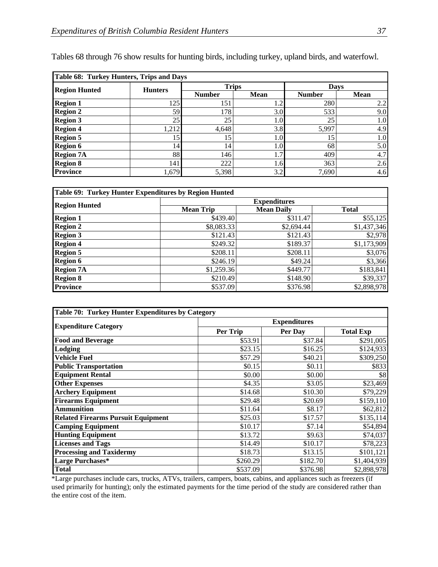| Table 68: Turkey Hunters, Trips and Days |                 |               |             |               |      |
|------------------------------------------|-----------------|---------------|-------------|---------------|------|
| <b>Region Hunted</b>                     | <b>Hunters</b>  | <b>Trips</b>  |             | <b>Days</b>   |      |
|                                          |                 | <b>Number</b> | <b>Mean</b> | <b>Number</b> | Mean |
| <b>Region 1</b>                          | 1251            | 151           | 1.2         | 280           | 2.2  |
| <b>Region 2</b>                          | 59              | 178           | 3.0         | 533           | 9.0  |
| <b>Region 3</b>                          | 25 <sub>1</sub> | 25            | $1.0\,$     | 25            | 1.0  |
| <b>Region 4</b>                          | 1,212           | 4,648         | 3.8         | 5,997         | 4.9  |
| <b>Region 5</b>                          | 15              | 15            | 1.0         | 15            | 1.0  |
| <b>Region 6</b>                          | 14              | 14            | $1.0\,$     | 68            | 5.0  |
| <b>Region 7A</b>                         | 881             | 146           | 1.7         | 409           | 4.7  |
| <b>Region 8</b>                          | 141             | 222           | 1.6         | 363           | 2.6  |
| <b>Province</b>                          | 1,679           | 5,398         | 3.2         | 7,690         | 4.6  |

Tables 68 through 76 show results for hunting birds, including turkey, upland birds, and waterfowl.

| Table 69: Turkey Hunter Expenditures by Region Hunted |                     |                   |              |  |  |
|-------------------------------------------------------|---------------------|-------------------|--------------|--|--|
| <b>Region Hunted</b>                                  | <b>Expenditures</b> |                   |              |  |  |
|                                                       | <b>Mean Trip</b>    | <b>Mean Daily</b> | <b>Total</b> |  |  |
| <b>Region 1</b>                                       | \$439.40]           | \$311.47          | \$55,125     |  |  |
| <b>Region 2</b>                                       | \$8,083.33          | \$2,694.44        | \$1,437,346  |  |  |
| <b>Region 3</b>                                       | \$121.43            | \$121.43          | \$2,978      |  |  |
| <b>Region 4</b>                                       | \$249.32            | \$189.37          | \$1,173,909  |  |  |
| <b>Region 5</b>                                       | \$208.11            | \$208.11          | \$3,076      |  |  |
| <b>Region 6</b>                                       | \$246.19            | \$49.24           | \$3,366      |  |  |
| <b>Region 7A</b>                                      | \$1,259.36          | \$449.77          | \$183,841    |  |  |
| <b>Region 8</b>                                       | \$210.49            | \$148.90          | \$39,337     |  |  |
| <b>Province</b>                                       | \$537.09            | \$376.98          | \$2,898,978  |  |  |

| Table 70: Turkey Hunter Expenditures by Category |                     |          |                  |  |  |
|--------------------------------------------------|---------------------|----------|------------------|--|--|
|                                                  | <b>Expenditures</b> |          |                  |  |  |
| <b>Expenditure Category</b>                      | Per Trip            | Per Day  | <b>Total Exp</b> |  |  |
| <b>Food and Beverage</b>                         | \$53.91             | \$37.84  | \$291,005        |  |  |
| Lodging                                          | \$23.15             | \$16.25  | \$124,933        |  |  |
| <b>Vehicle Fuel</b>                              | \$57.29             | \$40.21  | \$309,250        |  |  |
| <b>Public Transportation</b>                     | \$0.15              | \$0.11   | \$833            |  |  |
| <b>Equipment Rental</b>                          | \$0.00              | \$0.00   | \$8              |  |  |
| <b>Other Expenses</b>                            | \$4.35              | \$3.05   | \$23,469         |  |  |
| <b>Archery Equipment</b>                         | \$14.68             | \$10.30  | \$79,229         |  |  |
| <b>Firearms Equipment</b>                        | \$29.48             | \$20.69  | \$159,110        |  |  |
| <b>Ammunition</b>                                | \$11.64             | \$8.17   | \$62,812         |  |  |
| <b>Related Firearms Pursuit Equipment</b>        | \$25.03             | \$17.57  | \$135,114        |  |  |
| <b>Camping Equipment</b>                         | \$10.17             | \$7.14   | \$54,894         |  |  |
| <b>Hunting Equipment</b>                         | \$13.72             | \$9.63   | \$74,037         |  |  |
| <b>Licenses and Tags</b>                         | \$14.49             | \$10.17  | \$78,223         |  |  |
| <b>Processing and Taxidermy</b>                  | \$18.73             | \$13.15  | \$101,121        |  |  |
| Large Purchases*                                 | \$260.29            | \$182.70 | \$1,404,939      |  |  |
| Total                                            | \$537.09            | \$376.98 | \$2,898,978      |  |  |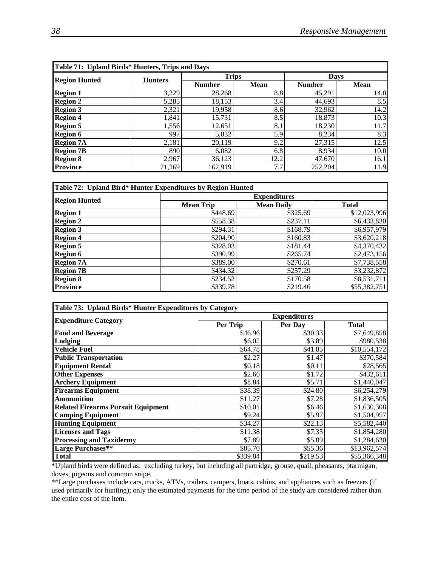| Table 71: Upland Birds* Hunters, Trips and Days |                |               |             |               |             |
|-------------------------------------------------|----------------|---------------|-------------|---------------|-------------|
| <b>Region Hunted</b>                            | <b>Hunters</b> | <b>Trips</b>  |             | <b>Days</b>   |             |
|                                                 |                | <b>Number</b> | <b>Mean</b> | <b>Number</b> | <b>Mean</b> |
| <b>Region 1</b>                                 | 3,229          | 28,268        | 8.8         | 45,291        | 14.0        |
| <b>Region 2</b>                                 | 5,285          | 18,153        | 3.4         | 44,693        | 8.5         |
| <b>Region 3</b>                                 | 2,321          | 19,958        | 8.6         | 32,962        | 14.2        |
| <b>Region 4</b>                                 | 1,841          | 15,731        | 8.5         | 18,873        | 10.3        |
| <b>Region 5</b>                                 | 1,556          | 12,651        | 8.1         | 18,230        | 11.7        |
| <b>Region 6</b>                                 | 997            | 5,832         | 5.9         | 8,234         | 8.3         |
| <b>Region 7A</b>                                | 2,181          | 20,119        | 9.2         | 27,315        | 12.5        |
| <b>Region 7B</b>                                | 890            | 6,082         | 6.8         | 8,934         | 10.0        |
| <b>Region 8</b>                                 | 2,967          | 36,123        | 12.2        | 47,670        | 16.1        |
| <b>Province</b>                                 | 21,269         | 162,919       | 7.7         | 252,204       | 11.9        |

| Table 72: Upland Bird* Hunter Expenditures by Region Hunted |                     |                   |              |  |  |
|-------------------------------------------------------------|---------------------|-------------------|--------------|--|--|
| <b>Region Hunted</b>                                        | <b>Expenditures</b> |                   |              |  |  |
|                                                             | <b>Mean Trip</b>    | <b>Mean Daily</b> | <b>Total</b> |  |  |
| <b>Region 1</b>                                             | \$448.69            | \$325.69          | \$12,023,996 |  |  |
| <b>Region 2</b>                                             | \$558.38            | \$237.11          | \$6,433,830  |  |  |
| <b>Region 3</b>                                             | \$294.31            | \$168.79          | \$6,957,979  |  |  |
| <b>Region 4</b>                                             | \$204.90            | \$160.83          | \$3,620,218  |  |  |
| <b>Region 5</b>                                             | \$328.03            | \$181.44          | \$4,370,432  |  |  |
| <b>Region 6</b>                                             | \$390.99            | \$265.74          | \$2,473,156  |  |  |
| <b>Region 7A</b>                                            | \$389.00            | \$270.61          | \$7,738,558  |  |  |
| <b>Region 7B</b>                                            | \$434.32            | \$257.29          | \$3,232,872  |  |  |
| <b>Region 8</b>                                             | \$234.52            | \$170.58          | \$8,531,711  |  |  |
| <b>Province</b>                                             | \$339.78            | \$219.46          | \$55,382,751 |  |  |

| Table 73: Upland Birds* Hunter Expenditures by Category |                     |          |              |  |  |
|---------------------------------------------------------|---------------------|----------|--------------|--|--|
|                                                         | <b>Expenditures</b> |          |              |  |  |
| <b>Expenditure Category</b>                             | Per Trip            | Per Day  | <b>Total</b> |  |  |
| <b>Food and Beverage</b>                                | \$46.96             | \$30.33  | \$7,649,858  |  |  |
| Lodging                                                 | \$6.02              | \$3.89   | \$980,538    |  |  |
| Vehicle Fuel                                            | \$64.78             | \$41.85  | \$10,554,172 |  |  |
| <b>Public Transportation</b>                            | \$2.27              | \$1.47   | \$370,584    |  |  |
| <b>Equipment Rental</b>                                 | \$0.18              | \$0.11   | \$28,565     |  |  |
| <b>Other Expenses</b>                                   | \$2.66              | \$1.72   | \$432,611    |  |  |
| <b>Archery Equipment</b>                                | \$8.84              | \$5.71   | \$1,440,047  |  |  |
| <b>Firearms Equipment</b>                               | \$38.39             | \$24.80  | \$6,254,279  |  |  |
| <b>Ammunition</b>                                       | \$11.27             | \$7.28   | \$1,836,505  |  |  |
| <b>Related Firearms Pursuit Equipment</b>               | \$10.01             | \$6.46   | \$1,630,308  |  |  |
| <b>Camping Equipment</b>                                | \$9.24              | \$5.97   | \$1,504,957  |  |  |
| <b>Hunting Equipment</b>                                | \$34.27             | \$22.13  | \$5,582,440  |  |  |
| <b>Licenses and Tags</b>                                | \$11.38             | \$7.35   | \$1,854,280  |  |  |
| <b>Processing and Taxidermy</b>                         | \$7.89              | \$5.09   | \$1,284,630  |  |  |
| Large Purchases**                                       | \$85.70             | \$55.36  | \$13,962,574 |  |  |
| <b>Total</b>                                            | \$339.84            | \$219.53 | \$55,366,348 |  |  |

\*Upland birds were defined as: excluding turkey, but including all partridge, grouse, quail, pheasants, ptarmigan, doves, pigeons and common snipe.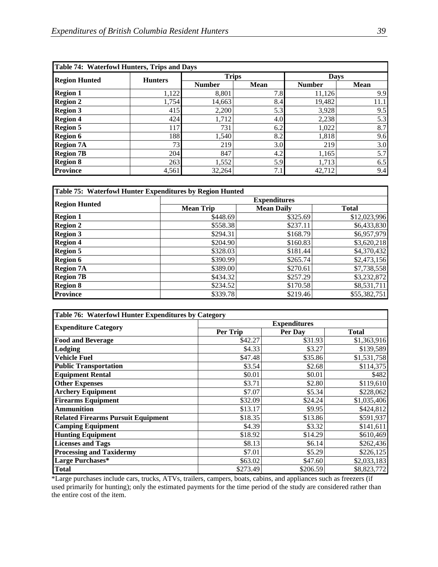| Table 74: Waterfowl Hunters, Trips and Days |                |               |                  |               |             |
|---------------------------------------------|----------------|---------------|------------------|---------------|-------------|
| <b>Region Hunted</b>                        | <b>Hunters</b> | <b>Trips</b>  |                  | <b>Days</b>   |             |
|                                             |                | <b>Number</b> | <b>Mean</b>      | <b>Number</b> | <b>Mean</b> |
| <b>Region 1</b>                             | 1,122          | 8,801         | 7.8              | 11,126        | 9.9         |
| <b>Region 2</b>                             | 1,754          | 14,663        | 8.4              | 19,482        | 11.1        |
| <b>Region 3</b>                             | 415            | 2,200         | 5.3              | 3,928         | 9.5         |
| <b>Region 4</b>                             | 424            | 1,712         | 4.0              | 2,238         | 5.3         |
| <b>Region 5</b>                             | 117            | 731           | 6.2              | 1,022         | 8.7         |
| <b>Region 6</b>                             | 188            | 1,540         | 8.2              | 1,818         | 9.6         |
| <b>Region 7A</b>                            | 73             | 219           | 3.0 <sub>l</sub> | 219           | 3.0         |
| <b>Region 7B</b>                            | 204            | 847           | 4.2              | 1,165         | 5.7         |
| <b>Region 8</b>                             | 263            | 1,552         | 5.9              | 1,713         | 6.5         |
| <b>Province</b>                             | 4,561          | 32,264        | 7.1              | 42,712        | 9.4         |

| Table 75: Waterfowl Hunter Expenditures by Region Hunted |                     |                   |              |  |  |
|----------------------------------------------------------|---------------------|-------------------|--------------|--|--|
| <b>Region Hunted</b>                                     | <b>Expenditures</b> |                   |              |  |  |
|                                                          | <b>Mean Trip</b>    | <b>Mean Daily</b> | <b>Total</b> |  |  |
| <b>Region 1</b>                                          | \$448.69            | \$325.69          | \$12,023,996 |  |  |
| <b>Region 2</b>                                          | \$558.38            | \$237.11          | \$6,433,830  |  |  |
| <b>Region 3</b>                                          | \$294.31            | \$168.79          | \$6,957,979  |  |  |
| <b>Region 4</b>                                          | \$204.90            | \$160.83          | \$3,620,218  |  |  |
| <b>Region 5</b>                                          | \$328.03            | \$181.44          | \$4,370,432  |  |  |
| <b>Region 6</b>                                          | \$390.99            | \$265.74          | \$2,473,156  |  |  |
| <b>Region 7A</b>                                         | \$389.00            | \$270.61          | \$7,738,558  |  |  |
| <b>Region 7B</b>                                         | \$434.32            | \$257.29          | \$3,232,872  |  |  |
| <b>Region 8</b>                                          | \$234.52            | \$170.58          | \$8,531,711  |  |  |
| <b>Province</b>                                          | \$339.78            | \$219.46          | \$55,382,751 |  |  |

| Table 76: Waterfowl Hunter Expenditures by Category |                     |          |                       |  |  |
|-----------------------------------------------------|---------------------|----------|-----------------------|--|--|
|                                                     | <b>Expenditures</b> |          |                       |  |  |
| <b>Expenditure Category</b>                         | Per Trip            | Per Dav  | <b>Total</b>          |  |  |
| <b>Food and Beverage</b>                            | \$42.27             | \$31.93  | \$1,363,916           |  |  |
| Lodging                                             | \$4.33              | \$3.27   | \$139,589             |  |  |
| <b>Vehicle Fuel</b>                                 | \$47.48             | \$35.86  | \$1,531,758           |  |  |
| <b>Public Transportation</b>                        | \$3.54              | \$2.68   | $\overline{$}114,375$ |  |  |
| <b>Equipment Rental</b>                             | \$0.01              | \$0.01   | \$482                 |  |  |
| <b>Other Expenses</b>                               | \$3.71              | \$2.80   | \$119,610             |  |  |
| <b>Archery Equipment</b>                            | \$7.07              | \$5.34   | \$228,062             |  |  |
| <b>Firearms Equipment</b>                           | \$32.09             | \$24.24  | \$1,035,406           |  |  |
| <b>Ammunition</b>                                   | \$13.17             | \$9.95   | \$424,812             |  |  |
| <b>Related Firearms Pursuit Equipment</b>           | \$18.35             | \$13.86  | \$591,937             |  |  |
| <b>Camping Equipment</b>                            | \$4.39              | \$3.32   | \$141,611             |  |  |
| <b>Hunting Equipment</b>                            | \$18.92             | \$14.29  | \$610,469             |  |  |
| <b>Licenses and Tags</b>                            | \$8.13              | \$6.14   | \$262,436             |  |  |
| <b>Processing and Taxidermy</b>                     | \$7.01              | \$5.29   | \$226,125             |  |  |
| Large Purchases*                                    | \$63.02             | \$47.60  | \$2,033,183           |  |  |
| <b>Total</b>                                        | \$273.49            | \$206.59 | \$8,823,772           |  |  |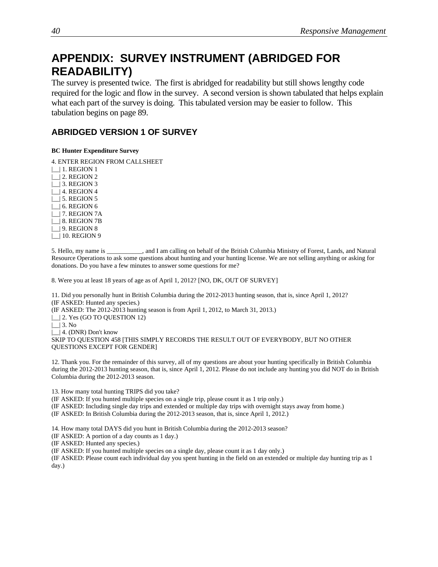## **APPENDIX: SURVEY INSTRUMENT (ABRIDGED FOR READABILITY)**

The survey is presented twice. The first is abridged for readability but still shows lengthy code required for the logic and flow in the survey. A second version is shown tabulated that helps explain what each part of the survey is doing. This tabulated version may be easier to follow. This tabulation begins on page 89.

## **ABRIDGED VERSION 1 OF SURVEY**

## **BC Hunter Expenditure Survey**

4. ENTER REGION FROM CALLSHEET

 $|\_$ | 1. REGION 1 |\_\_| 2. REGION 2 |\_\_| 3. REGION 3 |\_\_| 4. REGION 4 | | 5. REGION 5 |\_\_| 6. REGION 6  $\Box$  7. REGION 7A  $\Box$  8. REGION 7B  $\lfloor$  9. REGION 8 |\_| 10. REGION 9

5. Hello, my name is \_\_\_\_\_\_\_\_\_\_\_, and I am calling on behalf of the British Columbia Ministry of Forest, Lands, and Natural Resource Operations to ask some questions about hunting and your hunting license. We are not selling anything or asking for donations. Do you have a few minutes to answer some questions for me?

8. Were you at least 18 years of age as of April 1, 2012? [NO, DK, OUT OF SURVEY]

11. Did you personally hunt in British Columbia during the 2012-2013 hunting season, that is, since April 1, 2012? (IF ASKED: Hunted any species.)

(IF ASKED: The 2012-2013 hunting season is from April 1, 2012, to March 31, 2013.)

 $\Box$  2. Yes (GO TO QUESTION 12)

 $\lfloor \rfloor$  3. No

|\_\_| 4. (DNR) Don't know

SKIP TO QUESTION 458 [THIS SIMPLY RECORDS THE RESULT OUT OF EVERYBODY, BUT NO OTHER QUESTIONS EXCEPT FOR GENDER]

12. Thank you. For the remainder of this survey, all of my questions are about your hunting specifically in British Columbia during the 2012-2013 hunting season, that is, since April 1, 2012. Please do not include any hunting you did NOT do in British Columbia during the 2012-2013 season.

13. How many total hunting TRIPS did you take?

(IF ASKED: If you hunted multiple species on a single trip, please count it as 1 trip only.)

(IF ASKED: Including single day trips and extended or multiple day trips with overnight stays away from home.) (IF ASKED: In British Columbia during the 2012-2013 season, that is, since April 1, 2012.)

14. How many total DAYS did you hunt in British Columbia during the 2012-2013 season?

(IF ASKED: A portion of a day counts as 1 day.)

(IF ASKED: Hunted any species.)

(IF ASKED: If you hunted multiple species on a single day, please count it as 1 day only.)

(IF ASKED: Please count each individual day you spent hunting in the field on an extended or multiple day hunting trip as 1 day.)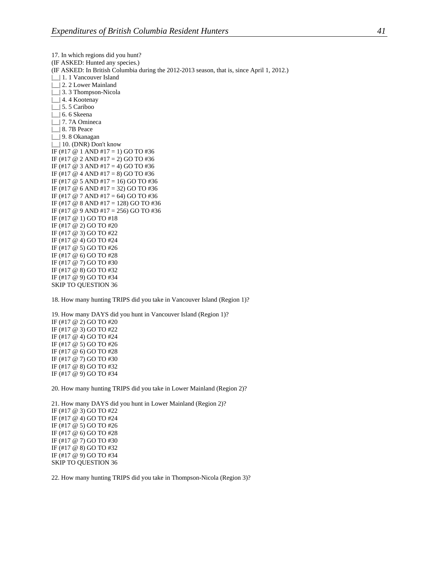17. In which regions did you hunt? (IF ASKED: Hunted any species.) (IF ASKED: In British Columbia during the 2012-2013 season, that is, since April 1, 2012.) | | 1. 1 Vancouver Island | 2. 2 Lower Mainland |\_\_| 3. 3 Thompson-Nicola |\_\_| 4. 4 Kootenay |\_\_| 5. 5 Cariboo |\_\_| 6. 6 Skeena |\_\_| 7. 7A Omineca |\_\_| 8. 7B Peace |\_\_| 9. 8 Okanagan | | 10. (DNR) Don't know IF (#17 @ 1 AND #17 = 1) GO TO #36 IF (#17  $\omega$  2 AND #17 = 2) GO TO #36 IF (#17  $@$  3 AND #17 = 4) GO TO #36 IF (#17 @ 4 AND #17 = 8) GO TO #36 IF (#17 @ 5 AND #17 = 16) GO TO #36 IF (#17 @ 6 AND #17 = 32) GO TO #36 IF (#17 @ 7 AND #17 = 64) GO TO #36 IF (#17 @ 8 AND #17 = 128) GO TO #36 IF (#17 @ 9 AND #17 = 256) GO TO #36 IF (#17 @ 1) GO TO #18 IF (#17 @ 2) GO TO #20 IF (#17 @ 3) GO TO #22 IF (#17 @ 4) GO TO #24 IF (#17 @ 5) GO TO #26 IF (#17 @ 6) GO TO #28 IF (#17 @ 7) GO TO #30 IF (#17 @ 8) GO TO #32 IF (#17 @ 9) GO TO #34 SKIP TO QUESTION 36

18. How many hunting TRIPS did you take in Vancouver Island (Region 1)?

19. How many DAYS did you hunt in Vancouver Island (Region 1)? IF (#17 @ 2) GO TO #20 IF (#17 @ 3) GO TO #22 IF (#17 @ 4) GO TO #24 IF (#17 @ 5) GO TO #26 IF (#17 @ 6) GO TO #28 IF (#17 @ 7) GO TO #30 IF (#17 @ 8) GO TO #32 IF (#17 @ 9) GO TO #34

20. How many hunting TRIPS did you take in Lower Mainland (Region 2)?

21. How many DAYS did you hunt in Lower Mainland (Region 2)? IF (#17 @ 3) GO TO #22 IF (#17 @ 4) GO TO #24 IF (#17 @ 5) GO TO #26 IF (#17 @ 6) GO TO #28 IF (#17 @ 7) GO TO #30 IF (#17 @ 8) GO TO #32 IF (#17 @ 9) GO TO #34 SKIP TO QUESTION 36

22. How many hunting TRIPS did you take in Thompson-Nicola (Region 3)?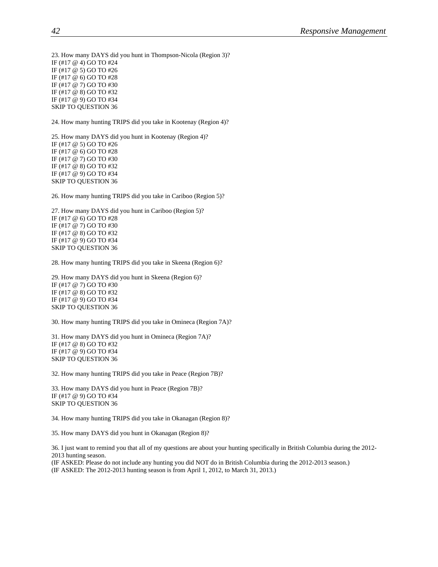23. How many DAYS did you hunt in Thompson-Nicola (Region 3)? IF (#17 @ 4) GO TO #24 IF (#17 @ 5) GO TO #26 IF (#17 @ 6) GO TO #28 IF (#17 @ 7) GO TO #30 IF (#17 @ 8) GO TO #32 IF (#17 @ 9) GO TO #34 SKIP TO QUESTION 36

24. How many hunting TRIPS did you take in Kootenay (Region 4)?

25. How many DAYS did you hunt in Kootenay (Region 4)? IF (#17 @ 5) GO TO #26 IF (#17 @ 6) GO TO #28 IF (#17 @ 7) GO TO #30 IF (#17 @ 8) GO TO #32 IF (#17 @ 9) GO TO #34 SKIP TO QUESTION 36

26. How many hunting TRIPS did you take in Cariboo (Region 5)?

27. How many DAYS did you hunt in Cariboo (Region 5)? IF (#17 @ 6) GO TO #28 IF (#17 @ 7) GO TO #30 IF (#17 @ 8) GO TO #32 IF (#17 @ 9) GO TO #34 SKIP TO QUESTION 36

28. How many hunting TRIPS did you take in Skeena (Region 6)?

29. How many DAYS did you hunt in Skeena (Region 6)? IF (#17 @ 7) GO TO #30 IF (#17 @ 8) GO TO #32 IF (#17 @ 9) GO TO #34 SKIP TO QUESTION 36

30. How many hunting TRIPS did you take in Omineca (Region 7A)?

31. How many DAYS did you hunt in Omineca (Region 7A)? IF (#17 @ 8) GO TO #32 IF (#17 @ 9) GO TO #34 SKIP TO QUESTION 36

32. How many hunting TRIPS did you take in Peace (Region 7B)?

33. How many DAYS did you hunt in Peace (Region 7B)? IF (#17 @ 9) GO TO #34 SKIP TO QUESTION 36

34. How many hunting TRIPS did you take in Okanagan (Region 8)?

35. How many DAYS did you hunt in Okanagan (Region 8)?

36. I just want to remind you that all of my questions are about your hunting specifically in British Columbia during the 2012- 2013 hunting season.

(IF ASKED: Please do not include any hunting you did NOT do in British Columbia during the 2012-2013 season.) (IF ASKED: The 2012-2013 hunting season is from April 1, 2012, to March 31, 2013.)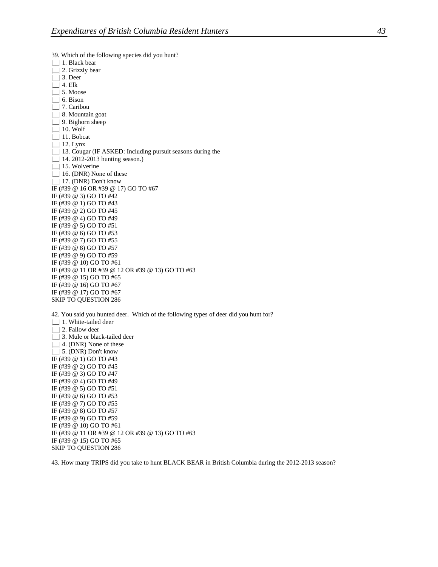39. Which of the following species did you hunt? |\_\_| 1. Black bear |\_\_| 2. Grizzly bear |\_\_| 3. Deer  $\Box$ | 4. Elk |\_\_| 5. Moose  $\lfloor$  6. Bison |\_\_| 7. Caribou

| 8. Mountain goat |\_\_| 9. Bighorn sheep |\_\_| 10. Wolf |\_\_| 11. Bobcat |\_\_| 12. Lynx |\_\_| 13. Cougar (IF ASKED: Including pursuit seasons during the | | 14. 2012-2013 hunting season.) |\_\_| 15. Wolverine | | 16. (DNR) None of these |\_| 17. (DNR) Don't know IF (#39 @ 16 OR #39 @ 17) GO TO #67 IF (#39 @ 3) GO TO #42 IF (#39 @ 1) GO TO #43 IF (#39 @ 2) GO TO #45 IF (#39 @ 4) GO TO #49 IF (#39 @ 5) GO TO #51 IF (#39 @ 6) GO TO #53 IF (#39 @ 7) GO TO #55 IF (#39 @ 8) GO TO #57 IF (#39 @ 9) GO TO #59 IF (#39 @ 10) GO TO #61 IF (#39 @ 11 OR #39 @ 12 OR #39 @ 13) GO TO #63 IF (#39 @ 15) GO TO #65 IF (#39 @ 16) GO TO #67 IF (#39 @ 17) GO TO #67 SKIP TO QUESTION 286

42. You said you hunted deer. Which of the following types of deer did you hunt for? |\_\_| 1. White-tailed deer | | 2. Fallow deer | | 3. Mule or black-tailed deer | | 4. (DNR) None of these |\_\_| 5. (DNR) Don't know IF (#39 @ 1) GO TO #43 IF (#39 @ 2) GO TO #45 IF (#39 @ 3) GO TO #47 IF (#39 @ 4) GO TO #49 IF (#39 @ 5) GO TO #51 IF (#39 @ 6) GO TO #53 IF (#39 @ 7) GO TO #55 IF (#39 @ 8) GO TO #57 IF (#39 @ 9) GO TO #59 IF (#39 @ 10) GO TO #61 IF (#39 @ 11 OR #39 @ 12 OR #39 @ 13) GO TO #63

IF (#39 @ 15) GO TO #65 SKIP TO QUESTION 286

43. How many TRIPS did you take to hunt BLACK BEAR in British Columbia during the 2012-2013 season?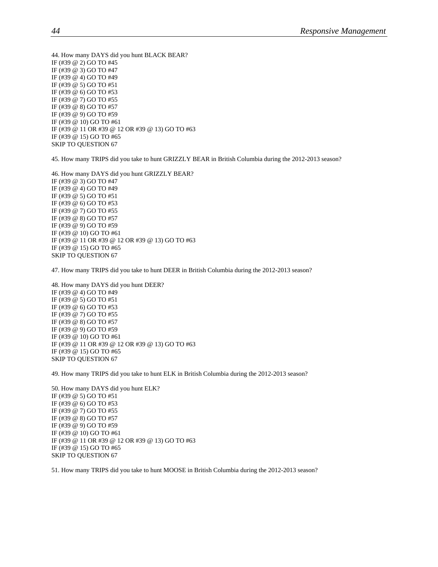44. How many DAYS did you hunt BLACK BEAR? IF (#39 @ 2) GO TO #45 IF (#39 @ 3) GO TO #47 IF (#39 @ 4) GO TO #49 IF (#39 @ 5) GO TO #51 IF (#39 @ 6) GO TO #53 IF (#39 @ 7) GO TO #55 IF (#39 @ 8) GO TO #57 IF (#39 @ 9) GO TO #59 IF (#39 @ 10) GO TO #61 IF (#39 @ 11 OR #39 @ 12 OR #39 @ 13) GO TO #63 IF (#39 @ 15) GO TO #65 SKIP TO QUESTION 67

45. How many TRIPS did you take to hunt GRIZZLY BEAR in British Columbia during the 2012-2013 season?

46. How many DAYS did you hunt GRIZZLY BEAR? IF (#39 @ 3) GO TO #47 IF (#39 @ 4) GO TO #49 IF (#39 @ 5) GO TO #51 IF (#39 @ 6) GO TO #53 IF (#39 @ 7) GO TO #55 IF (#39 @ 8) GO TO #57 IF (#39 @ 9) GO TO #59 IF (#39 @ 10) GO TO #61 IF (#39 @ 11 OR #39 @ 12 OR #39 @ 13) GO TO #63 IF (#39 @ 15) GO TO #65 SKIP TO QUESTION 67

47. How many TRIPS did you take to hunt DEER in British Columbia during the 2012-2013 season?

48. How many DAYS did you hunt DEER? IF (#39 @ 4) GO TO #49 IF (#39 @ 5) GO TO #51 IF (#39 @ 6) GO TO #53 IF (#39 @ 7) GO TO #55 IF (#39 @ 8) GO TO #57 IF (#39 @ 9) GO TO #59 IF (#39 @ 10) GO TO #61 IF (#39 @ 11 OR #39 @ 12 OR #39 @ 13) GO TO #63 IF (#39 @ 15) GO TO #65 SKIP TO QUESTION 67

49. How many TRIPS did you take to hunt ELK in British Columbia during the 2012-2013 season?

50. How many DAYS did you hunt ELK? IF (#39 @ 5) GO TO #51 IF (#39 @ 6) GO TO #53 IF (#39 @ 7) GO TO #55 IF (#39 @ 8) GO TO #57 IF (#39 @ 9) GO TO #59 IF (#39 @ 10) GO TO #61 IF (#39 @ 11 OR #39 @ 12 OR #39 @ 13) GO TO #63 IF (#39 @ 15) GO TO #65 SKIP TO QUESTION 67

51. How many TRIPS did you take to hunt MOOSE in British Columbia during the 2012-2013 season?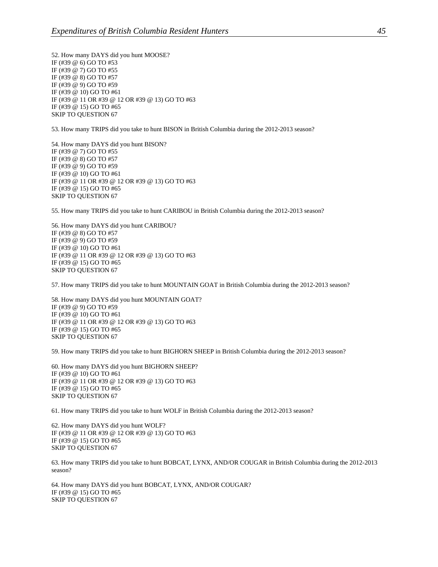52. How many DAYS did you hunt MOOSE? IF (#39 @ 6) GO TO #53 IF (#39 @ 7) GO TO #55 IF (#39 @ 8) GO TO #57 IF (#39 @ 9) GO TO #59 IF (#39 @ 10) GO TO #61 IF (#39 @ 11 OR #39 @ 12 OR #39 @ 13) GO TO #63 IF (#39 @ 15) GO TO #65 SKIP TO QUESTION 67

53. How many TRIPS did you take to hunt BISON in British Columbia during the 2012-2013 season?

54. How many DAYS did you hunt BISON? IF (#39 @ 7) GO TO #55 IF (#39 @ 8) GO TO #57 IF (#39 @ 9) GO TO #59 IF (#39 @ 10) GO TO #61 IF (#39 @ 11 OR #39 @ 12 OR #39 @ 13) GO TO #63 IF (#39 @ 15) GO TO #65 SKIP TO QUESTION 67

55. How many TRIPS did you take to hunt CARIBOU in British Columbia during the 2012-2013 season?

56. How many DAYS did you hunt CARIBOU? IF (#39 @ 8) GO TO #57 IF (#39 @ 9) GO TO #59 IF (#39 @ 10) GO TO #61 IF (#39 @ 11 OR #39 @ 12 OR #39 @ 13) GO TO #63 IF (#39 @ 15) GO TO #65 SKIP TO QUESTION 67

57. How many TRIPS did you take to hunt MOUNTAIN GOAT in British Columbia during the 2012-2013 season?

58. How many DAYS did you hunt MOUNTAIN GOAT? IF (#39 @ 9) GO TO #59 IF (#39 @ 10) GO TO #61 IF (#39 @ 11 OR #39 @ 12 OR #39 @ 13) GO TO #63 IF (#39 @ 15) GO TO #65 SKIP TO QUESTION 67

59. How many TRIPS did you take to hunt BIGHORN SHEEP in British Columbia during the 2012-2013 season?

60. How many DAYS did you hunt BIGHORN SHEEP? IF (#39 @ 10) GO TO #61 IF (#39 @ 11 OR #39 @ 12 OR #39 @ 13) GO TO #63 IF (#39 @ 15) GO TO #65 SKIP TO QUESTION 67

61. How many TRIPS did you take to hunt WOLF in British Columbia during the 2012-2013 season?

62. How many DAYS did you hunt WOLF? IF (#39 @ 11 OR #39 @ 12 OR #39 @ 13) GO TO #63 IF (#39 @ 15) GO TO #65 SKIP TO QUESTION 67

63. How many TRIPS did you take to hunt BOBCAT, LYNX, AND/OR COUGAR in British Columbia during the 2012-2013 season?

64. How many DAYS did you hunt BOBCAT, LYNX, AND/OR COUGAR? IF (#39 @ 15) GO TO #65 SKIP TO QUESTION 67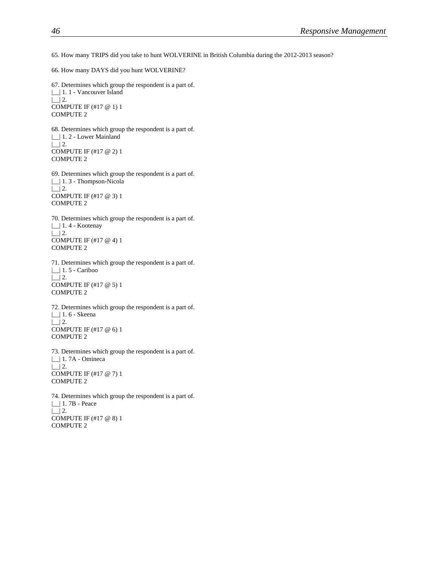65. How many TRIPS did you take to hunt WOLVERINE in British Columbia during the 2012-2013 season?

66. How many DAYS did you hunt WOLVERINE?

67. Determines which group the respondent is a part of. |\_\_| 1. 1 - Vancouver Island  $\lfloor$  2. COMPUTE IF (#17 @ 1) 1 COMPUTE 2

68. Determines which group the respondent is a part of. |\_\_| 1. 2 - Lower Mainland  $\lfloor$  2. COMPUTE IF (#17 @ 2) 1 COMPUTE 2

69. Determines which group the respondent is a part of. |\_\_| 1. 3 - Thompson-Nicola  $\Box$  2. COMPUTE IF (#17 @ 3) 1 COMPUTE 2

70. Determines which group the respondent is a part of. |\_\_| 1. 4 - Kootenay  $\lfloor$  2. COMPUTE IF (#17 @ 4) 1 COMPUTE 2

71. Determines which group the respondent is a part of. |\_\_| 1. 5 - Cariboo  $\lfloor$  2. COMPUTE IF (#17 @ 5) 1 COMPUTE 2

72. Determines which group the respondent is a part of. |\_| 1.6 - Skeena  $\lfloor$  2. COMPUTE IF (#17 @ 6) 1 COMPUTE 2

73. Determines which group the respondent is a part of. |\_\_| 1. 7A - Omineca  $\lfloor$  2. COMPUTE IF (#17 @ 7) 1 COMPUTE 2

74. Determines which group the respondent is a part of. |\_\_| 1. 7B - Peace  $\Box$  2. COMPUTE IF (#17 @ 8) 1 COMPUTE 2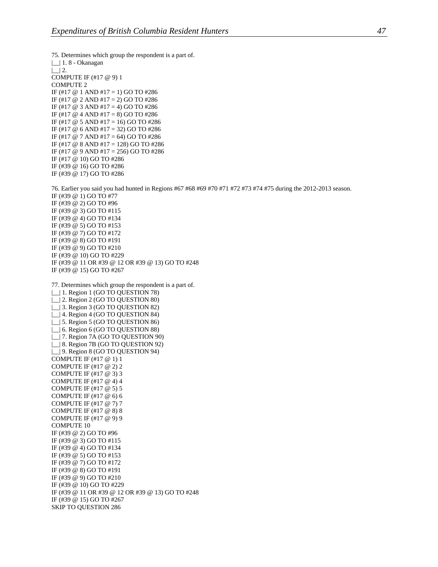75. Determines which group the respondent is a part of. |\_| 1.8 - Okanagan  $|$  | 2. COMPUTE IF (#17 @ 9) 1 COMPUTE 2 IF (#17  $@$  1 AND #17 = 1) GO TO #286 IF (#17  $\omega$  2 AND #17 = 2) GO TO #286 IF (#17  $\omega$  3 AND #17 = 4) GO TO #286 IF (#17  $@$  4 AND #17 = 8) GO TO #286 IF (#17 @ 5 AND #17 = 16) GO TO #286 IF (#17 @ 6 AND #17 = 32) GO TO #286 IF (#17 @ 7 AND #17 = 64) GO TO #286 IF (#17 @ 8 AND #17 = 128) GO TO #286 IF (#17 @ 9 AND #17 = 256) GO TO #286 IF (#17 @ 10) GO TO #286 IF (#39 @ 16) GO TO #286 IF (#39 @ 17) GO TO #286 76. Earlier you said you had hunted in Regions #67 #68 #69 #70 #71 #72 #73 #74 #75 during the 2012-2013 season. IF (#39 @ 1) GO TO #77 IF (#39 @ 2) GO TO #96 IF (#39 @ 3) GO TO #115 IF (#39 @ 4) GO TO #134 IF (#39 @ 5) GO TO #153 IF (#39 @ 7) GO TO #172 IF (#39 @ 8) GO TO #191 IF (#39 @ 9) GO TO #210 IF (#39 @ 10) GO TO #229 IF (#39 @ 11 OR #39 @ 12 OR #39 @ 13) GO TO #248 IF (#39 @ 15) GO TO #267 77. Determines which group the respondent is a part of. |\_\_| 1. Region 1 (GO TO QUESTION 78) | | 2. Region 2 (GO TO QUESTION 80) | | 3. Region 3 (GO TO QUESTION 82) |\_\_| 4. Region 4 (GO TO QUESTION 84) | | 5. Region 5 (GO TO QUESTION 86) | 6. Region 6 (GO TO QUESTION 88) |\_\_| 7. Region 7A (GO TO QUESTION 90) | | 8. Region 7B (GO TO QUESTION 92) | | 9. Region 8 (GO TO QUESTION 94) COMPUTE IF (#17 @ 1) 1 COMPUTE IF (#17 @ 2) 2 COMPUTE IF (#17 @ 3) 3 COMPUTE IF (#17 @ 4) 4 COMPUTE IF (#17 @ 5) 5 COMPUTE IF (#17 @ 6) 6 COMPUTE IF (#17 @ 7) 7 COMPUTE IF (#17 @ 8) 8 COMPUTE IF (#17 @ 9) 9 COMPUTE 10 IF (#39 @ 2) GO TO #96 IF (#39 @ 3) GO TO #115 IF (#39 @ 4) GO TO #134 IF (#39 @ 5) GO TO #153 IF (#39 @ 7) GO TO #172 IF (#39 @ 8) GO TO #191 IF (#39 @ 9) GO TO #210 IF (#39 @ 10) GO TO #229 IF (#39 @ 11 OR #39 @ 12 OR #39 @ 13) GO TO #248 IF (#39 @ 15) GO TO #267 SKIP TO QUESTION 286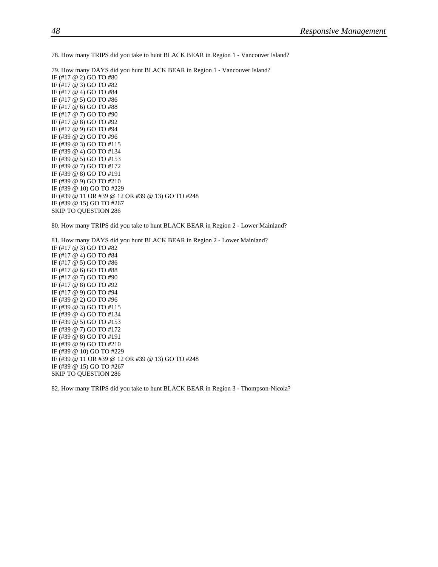78. How many TRIPS did you take to hunt BLACK BEAR in Region 1 - Vancouver Island?

79. How many DAYS did you hunt BLACK BEAR in Region 1 - Vancouver Island? IF (#17 @ 2) GO TO #80 IF (#17 @ 3) GO TO #82 IF (#17 @ 4) GO TO #84 IF (#17 @ 5) GO TO #86 IF (#17 @ 6) GO TO #88 IF (#17 @ 7) GO TO #90 IF (#17 @ 8) GO TO #92 IF (#17 @ 9) GO TO #94 IF (#39 @ 2) GO TO #96 IF (#39 @ 3) GO TO #115 IF (#39 @ 4) GO TO #134 IF (#39 @ 5) GO TO #153 IF (#39 @ 7) GO TO #172 IF (#39 @ 8) GO TO #191 IF (#39 @ 9) GO TO #210 IF (#39 @ 10) GO TO #229 IF (#39 @ 11 OR #39 @ 12 OR #39 @ 13) GO TO #248 IF (#39 @ 15) GO TO #267 SKIP TO QUESTION 286

80. How many TRIPS did you take to hunt BLACK BEAR in Region 2 - Lower Mainland?

81. How many DAYS did you hunt BLACK BEAR in Region 2 - Lower Mainland? IF (#17 @ 3) GO TO #82 IF (#17 @ 4) GO TO #84 IF (#17 @ 5) GO TO #86 IF (#17 @ 6) GO TO #88 IF (#17 @ 7) GO TO #90 IF (#17 @ 8) GO TO #92 IF (#17 @ 9) GO TO #94 IF (#39 @ 2) GO TO #96 IF (#39 @ 3) GO TO #115 IF (#39 @ 4) GO TO #134 IF (#39 @ 5) GO TO #153 IF (#39 @ 7) GO TO #172 IF (#39 @ 8) GO TO #191 IF (#39 @ 9) GO TO #210 IF (#39 @ 10) GO TO #229 IF (#39 @ 11 OR #39 @ 12 OR #39 @ 13) GO TO #248 IF (#39 @ 15) GO TO #267 SKIP TO QUESTION 286

82. How many TRIPS did you take to hunt BLACK BEAR in Region 3 - Thompson-Nicola?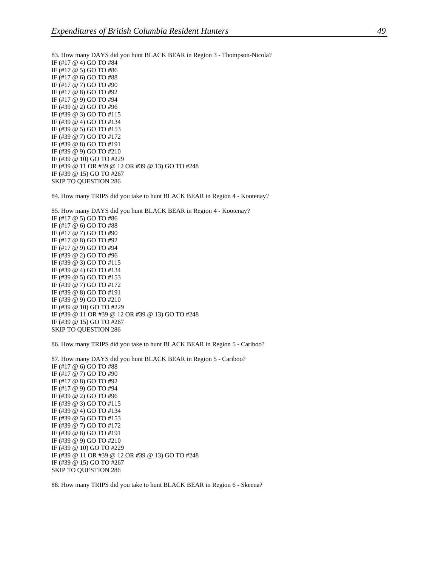83. How many DAYS did you hunt BLACK BEAR in Region 3 - Thompson-Nicola? IF (#17 @ 4) GO TO #84 IF (#17 @ 5) GO TO #86 IF (#17 @ 6) GO TO #88 IF (#17 @ 7) GO TO #90 IF (#17 @ 8) GO TO #92 IF (#17 @ 9) GO TO #94 IF (#39 @ 2) GO TO #96 IF (#39 @ 3) GO TO #115 IF (#39 @ 4) GO TO #134 IF (#39 @ 5) GO TO #153 IF (#39 @ 7) GO TO #172 IF (#39 @ 8) GO TO #191 IF (#39 @ 9) GO TO #210 IF (#39 @ 10) GO TO #229 IF (#39 @ 11 OR #39 @ 12 OR #39 @ 13) GO TO #248 IF (#39 @ 15) GO TO #267 SKIP TO QUESTION 286

84. How many TRIPS did you take to hunt BLACK BEAR in Region 4 - Kootenay?

85. How many DAYS did you hunt BLACK BEAR in Region 4 - Kootenay? IF (#17 @ 5) GO TO #86 IF (#17 @ 6) GO TO #88 IF (#17 @ 7) GO TO #90 IF (#17 @ 8) GO TO #92 IF (#17 @ 9) GO TO #94 IF (#39 @ 2) GO TO #96 IF (#39 @ 3) GO TO #115 IF (#39 @ 4) GO TO #134 IF (#39 @ 5) GO TO #153 IF (#39 @ 7) GO TO #172 IF (#39 @ 8) GO TO #191 IF (#39 @ 9) GO TO #210 IF (#39 @ 10) GO TO #229 IF (#39 @ 11 OR #39 @ 12 OR #39 @ 13) GO TO #248 IF (#39 @ 15) GO TO #267 SKIP TO QUESTION 286

86. How many TRIPS did you take to hunt BLACK BEAR in Region 5 - Cariboo?

87. How many DAYS did you hunt BLACK BEAR in Region 5 - Cariboo? IF (#17 @ 6) GO TO #88 IF (#17 @ 7) GO TO #90 IF (#17 @ 8) GO TO #92 IF (#17 @ 9) GO TO #94 IF (#39 @ 2) GO TO #96 IF (#39 @ 3) GO TO #115 IF (#39 @ 4) GO TO #134 IF (#39 @ 5) GO TO #153 IF (#39 @ 7) GO TO #172 IF (#39 @ 8) GO TO #191 IF (#39 @ 9) GO TO #210 IF (#39 @ 10) GO TO #229 IF (#39 @ 11 OR #39 @ 12 OR #39 @ 13) GO TO #248 IF (#39 @ 15) GO TO #267 SKIP TO QUESTION 286

88. How many TRIPS did you take to hunt BLACK BEAR in Region 6 - Skeena?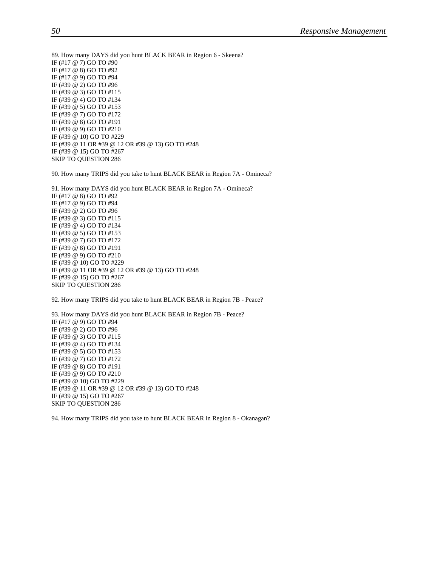89. How many DAYS did you hunt BLACK BEAR in Region 6 - Skeena? IF (#17 @ 7) GO TO #90 IF (#17 @ 8) GO TO #92 IF (#17 @ 9) GO TO #94 IF (#39 @ 2) GO TO #96 IF (#39 @ 3) GO TO #115 IF (#39 @ 4) GO TO #134 IF (#39 @ 5) GO TO #153 IF (#39 @ 7) GO TO #172 IF (#39 @ 8) GO TO #191 IF (#39 @ 9) GO TO #210 IF (#39 @ 10) GO TO #229 IF (#39 @ 11 OR #39 @ 12 OR #39 @ 13) GO TO #248 IF (#39 @ 15) GO TO #267 SKIP TO QUESTION 286

90. How many TRIPS did you take to hunt BLACK BEAR in Region 7A - Omineca?

91. How many DAYS did you hunt BLACK BEAR in Region 7A - Omineca? IF (#17 @ 8) GO TO #92 IF (#17 @ 9) GO TO #94 IF (#39 @ 2) GO TO #96 IF (#39 @ 3) GO TO #115 IF (#39 @ 4) GO TO #134 IF (#39 @ 5) GO TO #153 IF (#39 @ 7) GO TO #172 IF (#39 @ 8) GO TO #191 IF (#39 @ 9) GO TO #210 IF (#39 @ 10) GO TO #229 IF (#39 @ 11 OR #39 @ 12 OR #39 @ 13) GO TO #248 IF (#39 @ 15) GO TO #267 SKIP TO QUESTION 286

92. How many TRIPS did you take to hunt BLACK BEAR in Region 7B - Peace?

93. How many DAYS did you hunt BLACK BEAR in Region 7B - Peace? IF (#17 @ 9) GO TO #94 IF (#39 @ 2) GO TO #96 IF (#39 @ 3) GO TO #115 IF (#39 @ 4) GO TO #134 IF (#39 @ 5) GO TO #153 IF (#39 @ 7) GO TO #172 IF (#39 @ 8) GO TO #191 IF (#39 @ 9) GO TO #210 IF (#39 @ 10) GO TO #229 IF (#39 @ 11 OR #39 @ 12 OR #39 @ 13) GO TO #248 IF (#39 @ 15) GO TO #267 SKIP TO QUESTION 286

94. How many TRIPS did you take to hunt BLACK BEAR in Region 8 - Okanagan?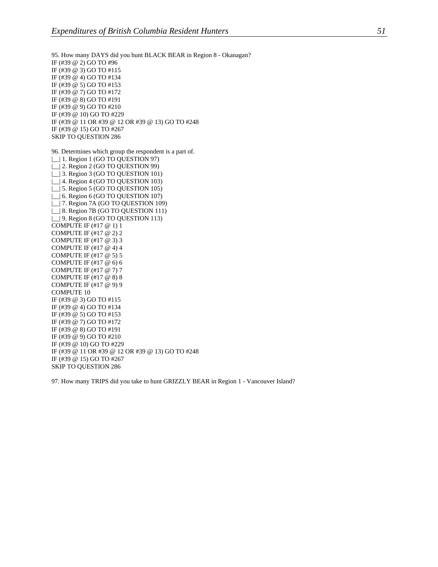95. How many DAYS did you hunt BLACK BEAR in Region 8 - Okanagan? IF (#39 @ 2) GO TO #96 IF (#39 @ 3) GO TO #115 IF (#39 @ 4) GO TO #134 IF (#39 @ 5) GO TO #153 IF (#39 @ 7) GO TO #172 IF (#39 @ 8) GO TO #191 IF (#39 @ 9) GO TO #210 IF (#39 @ 10) GO TO #229 IF (#39 @ 11 OR #39 @ 12 OR #39 @ 13) GO TO #248 IF (#39 @ 15) GO TO #267 SKIP TO QUESTION 286 96. Determines which group the respondent is a part of. |\_\_| 1. Region 1 (GO TO QUESTION 97) | | 2. Region 2 (GO TO QUESTION 99) | 3. Region 3 (GO TO QUESTION 101) |\_\_| 4. Region 4 (GO TO QUESTION 103) |  $\Box$ | 5. Region 5 (GO TO QUESTION 105) |\_\_| 6. Region 6 (GO TO QUESTION 107) |\_\_| 7. Region 7A (GO TO QUESTION 109) |\_\_| 8. Region 7B (GO TO QUESTION 111) | | 9. Region 8 (GO TO QUESTION 113) COMPUTE IF (#17 @ 1) 1 COMPUTE IF (#17 @ 2) 2 COMPUTE IF (#17 @ 3) 3 COMPUTE IF (#17 @ 4) 4 COMPUTE IF (#17 @ 5) 5 COMPUTE IF (#17 @ 6) 6 COMPUTE IF (#17 @ 7) 7 COMPUTE IF (#17 @ 8) 8 COMPUTE IF (#17 @ 9) 9 COMPUTE 10 IF (#39 @ 3) GO TO #115 IF (#39 @ 4) GO TO #134 IF (#39 @ 5) GO TO #153 IF (#39 @ 7) GO TO #172 IF (#39 @ 8) GO TO #191 IF (#39 @ 9) GO TO #210 IF (#39 @ 10) GO TO #229 IF (#39 @ 11 OR #39 @ 12 OR #39 @ 13) GO TO #248 IF (#39 @ 15) GO TO #267 SKIP TO QUESTION 286

97. How many TRIPS did you take to hunt GRIZZLY BEAR in Region 1 - Vancouver Island?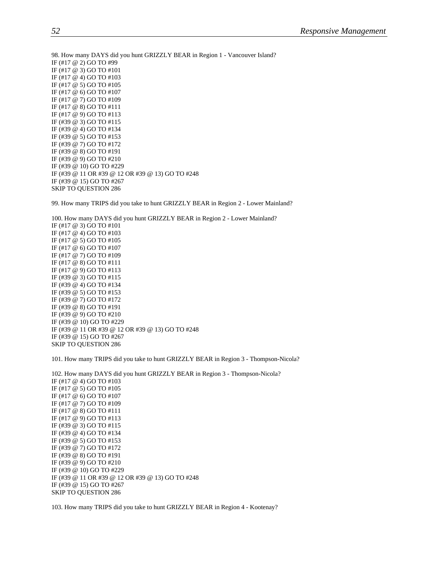98. How many DAYS did you hunt GRIZZLY BEAR in Region 1 - Vancouver Island? IF (#17 @ 2) GO TO #99 IF (#17 @ 3) GO TO #101 IF (#17 @ 4) GO TO #103 IF (#17 @ 5) GO TO #105 IF (#17 @ 6) GO TO #107 IF (#17 @ 7) GO TO #109 IF (#17 @ 8) GO TO #111 IF (#17 @ 9) GO TO #113 IF (#39 @ 3) GO TO #115 IF (#39 @ 4) GO TO #134 IF (#39 @ 5) GO TO #153 IF (#39 @ 7) GO TO #172 IF (#39 @ 8) GO TO #191 IF (#39 @ 9) GO TO #210 IF (#39 @ 10) GO TO #229 IF (#39 @ 11 OR #39 @ 12 OR #39 @ 13) GO TO #248 IF (#39 @ 15) GO TO #267 SKIP TO QUESTION 286

99. How many TRIPS did you take to hunt GRIZZLY BEAR in Region 2 - Lower Mainland?

100. How many DAYS did you hunt GRIZZLY BEAR in Region 2 - Lower Mainland? IF (#17 @ 3) GO TO #101 IF (#17 @ 4) GO TO #103 IF (#17 @ 5) GO TO #105 IF (#17 @ 6) GO TO #107 IF (#17 @ 7) GO TO #109 IF (#17 @ 8) GO TO #111 IF (#17 @ 9) GO TO #113 IF (#39 @ 3) GO TO #115 IF (#39 @ 4) GO TO #134 IF (#39 @ 5) GO TO #153 IF (#39 @ 7) GO TO #172 IF (#39 @ 8) GO TO #191 IF (#39 @ 9) GO TO #210 IF (#39 @ 10) GO TO #229 IF (#39 @ 11 OR #39 @ 12 OR #39 @ 13) GO TO #248 IF (#39 @ 15) GO TO #267 SKIP TO QUESTION 286

101. How many TRIPS did you take to hunt GRIZZLY BEAR in Region 3 - Thompson-Nicola?

102. How many DAYS did you hunt GRIZZLY BEAR in Region 3 - Thompson-Nicola? IF (#17 @ 4) GO TO #103 IF (#17 @ 5) GO TO #105 IF (#17 @ 6) GO TO #107 IF (#17 @ 7) GO TO #109 IF (#17 @ 8) GO TO #111 IF (#17 @ 9) GO TO #113 IF (#39 @ 3) GO TO #115 IF (#39 @ 4) GO TO #134 IF (#39 @ 5) GO TO #153 IF (#39 @ 7) GO TO #172 IF (#39 @ 8) GO TO #191 IF (#39 @ 9) GO TO #210 IF (#39 @ 10) GO TO #229 IF (#39 @ 11 OR #39 @ 12 OR #39 @ 13) GO TO #248 IF (#39 @ 15) GO TO #267 SKIP TO QUESTION 286

103. How many TRIPS did you take to hunt GRIZZLY BEAR in Region 4 - Kootenay?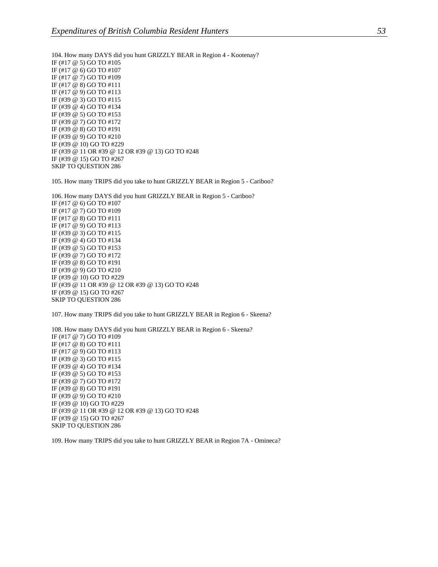104. How many DAYS did you hunt GRIZZLY BEAR in Region 4 - Kootenay? IF (#17 @ 5) GO TO #105 IF (#17 @ 6) GO TO #107 IF (#17 @ 7) GO TO #109 IF (#17 @ 8) GO TO #111 IF (#17 @ 9) GO TO #113 IF (#39 @ 3) GO TO #115 IF (#39 @ 4) GO TO #134 IF (#39 @ 5) GO TO #153 IF (#39 @ 7) GO TO #172 IF (#39 @ 8) GO TO #191 IF (#39 @ 9) GO TO #210 IF (#39 @ 10) GO TO #229 IF (#39 @ 11 OR #39 @ 12 OR #39 @ 13) GO TO #248 IF (#39 @ 15) GO TO #267 SKIP TO QUESTION 286

105. How many TRIPS did you take to hunt GRIZZLY BEAR in Region 5 - Cariboo?

106. How many DAYS did you hunt GRIZZLY BEAR in Region 5 - Cariboo? IF (#17 @ 6) GO TO #107 IF (#17 @ 7) GO TO #109 IF (#17 @ 8) GO TO #111 IF (#17 @ 9) GO TO #113 IF (#39 @ 3) GO TO #115 IF (#39 @ 4) GO TO #134 IF (#39 @ 5) GO TO #153 IF (#39 @ 7) GO TO #172 IF (#39 @ 8) GO TO #191 IF (#39 @ 9) GO TO #210 IF (#39 @ 10) GO TO #229 IF (#39 @ 11 OR #39 @ 12 OR #39 @ 13) GO TO #248 IF (#39 @ 15) GO TO #267 SKIP TO QUESTION 286

107. How many TRIPS did you take to hunt GRIZZLY BEAR in Region 6 - Skeena?

108. How many DAYS did you hunt GRIZZLY BEAR in Region 6 - Skeena? IF (#17 @ 7) GO TO #109 IF (#17 @ 8) GO TO #111 IF (#17 @ 9) GO TO #113 IF (#39 @ 3) GO TO #115 IF (#39 @ 4) GO TO #134 IF (#39 @ 5) GO TO #153 IF (#39 @ 7) GO TO #172 IF (#39 @ 8) GO TO #191 IF (#39 @ 9) GO TO #210 IF (#39 @ 10) GO TO #229 IF (#39 @ 11 OR #39 @ 12 OR #39 @ 13) GO TO #248 IF (#39 @ 15) GO TO #267 SKIP TO QUESTION 286

109. How many TRIPS did you take to hunt GRIZZLY BEAR in Region 7A - Omineca?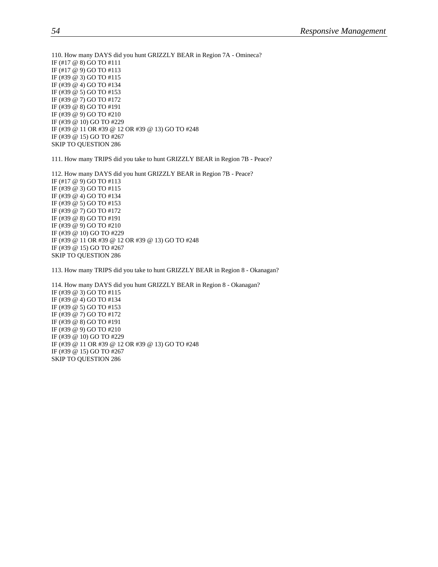110. How many DAYS did you hunt GRIZZLY BEAR in Region 7A - Omineca? IF (#17 @ 8) GO TO #111 IF (#17 @ 9) GO TO #113 IF (#39 @ 3) GO TO #115 IF (#39 @ 4) GO TO #134 IF (#39 @ 5) GO TO #153 IF (#39 @ 7) GO TO #172 IF (#39 @ 8) GO TO #191 IF (#39 @ 9) GO TO #210 IF (#39 @ 10) GO TO #229 IF (#39 @ 11 OR #39 @ 12 OR #39 @ 13) GO TO #248 IF (#39 @ 15) GO TO #267 SKIP TO QUESTION 286

111. How many TRIPS did you take to hunt GRIZZLY BEAR in Region 7B - Peace?

112. How many DAYS did you hunt GRIZZLY BEAR in Region 7B - Peace? IF (#17 @ 9) GO TO #113 IF (#39 @ 3) GO TO #115 IF (#39 @ 4) GO TO #134 IF (#39 @ 5) GO TO #153 IF (#39 @ 7) GO TO #172 IF (#39 @ 8) GO TO #191 IF (#39 @ 9) GO TO #210 IF (#39 @ 10) GO TO #229 IF (#39 @ 11 OR #39 @ 12 OR #39 @ 13) GO TO #248 IF (#39 @ 15) GO TO #267 SKIP TO QUESTION 286

113. How many TRIPS did you take to hunt GRIZZLY BEAR in Region 8 - Okanagan?

114. How many DAYS did you hunt GRIZZLY BEAR in Region 8 - Okanagan? IF (#39 @ 3) GO TO #115 IF (#39 @ 4) GO TO #134 IF (#39 @ 5) GO TO #153 IF (#39 @ 7) GO TO #172 IF (#39 @ 8) GO TO #191 IF (#39 @ 9) GO TO #210 IF (#39 @ 10) GO TO #229 IF (#39 @ 11 OR #39 @ 12 OR #39 @ 13) GO TO #248 IF (#39 @ 15) GO TO #267 SKIP TO QUESTION 286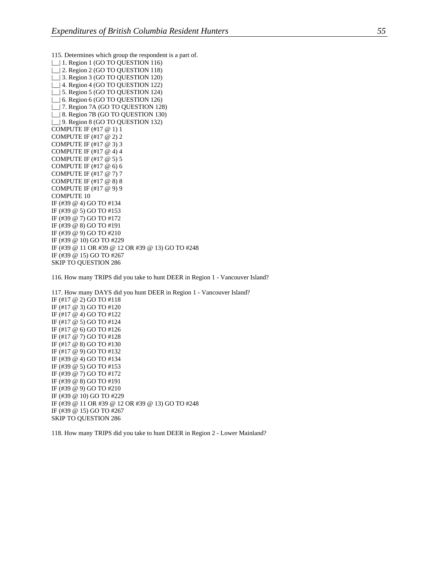115. Determines which group the respondent is a part of. | | | 1. Region 1 (GO TO QUESTION 116) | | 2. Region 2 (GO TO QUESTION 118) |\_\_| 3. Region 3 (GO TO QUESTION 120) | | 4. Region 4 (GO TO QUESTION 122) | 5. Region 5 (GO TO QUESTION 124) | 6. Region 6 (GO TO QUESTION 126) |\_\_| 7. Region 7A (GO TO QUESTION 128) | | 8. Region 7B (GO TO QUESTION 130) |\_\_| 9. Region 8 (GO TO QUESTION 132) COMPUTE IF (#17 @ 1) 1 COMPUTE IF (#17 @ 2) 2 COMPUTE IF (#17 @ 3) 3 COMPUTE IF (#17 @ 4) 4 COMPUTE IF (#17 @ 5) 5 COMPUTE IF (#17 @ 6) 6 COMPUTE IF (#17 @ 7) 7 COMPUTE IF (#17 @ 8) 8 COMPUTE IF (#17 @ 9) 9 COMPUTE 10 IF (#39 @ 4) GO TO #134 IF (#39 @ 5) GO TO #153 IF (#39 @ 7) GO TO #172 IF (#39 @ 8) GO TO #191 IF (#39 @ 9) GO TO #210 IF (#39 @ 10) GO TO #229 IF (#39 @ 11 OR #39 @ 12 OR #39 @ 13) GO TO #248 IF (#39 @ 15) GO TO #267 SKIP TO QUESTION 286

116. How many TRIPS did you take to hunt DEER in Region 1 - Vancouver Island?

117. How many DAYS did you hunt DEER in Region 1 - Vancouver Island? IF (#17 @ 2) GO TO #118 IF (#17 @ 3) GO TO #120 IF (#17 @ 4) GO TO #122 IF (#17 @ 5) GO TO #124 IF (#17 @ 6) GO TO #126 IF (#17 @ 7) GO TO #128 IF (#17 @ 8) GO TO #130 IF (#17 @ 9) GO TO #132 IF (#39 @ 4) GO TO #134 IF (#39 @ 5) GO TO #153 IF (#39 @ 7) GO TO #172 IF (#39 @ 8) GO TO #191 IF (#39 @ 9) GO TO #210 IF (#39 @ 10) GO TO #229 IF (#39 @ 11 OR #39 @ 12 OR #39 @ 13) GO TO #248 IF (#39 @ 15) GO TO #267 SKIP TO QUESTION 286

118. How many TRIPS did you take to hunt DEER in Region 2 - Lower Mainland?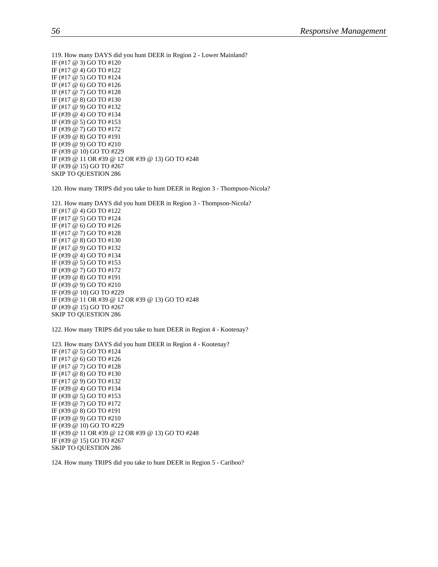119. How many DAYS did you hunt DEER in Region 2 - Lower Mainland? IF (#17 @ 3) GO TO #120 IF (#17 @ 4) GO TO #122 IF (#17 @ 5) GO TO #124 IF (#17 @ 6) GO TO #126 IF (#17 @ 7) GO TO #128 IF (#17 @ 8) GO TO #130 IF (#17 @ 9) GO TO #132 IF (#39 @ 4) GO TO #134 IF (#39 @ 5) GO TO #153 IF (#39 @ 7) GO TO #172 IF (#39 @ 8) GO TO #191 IF (#39 @ 9) GO TO #210 IF (#39 @ 10) GO TO #229 IF (#39 @ 11 OR #39 @ 12 OR #39 @ 13) GO TO #248 IF (#39 @ 15) GO TO #267 SKIP TO QUESTION 286

120. How many TRIPS did you take to hunt DEER in Region 3 - Thompson-Nicola?

121. How many DAYS did you hunt DEER in Region 3 - Thompson-Nicola? IF (#17 @ 4) GO TO #122 IF (#17 @ 5) GO TO #124 IF (#17 @ 6) GO TO #126 IF (#17 @ 7) GO TO #128 IF (#17 @ 8) GO TO #130 IF (#17 @ 9) GO TO #132 IF (#39 @ 4) GO TO #134 IF (#39 @ 5) GO TO #153 IF (#39 @ 7) GO TO #172 IF (#39 @ 8) GO TO #191 IF (#39 @ 9) GO TO #210 IF (#39 @ 10) GO TO #229 IF (#39 @ 11 OR #39 @ 12 OR #39 @ 13) GO TO #248 IF (#39 @ 15) GO TO #267 SKIP TO QUESTION 286

122. How many TRIPS did you take to hunt DEER in Region 4 - Kootenay?

123. How many DAYS did you hunt DEER in Region 4 - Kootenay? IF (#17 @ 5) GO TO #124 IF (#17 @ 6) GO TO #126 IF (#17 @ 7) GO TO #128 IF (#17 @ 8) GO TO #130 IF (#17 @ 9) GO TO #132 IF (#39 @ 4) GO TO #134 IF (#39 @ 5) GO TO #153 IF (#39 @ 7) GO TO #172 IF (#39 @ 8) GO TO #191 IF (#39 @ 9) GO TO #210 IF (#39 @ 10) GO TO #229 IF (#39 @ 11 OR #39 @ 12 OR #39 @ 13) GO TO #248 IF (#39 @ 15) GO TO #267 SKIP TO QUESTION 286

124. How many TRIPS did you take to hunt DEER in Region 5 - Cariboo?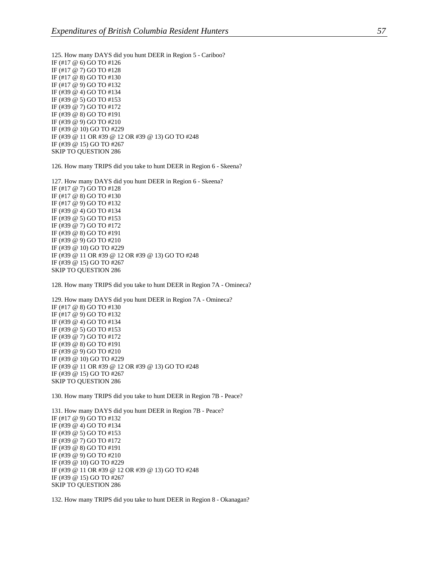125. How many DAYS did you hunt DEER in Region 5 - Cariboo? IF (#17 @ 6) GO TO #126 IF (#17 @ 7) GO TO #128 IF (#17 @ 8) GO TO #130 IF (#17 @ 9) GO TO #132 IF (#39 @ 4) GO TO #134 IF (#39 @ 5) GO TO #153 IF (#39 @ 7) GO TO #172 IF (#39 @ 8) GO TO #191 IF (#39 @ 9) GO TO #210 IF (#39 @ 10) GO TO #229 IF (#39 @ 11 OR #39 @ 12 OR #39 @ 13) GO TO #248 IF (#39 @ 15) GO TO #267 SKIP TO QUESTION 286

126. How many TRIPS did you take to hunt DEER in Region 6 - Skeena?

127. How many DAYS did you hunt DEER in Region 6 - Skeena? IF (#17 @ 7) GO TO #128 IF (#17 @ 8) GO TO #130 IF (#17 @ 9) GO TO #132 IF (#39 @ 4) GO TO #134 IF (#39 @ 5) GO TO #153 IF (#39 @ 7) GO TO #172 IF (#39 @ 8) GO TO #191 IF (#39 @ 9) GO TO #210 IF (#39 @ 10) GO TO #229 IF (#39 @ 11 OR #39 @ 12 OR #39 @ 13) GO TO #248 IF (#39 @ 15) GO TO #267 SKIP TO QUESTION 286

128. How many TRIPS did you take to hunt DEER in Region 7A - Omineca?

129. How many DAYS did you hunt DEER in Region 7A - Omineca? IF (#17 @ 8) GO TO #130 IF (#17 @ 9) GO TO #132 IF (#39 @ 4) GO TO #134 IF (#39 @ 5) GO TO #153 IF (#39 @ 7) GO TO #172 IF (#39 @ 8) GO TO #191 IF (#39 @ 9) GO TO #210 IF (#39 @ 10) GO TO #229 IF (#39 @ 11 OR #39 @ 12 OR #39 @ 13) GO TO #248 IF (#39 @ 15) GO TO #267 SKIP TO QUESTION 286

130. How many TRIPS did you take to hunt DEER in Region 7B - Peace?

131. How many DAYS did you hunt DEER in Region 7B - Peace? IF (#17 @ 9) GO TO #132 IF (#39 @ 4) GO TO #134 IF (#39 @ 5) GO TO #153 IF (#39 @ 7) GO TO #172 IF (#39 @ 8) GO TO #191 IF (#39 @ 9) GO TO #210 IF (#39 @ 10) GO TO #229 IF (#39 @ 11 OR #39 @ 12 OR #39 @ 13) GO TO #248 IF (#39 @ 15) GO TO #267 SKIP TO QUESTION 286

132. How many TRIPS did you take to hunt DEER in Region 8 - Okanagan?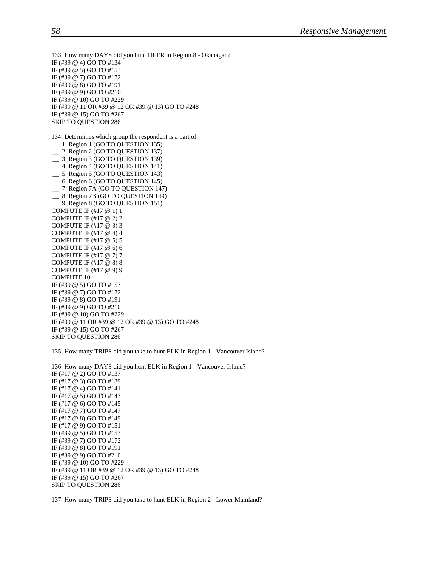133. How many DAYS did you hunt DEER in Region 8 - Okanagan? IF (#39 @ 4) GO TO #134 IF (#39 @ 5) GO TO #153 IF (#39 @ 7) GO TO #172 IF (#39 @ 8) GO TO #191 IF (#39 @ 9) GO TO #210 IF (#39 @ 10) GO TO #229 IF (#39 @ 11 OR #39 @ 12 OR #39 @ 13) GO TO #248 IF (#39 @ 15) GO TO #267 SKIP TO QUESTION 286 134. Determines which group the respondent is a part of. | | | 1. Region 1 (GO TO QUESTION 135) | | 2. Region 2 (GO TO QUESTION 137) |\_\_| 3. Region 3 (GO TO QUESTION 139) | | 4. Region 4 (GO TO QUESTION 141) | | 5. Region 5 (GO TO QUESTION 143) | 6. Region 6 (GO TO QUESTION 145) |\_\_| 7. Region 7A (GO TO QUESTION 147) | | 8. Region 7B (GO TO QUESTION 149) | | 9. Region 8 (GO TO QUESTION 151) COMPUTE IF (#17 @ 1) 1 COMPUTE IF (#17 @ 2) 2 COMPUTE IF (#17 @ 3) 3 COMPUTE IF (#17 @ 4) 4 COMPUTE IF (#17 @ 5) 5 COMPUTE IF (#17 @ 6) 6 COMPUTE IF (#17 @ 7) 7 COMPUTE IF (#17 @ 8) 8 COMPUTE IF (#17 @ 9) 9 COMPUTE 10 IF (#39 @ 5) GO TO #153 IF (#39 @ 7) GO TO #172 IF (#39 @ 8) GO TO #191 IF (#39 @ 9) GO TO #210 IF (#39 @ 10) GO TO #229 IF (#39 @ 11 OR #39 @ 12 OR #39 @ 13) GO TO #248 IF (#39 @ 15) GO TO #267 SKIP TO QUESTION 286

135. How many TRIPS did you take to hunt ELK in Region 1 - Vancouver Island?

136. How many DAYS did you hunt ELK in Region 1 - Vancouver Island? IF (#17 @ 2) GO TO #137 IF (#17 @ 3) GO TO #139 IF (#17 @ 4) GO TO #141 IF (#17 @ 5) GO TO #143 IF (#17 @ 6) GO TO #145 IF (#17 @ 7) GO TO #147 IF (#17 @ 8) GO TO #149 IF (#17 @ 9) GO TO #151 IF (#39 @ 5) GO TO #153 IF (#39 @ 7) GO TO #172 IF (#39 @ 8) GO TO #191 IF (#39 @ 9) GO TO #210 IF (#39 @ 10) GO TO #229 IF (#39 @ 11 OR #39 @ 12 OR #39 @ 13) GO TO #248 IF (#39 @ 15) GO TO #267 SKIP TO QUESTION 286

137. How many TRIPS did you take to hunt ELK in Region 2 - Lower Mainland?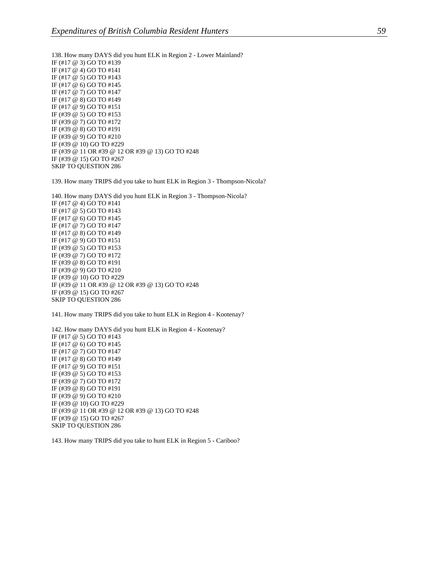138. How many DAYS did you hunt ELK in Region 2 - Lower Mainland? IF (#17 @ 3) GO TO #139 IF (#17 @ 4) GO TO #141 IF (#17 @ 5) GO TO #143 IF (#17 @ 6) GO TO #145 IF (#17 @ 7) GO TO #147 IF (#17 @ 8) GO TO #149 IF (#17 @ 9) GO TO #151 IF (#39 @ 5) GO TO #153 IF (#39 @ 7) GO TO #172 IF (#39 @ 8) GO TO #191 IF (#39 @ 9) GO TO #210 IF (#39 @ 10) GO TO #229 IF (#39 @ 11 OR #39 @ 12 OR #39 @ 13) GO TO #248 IF (#39 @ 15) GO TO #267 SKIP TO QUESTION 286

139. How many TRIPS did you take to hunt ELK in Region 3 - Thompson-Nicola?

140. How many DAYS did you hunt ELK in Region 3 - Thompson-Nicola? IF (#17 @ 4) GO TO #141 IF (#17 @ 5) GO TO #143 IF (#17 @ 6) GO TO #145 IF (#17 @ 7) GO TO #147 IF (#17 @ 8) GO TO #149 IF (#17 @ 9) GO TO #151 IF (#39 @ 5) GO TO #153 IF (#39 @ 7) GO TO #172 IF (#39 @ 8) GO TO #191 IF (#39 @ 9) GO TO #210 IF (#39 @ 10) GO TO #229 IF (#39 @ 11 OR #39 @ 12 OR #39 @ 13) GO TO #248 IF (#39 @ 15) GO TO #267 SKIP TO QUESTION 286

141. How many TRIPS did you take to hunt ELK in Region 4 - Kootenay?

142. How many DAYS did you hunt ELK in Region 4 - Kootenay? IF (#17 @ 5) GO TO #143 IF (#17 @ 6) GO TO #145 IF (#17 @ 7) GO TO #147 IF (#17 @ 8) GO TO #149 IF (#17 @ 9) GO TO #151 IF (#39 @ 5) GO TO #153 IF (#39 @ 7) GO TO #172 IF (#39 @ 8) GO TO #191 IF (#39 @ 9) GO TO #210 IF (#39 @ 10) GO TO #229 IF (#39 @ 11 OR #39 @ 12 OR #39 @ 13) GO TO #248 IF (#39 @ 15) GO TO #267 SKIP TO QUESTION 286

143. How many TRIPS did you take to hunt ELK in Region 5 - Cariboo?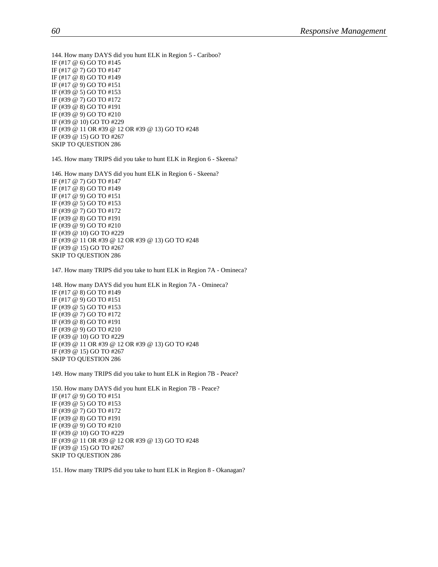144. How many DAYS did you hunt ELK in Region 5 - Cariboo? IF (#17 @ 6) GO TO #145 IF (#17 @ 7) GO TO #147 IF (#17 @ 8) GO TO #149 IF (#17 @ 9) GO TO #151 IF (#39 @ 5) GO TO #153 IF (#39 @ 7) GO TO #172 IF (#39 @ 8) GO TO #191 IF (#39 @ 9) GO TO #210 IF (#39 @ 10) GO TO #229 IF (#39 @ 11 OR #39 @ 12 OR #39 @ 13) GO TO #248 IF (#39 @ 15) GO TO #267 SKIP TO QUESTION 286

145. How many TRIPS did you take to hunt ELK in Region 6 - Skeena?

146. How many DAYS did you hunt ELK in Region 6 - Skeena? IF (#17 @ 7) GO TO #147 IF (#17 @ 8) GO TO #149 IF (#17 @ 9) GO TO #151 IF (#39 @ 5) GO TO #153 IF (#39 @ 7) GO TO #172 IF (#39 @ 8) GO TO #191 IF (#39 @ 9) GO TO #210 IF (#39 @ 10) GO TO #229 IF (#39 @ 11 OR #39 @ 12 OR #39 @ 13) GO TO #248 IF (#39 @ 15) GO TO #267 SKIP TO QUESTION 286

147. How many TRIPS did you take to hunt ELK in Region 7A - Omineca?

148. How many DAYS did you hunt ELK in Region 7A - Omineca? IF (#17 @ 8) GO TO #149 IF (#17 @ 9) GO TO #151 IF (#39 @ 5) GO TO #153 IF (#39 @ 7) GO TO #172 IF (#39 @ 8) GO TO #191 IF (#39 @ 9) GO TO #210 IF (#39 @ 10) GO TO #229 IF (#39 @ 11 OR #39 @ 12 OR #39 @ 13) GO TO #248 IF (#39 @ 15) GO TO #267 SKIP TO QUESTION 286

149. How many TRIPS did you take to hunt ELK in Region 7B - Peace?

150. How many DAYS did you hunt ELK in Region 7B - Peace? IF (#17 @ 9) GO TO #151 IF (#39 @ 5) GO TO #153 IF (#39 @ 7) GO TO #172 IF (#39 @ 8) GO TO #191 IF (#39 @ 9) GO TO #210 IF (#39 @ 10) GO TO #229 IF (#39 @ 11 OR #39 @ 12 OR #39 @ 13) GO TO #248 IF (#39 @ 15) GO TO #267 SKIP TO QUESTION 286

151. How many TRIPS did you take to hunt ELK in Region 8 - Okanagan?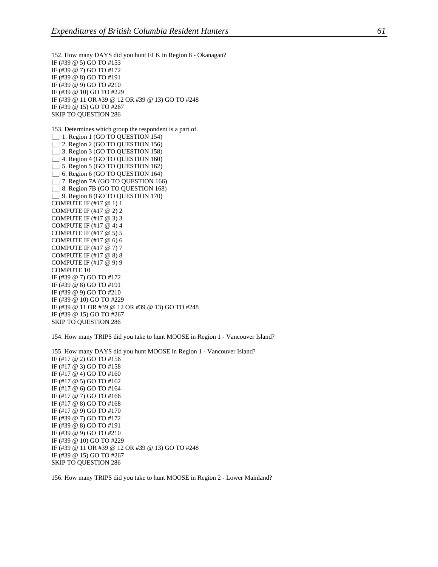152. How many DAYS did you hunt ELK in Region 8 - Okanagan? IF (#39 @ 5) GO TO #153 IF (#39 @ 7) GO TO #172 IF (#39 @ 8) GO TO #191 IF (#39 @ 9) GO TO #210 IF (#39 @ 10) GO TO #229 IF (#39 @ 11 OR #39 @ 12 OR #39 @ 13) GO TO #248 IF (#39 @ 15) GO TO #267 SKIP TO QUESTION 286 153. Determines which group the respondent is a part of. | | | 1. Region 1 (GO TO QUESTION 154) | | 2. Region 2 (GO TO QUESTION 156) |\_\_| 3. Region 3 (GO TO QUESTION 158) | | 4. Region 4 (GO TO QUESTION 160) | 5. Region 5 (GO TO QUESTION 162) | 6. Region 6 (GO TO QUESTION 164) |\_\_| 7. Region 7A (GO TO QUESTION 166) | | 8. Region 7B (GO TO QUESTION 168) |\_\_| 9. Region 8 (GO TO QUESTION 170) COMPUTE IF (#17 @ 1) 1 COMPUTE IF (#17 @ 2) 2 COMPUTE IF (#17 @ 3) 3 COMPUTE IF (#17 @ 4) 4 COMPUTE IF (#17 @ 5) 5 COMPUTE IF (#17 @ 6) 6 COMPUTE IF (#17 @ 7) 7 COMPUTE IF (#17 @ 8) 8 COMPUTE IF (#17 @ 9) 9 COMPUTE 10 IF (#39 @ 7) GO TO #172 IF (#39 @ 8) GO TO #191 IF (#39 @ 9) GO TO #210 IF (#39 @ 10) GO TO #229 IF (#39 @ 11 OR #39 @ 12 OR #39 @ 13) GO TO #248 IF (#39 @ 15) GO TO #267 SKIP TO QUESTION 286

154. How many TRIPS did you take to hunt MOOSE in Region 1 - Vancouver Island?

155. How many DAYS did you hunt MOOSE in Region 1 - Vancouver Island? IF (#17 @ 2) GO TO #156 IF (#17 @ 3) GO TO #158 IF (#17 @ 4) GO TO #160 IF (#17 @ 5) GO TO #162 IF (#17 @ 6) GO TO #164 IF (#17 @ 7) GO TO #166 IF (#17 @ 8) GO TO #168 IF (#17 @ 9) GO TO #170 IF (#39 @ 7) GO TO #172 IF (#39 @ 8) GO TO #191 IF (#39 @ 9) GO TO #210 IF (#39 @ 10) GO TO #229 IF (#39 @ 11 OR #39 @ 12 OR #39 @ 13) GO TO #248 IF (#39 @ 15) GO TO #267 SKIP TO QUESTION 286

156. How many TRIPS did you take to hunt MOOSE in Region 2 - Lower Mainland?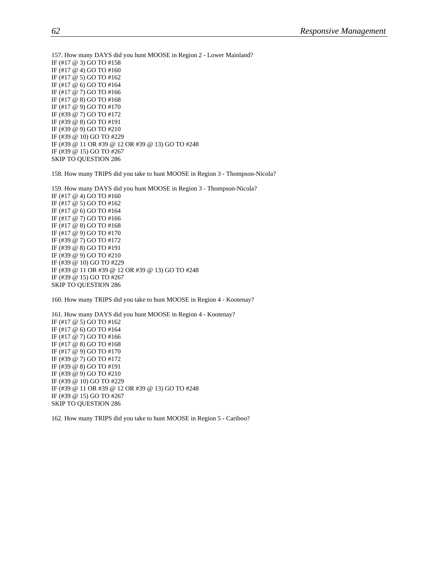157. How many DAYS did you hunt MOOSE in Region 2 - Lower Mainland? IF (#17 @ 3) GO TO #158 IF (#17 @ 4) GO TO #160 IF (#17 @ 5) GO TO #162 IF (#17 @ 6) GO TO #164 IF (#17 @ 7) GO TO #166 IF (#17 @ 8) GO TO #168 IF (#17 @ 9) GO TO #170 IF (#39 @ 7) GO TO #172 IF (#39 @ 8) GO TO #191 IF (#39 @ 9) GO TO #210 IF (#39 @ 10) GO TO #229 IF (#39 @ 11 OR #39 @ 12 OR #39 @ 13) GO TO #248 IF (#39 @ 15) GO TO #267 SKIP TO QUESTION 286

158. How many TRIPS did you take to hunt MOOSE in Region 3 - Thompson-Nicola?

159. How many DAYS did you hunt MOOSE in Region 3 - Thompson-Nicola? IF (#17 @ 4) GO TO #160 IF (#17 @ 5) GO TO #162 IF (#17 @ 6) GO TO #164 IF (#17 @ 7) GO TO #166 IF (#17 @ 8) GO TO #168 IF (#17 @ 9) GO TO #170 IF (#39 @ 7) GO TO #172 IF (#39 @ 8) GO TO #191 IF (#39 @ 9) GO TO #210 IF (#39 @ 10) GO TO #229 IF (#39 @ 11 OR #39 @ 12 OR #39 @ 13) GO TO #248 IF (#39 @ 15) GO TO #267 SKIP TO QUESTION 286

160. How many TRIPS did you take to hunt MOOSE in Region 4 - Kootenay?

161. How many DAYS did you hunt MOOSE in Region 4 - Kootenay? IF (#17 @ 5) GO TO #162 IF (#17 @ 6) GO TO #164 IF (#17 @ 7) GO TO #166 IF (#17 @ 8) GO TO #168 IF (#17 @ 9) GO TO #170 IF (#39 @ 7) GO TO #172 IF (#39 @ 8) GO TO #191 IF (#39 @ 9) GO TO #210 IF (#39 @ 10) GO TO #229 IF (#39 @ 11 OR #39 @ 12 OR #39 @ 13) GO TO #248 IF (#39 @ 15) GO TO #267 SKIP TO QUESTION 286

162. How many TRIPS did you take to hunt MOOSE in Region 5 - Cariboo?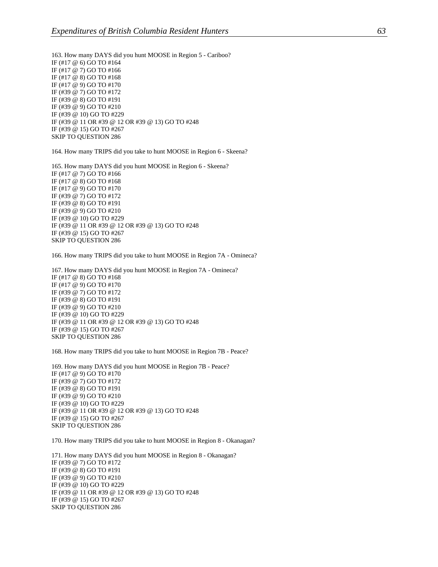163. How many DAYS did you hunt MOOSE in Region 5 - Cariboo? IF (#17 @ 6) GO TO #164 IF (#17 @ 7) GO TO #166 IF (#17 @ 8) GO TO #168 IF (#17 @ 9) GO TO #170 IF (#39 @ 7) GO TO #172 IF (#39 @ 8) GO TO #191 IF (#39 @ 9) GO TO #210 IF (#39 @ 10) GO TO #229 IF (#39 @ 11 OR #39 @ 12 OR #39 @ 13) GO TO #248 IF (#39 @ 15) GO TO #267 SKIP TO QUESTION 286

164. How many TRIPS did you take to hunt MOOSE in Region 6 - Skeena?

165. How many DAYS did you hunt MOOSE in Region 6 - Skeena? IF (#17 @ 7) GO TO #166 IF (#17 @ 8) GO TO #168 IF (#17 @ 9) GO TO #170 IF (#39 @ 7) GO TO #172 IF (#39 @ 8) GO TO #191 IF (#39 @ 9) GO TO #210 IF (#39 @ 10) GO TO #229 IF (#39 @ 11 OR #39 @ 12 OR #39 @ 13) GO TO #248 IF (#39 @ 15) GO TO #267 SKIP TO QUESTION 286

166. How many TRIPS did you take to hunt MOOSE in Region 7A - Omineca?

167. How many DAYS did you hunt MOOSE in Region 7A - Omineca? IF (#17 @ 8) GO TO #168 IF (#17 @ 9) GO TO #170 IF (#39 @ 7) GO TO #172 IF (#39 @ 8) GO TO #191 IF (#39 @ 9) GO TO #210 IF (#39 @ 10) GO TO #229 IF (#39 @ 11 OR #39 @ 12 OR #39 @ 13) GO TO #248 IF (#39 @ 15) GO TO #267 SKIP TO QUESTION 286

168. How many TRIPS did you take to hunt MOOSE in Region 7B - Peace?

169. How many DAYS did you hunt MOOSE in Region 7B - Peace? IF (#17 @ 9) GO TO #170 IF (#39 @ 7) GO TO #172 IF (#39 @ 8) GO TO #191 IF (#39 @ 9) GO TO #210 IF (#39 @ 10) GO TO #229 IF (#39 @ 11 OR #39 @ 12 OR #39 @ 13) GO TO #248 IF (#39 @ 15) GO TO #267 SKIP TO QUESTION 286

170. How many TRIPS did you take to hunt MOOSE in Region 8 - Okanagan?

171. How many DAYS did you hunt MOOSE in Region 8 - Okanagan? IF (#39 @ 7) GO TO #172 IF (#39 @ 8) GO TO #191 IF (#39 @ 9) GO TO #210 IF (#39 @ 10) GO TO #229 IF (#39 @ 11 OR #39 @ 12 OR #39 @ 13) GO TO #248 IF (#39 @ 15) GO TO #267 SKIP TO QUESTION 286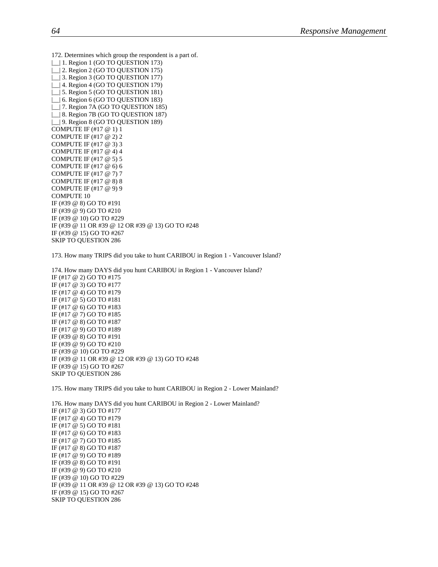172. Determines which group the respondent is a part of. | | 1. Region 1 (GO TO QUESTION 173) | | 2. Region 2 (GO TO QUESTION 175) | 3. Region 3 (GO TO QUESTION 177) | | 4. Region 4 (GO TO QUESTION 179) | 5. Region 5 (GO TO QUESTION 181) | 6. Region 6 (GO TO QUESTION 183) |\_\_| 7. Region 7A (GO TO QUESTION 185) | | 8. Region 7B (GO TO QUESTION 187) | | 9. Region 8 (GO TO QUESTION 189) COMPUTE IF (#17 @ 1) 1 COMPUTE IF (#17 @ 2) 2 COMPUTE IF (#17 @ 3) 3 COMPUTE IF (#17 @ 4) 4 COMPUTE IF (#17 @ 5) 5 COMPUTE IF (#17 @ 6) 6 COMPUTE IF (#17 @ 7) 7 COMPUTE IF (#17 @ 8) 8 COMPUTE IF (#17 @ 9) 9 COMPUTE 10 IF (#39 @ 8) GO TO #191 IF (#39 @ 9) GO TO #210 IF (#39 @ 10) GO TO #229 IF (#39 @ 11 OR #39 @ 12 OR #39 @ 13) GO TO #248 IF (#39 @ 15) GO TO #267 SKIP TO QUESTION 286

173. How many TRIPS did you take to hunt CARIBOU in Region 1 - Vancouver Island?

174. How many DAYS did you hunt CARIBOU in Region 1 - Vancouver Island? IF (#17 @ 2) GO TO #175 IF (#17 @ 3) GO TO #177 IF (#17 @ 4) GO TO #179 IF (#17 @ 5) GO TO #181 IF (#17 @ 6) GO TO #183 IF (#17 @ 7) GO TO #185 IF (#17 @ 8) GO TO #187 IF (#17 @ 9) GO TO #189 IF (#39 @ 8) GO TO #191 IF (#39 @ 9) GO TO #210 IF (#39 @ 10) GO TO #229 IF (#39 @ 11 OR #39 @ 12 OR #39 @ 13) GO TO #248 IF (#39 @ 15) GO TO #267 SKIP TO QUESTION 286

175. How many TRIPS did you take to hunt CARIBOU in Region 2 - Lower Mainland?

176. How many DAYS did you hunt CARIBOU in Region 2 - Lower Mainland? IF (#17 @ 3) GO TO #177 IF (#17 @ 4) GO TO #179 IF (#17 @ 5) GO TO #181 IF (#17 @ 6) GO TO #183 IF (#17 @ 7) GO TO #185 IF (#17 @ 8) GO TO #187 IF (#17 @ 9) GO TO #189 IF (#39 @ 8) GO TO #191 IF (#39 @ 9) GO TO #210 IF (#39 @ 10) GO TO #229 IF (#39 @ 11 OR #39 @ 12 OR #39 @ 13) GO TO #248 IF (#39 @ 15) GO TO #267 SKIP TO QUESTION 286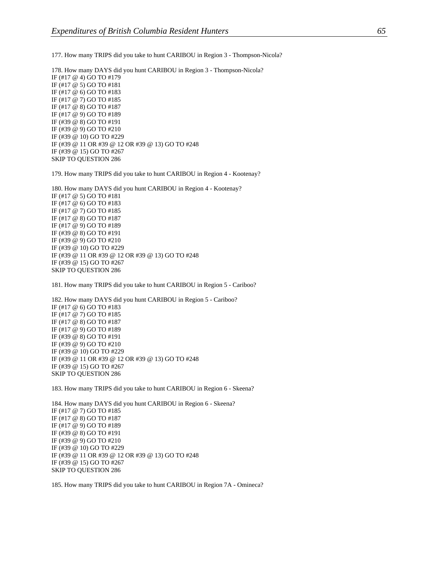177. How many TRIPS did you take to hunt CARIBOU in Region 3 - Thompson-Nicola?

178. How many DAYS did you hunt CARIBOU in Region 3 - Thompson-Nicola? IF (#17 @ 4) GO TO #179 IF (#17 @ 5) GO TO #181 IF (#17 @ 6) GO TO #183 IF (#17 @ 7) GO TO #185 IF (#17 @ 8) GO TO #187 IF (#17 @ 9) GO TO #189 IF (#39 @ 8) GO TO #191 IF (#39 @ 9) GO TO #210 IF (#39 @ 10) GO TO #229 IF (#39 @ 11 OR #39 @ 12 OR #39 @ 13) GO TO #248 IF (#39 @ 15) GO TO #267 SKIP TO QUESTION 286

179. How many TRIPS did you take to hunt CARIBOU in Region 4 - Kootenay?

180. How many DAYS did you hunt CARIBOU in Region 4 - Kootenay? IF (#17 @ 5) GO TO #181 IF (#17 @ 6) GO TO #183 IF (#17 @ 7) GO TO #185 IF (#17 @ 8) GO TO #187 IF (#17 @ 9) GO TO #189 IF (#39 @ 8) GO TO #191 IF (#39 @ 9) GO TO #210 IF (#39 @ 10) GO TO #229 IF (#39 @ 11 OR #39 @ 12 OR #39 @ 13) GO TO #248 IF (#39 @ 15) GO TO #267 SKIP TO QUESTION 286

181. How many TRIPS did you take to hunt CARIBOU in Region 5 - Cariboo?

182. How many DAYS did you hunt CARIBOU in Region 5 - Cariboo? IF (#17 @ 6) GO TO #183 IF (#17 @ 7) GO TO #185 IF (#17 @ 8) GO TO #187 IF (#17 @ 9) GO TO #189 IF (#39 @ 8) GO TO #191 IF (#39 @ 9) GO TO #210 IF (#39 @ 10) GO TO #229 IF (#39 @ 11 OR #39 @ 12 OR #39 @ 13) GO TO #248 IF (#39 @ 15) GO TO #267 SKIP TO QUESTION 286

183. How many TRIPS did you take to hunt CARIBOU in Region 6 - Skeena?

184. How many DAYS did you hunt CARIBOU in Region 6 - Skeena? IF (#17 @ 7) GO TO #185 IF (#17 @ 8) GO TO #187 IF (#17 @ 9) GO TO #189 IF (#39 @ 8) GO TO #191 IF (#39 @ 9) GO TO #210 IF (#39 @ 10) GO TO #229 IF (#39 @ 11 OR #39 @ 12 OR #39 @ 13) GO TO #248 IF (#39 @ 15) GO TO #267 SKIP TO QUESTION 286

185. How many TRIPS did you take to hunt CARIBOU in Region 7A - Omineca?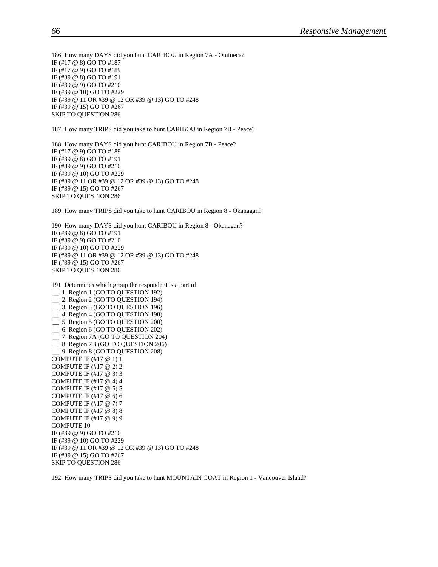186. How many DAYS did you hunt CARIBOU in Region 7A - Omineca? IF (#17 @ 8) GO TO #187 IF (#17 @ 9) GO TO #189 IF (#39 @ 8) GO TO #191 IF (#39 @ 9) GO TO #210 IF (#39 @ 10) GO TO #229 IF (#39 @ 11 OR #39 @ 12 OR #39 @ 13) GO TO #248 IF (#39 @ 15) GO TO #267 SKIP TO QUESTION 286 187. How many TRIPS did you take to hunt CARIBOU in Region 7B - Peace?

188. How many DAYS did you hunt CARIBOU in Region 7B - Peace? IF (#17 @ 9) GO TO #189 IF (#39 @ 8) GO TO #191 IF (#39 @ 9) GO TO #210 IF (#39 @ 10) GO TO #229 IF (#39 @ 11 OR #39 @ 12 OR #39 @ 13) GO TO #248 IF (#39 @ 15) GO TO #267 SKIP TO QUESTION 286

189. How many TRIPS did you take to hunt CARIBOU in Region 8 - Okanagan?

190. How many DAYS did you hunt CARIBOU in Region 8 - Okanagan? IF (#39 @ 8) GO TO #191 IF (#39 @ 9) GO TO #210 IF (#39 @ 10) GO TO #229 IF (#39 @ 11 OR #39 @ 12 OR #39 @ 13) GO TO #248 IF (#39 @ 15) GO TO #267 SKIP TO QUESTION 286

191. Determines which group the respondent is a part of. | | | 1. Region 1 (GO TO QUESTION 192) |\_\_| 2. Region 2 (GO TO QUESTION 194) | | 3. Region 3 (GO TO QUESTION 196) |\_\_| 4. Region 4 (GO TO QUESTION 198) |\_\_| 5. Region 5 (GO TO QUESTION 200) |\_\_| 6. Region 6 (GO TO QUESTION 202) |\_\_| 7. Region 7A (GO TO QUESTION 204) |\_\_| 8. Region 7B (GO TO QUESTION 206) | | 9. Region 8 (GO TO QUESTION 208) COMPUTE IF (#17 @ 1) 1 COMPUTE IF (#17 @ 2) 2 COMPUTE IF (#17 @ 3) 3 COMPUTE IF (#17 @ 4) 4 COMPUTE IF (#17 @ 5) 5 COMPUTE IF (#17 @ 6) 6 COMPUTE IF (#17 @ 7) 7 COMPUTE IF (#17 @ 8) 8 COMPUTE IF (#17 @ 9) 9 COMPUTE 10 IF (#39 @ 9) GO TO #210 IF (#39 @ 10) GO TO #229 IF (#39 @ 11 OR #39 @ 12 OR #39 @ 13) GO TO #248 IF (#39 @ 15) GO TO #267 SKIP TO QUESTION 286

192. How many TRIPS did you take to hunt MOUNTAIN GOAT in Region 1 - Vancouver Island?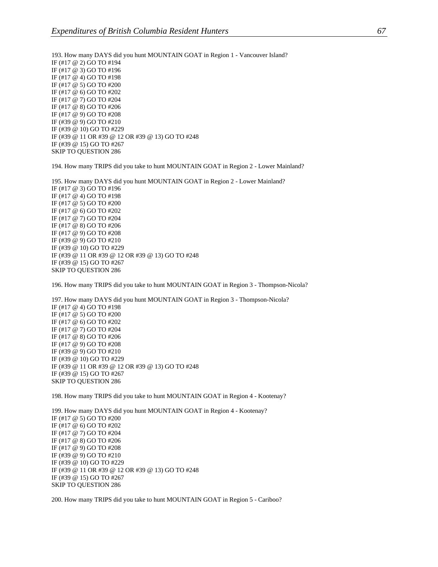193. How many DAYS did you hunt MOUNTAIN GOAT in Region 1 - Vancouver Island? IF (#17 @ 2) GO TO #194 IF (#17 @ 3) GO TO #196 IF (#17 @ 4) GO TO #198 IF (#17 @ 5) GO TO #200 IF (#17 @ 6) GO TO #202 IF (#17 @ 7) GO TO #204 IF (#17 @ 8) GO TO #206 IF (#17 @ 9) GO TO #208 IF (#39 @ 9) GO TO #210 IF (#39 @ 10) GO TO #229 IF (#39 @ 11 OR #39 @ 12 OR #39 @ 13) GO TO #248 IF (#39 @ 15) GO TO #267 SKIP TO QUESTION 286

194. How many TRIPS did you take to hunt MOUNTAIN GOAT in Region 2 - Lower Mainland?

195. How many DAYS did you hunt MOUNTAIN GOAT in Region 2 - Lower Mainland? IF (#17 @ 3) GO TO #196 IF (#17 @ 4) GO TO #198 IF (#17 @ 5) GO TO #200 IF (#17 @ 6) GO TO #202 IF (#17 @ 7) GO TO #204 IF (#17 @ 8) GO TO #206 IF (#17 @ 9) GO TO #208 IF (#39 @ 9) GO TO #210 IF (#39 @ 10) GO TO #229 IF (#39 @ 11 OR #39 @ 12 OR #39 @ 13) GO TO #248 IF (#39 @ 15) GO TO #267 SKIP TO QUESTION 286

196. How many TRIPS did you take to hunt MOUNTAIN GOAT in Region 3 - Thompson-Nicola?

197. How many DAYS did you hunt MOUNTAIN GOAT in Region 3 - Thompson-Nicola? IF (#17 @ 4) GO TO #198 IF (#17 @ 5) GO TO #200 IF (#17 @ 6) GO TO #202 IF (#17 @ 7) GO TO #204 IF (#17 @ 8) GO TO #206 IF (#17 @ 9) GO TO #208 IF (#39 @ 9) GO TO #210 IF (#39 @ 10) GO TO #229 IF (#39 @ 11 OR #39 @ 12 OR #39 @ 13) GO TO #248 IF (#39 @ 15) GO TO #267 SKIP TO QUESTION 286

198. How many TRIPS did you take to hunt MOUNTAIN GOAT in Region 4 - Kootenay?

199. How many DAYS did you hunt MOUNTAIN GOAT in Region 4 - Kootenay? IF (#17 @ 5) GO TO #200 IF (#17 @ 6) GO TO #202 IF (#17 @ 7) GO TO #204 IF (#17 @ 8) GO TO #206 IF (#17 @ 9) GO TO #208 IF (#39 @ 9) GO TO #210 IF (#39 @ 10) GO TO #229 IF (#39 @ 11 OR #39 @ 12 OR #39 @ 13) GO TO #248 IF (#39 @ 15) GO TO #267 SKIP TO QUESTION 286

200. How many TRIPS did you take to hunt MOUNTAIN GOAT in Region 5 - Cariboo?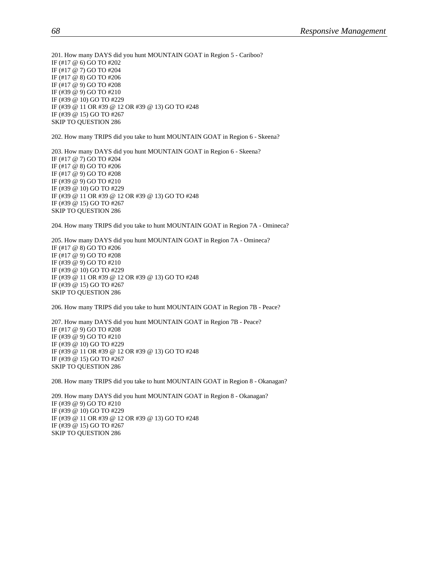201. How many DAYS did you hunt MOUNTAIN GOAT in Region 5 - Cariboo? IF (#17 @ 6) GO TO #202 IF (#17 @ 7) GO TO #204 IF (#17 @ 8) GO TO #206 IF (#17 @ 9) GO TO #208 IF (#39 @ 9) GO TO #210 IF (#39 @ 10) GO TO #229 IF (#39 @ 11 OR #39 @ 12 OR #39 @ 13) GO TO #248 IF (#39 @ 15) GO TO #267 SKIP TO QUESTION 286

202. How many TRIPS did you take to hunt MOUNTAIN GOAT in Region 6 - Skeena?

203. How many DAYS did you hunt MOUNTAIN GOAT in Region 6 - Skeena? IF (#17 @ 7) GO TO #204 IF (#17 @ 8) GO TO #206 IF (#17 @ 9) GO TO #208 IF (#39 @ 9) GO TO #210 IF (#39 @ 10) GO TO #229 IF (#39 @ 11 OR #39 @ 12 OR #39 @ 13) GO TO #248 IF (#39 @ 15) GO TO #267 SKIP TO QUESTION 286

204. How many TRIPS did you take to hunt MOUNTAIN GOAT in Region 7A - Omineca?

205. How many DAYS did you hunt MOUNTAIN GOAT in Region 7A - Omineca? IF (#17 @ 8) GO TO #206 IF (#17 @ 9) GO TO #208 IF (#39 @ 9) GO TO #210 IF (#39 @ 10) GO TO #229 IF (#39 @ 11 OR #39 @ 12 OR #39 @ 13) GO TO #248 IF (#39 @ 15) GO TO #267 SKIP TO QUESTION 286

206. How many TRIPS did you take to hunt MOUNTAIN GOAT in Region 7B - Peace?

207. How many DAYS did you hunt MOUNTAIN GOAT in Region 7B - Peace? IF (#17 @ 9) GO TO #208 IF (#39 @ 9) GO TO #210 IF (#39 @ 10) GO TO #229 IF (#39 @ 11 OR #39 @ 12 OR #39 @ 13) GO TO #248 IF (#39 @ 15) GO TO #267 SKIP TO QUESTION 286

208. How many TRIPS did you take to hunt MOUNTAIN GOAT in Region 8 - Okanagan?

209. How many DAYS did you hunt MOUNTAIN GOAT in Region 8 - Okanagan? IF (#39 @ 9) GO TO #210 IF (#39 @ 10) GO TO #229 IF (#39 @ 11 OR #39 @ 12 OR #39 @ 13) GO TO #248 IF (#39 @ 15) GO TO #267 SKIP TO QUESTION 286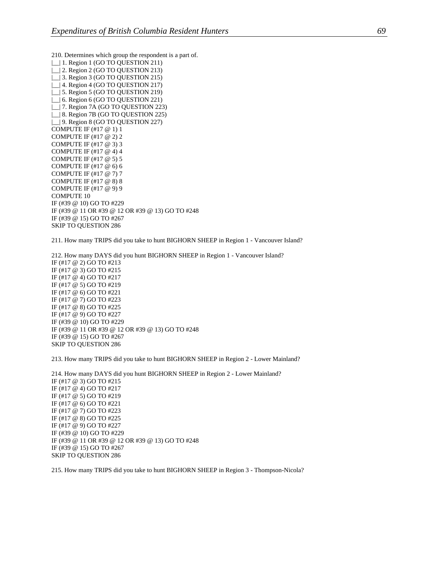210. Determines which group the respondent is a part of.

| | | 1. Region 1 (GO TO QUESTION 211) | | 2. Region 2 (GO TO QUESTION 213) | 3. Region 3 (GO TO QUESTION 215) | | 4. Region 4 (GO TO QUESTION 217) | 5. Region 5 (GO TO QUESTION 219) | 6. Region 6 (GO TO QUESTION 221) | | 7. Region 7A (GO TO QUESTION 223) | | 8. Region 7B (GO TO QUESTION 225) |\_\_| 9. Region 8 (GO TO QUESTION 227) COMPUTE IF (#17 @ 1) 1 COMPUTE IF (#17 @ 2) 2 COMPUTE IF (#17 @ 3) 3 COMPUTE IF (#17 @ 4) 4 COMPUTE IF (#17 @ 5) 5 COMPUTE IF (#17 @ 6) 6 COMPUTE IF (#17 @ 7) 7 COMPUTE IF (#17 @ 8) 8 COMPUTE IF (#17 @ 9) 9 COMPUTE 10 IF (#39 @ 10) GO TO #229 IF (#39 @ 11 OR #39 @ 12 OR #39 @ 13) GO TO #248 IF (#39 @ 15) GO TO #267 SKIP TO QUESTION 286

211. How many TRIPS did you take to hunt BIGHORN SHEEP in Region 1 - Vancouver Island?

212. How many DAYS did you hunt BIGHORN SHEEP in Region 1 - Vancouver Island? IF (#17 @ 2) GO TO #213 IF (#17 @ 3) GO TO #215 IF (#17 @ 4) GO TO #217 IF (#17 @ 5) GO TO #219 IF (#17 @ 6) GO TO #221 IF (#17 @ 7) GO TO #223 IF (#17 @ 8) GO TO #225 IF (#17 @ 9) GO TO #227 IF (#39 @ 10) GO TO #229 IF (#39 @ 11 OR #39 @ 12 OR #39 @ 13) GO TO #248 IF (#39 @ 15) GO TO #267 SKIP TO QUESTION 286

213. How many TRIPS did you take to hunt BIGHORN SHEEP in Region 2 - Lower Mainland?

214. How many DAYS did you hunt BIGHORN SHEEP in Region 2 - Lower Mainland? IF (#17 @ 3) GO TO #215 IF (#17 @ 4) GO TO #217 IF (#17 @ 5) GO TO #219 IF (#17 @ 6) GO TO #221 IF (#17 @ 7) GO TO #223 IF (#17 @ 8) GO TO #225 IF (#17 @ 9) GO TO #227 IF (#39 @ 10) GO TO #229 IF (#39 @ 11 OR #39 @ 12 OR #39 @ 13) GO TO #248 IF (#39 @ 15) GO TO #267 SKIP TO QUESTION 286

215. How many TRIPS did you take to hunt BIGHORN SHEEP in Region 3 - Thompson-Nicola?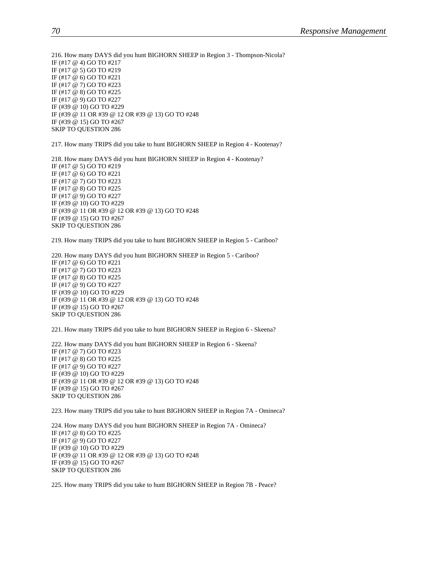216. How many DAYS did you hunt BIGHORN SHEEP in Region 3 - Thompson-Nicola? IF (#17 @ 4) GO TO #217 IF (#17 @ 5) GO TO #219 IF (#17 @ 6) GO TO #221 IF (#17 @ 7) GO TO #223 IF (#17 @ 8) GO TO #225 IF (#17 @ 9) GO TO #227 IF (#39 @ 10) GO TO #229 IF (#39 @ 11 OR #39 @ 12 OR #39 @ 13) GO TO #248 IF (#39 @ 15) GO TO #267 SKIP TO QUESTION 286

217. How many TRIPS did you take to hunt BIGHORN SHEEP in Region 4 - Kootenay?

218. How many DAYS did you hunt BIGHORN SHEEP in Region 4 - Kootenay? IF (#17 @ 5) GO TO #219 IF (#17 @ 6) GO TO #221 IF (#17 @ 7) GO TO #223 IF (#17 @ 8) GO TO #225 IF (#17 @ 9) GO TO #227 IF (#39 @ 10) GO TO #229 IF (#39 @ 11 OR #39 @ 12 OR #39 @ 13) GO TO #248 IF (#39 @ 15) GO TO #267 SKIP TO QUESTION 286

219. How many TRIPS did you take to hunt BIGHORN SHEEP in Region 5 - Cariboo?

220. How many DAYS did you hunt BIGHORN SHEEP in Region 5 - Cariboo? IF (#17 @ 6) GO TO #221 IF (#17 @ 7) GO TO #223 IF (#17 @ 8) GO TO #225 IF (#17 @ 9) GO TO #227 IF (#39 @ 10) GO TO #229 IF (#39 @ 11 OR #39 @ 12 OR #39 @ 13) GO TO #248 IF (#39 @ 15) GO TO #267 SKIP TO QUESTION 286

221. How many TRIPS did you take to hunt BIGHORN SHEEP in Region 6 - Skeena?

222. How many DAYS did you hunt BIGHORN SHEEP in Region 6 - Skeena? IF (#17 @ 7) GO TO #223 IF (#17 @ 8) GO TO #225 IF (#17 @ 9) GO TO #227 IF (#39 @ 10) GO TO #229 IF (#39 @ 11 OR #39 @ 12 OR #39 @ 13) GO TO #248 IF (#39 @ 15) GO TO #267 SKIP TO QUESTION 286

223. How many TRIPS did you take to hunt BIGHORN SHEEP in Region 7A - Omineca?

224. How many DAYS did you hunt BIGHORN SHEEP in Region 7A - Omineca? IF (#17 @ 8) GO TO #225 IF (#17 @ 9) GO TO #227 IF (#39 @ 10) GO TO #229 IF (#39 @ 11 OR #39 @ 12 OR #39 @ 13) GO TO #248 IF (#39 @ 15) GO TO #267 SKIP TO QUESTION 286

225. How many TRIPS did you take to hunt BIGHORN SHEEP in Region 7B - Peace?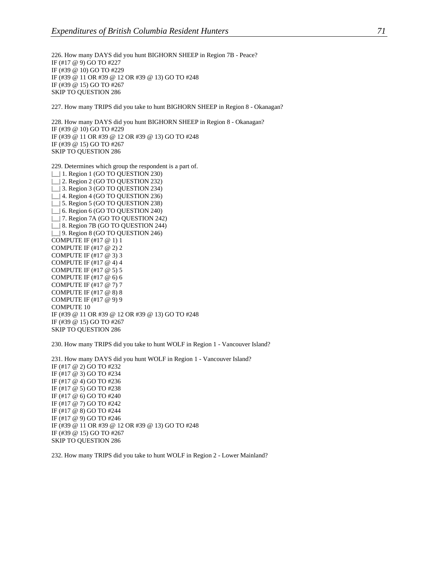226. How many DAYS did you hunt BIGHORN SHEEP in Region 7B - Peace? IF (#17 @ 9) GO TO #227 IF (#39 @ 10) GO TO #229 IF (#39 @ 11 OR #39 @ 12 OR #39 @ 13) GO TO #248 IF (#39 @ 15) GO TO #267 SKIP TO QUESTION 286

227. How many TRIPS did you take to hunt BIGHORN SHEEP in Region 8 - Okanagan?

228. How many DAYS did you hunt BIGHORN SHEEP in Region 8 - Okanagan? IF (#39 @ 10) GO TO #229 IF (#39 @ 11 OR #39 @ 12 OR #39 @ 13) GO TO #248 IF (#39 @ 15) GO TO #267 SKIP TO QUESTION 286

229. Determines which group the respondent is a part of.

| | | 1. Region 1 (GO TO QUESTION 230) | | 2. Region 2 (GO TO QUESTION 232) | | 3. Region 3 (GO TO QUESTION 234) |\_\_| 4. Region 4 (GO TO QUESTION 236) |\_\_| 5. Region 5 (GO TO QUESTION 238) |\_\_| 6. Region 6 (GO TO QUESTION 240) | | 7. Region 7A (GO TO QUESTION 242) | 8. Region 7B (GO TO QUESTION 244) | | 9. Region 8 (GO TO QUESTION 246) COMPUTE IF (#17 @ 1) 1 COMPUTE IF (#17 @ 2) 2 COMPUTE IF (#17 @ 3) 3 COMPUTE IF (#17 @ 4) 4 COMPUTE IF (#17 @ 5) 5 COMPUTE IF (#17 @ 6) 6 COMPUTE IF (#17 @ 7) 7 COMPUTE IF (#17 @ 8) 8 COMPUTE IF (#17 @ 9) 9 COMPUTE 10 IF (#39 @ 11 OR #39 @ 12 OR #39 @ 13) GO TO #248 IF (#39 @ 15) GO TO #267 SKIP TO QUESTION 286

230. How many TRIPS did you take to hunt WOLF in Region 1 - Vancouver Island?

231. How many DAYS did you hunt WOLF in Region 1 - Vancouver Island? IF (#17 @ 2) GO TO #232 IF (#17 @ 3) GO TO #234 IF (#17 @ 4) GO TO #236 IF (#17 @ 5) GO TO #238 IF (#17 @ 6) GO TO #240 IF (#17 @ 7) GO TO #242 IF (#17 @ 8) GO TO #244 IF (#17 @ 9) GO TO #246 IF (#39 @ 11 OR #39 @ 12 OR #39 @ 13) GO TO #248 IF (#39 @ 15) GO TO #267 SKIP TO QUESTION 286

232. How many TRIPS did you take to hunt WOLF in Region 2 - Lower Mainland?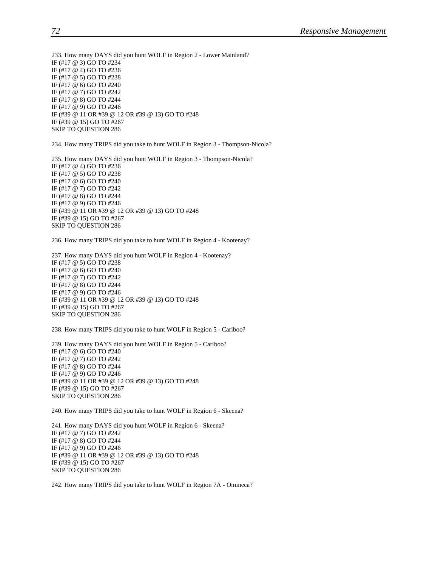233. How many DAYS did you hunt WOLF in Region 2 - Lower Mainland? IF (#17 @ 3) GO TO #234 IF (#17 @ 4) GO TO #236 IF (#17 @ 5) GO TO #238 IF (#17 @ 6) GO TO #240 IF (#17 @ 7) GO TO #242 IF (#17 @ 8) GO TO #244 IF (#17 @ 9) GO TO #246 IF (#39 @ 11 OR #39 @ 12 OR #39 @ 13) GO TO #248 IF (#39 @ 15) GO TO #267 SKIP TO QUESTION 286

234. How many TRIPS did you take to hunt WOLF in Region 3 - Thompson-Nicola?

235. How many DAYS did you hunt WOLF in Region 3 - Thompson-Nicola? IF (#17 @ 4) GO TO #236 IF (#17 @ 5) GO TO #238 IF (#17 @ 6) GO TO #240 IF (#17 @ 7) GO TO #242 IF (#17 @ 8) GO TO #244 IF (#17 @ 9) GO TO #246 IF (#39 @ 11 OR #39 @ 12 OR #39 @ 13) GO TO #248 IF (#39 @ 15) GO TO #267 SKIP TO QUESTION 286

236. How many TRIPS did you take to hunt WOLF in Region 4 - Kootenay?

237. How many DAYS did you hunt WOLF in Region 4 - Kootenay? IF (#17 @ 5) GO TO #238 IF (#17 @ 6) GO TO #240 IF (#17 @ 7) GO TO #242 IF (#17 @ 8) GO TO #244 IF (#17 @ 9) GO TO #246 IF (#39 @ 11 OR #39 @ 12 OR #39 @ 13) GO TO #248 IF (#39 @ 15) GO TO #267 SKIP TO QUESTION 286

238. How many TRIPS did you take to hunt WOLF in Region 5 - Cariboo?

239. How many DAYS did you hunt WOLF in Region 5 - Cariboo? IF (#17 @ 6) GO TO #240 IF (#17 @ 7) GO TO #242 IF (#17 @ 8) GO TO #244 IF (#17 @ 9) GO TO #246 IF (#39 @ 11 OR #39 @ 12 OR #39 @ 13) GO TO #248 IF (#39 @ 15) GO TO #267 SKIP TO QUESTION 286

240. How many TRIPS did you take to hunt WOLF in Region 6 - Skeena?

241. How many DAYS did you hunt WOLF in Region 6 - Skeena? IF (#17 @ 7) GO TO #242 IF (#17 @ 8) GO TO #244 IF (#17 @ 9) GO TO #246 IF (#39 @ 11 OR #39 @ 12 OR #39 @ 13) GO TO #248 IF (#39 @ 15) GO TO #267 SKIP TO QUESTION 286

242. How many TRIPS did you take to hunt WOLF in Region 7A - Omineca?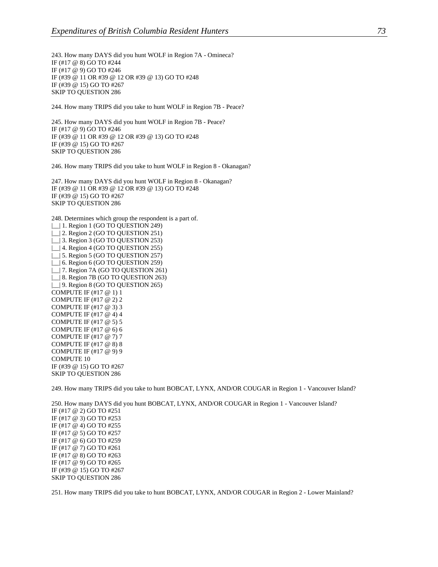243. How many DAYS did you hunt WOLF in Region 7A - Omineca? IF (#17 @ 8) GO TO #244 IF (#17 @ 9) GO TO #246 IF (#39 @ 11 OR #39 @ 12 OR #39 @ 13) GO TO #248 IF (#39 @ 15) GO TO #267 SKIP TO QUESTION 286

244. How many TRIPS did you take to hunt WOLF in Region 7B - Peace?

245. How many DAYS did you hunt WOLF in Region 7B - Peace? IF (#17 @ 9) GO TO #246 IF (#39 @ 11 OR #39 @ 12 OR #39 @ 13) GO TO #248 IF (#39 @ 15) GO TO #267 SKIP TO QUESTION 286

246. How many TRIPS did you take to hunt WOLF in Region 8 - Okanagan?

247. How many DAYS did you hunt WOLF in Region 8 - Okanagan? IF (#39 @ 11 OR #39 @ 12 OR #39 @ 13) GO TO #248 IF (#39 @ 15) GO TO #267 SKIP TO QUESTION 286

248. Determines which group the respondent is a part of.

| | | 1. Region 1 (GO TO QUESTION 249) | | 2. Region 2 (GO TO QUESTION 251) | | 3. Region 3 (GO TO QUESTION 253) | | 4. Region 4 (GO TO QUESTION 255) | 5. Region 5 (GO TO QUESTION 257) |  $\vert$  6. Region 6 (GO TO QUESTION 259) | | 7. Region 7A (GO TO QUESTION 261) | 8. Region 7B (GO TO QUESTION 263) | | 9. Region 8 (GO TO QUESTION 265) COMPUTE IF (#17 @ 1) 1 COMPUTE IF (#17 @ 2) 2 COMPUTE IF (#17 @ 3) 3 COMPUTE IF (#17 @ 4) 4 COMPUTE IF (#17 @ 5) 5 COMPUTE IF (#17 @ 6) 6 COMPUTE IF (#17 @ 7) 7 COMPUTE IF (#17 @ 8) 8 COMPUTE IF (#17 @ 9) 9 COMPUTE 10 IF (#39 @ 15) GO TO #267 SKIP TO QUESTION 286

249. How many TRIPS did you take to hunt BOBCAT, LYNX, AND/OR COUGAR in Region 1 - Vancouver Island?

250. How many DAYS did you hunt BOBCAT, LYNX, AND/OR COUGAR in Region 1 - Vancouver Island? IF (#17 @ 2) GO TO #251 IF (#17 @ 3) GO TO #253 IF (#17 @ 4) GO TO #255 IF (#17 @ 5) GO TO #257 IF (#17 @ 6) GO TO #259 IF (#17 @ 7) GO TO #261 IF (#17 @ 8) GO TO #263 IF (#17 @ 9) GO TO #265 IF (#39 @ 15) GO TO #267 SKIP TO QUESTION 286

251. How many TRIPS did you take to hunt BOBCAT, LYNX, AND/OR COUGAR in Region 2 - Lower Mainland?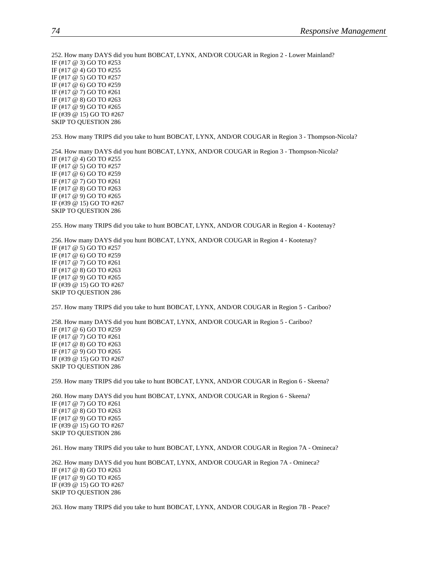252. How many DAYS did you hunt BOBCAT, LYNX, AND/OR COUGAR in Region 2 - Lower Mainland? IF (#17 @ 3) GO TO #253 IF (#17 @ 4) GO TO #255 IF (#17 @ 5) GO TO #257 IF (#17 @ 6) GO TO #259 IF (#17 @ 7) GO TO #261 IF (#17 @ 8) GO TO #263 IF (#17 @ 9) GO TO #265 IF (#39 @ 15) GO TO #267 SKIP TO QUESTION 286

253. How many TRIPS did you take to hunt BOBCAT, LYNX, AND/OR COUGAR in Region 3 - Thompson-Nicola?

254. How many DAYS did you hunt BOBCAT, LYNX, AND/OR COUGAR in Region 3 - Thompson-Nicola? IF (#17 @ 4) GO TO #255 IF (#17 @ 5) GO TO #257 IF (#17 @ 6) GO TO #259 IF (#17 @ 7) GO TO #261 IF (#17 @ 8) GO TO #263 IF (#17 @ 9) GO TO #265 IF (#39 @ 15) GO TO #267 SKIP TO QUESTION 286

255. How many TRIPS did you take to hunt BOBCAT, LYNX, AND/OR COUGAR in Region 4 - Kootenay?

256. How many DAYS did you hunt BOBCAT, LYNX, AND/OR COUGAR in Region 4 - Kootenay? IF (#17 @ 5) GO TO #257 IF (#17 @ 6) GO TO #259 IF (#17 @ 7) GO TO #261 IF (#17 @ 8) GO TO #263 IF (#17 @ 9) GO TO #265 IF (#39 @ 15) GO TO #267 SKIP TO QUESTION 286

257. How many TRIPS did you take to hunt BOBCAT, LYNX, AND/OR COUGAR in Region 5 - Cariboo?

258. How many DAYS did you hunt BOBCAT, LYNX, AND/OR COUGAR in Region 5 - Cariboo? IF (#17 @ 6) GO TO #259 IF (#17 @ 7) GO TO #261 IF (#17 @ 8) GO TO #263 IF (#17 @ 9) GO TO #265 IF (#39 @ 15) GO TO #267 SKIP TO QUESTION 286

259. How many TRIPS did you take to hunt BOBCAT, LYNX, AND/OR COUGAR in Region 6 - Skeena?

260. How many DAYS did you hunt BOBCAT, LYNX, AND/OR COUGAR in Region 6 - Skeena? IF (#17 @ 7) GO TO #261 IF (#17 @ 8) GO TO #263 IF (#17 @ 9) GO TO #265 IF (#39 @ 15) GO TO #267 SKIP TO QUESTION 286

261. How many TRIPS did you take to hunt BOBCAT, LYNX, AND/OR COUGAR in Region 7A - Omineca?

262. How many DAYS did you hunt BOBCAT, LYNX, AND/OR COUGAR in Region 7A - Omineca? IF (#17 @ 8) GO TO #263 IF (#17 @ 9) GO TO #265 IF (#39 @ 15) GO TO #267 SKIP TO QUESTION 286

263. How many TRIPS did you take to hunt BOBCAT, LYNX, AND/OR COUGAR in Region 7B - Peace?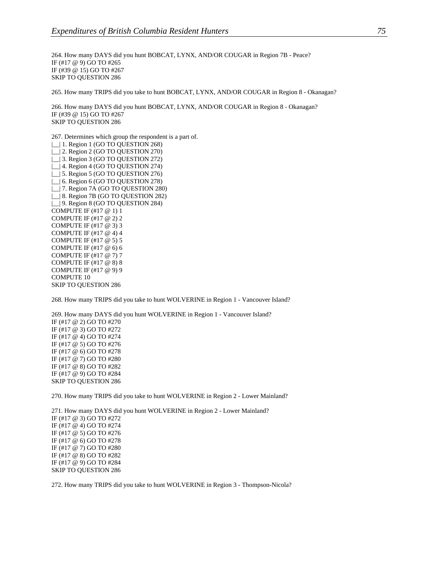264. How many DAYS did you hunt BOBCAT, LYNX, AND/OR COUGAR in Region 7B - Peace? IF (#17 @ 9) GO TO #265 IF (#39 @ 15) GO TO #267 SKIP TO QUESTION 286

265. How many TRIPS did you take to hunt BOBCAT, LYNX, AND/OR COUGAR in Region 8 - Okanagan?

266. How many DAYS did you hunt BOBCAT, LYNX, AND/OR COUGAR in Region 8 - Okanagan? IF (#39 @ 15) GO TO #267 SKIP TO QUESTION 286

267. Determines which group the respondent is a part of.

| | | 1. Region 1 (GO TO QUESTION 268) | | 2. Region 2 (GO TO QUESTION 270) |\_\_| 3. Region 3 (GO TO QUESTION 272) | | 4. Region 4 (GO TO QUESTION 274) | | 5. Region 5 (GO TO QUESTION 276) | 6. Region 6 (GO TO QUESTION 278) |\_\_| 7. Region 7A (GO TO QUESTION 280) |\_\_| 8. Region 7B (GO TO QUESTION 282) |\_\_| 9. Region 8 (GO TO QUESTION 284) COMPUTE IF (#17 @ 1) 1 COMPUTE IF (#17 @ 2) 2 COMPUTE IF (#17 @ 3) 3 COMPUTE IF (#17 @ 4) 4 COMPUTE IF (#17 @ 5) 5 COMPUTE IF (#17 @ 6) 6 COMPUTE IF (#17 @ 7) 7 COMPUTE IF (#17 @ 8) 8 COMPUTE IF (#17 @ 9) 9 COMPUTE 10 SKIP TO QUESTION 286

268. How many TRIPS did you take to hunt WOLVERINE in Region 1 - Vancouver Island?

269. How many DAYS did you hunt WOLVERINE in Region 1 - Vancouver Island? IF (#17 @ 2) GO TO #270 IF (#17 @ 3) GO TO #272 IF (#17 @ 4) GO TO #274 IF (#17 @ 5) GO TO #276 IF (#17 @ 6) GO TO #278 IF (#17 @ 7) GO TO #280 IF (#17 @ 8) GO TO #282 IF (#17 @ 9) GO TO #284 SKIP TO QUESTION 286

270. How many TRIPS did you take to hunt WOLVERINE in Region 2 - Lower Mainland?

271. How many DAYS did you hunt WOLVERINE in Region 2 - Lower Mainland? IF (#17 @ 3) GO TO #272 IF (#17 @ 4) GO TO #274 IF (#17 @ 5) GO TO #276 IF (#17 @ 6) GO TO #278 IF (#17 @ 7) GO TO #280 IF (#17 @ 8) GO TO #282 IF (#17 @ 9) GO TO #284 SKIP TO QUESTION 286

272. How many TRIPS did you take to hunt WOLVERINE in Region 3 - Thompson-Nicola?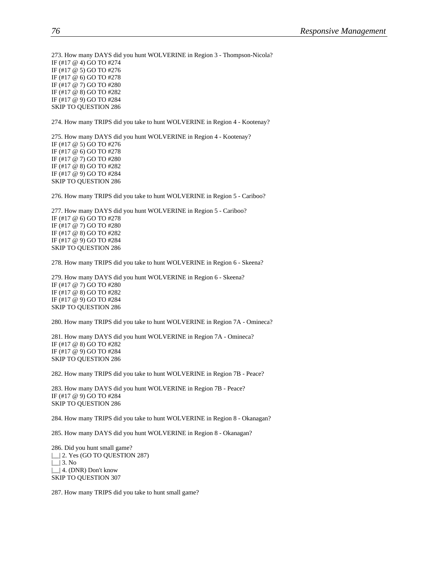273. How many DAYS did you hunt WOLVERINE in Region 3 - Thompson-Nicola? IF (#17 @ 4) GO TO #274 IF (#17 @ 5) GO TO #276 IF (#17 @ 6) GO TO #278 IF (#17 @ 7) GO TO #280 IF (#17 @ 8) GO TO #282 IF (#17 @ 9) GO TO #284 SKIP TO QUESTION 286

274. How many TRIPS did you take to hunt WOLVERINE in Region 4 - Kootenay?

275. How many DAYS did you hunt WOLVERINE in Region 4 - Kootenay? IF (#17 @ 5) GO TO #276 IF (#17 @ 6) GO TO #278 IF (#17 @ 7) GO TO #280 IF (#17 @ 8) GO TO #282 IF (#17 @ 9) GO TO #284 SKIP TO QUESTION 286

276. How many TRIPS did you take to hunt WOLVERINE in Region 5 - Cariboo?

277. How many DAYS did you hunt WOLVERINE in Region 5 - Cariboo? IF (#17 @ 6) GO TO #278 IF (#17 @ 7) GO TO #280 IF (#17 @ 8) GO TO #282 IF (#17 @ 9) GO TO #284 SKIP TO QUESTION 286

278. How many TRIPS did you take to hunt WOLVERINE in Region 6 - Skeena?

279. How many DAYS did you hunt WOLVERINE in Region 6 - Skeena? IF (#17 @ 7) GO TO #280 IF (#17 @ 8) GO TO #282 IF (#17 @ 9) GO TO #284 SKIP TO QUESTION 286

280. How many TRIPS did you take to hunt WOLVERINE in Region 7A - Omineca?

281. How many DAYS did you hunt WOLVERINE in Region 7A - Omineca? IF (#17 @ 8) GO TO #282 IF (#17 @ 9) GO TO #284 SKIP TO QUESTION 286

282. How many TRIPS did you take to hunt WOLVERINE in Region 7B - Peace?

283. How many DAYS did you hunt WOLVERINE in Region 7B - Peace? IF (#17 @ 9) GO TO #284 SKIP TO QUESTION 286

284. How many TRIPS did you take to hunt WOLVERINE in Region 8 - Okanagan?

285. How many DAYS did you hunt WOLVERINE in Region 8 - Okanagan?

286. Did you hunt small game? | | 2. Yes (GO TO QUESTION 287)  $\Box$  3. No |\_\_| 4. (DNR) Don't know SKIP TO QUESTION 307

287. How many TRIPS did you take to hunt small game?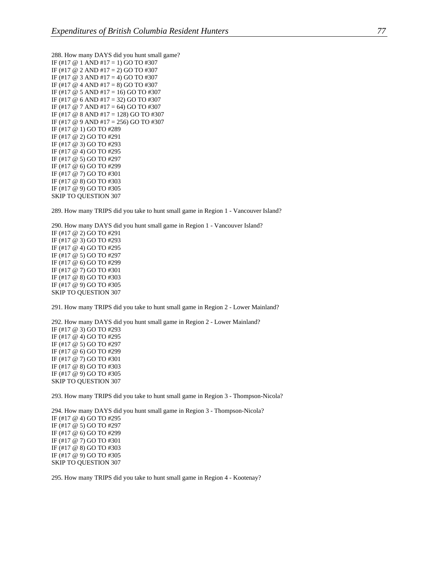288. How many DAYS did you hunt small game? IF (#17  $\odot$  1 AND #17 = 1) GO TO #307 IF (#17  $\omega$  2 AND #17 = 2) GO TO #307 IF (#17  $@$  3 AND #17 = 4) GO TO #307 IF (#17  $@$  4 AND #17 = 8) GO TO #307 IF (#17  $\omega$  5 AND #17 = 16) GO TO #307 IF (#17 @ 6 AND #17 = 32) GO TO #307 IF (#17  $\omega$  7 AND #17 = 64) GO TO #307 IF (#17 @ 8 AND #17 = 128) GO TO #307 IF (#17 @ 9 AND #17 = 256) GO TO #307 IF (#17 @ 1) GO TO #289 IF (#17 @ 2) GO TO #291 IF (#17 @ 3) GO TO #293 IF (#17 @ 4) GO TO #295 IF (#17 @ 5) GO TO #297 IF (#17 @ 6) GO TO #299 IF (#17 @ 7) GO TO #301 IF (#17 @ 8) GO TO #303 IF (#17 @ 9) GO TO #305 SKIP TO QUESTION 307

289. How many TRIPS did you take to hunt small game in Region 1 - Vancouver Island?

290. How many DAYS did you hunt small game in Region 1 - Vancouver Island? IF (#17 @ 2) GO TO #291 IF (#17 @ 3) GO TO #293 IF (#17 @ 4) GO TO #295 IF (#17 @ 5) GO TO #297 IF (#17 @ 6) GO TO #299 IF (#17 @ 7) GO TO #301 IF (#17 @ 8) GO TO #303 IF (#17 @ 9) GO TO #305 SKIP TO QUESTION 307

291. How many TRIPS did you take to hunt small game in Region 2 - Lower Mainland?

292. How many DAYS did you hunt small game in Region 2 - Lower Mainland? IF (#17 @ 3) GO TO #293 IF (#17 @ 4) GO TO #295 IF (#17 @ 5) GO TO #297 IF (#17 @ 6) GO TO #299 IF (#17 @ 7) GO TO #301 IF (#17 @ 8) GO TO #303 IF (#17 @ 9) GO TO #305 SKIP TO QUESTION 307

293. How many TRIPS did you take to hunt small game in Region 3 - Thompson-Nicola?

294. How many DAYS did you hunt small game in Region 3 - Thompson-Nicola? IF (#17 @ 4) GO TO #295 IF (#17 @ 5) GO TO #297 IF (#17 @ 6) GO TO #299 IF (#17 @ 7) GO TO #301 IF (#17 @ 8) GO TO #303 IF (#17 @ 9) GO TO #305 SKIP TO QUESTION 307

295. How many TRIPS did you take to hunt small game in Region 4 - Kootenay?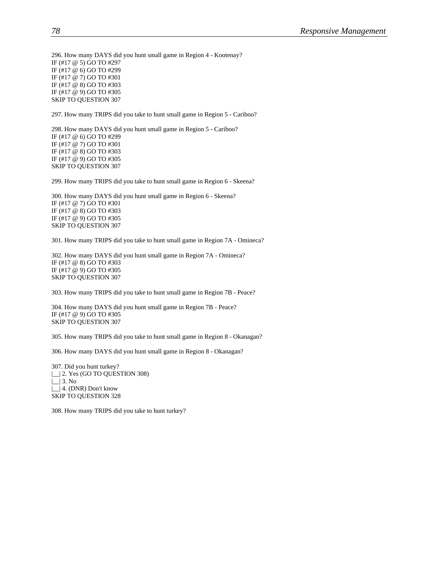296. How many DAYS did you hunt small game in Region 4 - Kootenay? IF (#17 @ 5) GO TO #297 IF (#17 @ 6) GO TO #299 IF (#17 @ 7) GO TO #301 IF (#17 @ 8) GO TO #303 IF (#17 @ 9) GO TO #305 SKIP TO QUESTION 307

297. How many TRIPS did you take to hunt small game in Region 5 - Cariboo?

298. How many DAYS did you hunt small game in Region 5 - Cariboo? IF (#17 @ 6) GO TO #299 IF (#17 @ 7) GO TO #301 IF (#17 @ 8) GO TO #303 IF (#17 @ 9) GO TO #305 SKIP TO QUESTION 307

299. How many TRIPS did you take to hunt small game in Region 6 - Skeena?

300. How many DAYS did you hunt small game in Region 6 - Skeena? IF (#17 @ 7) GO TO #301 IF (#17 @ 8) GO TO #303 IF (#17 @ 9) GO TO #305 SKIP TO QUESTION 307

301. How many TRIPS did you take to hunt small game in Region 7A - Omineca?

302. How many DAYS did you hunt small game in Region 7A - Omineca? IF (#17 @ 8) GO TO #303 IF (#17 @ 9) GO TO #305 SKIP TO QUESTION 307

303. How many TRIPS did you take to hunt small game in Region 7B - Peace?

304. How many DAYS did you hunt small game in Region 7B - Peace? IF (#17 @ 9) GO TO #305 SKIP TO QUESTION 307

305. How many TRIPS did you take to hunt small game in Region 8 - Okanagan?

306. How many DAYS did you hunt small game in Region 8 - Okanagan?

307. Did you hunt turkey? |\_| 2. Yes (GO TO QUESTION 308)  $\lfloor \rfloor$  3. No | | 4. (DNR) Don't know SKIP TO QUESTION 328

308. How many TRIPS did you take to hunt turkey?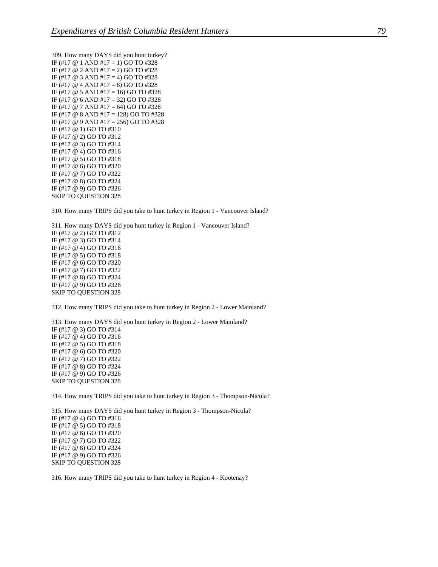309. How many DAYS did you hunt turkey? IF (#17  $@$  1 AND #17 = 1) GO TO #328 IF (#17  $\omega$  2 AND #17 = 2) GO TO #328 IF (#17  $@$  3 AND #17 = 4) GO TO #328 IF (#17  $@$  4 AND #17 = 8) GO TO #328 IF (#17  $\omega$  5 AND #17 = 16) GO TO #328 IF (#17 @ 6 AND #17 = 32) GO TO #328 IF (#17  $\omega$  7 AND #17 = 64) GO TO #328 IF (#17 @ 8 AND #17 = 128) GO TO #328 IF (#17 @ 9 AND #17 = 256) GO TO #328 IF (#17 @ 1) GO TO #310 IF (#17 @ 2) GO TO #312 IF (#17 @ 3) GO TO #314 IF (#17 @ 4) GO TO #316 IF (#17 @ 5) GO TO #318 IF (#17 @ 6) GO TO #320 IF (#17 @ 7) GO TO #322 IF (#17 @ 8) GO TO #324 IF (#17 @ 9) GO TO #326 SKIP TO QUESTION 328

310. How many TRIPS did you take to hunt turkey in Region 1 - Vancouver Island?

311. How many DAYS did you hunt turkey in Region 1 - Vancouver Island? IF (#17 @ 2) GO TO #312 IF (#17 @ 3) GO TO #314 IF (#17 @ 4) GO TO #316 IF (#17 @ 5) GO TO #318 IF (#17 @ 6) GO TO #320 IF (#17 @ 7) GO TO #322 IF (#17 @ 8) GO TO #324 IF (#17 @ 9) GO TO #326 SKIP TO QUESTION 328

312. How many TRIPS did you take to hunt turkey in Region 2 - Lower Mainland?

313. How many DAYS did you hunt turkey in Region 2 - Lower Mainland? IF (#17 @ 3) GO TO #314 IF (#17 @ 4) GO TO #316 IF (#17 @ 5) GO TO #318 IF (#17 @ 6) GO TO #320 IF (#17 @ 7) GO TO #322 IF (#17 @ 8) GO TO #324 IF (#17 @ 9) GO TO #326 SKIP TO QUESTION 328

314. How many TRIPS did you take to hunt turkey in Region 3 - Thompson-Nicola?

315. How many DAYS did you hunt turkey in Region 3 - Thompson-Nicola? IF (#17 @ 4) GO TO #316 IF (#17 @ 5) GO TO #318 IF (#17 @ 6) GO TO #320 IF (#17 @ 7) GO TO #322 IF (#17 @ 8) GO TO #324 IF (#17 @ 9) GO TO #326 SKIP TO QUESTION 328

316. How many TRIPS did you take to hunt turkey in Region 4 - Kootenay?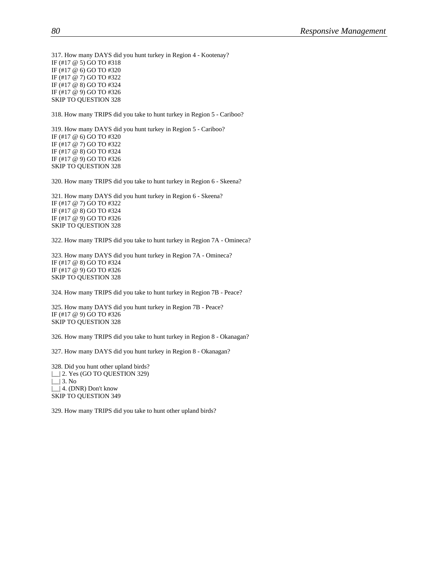317. How many DAYS did you hunt turkey in Region 4 - Kootenay? IF (#17 @ 5) GO TO #318 IF (#17 @ 6) GO TO #320 IF (#17 @ 7) GO TO #322 IF (#17 @ 8) GO TO #324 IF (#17 @ 9) GO TO #326 SKIP TO QUESTION 328

318. How many TRIPS did you take to hunt turkey in Region 5 - Cariboo?

319. How many DAYS did you hunt turkey in Region 5 - Cariboo? IF (#17 @ 6) GO TO #320 IF (#17 @ 7) GO TO #322 IF (#17 @ 8) GO TO #324 IF (#17 @ 9) GO TO #326 SKIP TO QUESTION 328

320. How many TRIPS did you take to hunt turkey in Region 6 - Skeena?

321. How many DAYS did you hunt turkey in Region 6 - Skeena? IF (#17 @ 7) GO TO #322 IF (#17 @ 8) GO TO #324 IF (#17 @ 9) GO TO #326 SKIP TO QUESTION 328

322. How many TRIPS did you take to hunt turkey in Region 7A - Omineca?

323. How many DAYS did you hunt turkey in Region 7A - Omineca? IF (#17 @ 8) GO TO #324 IF (#17 @ 9) GO TO #326 SKIP TO QUESTION 328

324. How many TRIPS did you take to hunt turkey in Region 7B - Peace?

325. How many DAYS did you hunt turkey in Region 7B - Peace? IF (#17 @ 9) GO TO #326 SKIP TO QUESTION 328

326. How many TRIPS did you take to hunt turkey in Region 8 - Okanagan?

327. How many DAYS did you hunt turkey in Region 8 - Okanagan?

328. Did you hunt other upland birds? |\_| 2. Yes (GO TO QUESTION 329)  $\lfloor \rfloor$  3. No | | 4. (DNR) Don't know SKIP TO QUESTION 349

329. How many TRIPS did you take to hunt other upland birds?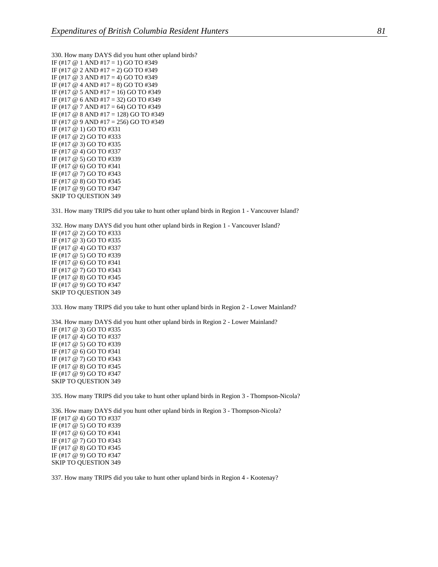330. How many DAYS did you hunt other upland birds? IF (#17 @ 1 AND #17 = 1) GO TO #349 IF (#17  $\omega$  2 AND #17 = 2) GO TO #349 IF (#17  $@$  3 AND #17 = 4) GO TO #349 IF (#17  $@$  4 AND #17 = 8) GO TO #349 IF (#17  $\omega$  5 AND #17 = 16) GO TO #349 IF (#17 @ 6 AND #17 = 32) GO TO #349 IF (#17 @ 7 AND #17 = 64) GO TO #349 IF (#17 @ 8 AND #17 = 128) GO TO #349 IF (#17 @ 9 AND #17 = 256) GO TO #349 IF (#17 @ 1) GO TO #331 IF (#17 @ 2) GO TO #333 IF (#17 @ 3) GO TO #335 IF (#17 @ 4) GO TO #337 IF (#17 @ 5) GO TO #339 IF (#17 @ 6) GO TO #341 IF (#17 @ 7) GO TO #343 IF (#17 @ 8) GO TO #345 IF (#17 @ 9) GO TO #347 SKIP TO QUESTION 349

331. How many TRIPS did you take to hunt other upland birds in Region 1 - Vancouver Island?

332. How many DAYS did you hunt other upland birds in Region 1 - Vancouver Island? IF (#17 @ 2) GO TO #333 IF (#17 @ 3) GO TO #335 IF (#17 @ 4) GO TO #337 IF (#17 @ 5) GO TO #339 IF (#17 @ 6) GO TO #341 IF (#17 @ 7) GO TO #343 IF (#17 @ 8) GO TO #345 IF (#17 @ 9) GO TO #347 SKIP TO QUESTION 349

333. How many TRIPS did you take to hunt other upland birds in Region 2 - Lower Mainland?

334. How many DAYS did you hunt other upland birds in Region 2 - Lower Mainland? IF (#17 @ 3) GO TO #335 IF (#17 @ 4) GO TO #337 IF (#17 @ 5) GO TO #339 IF (#17 @ 6) GO TO #341 IF (#17 @ 7) GO TO #343 IF (#17 @ 8) GO TO #345 IF (#17 @ 9) GO TO #347 SKIP TO QUESTION 349

335. How many TRIPS did you take to hunt other upland birds in Region 3 - Thompson-Nicola?

336. How many DAYS did you hunt other upland birds in Region 3 - Thompson-Nicola? IF (#17 @ 4) GO TO #337 IF (#17 @ 5) GO TO #339 IF (#17 @ 6) GO TO #341 IF (#17 @ 7) GO TO #343 IF (#17 @ 8) GO TO #345 IF (#17 @ 9) GO TO #347 SKIP TO QUESTION 349

337. How many TRIPS did you take to hunt other upland birds in Region 4 - Kootenay?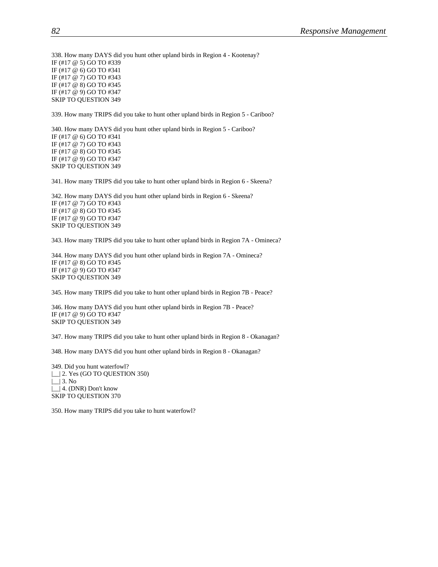338. How many DAYS did you hunt other upland birds in Region 4 - Kootenay? IF (#17 @ 5) GO TO #339 IF (#17 @ 6) GO TO #341 IF (#17 @ 7) GO TO #343 IF (#17 @ 8) GO TO #345 IF (#17 @ 9) GO TO #347 SKIP TO QUESTION 349

339. How many TRIPS did you take to hunt other upland birds in Region 5 - Cariboo?

340. How many DAYS did you hunt other upland birds in Region 5 - Cariboo? IF (#17 @ 6) GO TO #341 IF (#17 @ 7) GO TO #343 IF (#17 @ 8) GO TO #345 IF (#17 @ 9) GO TO #347 SKIP TO QUESTION 349

341. How many TRIPS did you take to hunt other upland birds in Region 6 - Skeena?

342. How many DAYS did you hunt other upland birds in Region 6 - Skeena? IF (#17 @ 7) GO TO #343 IF (#17 @ 8) GO TO #345 IF (#17 @ 9) GO TO #347 SKIP TO QUESTION 349

343. How many TRIPS did you take to hunt other upland birds in Region 7A - Omineca?

344. How many DAYS did you hunt other upland birds in Region 7A - Omineca? IF (#17 @ 8) GO TO #345 IF (#17 @ 9) GO TO #347 SKIP TO QUESTION 349

345. How many TRIPS did you take to hunt other upland birds in Region 7B - Peace?

346. How many DAYS did you hunt other upland birds in Region 7B - Peace? IF (#17 @ 9) GO TO #347 SKIP TO QUESTION 349

347. How many TRIPS did you take to hunt other upland birds in Region 8 - Okanagan?

348. How many DAYS did you hunt other upland birds in Region 8 - Okanagan?

349. Did you hunt waterfowl? |\_| 2. Yes (GO TO QUESTION 350)  $\lfloor \rfloor$  3. No | | 4. (DNR) Don't know SKIP TO QUESTION 370

350. How many TRIPS did you take to hunt waterfowl?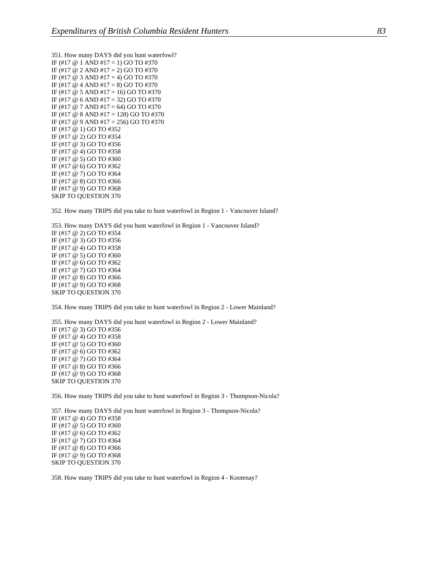351. How many DAYS did you hunt waterfowl? IF (#17  $@$  1 AND #17 = 1) GO TO #370 IF (#17  $\omega$  2 AND #17 = 2) GO TO #370 IF (#17  $@$  3 AND #17 = 4) GO TO #370 IF (#17  $@$  4 AND #17 = 8) GO TO #370 IF (#17  $\omega$  5 AND #17 = 16) GO TO #370 IF (#17 @ 6 AND #17 = 32) GO TO #370 IF (#17  $\omega$  7 AND #17 = 64) GO TO #370 IF (#17  $\odot$  8 AND #17 = 128) GO TO #370 IF (#17 @ 9 AND #17 = 256) GO TO #370 IF (#17 @ 1) GO TO #352 IF (#17 @ 2) GO TO #354 IF (#17 @ 3) GO TO #356 IF (#17 @ 4) GO TO #358 IF (#17 @ 5) GO TO #360 IF (#17 @ 6) GO TO #362 IF (#17 @ 7) GO TO #364 IF (#17 @ 8) GO TO #366 IF (#17 @ 9) GO TO #368 SKIP TO QUESTION 370

352. How many TRIPS did you take to hunt waterfowl in Region 1 - Vancouver Island?

353. How many DAYS did you hunt waterfowl in Region 1 - Vancouver Island? IF (#17 @ 2) GO TO #354 IF (#17 @ 3) GO TO #356 IF (#17 @ 4) GO TO #358 IF (#17 @ 5) GO TO #360 IF (#17 @ 6) GO TO #362 IF (#17 @ 7) GO TO #364 IF (#17 @ 8) GO TO #366 IF (#17 @ 9) GO TO #368 SKIP TO QUESTION 370

354. How many TRIPS did you take to hunt waterfowl in Region 2 - Lower Mainland?

355. How many DAYS did you hunt waterfowl in Region 2 - Lower Mainland? IF (#17 @ 3) GO TO #356 IF (#17 @ 4) GO TO #358 IF (#17 @ 5) GO TO #360 IF (#17 @ 6) GO TO #362 IF (#17 @ 7) GO TO #364 IF (#17 @ 8) GO TO #366 IF (#17 @ 9) GO TO #368 SKIP TO QUESTION 370

356. How many TRIPS did you take to hunt waterfowl in Region 3 - Thompson-Nicola?

357. How many DAYS did you hunt waterfowl in Region 3 - Thompson-Nicola? IF (#17 @ 4) GO TO #358 IF (#17 @ 5) GO TO #360 IF (#17 @ 6) GO TO #362 IF (#17 @ 7) GO TO #364 IF (#17 @ 8) GO TO #366 IF (#17 @ 9) GO TO #368 SKIP TO QUESTION 370

358. How many TRIPS did you take to hunt waterfowl in Region 4 - Kootenay?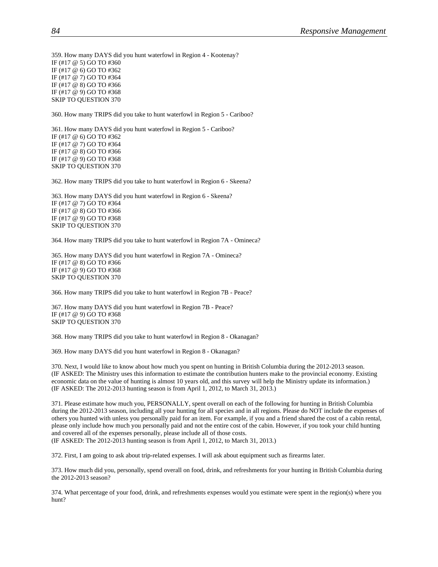359. How many DAYS did you hunt waterfowl in Region 4 - Kootenay? IF (#17 @ 5) GO TO #360 IF (#17 @ 6) GO TO #362 IF (#17 @ 7) GO TO #364 IF (#17 @ 8) GO TO #366 IF (#17 @ 9) GO TO #368 SKIP TO QUESTION 370

360. How many TRIPS did you take to hunt waterfowl in Region 5 - Cariboo?

361. How many DAYS did you hunt waterfowl in Region 5 - Cariboo? IF (#17 @ 6) GO TO #362 IF (#17 @ 7) GO TO #364 IF (#17 @ 8) GO TO #366 IF (#17 @ 9) GO TO #368 SKIP TO QUESTION 370

362. How many TRIPS did you take to hunt waterfowl in Region 6 - Skeena?

363. How many DAYS did you hunt waterfowl in Region 6 - Skeena? IF (#17 @ 7) GO TO #364 IF (#17 @ 8) GO TO #366 IF (#17 @ 9) GO TO #368 SKIP TO QUESTION 370

364. How many TRIPS did you take to hunt waterfowl in Region 7A - Omineca?

365. How many DAYS did you hunt waterfowl in Region 7A - Omineca? IF (#17 @ 8) GO TO #366 IF (#17 @ 9) GO TO #368 SKIP TO QUESTION 370

366. How many TRIPS did you take to hunt waterfowl in Region 7B - Peace?

367. How many DAYS did you hunt waterfowl in Region 7B - Peace? IF (#17 @ 9) GO TO #368 SKIP TO QUESTION 370

368. How many TRIPS did you take to hunt waterfowl in Region 8 - Okanagan?

369. How many DAYS did you hunt waterfowl in Region 8 - Okanagan?

370. Next, I would like to know about how much you spent on hunting in British Columbia during the 2012-2013 season. (IF ASKED: The Ministry uses this information to estimate the contribution hunters make to the provincial economy. Existing economic data on the value of hunting is almost 10 years old, and this survey will help the Ministry update its information.) (IF ASKED: The 2012-2013 hunting season is from April 1, 2012, to March 31, 2013.)

371. Please estimate how much you, PERSONALLY, spent overall on each of the following for hunting in British Columbia during the 2012-2013 season, including all your hunting for all species and in all regions. Please do NOT include the expenses of others you hunted with unless you personally paid for an item. For example, if you and a friend shared the cost of a cabin rental, please only include how much you personally paid and not the entire cost of the cabin. However, if you took your child hunting and covered all of the expenses personally, please include all of those costs. (IF ASKED: The 2012-2013 hunting season is from April 1, 2012, to March 31, 2013.)

372. First, I am going to ask about trip-related expenses. I will ask about equipment such as firearms later.

373. How much did you, personally, spend overall on food, drink, and refreshments for your hunting in British Columbia during the 2012-2013 season?

374. What percentage of your food, drink, and refreshments expenses would you estimate were spent in the region(s) where you hunt?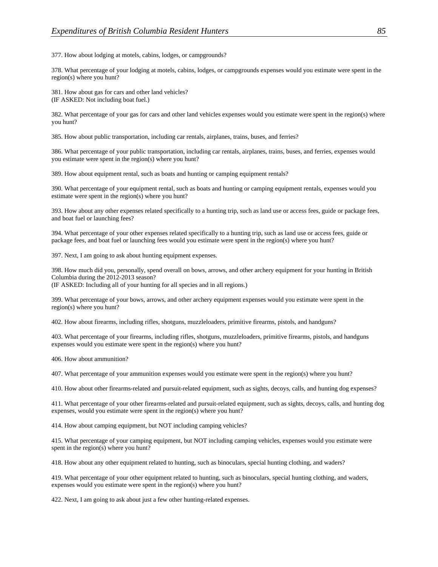377. How about lodging at motels, cabins, lodges, or campgrounds?

378. What percentage of your lodging at motels, cabins, lodges, or campgrounds expenses would you estimate were spent in the region(s) where you hunt?

381. How about gas for cars and other land vehicles? (IF ASKED: Not including boat fuel.)

382. What percentage of your gas for cars and other land vehicles expenses would you estimate were spent in the region(s) where you hunt?

385. How about public transportation, including car rentals, airplanes, trains, buses, and ferries?

386. What percentage of your public transportation, including car rentals, airplanes, trains, buses, and ferries, expenses would you estimate were spent in the region(s) where you hunt?

389. How about equipment rental, such as boats and hunting or camping equipment rentals?

390. What percentage of your equipment rental, such as boats and hunting or camping equipment rentals, expenses would you estimate were spent in the region(s) where you hunt?

393. How about any other expenses related specifically to a hunting trip, such as land use or access fees, guide or package fees, and boat fuel or launching fees?

394. What percentage of your other expenses related specifically to a hunting trip, such as land use or access fees, guide or package fees, and boat fuel or launching fees would you estimate were spent in the region(s) where you hunt?

397. Next, I am going to ask about hunting equipment expenses.

398. How much did you, personally, spend overall on bows, arrows, and other archery equipment for your hunting in British Columbia during the 2012-2013 season?

(IF ASKED: Including all of your hunting for all species and in all regions.)

399. What percentage of your bows, arrows, and other archery equipment expenses would you estimate were spent in the region(s) where you hunt?

402. How about firearms, including rifles, shotguns, muzzleloaders, primitive firearms, pistols, and handguns?

403. What percentage of your firearms, including rifles, shotguns, muzzleloaders, primitive firearms, pistols, and handguns expenses would you estimate were spent in the region(s) where you hunt?

406. How about ammunition?

407. What percentage of your ammunition expenses would you estimate were spent in the region(s) where you hunt?

410. How about other firearms-related and pursuit-related equipment, such as sights, decoys, calls, and hunting dog expenses?

411. What percentage of your other firearms-related and pursuit-related equipment, such as sights, decoys, calls, and hunting dog expenses, would you estimate were spent in the region(s) where you hunt?

414. How about camping equipment, but NOT including camping vehicles?

415. What percentage of your camping equipment, but NOT including camping vehicles, expenses would you estimate were spent in the region(s) where you hunt?

418. How about any other equipment related to hunting, such as binoculars, special hunting clothing, and waders?

419. What percentage of your other equipment related to hunting, such as binoculars, special hunting clothing, and waders, expenses would you estimate were spent in the region(s) where you hunt?

422. Next, I am going to ask about just a few other hunting-related expenses.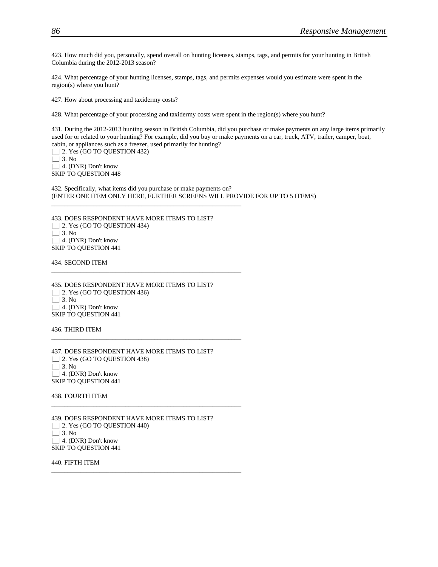423. How much did you, personally, spend overall on hunting licenses, stamps, tags, and permits for your hunting in British Columbia during the 2012-2013 season?

424. What percentage of your hunting licenses, stamps, tags, and permits expenses would you estimate were spent in the region(s) where you hunt?

427. How about processing and taxidermy costs?

428. What percentage of your processing and taxidermy costs were spent in the region(s) where you hunt?

431. During the 2012-2013 hunting season in British Columbia, did you purchase or make payments on any large items primarily used for or related to your hunting? For example, did you buy or make payments on a car, truck, ATV, trailer, camper, boat, cabin, or appliances such as a freezer, used primarily for hunting?

| | 2. Yes (GO TO QUESTION 432)  $\Box$  3. No |\_\_| 4. (DNR) Don't know

SKIP TO QUESTION 448

432. Specifically, what items did you purchase or make payments on? (ENTER ONE ITEM ONLY HERE, FURTHER SCREENS WILL PROVIDE FOR UP TO 5 ITEMS)

433. DOES RESPONDENT HAVE MORE ITEMS TO LIST? | | 2. Yes (GO TO QUESTION 434)  $\lfloor \rfloor$  3. No |\_| 4. (DNR) Don't know SKIP TO QUESTION 441

\_\_\_\_\_\_\_\_\_\_\_\_\_\_\_\_\_\_\_\_\_\_\_\_\_\_\_\_\_\_\_\_\_\_\_\_\_\_\_\_\_\_\_\_\_\_\_\_\_\_\_\_\_\_\_\_\_\_\_

\_\_\_\_\_\_\_\_\_\_\_\_\_\_\_\_\_\_\_\_\_\_\_\_\_\_\_\_\_\_\_\_\_\_\_\_\_\_\_\_\_\_\_\_\_\_\_\_\_\_\_\_\_\_\_\_\_\_\_

\_\_\_\_\_\_\_\_\_\_\_\_\_\_\_\_\_\_\_\_\_\_\_\_\_\_\_\_\_\_\_\_\_\_\_\_\_\_\_\_\_\_\_\_\_\_\_\_\_\_\_\_\_\_\_\_\_\_\_

\_\_\_\_\_\_\_\_\_\_\_\_\_\_\_\_\_\_\_\_\_\_\_\_\_\_\_\_\_\_\_\_\_\_\_\_\_\_\_\_\_\_\_\_\_\_\_\_\_\_\_\_\_\_\_\_\_\_\_

\_\_\_\_\_\_\_\_\_\_\_\_\_\_\_\_\_\_\_\_\_\_\_\_\_\_\_\_\_\_\_\_\_\_\_\_\_\_\_\_\_\_\_\_\_\_\_\_\_\_\_\_\_\_\_\_\_\_\_

434. SECOND ITEM

435. DOES RESPONDENT HAVE MORE ITEMS TO LIST? | | 2. Yes (GO TO QUESTION 436)  $\lfloor \rfloor$  3. No | | 4. (DNR) Don't know SKIP TO QUESTION 441

436. THIRD ITEM

437. DOES RESPONDENT HAVE MORE ITEMS TO LIST? | | 2. Yes (GO TO QUESTION 438) |\_\_| 3. No | | 4. (DNR) Don't know SKIP TO QUESTION 441

438. FOURTH ITEM

439. DOES RESPONDENT HAVE MORE ITEMS TO LIST? |\_\_| 2. Yes (GO TO QUESTION 440) |\_\_| 3. No |\_\_| 4. (DNR) Don't know SKIP TO QUESTION 441

440. FIFTH ITEM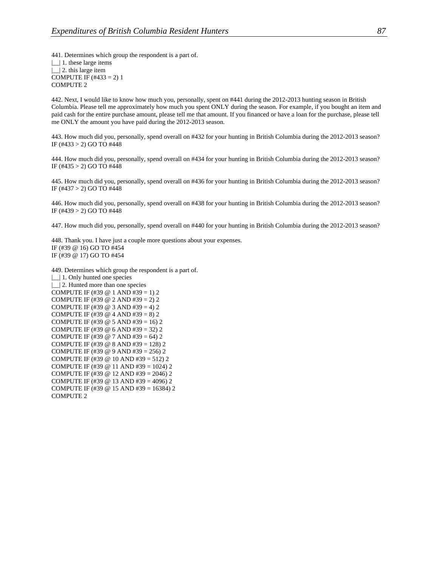441. Determines which group the respondent is a part of. |\_\_| 1. these large items | | 2. this large item COMPUTE IF  $(\#433 = 2)$  1 COMPUTE 2

442. Next, I would like to know how much you, personally, spent on #441 during the 2012-2013 hunting season in British Columbia. Please tell me approximately how much you spent ONLY during the season. For example, if you bought an item and paid cash for the entire purchase amount, please tell me that amount. If you financed or have a loan for the purchase, please tell me ONLY the amount you have paid during the 2012-2013 season.

443. How much did you, personally, spend overall on #432 for your hunting in British Columbia during the 2012-2013 season? IF (#433 > 2) GO TO #448

444. How much did you, personally, spend overall on #434 for your hunting in British Columbia during the 2012-2013 season? IF (#435 > 2) GO TO #448

445. How much did you, personally, spend overall on #436 for your hunting in British Columbia during the 2012-2013 season? IF (#437 > 2) GO TO #448

446. How much did you, personally, spend overall on #438 for your hunting in British Columbia during the 2012-2013 season? IF (#439 > 2) GO TO #448

447. How much did you, personally, spend overall on #440 for your hunting in British Columbia during the 2012-2013 season?

448. Thank you. I have just a couple more questions about your expenses. IF (#39 @ 16) GO TO #454 IF (#39 @ 17) GO TO #454

449. Determines which group the respondent is a part of. |\_\_| 1. Only hunted one species |\_\_| 2. Hunted more than one species COMPUTE IF (#39  $@ 1$  AND #39 = 1) 2 COMPUTE IF (#39 @ 2 AND #39 = 2) 2 COMPUTE IF (#39  $@$  3 AND #39 = 4) 2 COMPUTE IF (#39  $@$  4 AND #39 = 8) 2 COMPUTE IF (#39  $@$  5 AND #39 = 16) 2 COMPUTE IF (#39 @ 6 AND #39 = 32) 2 COMPUTE IF (#39  $@ 7$  AND #39 = 64) 2 COMPUTE IF (#39  $@ 8$  AND #39 = 128) 2 COMPUTE IF (#39 @ 9 AND #39 = 256) 2 COMPUTE IF (#39 @ 10 AND #39 = 512) 2 COMPUTE IF (#39 @ 11 AND #39 = 1024) 2 COMPUTE IF (#39 @ 12 AND #39 = 2046) 2 COMPUTE IF (#39 @ 13 AND #39 = 4096) 2 COMPUTE IF (#39 @ 15 AND #39 = 16384) 2 COMPUTE 2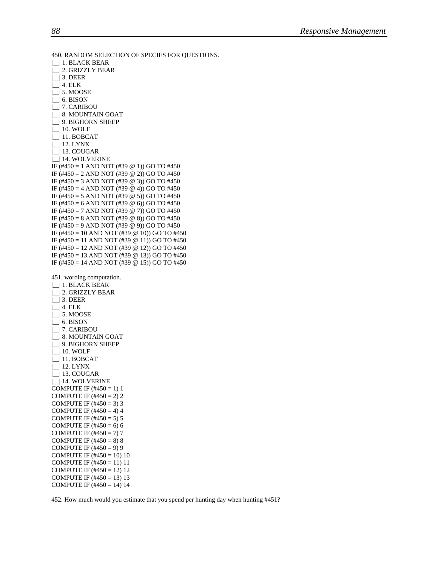```
450. RANDOM SELECTION OF SPECIES FOR QUESTIONS. 
|__| 1. BLACK BEAR 
|__| 2. GRIZZLY BEAR 
\Box 3. DEER
\Box| 4. ELK
\lfloor 5. MOOSE
\lfloor 6. BISON
|__| 7. CARIBOU 
|__| 8. MOUNTAIN GOAT 
| 9. BIGHORN SHEEP
|__| 10. WOLF 
|__| 11. BOBCAT 
|__| 12. LYNX 
|__| 13. COUGAR 
|__| 14. WOLVERINE 
IF (#450 = 1 AND NOT (#39 @ 1)) GO TO #450
IF (#450 = 2 AND NOT (#39 @ 2)) GO TO #450 
IF (#450 = 3 AND NOT (#39 @ 3)) GO TO #450
IF (#450 = 4 AND NOT (#39 @ 4)) GO TO #450
IF (#450 = 5 AND NOT (#39 @ 5)) GO TO #450
IF (#450 = 6 AND NOT (#39 \omega 6)) GO TO #450
IF (#450 = 7 AND NOT (#39 \omega 7)) GO TO #450
IF (#450 = 8 AND NOT (#39 \omega 8)) GO TO #450
IF (#450 = 9 AND NOT (#39 @ 9)) GO TO #450 
IF (#450 = 10 AND NOT (#39 @ 10)) GO TO #450 
IF (#450 = 11 AND NOT (#39 @ 11)) GO TO #450
IF (#450 = 12 AND NOT (#39 @ 12)) GO TO #450
IF (#450 = 13 AND NOT (#39 \omega 13)) GO TO #450
IF (#450 = 14 AND NOT (#39 \omega 15)) GO TO #450
451. wording computation. 
|__| 1. BLACK BEAR 
|__| 2. GRIZZLY BEAR 
\lfloor \rfloor 3. DEER
\lfloor 4. ELK
\lfloor 5. MOOSE
|\_ 6. BISON
  |__| 7. CARIBOU 
|__| 8. MOUNTAIN GOAT 
|__| 9. BIGHORN SHEEP 
|__| 10. WOLF 
|__| 11. BOBCAT 
|__| 12. LYNX 
|__| 13. COUGAR 
|__| 14. WOLVERINE 
COMPUTE IF (\#450 = 1) 1
COMPUTE IF (\#450 = 2) 2
COMPUTE IF (\#450 = 3) 3
COMPUTE IF (\#450 = 4) 4
COMPUTE IF (\#450 = 5) 5
COMPUTE IF (#450 = 6) 6
COMPUTE IF (\#450 = 7) 7
COMPUTE IF (\#450 = 8) 8
COMPUTE IF (\#450 = 9) 9
COMPUTE IF (\#450 = 10) 10COMPUTE IF (\#450 = 11) 11
COMPUTE IF (\#450 = 12) 12
COMPUTE IF (\#450 = 13) 13
COMPUTE IF (\#450 = 14) 14
```
452. How much would you estimate that you spend per hunting day when hunting #451?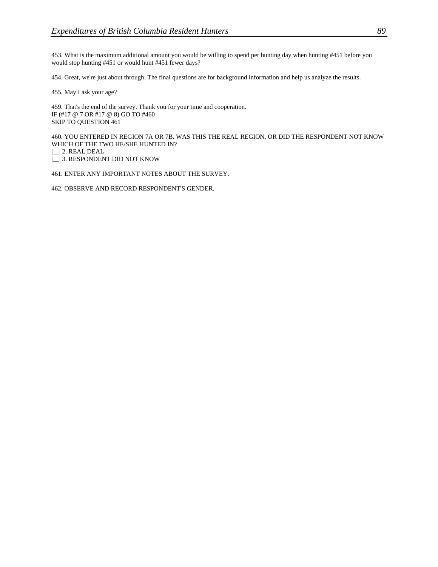453. What is the maximum additional amount you would be willing to spend per hunting day when hunting #451 before you would stop hunting #451 or would hunt #451 fewer days?

454. Great, we're just about through. The final questions are for background information and help us analyze the results.

455. May I ask your age?

459. That's the end of the survey. Thank you for your time and cooperation. IF (#17 @ 7 OR #17 @ 8) GO TO #460 SKIP TO QUESTION 461

460. YOU ENTERED IN REGION 7A OR 7B. WAS THIS THE REAL REGION, OR DID THE RESPONDENT NOT KNOW WHICH OF THE TWO HE/SHE HUNTED IN?

|\_\_| 2. REAL DEAL

|\_| 3. RESPONDENT DID NOT KNOW

461. ENTER ANY IMPORTANT NOTES ABOUT THE SURVEY.

462. OBSERVE AND RECORD RESPONDENT'S GENDER.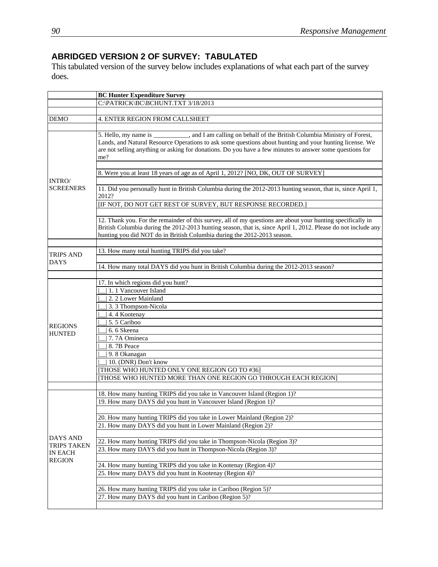## **ABRIDGED VERSION 2 OF SURVEY: TABULATED**

This tabulated version of the survey below includes explanations of what each part of the survey does.

|                                  | <b>BC Hunter Expenditure Survey</b>                                                                                                                                                                                                                                                                                                     |
|----------------------------------|-----------------------------------------------------------------------------------------------------------------------------------------------------------------------------------------------------------------------------------------------------------------------------------------------------------------------------------------|
|                                  | C:\PATRICK\BC\BCHUNT.TXT 3/18/2013                                                                                                                                                                                                                                                                                                      |
|                                  |                                                                                                                                                                                                                                                                                                                                         |
| <b>DEMO</b>                      | 4. ENTER REGION FROM CALLSHEET                                                                                                                                                                                                                                                                                                          |
|                                  | 5. Hello, my name is ____________, and I am calling on behalf of the British Columbia Ministry of Forest,<br>Lands, and Natural Resource Operations to ask some questions about hunting and your hunting license. We<br>are not selling anything or asking for donations. Do you have a few minutes to answer some questions for<br>me? |
|                                  |                                                                                                                                                                                                                                                                                                                                         |
|                                  | 8. Were you at least 18 years of age as of April 1, 2012? [NO, DK, OUT OF SURVEY]                                                                                                                                                                                                                                                       |
| <b>INTRO</b><br><b>SCREENERS</b> | 11. Did you personally hunt in British Columbia during the 2012-2013 hunting season, that is, since April 1,<br>2012?<br>[IF NOT, DO NOT GET REST OF SURVEY, BUT RESPONSE RECORDED.]                                                                                                                                                    |
|                                  |                                                                                                                                                                                                                                                                                                                                         |
|                                  | 12. Thank you. For the remainder of this survey, all of my questions are about your hunting specifically in<br>British Columbia during the 2012-2013 hunting season, that is, since April 1, 2012. Please do not include any<br>hunting you did NOT do in British Columbia during the 2012-2013 season.                                 |
|                                  |                                                                                                                                                                                                                                                                                                                                         |
| <b>TRIPS AND</b>                 | 13. How many total hunting TRIPS did you take?                                                                                                                                                                                                                                                                                          |
| <b>DAYS</b>                      | 14. How many total DAYS did you hunt in British Columbia during the 2012-2013 season?                                                                                                                                                                                                                                                   |
|                                  |                                                                                                                                                                                                                                                                                                                                         |
|                                  | 17. In which regions did you hunt?                                                                                                                                                                                                                                                                                                      |
|                                  | 1. 1 Vancouver Island                                                                                                                                                                                                                                                                                                                   |
|                                  | 2. 2 Lower Mainland                                                                                                                                                                                                                                                                                                                     |
|                                  | 3. 3 Thompson-Nicola                                                                                                                                                                                                                                                                                                                    |
|                                  | 4.4 Kootenay                                                                                                                                                                                                                                                                                                                            |
| <b>REGIONS</b>                   | 5.5 Cariboo                                                                                                                                                                                                                                                                                                                             |
| <b>HUNTED</b>                    | 6.6 Skeena                                                                                                                                                                                                                                                                                                                              |
|                                  | 7.7A Omineca                                                                                                                                                                                                                                                                                                                            |
|                                  | 8. 7B Peace                                                                                                                                                                                                                                                                                                                             |
|                                  | 9.8 Okanagan                                                                                                                                                                                                                                                                                                                            |
|                                  | 10. (DNR) Don't know                                                                                                                                                                                                                                                                                                                    |
|                                  | THOSE WHO HUNTED ONLY ONE REGION GO TO #36]                                                                                                                                                                                                                                                                                             |
|                                  | [THOSE WHO HUNTED MORE THAN ONE REGION GO THROUGH EACH REGION]                                                                                                                                                                                                                                                                          |
|                                  |                                                                                                                                                                                                                                                                                                                                         |
|                                  | 18. How many hunting TRIPS did you take in Vancouver Island (Region 1)?<br>19. How many DAYS did you hunt in Vancouver Island (Region 1)?                                                                                                                                                                                               |
|                                  |                                                                                                                                                                                                                                                                                                                                         |
|                                  | 20. How many hunting TRIPS did you take in Lower Mainland (Region 2)?                                                                                                                                                                                                                                                                   |
| <b>DAYS AND</b>                  | 21. How many DAYS did you hunt in Lower Mainland (Region 2)?                                                                                                                                                                                                                                                                            |
|                                  |                                                                                                                                                                                                                                                                                                                                         |
|                                  | 22. How many hunting TRIPS did you take in Thompson-Nicola (Region 3)?                                                                                                                                                                                                                                                                  |
| <b>TRIPS TAKEN</b>               | 23. How many DAYS did you hunt in Thompson-Nicola (Region 3)?                                                                                                                                                                                                                                                                           |
| <b>IN EACH</b><br><b>REGION</b>  |                                                                                                                                                                                                                                                                                                                                         |
|                                  | 24. How many hunting TRIPS did you take in Kootenay (Region 4)?                                                                                                                                                                                                                                                                         |
|                                  | 25. How many DAYS did you hunt in Kootenay (Region 4)?                                                                                                                                                                                                                                                                                  |
|                                  |                                                                                                                                                                                                                                                                                                                                         |
|                                  | 26. How many hunting TRIPS did you take in Cariboo (Region 5)?                                                                                                                                                                                                                                                                          |
|                                  | 27. How many DAYS did you hunt in Cariboo (Region 5)?                                                                                                                                                                                                                                                                                   |
|                                  |                                                                                                                                                                                                                                                                                                                                         |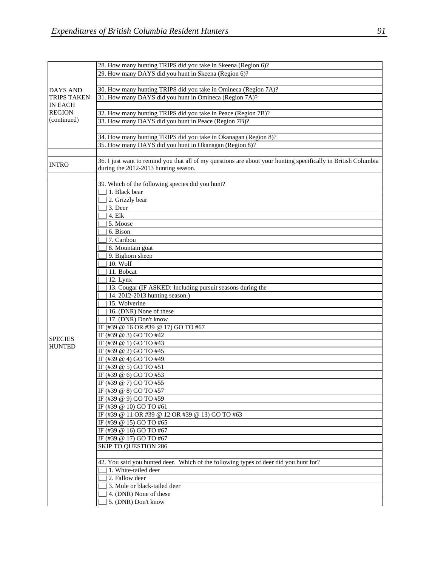|                    | 28. How many hunting TRIPS did you take in Skeena (Region 6)?                                                  |
|--------------------|----------------------------------------------------------------------------------------------------------------|
|                    | 29. How many DAYS did you hunt in Skeena (Region 6)?                                                           |
|                    |                                                                                                                |
| DAYS AND           | 30. How many hunting TRIPS did you take in Omineca (Region 7A)?                                                |
| <b>TRIPS TAKEN</b> | 31. How many DAYS did you hunt in Omineca (Region 7A)?                                                         |
| <b>IN EACH</b>     |                                                                                                                |
| <b>REGION</b>      | 32. How many hunting TRIPS did you take in Peace (Region 7B)?                                                  |
| (continued)        | 33. How many DAYS did you hunt in Peace (Region 7B)?                                                           |
|                    |                                                                                                                |
|                    |                                                                                                                |
|                    | 34. How many hunting TRIPS did you take in Okanagan (Region 8)?                                                |
|                    | 35. How many DAYS did you hunt in Okanagan (Region 8)?                                                         |
|                    |                                                                                                                |
| <b>INTRO</b>       | 36. I just want to remind you that all of my questions are about your hunting specifically in British Columbia |
|                    | during the 2012-2013 hunting season.                                                                           |
|                    |                                                                                                                |
|                    | 39. Which of the following species did you hunt?                                                               |
|                    | 1. Black bear                                                                                                  |
|                    | 2. Grizzly bear                                                                                                |
|                    | 3. Deer                                                                                                        |
|                    | $4.$ Elk                                                                                                       |
|                    | 5. Moose                                                                                                       |
|                    |                                                                                                                |
|                    | 6. Bison                                                                                                       |
|                    | 7. Caribou                                                                                                     |
|                    | 8. Mountain goat                                                                                               |
|                    | 9. Bighorn sheep                                                                                               |
|                    | 10. Wolf                                                                                                       |
|                    | 11. Bobcat                                                                                                     |
|                    | 12. Lynx                                                                                                       |
|                    | 13. Cougar (IF ASKED: Including pursuit seasons during the                                                     |
|                    | 14. 2012-2013 hunting season.)                                                                                 |
|                    | 15. Wolverine                                                                                                  |
|                    | 16. (DNR) None of these                                                                                        |
|                    | 17. (DNR) Don't know                                                                                           |
|                    | IF (#39 @ 16 OR #39 @ 17) GO TO #67                                                                            |
|                    |                                                                                                                |
| <b>SPECIES</b>     | IF (#39 @ 3) GO TO #42                                                                                         |
| <b>HUNTED</b>      | IF (#39 @ 1) GO TO #43                                                                                         |
|                    | IF (#39 @ 2) GO TO #45                                                                                         |
|                    | IF (#39 @ 4) GO TO #49                                                                                         |
|                    | IF (#39 @ 5) GO TO #51                                                                                         |
|                    | IF (#39 @ 6) GO TO #53                                                                                         |
|                    | IF (#39 @ 7) GO TO #55                                                                                         |
|                    | IF (#39 @ 8) GO TO #57                                                                                         |
|                    | IF (#39 @ 9) GO TO #59                                                                                         |
|                    | IF (#39 @ 10) GO TO #61                                                                                        |
|                    | IF (#39 @ 11 OR #39 @ 12 OR #39 @ 13) GO TO #63                                                                |
|                    | IF (#39 @ 15) GO TO #65                                                                                        |
|                    | IF (#39 @ 16) GO TO #67                                                                                        |
|                    | IF (#39 @ 17) GO TO #67                                                                                        |
|                    |                                                                                                                |
|                    | <b>SKIP TO QUESTION 286</b>                                                                                    |
|                    |                                                                                                                |
|                    | 42. You said you hunted deer. Which of the following types of deer did you hunt for?                           |
|                    | 1. White-tailed deer                                                                                           |
|                    | 2. Fallow deer                                                                                                 |
|                    | 3. Mule or black-tailed deer                                                                                   |
|                    | 4. (DNR) None of these                                                                                         |
|                    | 5. (DNR) Don't know                                                                                            |
|                    |                                                                                                                |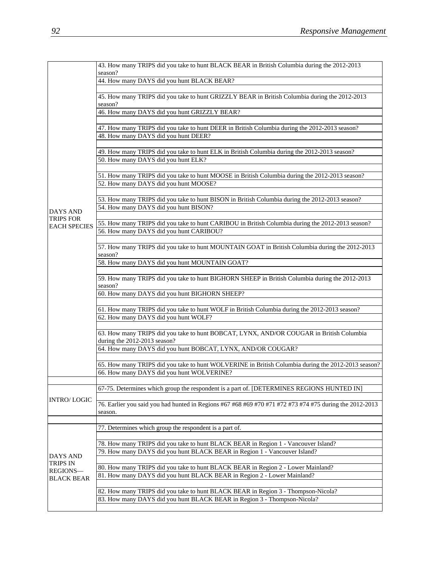|                     | 43. How many TRIPS did you take to hunt BLACK BEAR in British Columbia during the 2012-2013<br>season?                                                          |
|---------------------|-----------------------------------------------------------------------------------------------------------------------------------------------------------------|
|                     | 44. How many DAYS did you hunt BLACK BEAR?                                                                                                                      |
|                     |                                                                                                                                                                 |
|                     | 45. How many TRIPS did you take to hunt GRIZZLY BEAR in British Columbia during the 2012-2013<br>season?                                                        |
|                     | 46. How many DAYS did you hunt GRIZZLY BEAR?                                                                                                                    |
|                     |                                                                                                                                                                 |
|                     | 47. How many TRIPS did you take to hunt DEER in British Columbia during the 2012-2013 season?                                                                   |
|                     | 48. How many DAYS did you hunt DEER?                                                                                                                            |
|                     |                                                                                                                                                                 |
|                     | 49. How many TRIPS did you take to hunt ELK in British Columbia during the 2012-2013 season?                                                                    |
|                     | 50. How many DAYS did you hunt ELK?                                                                                                                             |
|                     |                                                                                                                                                                 |
|                     | 51. How many TRIPS did you take to hunt MOOSE in British Columbia during the 2012-2013 season?                                                                  |
|                     | 52. How many DAYS did you hunt MOOSE?                                                                                                                           |
|                     |                                                                                                                                                                 |
|                     | 53. How many TRIPS did you take to hunt BISON in British Columbia during the 2012-2013 season?                                                                  |
| <b>DAYS AND</b>     | 54. How many DAYS did you hunt BISON?                                                                                                                           |
| <b>TRIPS FOR</b>    |                                                                                                                                                                 |
| <b>EACH SPECIES</b> | 55. How many TRIPS did you take to hunt CARIBOU in British Columbia during the 2012-2013 season?                                                                |
|                     | 56. How many DAYS did you hunt CARIBOU?                                                                                                                         |
|                     |                                                                                                                                                                 |
|                     | 57. How many TRIPS did you take to hunt MOUNTAIN GOAT in British Columbia during the 2012-2013<br>season?                                                       |
|                     | 58. How many DAYS did you hunt MOUNTAIN GOAT?                                                                                                                   |
|                     |                                                                                                                                                                 |
|                     | 59. How many TRIPS did you take to hunt BIGHORN SHEEP in British Columbia during the 2012-2013                                                                  |
|                     | season?                                                                                                                                                         |
|                     |                                                                                                                                                                 |
|                     | 60. How many DAYS did you hunt BIGHORN SHEEP?                                                                                                                   |
|                     |                                                                                                                                                                 |
|                     | 61. How many TRIPS did you take to hunt WOLF in British Columbia during the 2012-2013 season?                                                                   |
|                     | 62. How many DAYS did you hunt WOLF?                                                                                                                            |
|                     |                                                                                                                                                                 |
|                     | 63. How many TRIPS did you take to hunt BOBCAT, LYNX, AND/OR COUGAR in British Columbia                                                                         |
|                     | during the 2012-2013 season?                                                                                                                                    |
|                     | 64. How many DAYS did you hunt BOBCAT, LYNX, AND/OR COUGAR?                                                                                                     |
|                     |                                                                                                                                                                 |
|                     | 65. How many TRIPS did you take to hunt WOLVERINE in British Columbia during the 2012-2013 season?                                                              |
|                     | 66. How many DAYS did you hunt WOLVERINE?                                                                                                                       |
|                     |                                                                                                                                                                 |
|                     | 67-75. Determines which group the respondent is a part of. [DETERMINES REGIONS HUNTED IN]                                                                       |
| <b>INTRO/LOGIC</b>  |                                                                                                                                                                 |
|                     | 76. Earlier you said you had hunted in Regions #67 #68 #69 #70 #71 #72 #73 #74 #75 during the 2012-2013                                                         |
|                     | season.                                                                                                                                                         |
|                     |                                                                                                                                                                 |
|                     | 77. Determines which group the respondent is a part of.                                                                                                         |
|                     |                                                                                                                                                                 |
|                     | 78. How many TRIPS did you take to hunt BLACK BEAR in Region 1 - Vancouver Island?<br>79. How many DAYS did you hunt BLACK BEAR in Region 1 - Vancouver Island? |
| <b>DAYS AND</b>     |                                                                                                                                                                 |
| <b>TRIPS IN</b>     | 80. How many TRIPS did you take to hunt BLACK BEAR in Region 2 - Lower Mainland?                                                                                |
| REGIONS-            | 81. How many DAYS did you hunt BLACK BEAR in Region 2 - Lower Mainland?                                                                                         |
| <b>BLACK BEAR</b>   |                                                                                                                                                                 |
|                     | 82. How many TRIPS did you take to hunt BLACK BEAR in Region 3 - Thompson-Nicola?                                                                               |
|                     | 83. How many DAYS did you hunt BLACK BEAR in Region 3 - Thompson-Nicola?                                                                                        |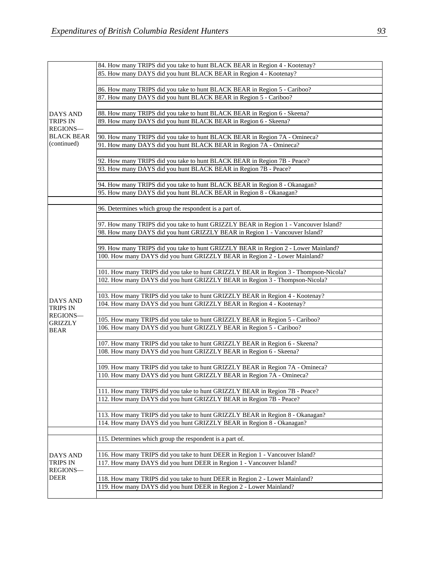|                               | 84. How many TRIPS did you take to hunt BLACK BEAR in Region 4 - Kootenay?           |
|-------------------------------|--------------------------------------------------------------------------------------|
|                               | 85. How many DAYS did you hunt BLACK BEAR in Region 4 - Kootenay?                    |
|                               |                                                                                      |
|                               | 86. How many TRIPS did you take to hunt BLACK BEAR in Region 5 - Cariboo?            |
|                               | 87. How many DAYS did you hunt BLACK BEAR in Region 5 - Cariboo?                     |
|                               |                                                                                      |
| <b>DAYS AND</b>               | 88. How many TRIPS did you take to hunt BLACK BEAR in Region 6 - Skeena?             |
| <b>TRIPS IN</b>               | 89. How many DAYS did you hunt BLACK BEAR in Region 6 - Skeena?                      |
| REGIONS-<br><b>BLACK BEAR</b> |                                                                                      |
|                               | 90. How many TRIPS did you take to hunt BLACK BEAR in Region 7A - Omineca?           |
| (continued)                   | 91. How many DAYS did you hunt BLACK BEAR in Region 7A - Omineca?                    |
|                               |                                                                                      |
|                               | 92. How many TRIPS did you take to hunt BLACK BEAR in Region 7B - Peace?             |
|                               | 93. How many DAYS did you hunt BLACK BEAR in Region 7B - Peace?                      |
|                               |                                                                                      |
|                               | 94. How many TRIPS did you take to hunt BLACK BEAR in Region 8 - Okanagan?           |
|                               | 95. How many DAYS did you hunt BLACK BEAR in Region 8 - Okanagan?                    |
|                               |                                                                                      |
|                               | 96. Determines which group the respondent is a part of.                              |
|                               |                                                                                      |
|                               | 97. How many TRIPS did you take to hunt GRIZZLY BEAR in Region 1 - Vancouver Island? |
|                               | 98. How many DAYS did you hunt GRIZZLY BEAR in Region 1 - Vancouver Island?          |
|                               |                                                                                      |
|                               |                                                                                      |
|                               | 99. How many TRIPS did you take to hunt GRIZZLY BEAR in Region 2 - Lower Mainland?   |
|                               | 100. How many DAYS did you hunt GRIZZLY BEAR in Region 2 - Lower Mainland?           |
|                               |                                                                                      |
|                               | 101. How many TRIPS did you take to hunt GRIZZLY BEAR in Region 3 - Thompson-Nicola? |
|                               | 102. How many DAYS did you hunt GRIZZLY BEAR in Region 3 - Thompson-Nicola?          |
|                               |                                                                                      |
| DAYS AND                      | 103. How many TRIPS did you take to hunt GRIZZLY BEAR in Region 4 - Kootenay?        |
| <b>TRIPS IN</b>               | 104. How many DAYS did you hunt GRIZZLY BEAR in Region 4 - Kootenay?                 |
| <b>REGIONS-</b>               |                                                                                      |
| <b>GRIZZLY</b>                | 105. How many TRIPS did you take to hunt GRIZZLY BEAR in Region 5 - Cariboo?         |
| <b>BEAR</b>                   | 106. How many DAYS did you hunt GRIZZLY BEAR in Region 5 - Cariboo?                  |
|                               |                                                                                      |
|                               | 107. How many TRIPS did you take to hunt GRIZZLY BEAR in Region 6 - Skeena?          |
|                               | 108. How many DAYS did you hunt GRIZZLY BEAR in Region 6 - Skeena?                   |
|                               |                                                                                      |
|                               | 109. How many TRIPS did you take to hunt GRIZZLY BEAR in Region 7A - Omineca?        |
|                               | 110. How many DAYS did you hunt GRIZZLY BEAR in Region 7A - Omineca?                 |
|                               |                                                                                      |
|                               | 111. How many TRIPS did you take to hunt GRIZZLY BEAR in Region 7B - Peace?          |
|                               | 112. How many DAYS did you hunt GRIZZLY BEAR in Region 7B - Peace?                   |
|                               |                                                                                      |
|                               | 113. How many TRIPS did you take to hunt GRIZZLY BEAR in Region 8 - Okanagan?        |
|                               | 114. How many DAYS did you hunt GRIZZLY BEAR in Region 8 - Okanagan?                 |
|                               |                                                                                      |
|                               | 115. Determines which group the respondent is a part of.                             |
|                               |                                                                                      |
| DAYS AND                      | 116. How many TRIPS did you take to hunt DEER in Region 1 - Vancouver Island?        |
| <b>TRIPS IN</b>               | 117. How many DAYS did you hunt DEER in Region 1 - Vancouver Island?                 |
| REGIONS-<br>DEER              |                                                                                      |
|                               | 118. How many TRIPS did you take to hunt DEER in Region 2 - Lower Mainland?          |
|                               | 119. How many DAYS did you hunt DEER in Region 2 - Lower Mainland?                   |
|                               |                                                                                      |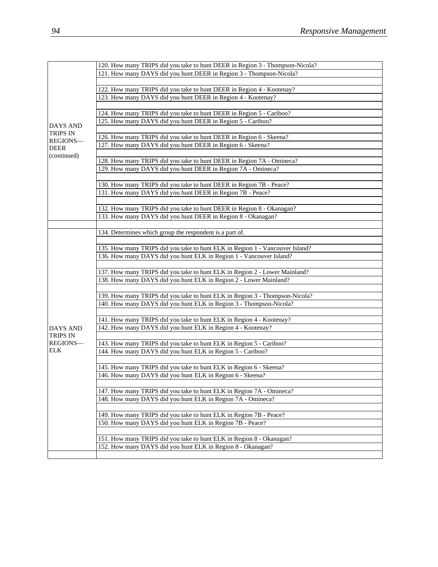|                                    | 120. How many TRIPS did you take to hunt DEER in Region 3 - Thompson-Nicola? |
|------------------------------------|------------------------------------------------------------------------------|
|                                    | 121. How many DAYS did you hunt DEER in Region 3 - Thompson-Nicola?          |
|                                    |                                                                              |
|                                    | 122. How many TRIPS did you take to hunt DEER in Region 4 - Kootenay?        |
|                                    | 123. How many DAYS did you hunt DEER in Region 4 - Kootenay?                 |
|                                    |                                                                              |
|                                    | 124. How many TRIPS did you take to hunt DEER in Region 5 - Cariboo?         |
|                                    | 125. How many DAYS did you hunt DEER in Region 5 - Cariboo?                  |
| <b>DAYS AND</b><br><b>TRIPS IN</b> |                                                                              |
| REGIONS-                           | 126. How many TRIPS did you take to hunt DEER in Region 6 - Skeena?          |
| <b>DEER</b>                        | 127. How many DAYS did you hunt DEER in Region 6 - Skeena?                   |
| (continued)                        |                                                                              |
|                                    | 128. How many TRIPS did you take to hunt DEER in Region 7A - Omineca?        |
|                                    | 129. How many DAYS did you hunt DEER in Region 7A - Omineca?                 |
|                                    |                                                                              |
|                                    | 130. How many TRIPS did you take to hunt DEER in Region 7B - Peace?          |
|                                    | 131. How many DAYS did you hunt DEER in Region 7B - Peace?                   |
|                                    |                                                                              |
|                                    | 132. How many TRIPS did you take to hunt DEER in Region 8 - Okanagan?        |
|                                    | 133. How many DAYS did you hunt DEER in Region 8 - Okanagan?                 |
|                                    |                                                                              |
|                                    | 134. Determines which group the respondent is a part of.                     |
|                                    | 135. How many TRIPS did you take to hunt ELK in Region 1 - Vancouver Island? |
|                                    | 136. How many DAYS did you hunt ELK in Region 1 - Vancouver Island?          |
|                                    |                                                                              |
|                                    | 137. How many TRIPS did you take to hunt ELK in Region 2 - Lower Mainland?   |
|                                    | 138. How many DAYS did you hunt ELK in Region 2 - Lower Mainland?            |
|                                    |                                                                              |
|                                    | 139. How many TRIPS did you take to hunt ELK in Region 3 - Thompson-Nicola?  |
|                                    | 140. How many DAYS did you hunt ELK in Region 3 - Thompson-Nicola?           |
|                                    |                                                                              |
|                                    | 141. How many TRIPS did you take to hunt ELK in Region 4 - Kootenay?         |
| <b>DAYS AND</b>                    | 142. How many DAYS did you hunt ELK in Region 4 - Kootenay?                  |
| TRIPS IN<br>REGIONS-<br><b>ELK</b> |                                                                              |
|                                    | 143. How many TRIPS did you take to hunt ELK in Region 5 - Cariboo?          |
|                                    | 144. How many DAYS did you hunt ELK in Region 5 - Cariboo?                   |
|                                    |                                                                              |
|                                    | 145. How many TRIPS did you take to hunt ELK in Region 6 - Skeena?           |
|                                    | 146. How many DAYS did you hunt ELK in Region 6 - Skeena?                    |
|                                    |                                                                              |
|                                    | 147. How many TRIPS did you take to hunt ELK in Region 7A - Omineca?         |
|                                    | 148. How many DAYS did you hunt ELK in Region 7A - Omineca?                  |
|                                    |                                                                              |
|                                    | 149. How many TRIPS did you take to hunt ELK in Region 7B - Peace?           |
|                                    | 150. How many DAYS did you hunt ELK in Region 7B - Peace?                    |
|                                    | 151. How many TRIPS did you take to hunt ELK in Region 8 - Okanagan?         |
|                                    | 152. How many DAYS did you hunt ELK in Region 8 - Okanagan?                  |
|                                    |                                                                              |
|                                    |                                                                              |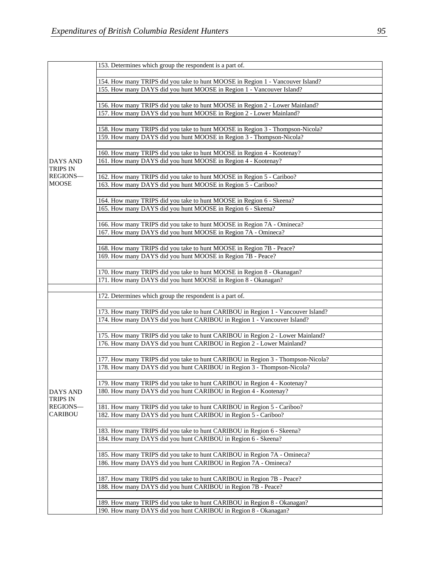| <b>DAYS AND</b><br>TRIPS IN<br>REGIONS-<br><b>MOOSE</b>         | 154. How many TRIPS did you take to hunt MOOSE in Region 1 - Vancouver Island?<br>155. How many DAYS did you hunt MOOSE in Region 1 - Vancouver Island?<br>156. How many TRIPS did you take to hunt MOOSE in Region 2 - Lower Mainland?<br>157. How many DAYS did you hunt MOOSE in Region 2 - Lower Mainland?<br>158. How many TRIPS did you take to hunt MOOSE in Region 3 - Thompson-Nicola?<br>159. How many DAYS did you hunt MOOSE in Region 3 - Thompson-Nicola?<br>160. How many TRIPS did you take to hunt MOOSE in Region 4 - Kootenay?<br>161. How many DAYS did you hunt MOOSE in Region 4 - Kootenay?<br>162. How many TRIPS did you take to hunt MOOSE in Region 5 - Cariboo?<br>163. How many DAYS did you hunt MOOSE in Region 5 - Cariboo? |
|-----------------------------------------------------------------|-------------------------------------------------------------------------------------------------------------------------------------------------------------------------------------------------------------------------------------------------------------------------------------------------------------------------------------------------------------------------------------------------------------------------------------------------------------------------------------------------------------------------------------------------------------------------------------------------------------------------------------------------------------------------------------------------------------------------------------------------------------|
|                                                                 |                                                                                                                                                                                                                                                                                                                                                                                                                                                                                                                                                                                                                                                                                                                                                             |
|                                                                 |                                                                                                                                                                                                                                                                                                                                                                                                                                                                                                                                                                                                                                                                                                                                                             |
|                                                                 |                                                                                                                                                                                                                                                                                                                                                                                                                                                                                                                                                                                                                                                                                                                                                             |
|                                                                 |                                                                                                                                                                                                                                                                                                                                                                                                                                                                                                                                                                                                                                                                                                                                                             |
|                                                                 |                                                                                                                                                                                                                                                                                                                                                                                                                                                                                                                                                                                                                                                                                                                                                             |
|                                                                 |                                                                                                                                                                                                                                                                                                                                                                                                                                                                                                                                                                                                                                                                                                                                                             |
|                                                                 |                                                                                                                                                                                                                                                                                                                                                                                                                                                                                                                                                                                                                                                                                                                                                             |
|                                                                 |                                                                                                                                                                                                                                                                                                                                                                                                                                                                                                                                                                                                                                                                                                                                                             |
|                                                                 |                                                                                                                                                                                                                                                                                                                                                                                                                                                                                                                                                                                                                                                                                                                                                             |
|                                                                 |                                                                                                                                                                                                                                                                                                                                                                                                                                                                                                                                                                                                                                                                                                                                                             |
|                                                                 |                                                                                                                                                                                                                                                                                                                                                                                                                                                                                                                                                                                                                                                                                                                                                             |
|                                                                 |                                                                                                                                                                                                                                                                                                                                                                                                                                                                                                                                                                                                                                                                                                                                                             |
|                                                                 |                                                                                                                                                                                                                                                                                                                                                                                                                                                                                                                                                                                                                                                                                                                                                             |
|                                                                 |                                                                                                                                                                                                                                                                                                                                                                                                                                                                                                                                                                                                                                                                                                                                                             |
|                                                                 | 164. How many TRIPS did you take to hunt MOOSE in Region 6 - Skeena?                                                                                                                                                                                                                                                                                                                                                                                                                                                                                                                                                                                                                                                                                        |
|                                                                 | 165. How many DAYS did you hunt MOOSE in Region 6 - Skeena?                                                                                                                                                                                                                                                                                                                                                                                                                                                                                                                                                                                                                                                                                                 |
|                                                                 |                                                                                                                                                                                                                                                                                                                                                                                                                                                                                                                                                                                                                                                                                                                                                             |
|                                                                 | 166. How many TRIPS did you take to hunt MOOSE in Region 7A - Omineca?                                                                                                                                                                                                                                                                                                                                                                                                                                                                                                                                                                                                                                                                                      |
|                                                                 | 167. How many DAYS did you hunt MOOSE in Region 7A - Omineca?                                                                                                                                                                                                                                                                                                                                                                                                                                                                                                                                                                                                                                                                                               |
|                                                                 | 168. How many TRIPS did you take to hunt MOOSE in Region 7B - Peace?                                                                                                                                                                                                                                                                                                                                                                                                                                                                                                                                                                                                                                                                                        |
|                                                                 | 169. How many DAYS did you hunt MOOSE in Region 7B - Peace?                                                                                                                                                                                                                                                                                                                                                                                                                                                                                                                                                                                                                                                                                                 |
|                                                                 |                                                                                                                                                                                                                                                                                                                                                                                                                                                                                                                                                                                                                                                                                                                                                             |
|                                                                 | 170. How many TRIPS did you take to hunt MOOSE in Region 8 - Okanagan?                                                                                                                                                                                                                                                                                                                                                                                                                                                                                                                                                                                                                                                                                      |
|                                                                 | 171. How many DAYS did you hunt MOOSE in Region 8 - Okanagan?                                                                                                                                                                                                                                                                                                                                                                                                                                                                                                                                                                                                                                                                                               |
|                                                                 |                                                                                                                                                                                                                                                                                                                                                                                                                                                                                                                                                                                                                                                                                                                                                             |
|                                                                 | 172. Determines which group the respondent is a part of.                                                                                                                                                                                                                                                                                                                                                                                                                                                                                                                                                                                                                                                                                                    |
|                                                                 | 173. How many TRIPS did you take to hunt CARIBOU in Region 1 - Vancouver Island?                                                                                                                                                                                                                                                                                                                                                                                                                                                                                                                                                                                                                                                                            |
|                                                                 | 174. How many DAYS did you hunt CARIBOU in Region 1 - Vancouver Island?                                                                                                                                                                                                                                                                                                                                                                                                                                                                                                                                                                                                                                                                                     |
|                                                                 |                                                                                                                                                                                                                                                                                                                                                                                                                                                                                                                                                                                                                                                                                                                                                             |
|                                                                 | 175. How many TRIPS did you take to hunt CARIBOU in Region 2 - Lower Mainland?                                                                                                                                                                                                                                                                                                                                                                                                                                                                                                                                                                                                                                                                              |
|                                                                 | 176. How many DAYS did you hunt CARIBOU in Region 2 - Lower Mainland?                                                                                                                                                                                                                                                                                                                                                                                                                                                                                                                                                                                                                                                                                       |
|                                                                 |                                                                                                                                                                                                                                                                                                                                                                                                                                                                                                                                                                                                                                                                                                                                                             |
|                                                                 | 177. How many TRIPS did you take to hunt CARIBOU in Region 3 - Thompson-Nicola?<br>178. How many DAYS did you hunt CARIBOU in Region 3 - Thompson-Nicola?                                                                                                                                                                                                                                                                                                                                                                                                                                                                                                                                                                                                   |
|                                                                 |                                                                                                                                                                                                                                                                                                                                                                                                                                                                                                                                                                                                                                                                                                                                                             |
|                                                                 | 179. How many TRIPS did you take to hunt CARIBOU in Region 4 - Kootenay?                                                                                                                                                                                                                                                                                                                                                                                                                                                                                                                                                                                                                                                                                    |
| <b>DAYS AND</b>                                                 | 180. How many DAYS did you hunt CARIBOU in Region 4 - Kootenay?                                                                                                                                                                                                                                                                                                                                                                                                                                                                                                                                                                                                                                                                                             |
| TRIPS IN                                                        |                                                                                                                                                                                                                                                                                                                                                                                                                                                                                                                                                                                                                                                                                                                                                             |
| REGIONS-                                                        | 181. How many TRIPS did you take to hunt CARIBOU in Region 5 - Cariboo?                                                                                                                                                                                                                                                                                                                                                                                                                                                                                                                                                                                                                                                                                     |
| <b>CARIBOU</b>                                                  | 182. How many DAYS did you hunt CARIBOU in Region 5 - Cariboo?                                                                                                                                                                                                                                                                                                                                                                                                                                                                                                                                                                                                                                                                                              |
|                                                                 | 183. How many TRIPS did you take to hunt CARIBOU in Region 6 - Skeena?                                                                                                                                                                                                                                                                                                                                                                                                                                                                                                                                                                                                                                                                                      |
|                                                                 | 184. How many DAYS did you hunt CARIBOU in Region 6 - Skeena?                                                                                                                                                                                                                                                                                                                                                                                                                                                                                                                                                                                                                                                                                               |
|                                                                 |                                                                                                                                                                                                                                                                                                                                                                                                                                                                                                                                                                                                                                                                                                                                                             |
|                                                                 | 185. How many TRIPS did you take to hunt CARIBOU in Region 7A - Omineca?                                                                                                                                                                                                                                                                                                                                                                                                                                                                                                                                                                                                                                                                                    |
|                                                                 | 186. How many DAYS did you hunt CARIBOU in Region 7A - Omineca?                                                                                                                                                                                                                                                                                                                                                                                                                                                                                                                                                                                                                                                                                             |
|                                                                 |                                                                                                                                                                                                                                                                                                                                                                                                                                                                                                                                                                                                                                                                                                                                                             |
|                                                                 |                                                                                                                                                                                                                                                                                                                                                                                                                                                                                                                                                                                                                                                                                                                                                             |
|                                                                 |                                                                                                                                                                                                                                                                                                                                                                                                                                                                                                                                                                                                                                                                                                                                                             |
|                                                                 |                                                                                                                                                                                                                                                                                                                                                                                                                                                                                                                                                                                                                                                                                                                                                             |
| 190. How many DAYS did you hunt CARIBOU in Region 8 - Okanagan? | 189. How many TRIPS did you take to hunt CARIBOU in Region 8 - Okanagan?                                                                                                                                                                                                                                                                                                                                                                                                                                                                                                                                                                                                                                                                                    |
|                                                                 | 187. How many TRIPS did you take to hunt CARIBOU in Region 7B - Peace?<br>188. How many DAYS did you hunt CARIBOU in Region 7B - Peace?                                                                                                                                                                                                                                                                                                                                                                                                                                                                                                                                                                                                                     |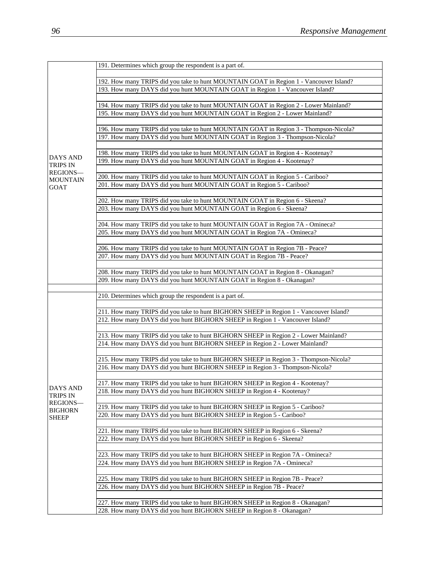|                            | 191. Determines which group the respondent is a part of.                                                                                                |
|----------------------------|---------------------------------------------------------------------------------------------------------------------------------------------------------|
|                            |                                                                                                                                                         |
|                            | 192. How many TRIPS did you take to hunt MOUNTAIN GOAT in Region 1 - Vancouver Island?                                                                  |
|                            | 193. How many DAYS did you hunt MOUNTAIN GOAT in Region 1 - Vancouver Island?                                                                           |
|                            |                                                                                                                                                         |
|                            | 194. How many TRIPS did you take to hunt MOUNTAIN GOAT in Region 2 - Lower Mainland?                                                                    |
|                            | 195. How many DAYS did you hunt MOUNTAIN GOAT in Region 2 - Lower Mainland?                                                                             |
|                            |                                                                                                                                                         |
|                            | 196. How many TRIPS did you take to hunt MOUNTAIN GOAT in Region 3 - Thompson-Nicola?                                                                   |
|                            | 197. How many DAYS did you hunt MOUNTAIN GOAT in Region 3 - Thompson-Nicola?                                                                            |
|                            |                                                                                                                                                         |
| <b>DAYS AND</b>            | 198. How many TRIPS did you take to hunt MOUNTAIN GOAT in Region 4 - Kootenay?                                                                          |
| TRIPS IN                   | 199. How many DAYS did you hunt MOUNTAIN GOAT in Region 4 - Kootenay?                                                                                   |
| REGIONS-                   |                                                                                                                                                         |
| <b>MOUNTAIN</b>            | 200. How many TRIPS did you take to hunt MOUNTAIN GOAT in Region 5 - Cariboo?                                                                           |
| GOAT                       | 201. How many DAYS did you hunt MOUNTAIN GOAT in Region 5 - Cariboo?                                                                                    |
|                            |                                                                                                                                                         |
|                            | 202. How many TRIPS did you take to hunt MOUNTAIN GOAT in Region 6 - Skeena?                                                                            |
|                            | 203. How many DAYS did you hunt MOUNTAIN GOAT in Region 6 - Skeena?                                                                                     |
|                            |                                                                                                                                                         |
|                            | 204. How many TRIPS did you take to hunt MOUNTAIN GOAT in Region 7A - Omineca?                                                                          |
|                            | 205. How many DAYS did you hunt MOUNTAIN GOAT in Region 7A - Omineca?                                                                                   |
|                            |                                                                                                                                                         |
|                            | 206. How many TRIPS did you take to hunt MOUNTAIN GOAT in Region 7B - Peace?                                                                            |
|                            | 207. How many DAYS did you hunt MOUNTAIN GOAT in Region 7B - Peace?                                                                                     |
|                            |                                                                                                                                                         |
|                            | 208. How many TRIPS did you take to hunt MOUNTAIN GOAT in Region 8 - Okanagan?                                                                          |
|                            | 209. How many DAYS did you hunt MOUNTAIN GOAT in Region 8 - Okanagan?                                                                                   |
|                            |                                                                                                                                                         |
|                            | 210. Determines which group the respondent is a part of.                                                                                                |
|                            |                                                                                                                                                         |
|                            |                                                                                                                                                         |
|                            | 211. How many TRIPS did you take to hunt BIGHORN SHEEP in Region 1 - Vancouver Island?                                                                  |
|                            | 212. How many DAYS did you hunt BIGHORN SHEEP in Region 1 - Vancouver Island?                                                                           |
|                            |                                                                                                                                                         |
|                            | 213. How many TRIPS did you take to hunt BIGHORN SHEEP in Region 2 - Lower Mainland?                                                                    |
|                            | 214. How many DAYS did you hunt BIGHORN SHEEP in Region 2 - Lower Mainland?                                                                             |
|                            |                                                                                                                                                         |
|                            | 215. How many TRIPS did you take to hunt BIGHORN SHEEP in Region 3 - Thompson-Nicola?                                                                   |
|                            | 216. How many DAYS did you hunt BIGHORN SHEEP in Region 3 - Thompson-Nicola?                                                                            |
|                            |                                                                                                                                                         |
|                            | 217. How many TRIPS did you take to hunt BIGHORN SHEEP in Region 4 - Kootenay?                                                                          |
| <b>DAYS AND</b>            | 218. How many DAYS did you hunt BIGHORN SHEEP in Region 4 - Kootenay?                                                                                   |
| TRIPS IN                   |                                                                                                                                                         |
| REGIONS-<br><b>BIGHORN</b> | 219. How many TRIPS did you take to hunt BIGHORN SHEEP in Region 5 - Cariboo?                                                                           |
| <b>SHEEP</b>               | 220. How many DAYS did you hunt BIGHORN SHEEP in Region 5 - Cariboo?                                                                                    |
|                            |                                                                                                                                                         |
|                            | 221. How many TRIPS did you take to hunt BIGHORN SHEEP in Region 6 - Skeena?                                                                            |
|                            | 222. How many DAYS did you hunt BIGHORN SHEEP in Region 6 - Skeena?                                                                                     |
|                            |                                                                                                                                                         |
|                            | 223. How many TRIPS did you take to hunt BIGHORN SHEEP in Region 7A - Omineca?                                                                          |
|                            | 224. How many DAYS did you hunt BIGHORN SHEEP in Region 7A - Omineca?                                                                                   |
|                            |                                                                                                                                                         |
|                            | 225. How many TRIPS did you take to hunt BIGHORN SHEEP in Region 7B - Peace?                                                                            |
|                            | 226. How many DAYS did you hunt BIGHORN SHEEP in Region 7B - Peace?                                                                                     |
|                            |                                                                                                                                                         |
|                            | 227. How many TRIPS did you take to hunt BIGHORN SHEEP in Region 8 - Okanagan?<br>228. How many DAYS did you hunt BIGHORN SHEEP in Region 8 - Okanagan? |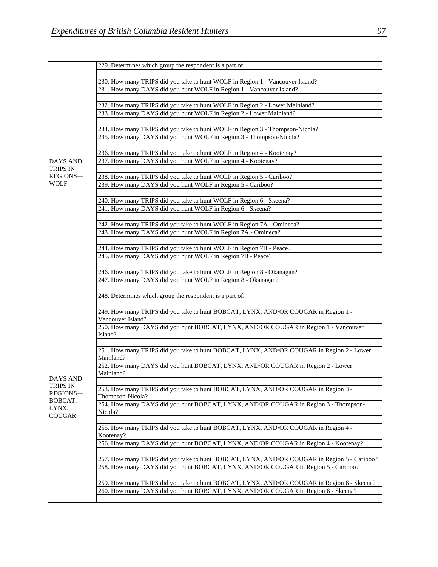|                                                                              | 229. Determines which group the respondent is a part of.                                    |
|------------------------------------------------------------------------------|---------------------------------------------------------------------------------------------|
|                                                                              |                                                                                             |
|                                                                              | 230. How many TRIPS did you take to hunt WOLF in Region 1 - Vancouver Island?               |
|                                                                              | 231. How many DAYS did you hunt WOLF in Region 1 - Vancouver Island?                        |
|                                                                              |                                                                                             |
|                                                                              | 232. How many TRIPS did you take to hunt WOLF in Region 2 - Lower Mainland?                 |
|                                                                              | 233. How many DAYS did you hunt WOLF in Region 2 - Lower Mainland?                          |
|                                                                              |                                                                                             |
|                                                                              | 234. How many TRIPS did you take to hunt WOLF in Region 3 - Thompson-Nicola?                |
|                                                                              | 235. How many DAYS did you hunt WOLF in Region 3 - Thompson-Nicola?                         |
|                                                                              |                                                                                             |
|                                                                              | 236. How many TRIPS did you take to hunt WOLF in Region 4 - Kootenay?                       |
| <b>DAYS AND</b>                                                              | 237. How many DAYS did you hunt WOLF in Region 4 - Kootenay?                                |
| <b>TRIPS IN</b>                                                              |                                                                                             |
| REGIONS-                                                                     | 238. How many TRIPS did you take to hunt WOLF in Region 5 - Cariboo?                        |
| <b>WOLF</b>                                                                  | 239. How many DAYS did you hunt WOLF in Region 5 - Cariboo?                                 |
|                                                                              |                                                                                             |
|                                                                              |                                                                                             |
|                                                                              | 240. How many TRIPS did you take to hunt WOLF in Region 6 - Skeena?                         |
|                                                                              | 241. How many DAYS did you hunt WOLF in Region 6 - Skeena?                                  |
|                                                                              |                                                                                             |
|                                                                              | 242. How many TRIPS did you take to hunt WOLF in Region 7A - Omineca?                       |
|                                                                              | 243. How many DAYS did you hunt WOLF in Region 7A - Omineca?                                |
|                                                                              |                                                                                             |
|                                                                              | 244. How many TRIPS did you take to hunt WOLF in Region 7B - Peace?                         |
|                                                                              | 245. How many DAYS did you hunt WOLF in Region 7B - Peace?                                  |
|                                                                              |                                                                                             |
|                                                                              | 246. How many TRIPS did you take to hunt WOLF in Region 8 - Okanagan?                       |
|                                                                              | 247. How many DAYS did you hunt WOLF in Region 8 - Okanagan?                                |
|                                                                              |                                                                                             |
|                                                                              | 248. Determines which group the respondent is a part of.                                    |
|                                                                              |                                                                                             |
|                                                                              | 249. How many TRIPS did you take to hunt BOBCAT, LYNX, AND/OR COUGAR in Region 1 -          |
|                                                                              | Vancouver Island?                                                                           |
|                                                                              | 250. How many DAYS did you hunt BOBCAT, LYNX, AND/OR COUGAR in Region 1 - Vancouver         |
|                                                                              | Island?                                                                                     |
|                                                                              |                                                                                             |
|                                                                              | 251. How many TRIPS did you take to hunt BOBCAT, LYNX, AND/OR COUGAR in Region 2 - Lower    |
|                                                                              | Mainland?                                                                                   |
| <b>DAYS AND</b><br>TRIPS IN<br>REGIONS-<br>BOBCAT,<br>LYNX,<br><b>COUGAR</b> | 252. How many DAYS did you hunt BOBCAT, LYNX, AND/OR COUGAR in Region 2 - Lower             |
|                                                                              | Mainland?                                                                                   |
|                                                                              |                                                                                             |
|                                                                              | 253. How many TRIPS did you take to hunt BOBCAT, LYNX, AND/OR COUGAR in Region 3 -          |
|                                                                              | Thompson-Nicola?                                                                            |
|                                                                              | 254. How many DAYS did you hunt BOBCAT, LYNX, AND/OR COUGAR in Region 3 - Thompson-         |
|                                                                              | Nicola?                                                                                     |
|                                                                              |                                                                                             |
|                                                                              | 255. How many TRIPS did you take to hunt BOBCAT, LYNX, AND/OR COUGAR in Region 4 -          |
|                                                                              | Kootenay?                                                                                   |
|                                                                              | 256. How many DAYS did you hunt BOBCAT, LYNX, AND/OR COUGAR in Region 4 - Kootenay?         |
|                                                                              |                                                                                             |
|                                                                              | 257. How many TRIPS did you take to hunt BOBCAT, LYNX, AND/OR COUGAR in Region 5 - Cariboo? |
|                                                                              | 258. How many DAYS did you hunt BOBCAT, LYNX, AND/OR COUGAR in Region 5 - Cariboo?          |
|                                                                              |                                                                                             |
|                                                                              | 259. How many TRIPS did you take to hunt BOBCAT, LYNX, AND/OR COUGAR in Region 6 - Skeena?  |
|                                                                              | 260. How many DAYS did you hunt BOBCAT, LYNX, AND/OR COUGAR in Region 6 - Skeena?           |
|                                                                              |                                                                                             |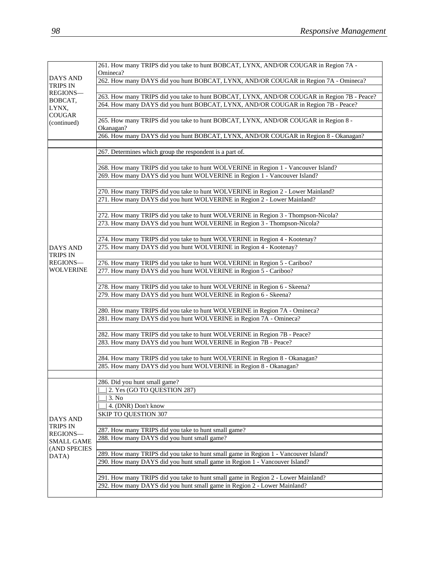|                     | 261. How many TRIPS did you take to hunt BOBCAT, LYNX, AND/OR COUGAR in Region 7A -<br>Omineca? |
|---------------------|-------------------------------------------------------------------------------------------------|
| <b>DAYS AND</b>     | 262. How many DAYS did you hunt BOBCAT, LYNX, AND/OR COUGAR in Region 7A - Omineca?             |
| <b>TRIPS IN</b>     |                                                                                                 |
| REGIONS-<br>BOBCAT, | 263. How many TRIPS did you take to hunt BOBCAT, LYNX, AND/OR COUGAR in Region 7B - Peace?      |
| LYNX,               | 264. How many DAYS did you hunt BOBCAT, LYNX, AND/OR COUGAR in Region 7B - Peace?               |
| <b>COUGAR</b>       |                                                                                                 |
| (continued)         | 265. How many TRIPS did you take to hunt BOBCAT, LYNX, AND/OR COUGAR in Region 8 -<br>Okanagan? |
|                     | 266. How many DAYS did you hunt BOBCAT, LYNX, AND/OR COUGAR in Region 8 - Okanagan?             |
|                     |                                                                                                 |
|                     | 267. Determines which group the respondent is a part of.                                        |
|                     |                                                                                                 |
|                     | 268. How many TRIPS did you take to hunt WOLVERINE in Region 1 - Vancouver Island?              |
|                     | 269. How many DAYS did you hunt WOLVERINE in Region 1 - Vancouver Island?                       |
|                     | 270. How many TRIPS did you take to hunt WOLVERINE in Region 2 - Lower Mainland?                |
|                     | 271. How many DAYS did you hunt WOLVERINE in Region 2 - Lower Mainland?                         |
|                     |                                                                                                 |
|                     | 272. How many TRIPS did you take to hunt WOLVERINE in Region 3 - Thompson-Nicola?               |
|                     | 273. How many DAYS did you hunt WOLVERINE in Region 3 - Thompson-Nicola?                        |
|                     |                                                                                                 |
|                     | 274. How many TRIPS did you take to hunt WOLVERINE in Region 4 - Kootenay?                      |
| <b>DAYS AND</b>     | 275. How many DAYS did you hunt WOLVERINE in Region 4 - Kootenay?                               |
| <b>TRIPS IN</b>     |                                                                                                 |
| REGIONS-            | 276. How many TRIPS did you take to hunt WOLVERINE in Region 5 - Cariboo?                       |
| <b>WOLVERINE</b>    | 277. How many DAYS did you hunt WOLVERINE in Region 5 - Cariboo?                                |
|                     |                                                                                                 |
|                     | 278. How many TRIPS did you take to hunt WOLVERINE in Region 6 - Skeena?                        |
|                     | 279. How many DAYS did you hunt WOLVERINE in Region 6 - Skeena?                                 |
|                     |                                                                                                 |
|                     | 280. How many TRIPS did you take to hunt WOLVERINE in Region 7A - Omineca?                      |
|                     | 281. How many DAYS did you hunt WOLVERINE in Region 7A - Omineca?                               |
|                     | 282. How many TRIPS did you take to hunt WOLVERINE in Region 7B - Peace?                        |
|                     | 283. How many DAYS did you hunt WOLVERINE in Region 7B - Peace?                                 |
|                     |                                                                                                 |
|                     | 284. How many TRIPS did you take to hunt WOLVERINE in Region 8 - Okanagan?                      |
|                     | 285. How many DAYS did you hunt WOLVERINE in Region 8 - Okanagan?                               |
|                     |                                                                                                 |
|                     | 286. Did you hunt small game?                                                                   |
|                     | 2. Yes (GO TO QUESTION 287)                                                                     |
|                     | 3. No                                                                                           |
|                     | 4. (DNR) Don't know                                                                             |
| DAYS AND            | <b>SKIP TO QUESTION 307</b>                                                                     |
| <b>TRIPS IN</b>     |                                                                                                 |
| REGIONS-            | 287. How many TRIPS did you take to hunt small game?                                            |
| <b>SMALL GAME</b>   | 288. How many DAYS did you hunt small game?                                                     |
| (AND SPECIES        | 289. How many TRIPS did you take to hunt small game in Region 1 - Vancouver Island?             |
| DATA)               | 290. How many DAYS did you hunt small game in Region 1 - Vancouver Island?                      |
|                     |                                                                                                 |
|                     | 291. How many TRIPS did you take to hunt small game in Region 2 - Lower Mainland?               |
|                     | 292. How many DAYS did you hunt small game in Region 2 - Lower Mainland?                        |
|                     |                                                                                                 |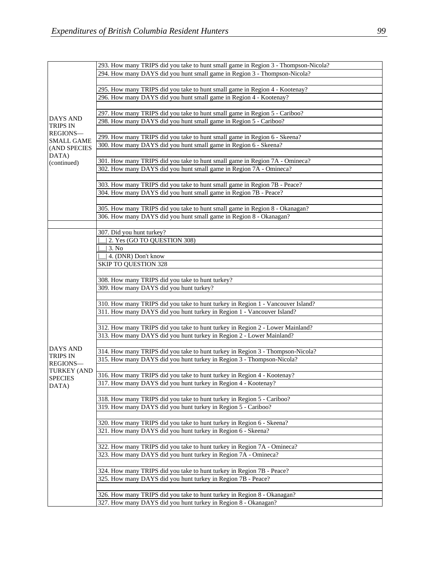| 294. How many DAYS did you hunt small game in Region 3 - Thompson-Nicola?<br>295. How many TRIPS did you take to hunt small game in Region 4 - Kootenay?<br>296. How many DAYS did you hunt small game in Region 4 - Kootenay?<br>297. How many TRIPS did you take to hunt small game in Region 5 - Cariboo?<br><b>DAYS AND</b><br>298. How many DAYS did you hunt small game in Region 5 - Cariboo?<br><b>TRIPS IN</b><br><b>REGIONS-</b><br>299. How many TRIPS did you take to hunt small game in Region 6 - Skeena?<br><b>SMALL GAME</b><br>300. How many DAYS did you hunt small game in Region 6 - Skeena?<br>(AND SPECIES<br>DATA)<br>301. How many TRIPS did you take to hunt small game in Region 7A - Omineca?<br>(continued)<br>302. How many DAYS did you hunt small game in Region 7A - Omineca?<br>303. How many TRIPS did you take to hunt small game in Region 7B - Peace?<br>304. How many DAYS did you hunt small game in Region 7B - Peace? |  |
|----------------------------------------------------------------------------------------------------------------------------------------------------------------------------------------------------------------------------------------------------------------------------------------------------------------------------------------------------------------------------------------------------------------------------------------------------------------------------------------------------------------------------------------------------------------------------------------------------------------------------------------------------------------------------------------------------------------------------------------------------------------------------------------------------------------------------------------------------------------------------------------------------------------------------------------------------------------|--|
|                                                                                                                                                                                                                                                                                                                                                                                                                                                                                                                                                                                                                                                                                                                                                                                                                                                                                                                                                                |  |
|                                                                                                                                                                                                                                                                                                                                                                                                                                                                                                                                                                                                                                                                                                                                                                                                                                                                                                                                                                |  |
|                                                                                                                                                                                                                                                                                                                                                                                                                                                                                                                                                                                                                                                                                                                                                                                                                                                                                                                                                                |  |
|                                                                                                                                                                                                                                                                                                                                                                                                                                                                                                                                                                                                                                                                                                                                                                                                                                                                                                                                                                |  |
|                                                                                                                                                                                                                                                                                                                                                                                                                                                                                                                                                                                                                                                                                                                                                                                                                                                                                                                                                                |  |
|                                                                                                                                                                                                                                                                                                                                                                                                                                                                                                                                                                                                                                                                                                                                                                                                                                                                                                                                                                |  |
|                                                                                                                                                                                                                                                                                                                                                                                                                                                                                                                                                                                                                                                                                                                                                                                                                                                                                                                                                                |  |
|                                                                                                                                                                                                                                                                                                                                                                                                                                                                                                                                                                                                                                                                                                                                                                                                                                                                                                                                                                |  |
|                                                                                                                                                                                                                                                                                                                                                                                                                                                                                                                                                                                                                                                                                                                                                                                                                                                                                                                                                                |  |
|                                                                                                                                                                                                                                                                                                                                                                                                                                                                                                                                                                                                                                                                                                                                                                                                                                                                                                                                                                |  |
|                                                                                                                                                                                                                                                                                                                                                                                                                                                                                                                                                                                                                                                                                                                                                                                                                                                                                                                                                                |  |
|                                                                                                                                                                                                                                                                                                                                                                                                                                                                                                                                                                                                                                                                                                                                                                                                                                                                                                                                                                |  |
|                                                                                                                                                                                                                                                                                                                                                                                                                                                                                                                                                                                                                                                                                                                                                                                                                                                                                                                                                                |  |
|                                                                                                                                                                                                                                                                                                                                                                                                                                                                                                                                                                                                                                                                                                                                                                                                                                                                                                                                                                |  |
|                                                                                                                                                                                                                                                                                                                                                                                                                                                                                                                                                                                                                                                                                                                                                                                                                                                                                                                                                                |  |
|                                                                                                                                                                                                                                                                                                                                                                                                                                                                                                                                                                                                                                                                                                                                                                                                                                                                                                                                                                |  |
|                                                                                                                                                                                                                                                                                                                                                                                                                                                                                                                                                                                                                                                                                                                                                                                                                                                                                                                                                                |  |
| 305. How many TRIPS did you take to hunt small game in Region 8 - Okanagan?                                                                                                                                                                                                                                                                                                                                                                                                                                                                                                                                                                                                                                                                                                                                                                                                                                                                                    |  |
| 306. How many DAYS did you hunt small game in Region 8 - Okanagan?                                                                                                                                                                                                                                                                                                                                                                                                                                                                                                                                                                                                                                                                                                                                                                                                                                                                                             |  |
|                                                                                                                                                                                                                                                                                                                                                                                                                                                                                                                                                                                                                                                                                                                                                                                                                                                                                                                                                                |  |
| 307. Did you hunt turkey?                                                                                                                                                                                                                                                                                                                                                                                                                                                                                                                                                                                                                                                                                                                                                                                                                                                                                                                                      |  |
| 2. Yes (GO TO QUESTION 308)                                                                                                                                                                                                                                                                                                                                                                                                                                                                                                                                                                                                                                                                                                                                                                                                                                                                                                                                    |  |
| 3. No                                                                                                                                                                                                                                                                                                                                                                                                                                                                                                                                                                                                                                                                                                                                                                                                                                                                                                                                                          |  |
| 4. (DNR) Don't know                                                                                                                                                                                                                                                                                                                                                                                                                                                                                                                                                                                                                                                                                                                                                                                                                                                                                                                                            |  |
| <b>SKIP TO QUESTION 328</b>                                                                                                                                                                                                                                                                                                                                                                                                                                                                                                                                                                                                                                                                                                                                                                                                                                                                                                                                    |  |
|                                                                                                                                                                                                                                                                                                                                                                                                                                                                                                                                                                                                                                                                                                                                                                                                                                                                                                                                                                |  |
|                                                                                                                                                                                                                                                                                                                                                                                                                                                                                                                                                                                                                                                                                                                                                                                                                                                                                                                                                                |  |
| 308. How many TRIPS did you take to hunt turkey?                                                                                                                                                                                                                                                                                                                                                                                                                                                                                                                                                                                                                                                                                                                                                                                                                                                                                                               |  |
| 309. How many DAYS did you hunt turkey?                                                                                                                                                                                                                                                                                                                                                                                                                                                                                                                                                                                                                                                                                                                                                                                                                                                                                                                        |  |
|                                                                                                                                                                                                                                                                                                                                                                                                                                                                                                                                                                                                                                                                                                                                                                                                                                                                                                                                                                |  |
| 310. How many TRIPS did you take to hunt turkey in Region 1 - Vancouver Island?                                                                                                                                                                                                                                                                                                                                                                                                                                                                                                                                                                                                                                                                                                                                                                                                                                                                                |  |
| 311. How many DAYS did you hunt turkey in Region 1 - Vancouver Island?                                                                                                                                                                                                                                                                                                                                                                                                                                                                                                                                                                                                                                                                                                                                                                                                                                                                                         |  |
|                                                                                                                                                                                                                                                                                                                                                                                                                                                                                                                                                                                                                                                                                                                                                                                                                                                                                                                                                                |  |
| 312. How many TRIPS did you take to hunt turkey in Region 2 - Lower Mainland?                                                                                                                                                                                                                                                                                                                                                                                                                                                                                                                                                                                                                                                                                                                                                                                                                                                                                  |  |
| 313. How many DAYS did you hunt turkey in Region 2 - Lower Mainland?                                                                                                                                                                                                                                                                                                                                                                                                                                                                                                                                                                                                                                                                                                                                                                                                                                                                                           |  |
| DAYS AND                                                                                                                                                                                                                                                                                                                                                                                                                                                                                                                                                                                                                                                                                                                                                                                                                                                                                                                                                       |  |
| 314. How many TRIPS did you take to hunt turkey in Region 3 - Thompson-Nicola?<br><b>TRIPS IN</b>                                                                                                                                                                                                                                                                                                                                                                                                                                                                                                                                                                                                                                                                                                                                                                                                                                                              |  |
| 315. How many DAYS did you hunt turkey in Region 3 - Thompson-Nicola?<br>REGIONS-                                                                                                                                                                                                                                                                                                                                                                                                                                                                                                                                                                                                                                                                                                                                                                                                                                                                              |  |
| <b>TURKEY (AND</b>                                                                                                                                                                                                                                                                                                                                                                                                                                                                                                                                                                                                                                                                                                                                                                                                                                                                                                                                             |  |
| 316. How many TRIPS did you take to hunt turkey in Region 4 - Kootenay?<br><b>SPECIES</b>                                                                                                                                                                                                                                                                                                                                                                                                                                                                                                                                                                                                                                                                                                                                                                                                                                                                      |  |
| 317. How many DAYS did you hunt turkey in Region 4 - Kootenay?<br>DATA)                                                                                                                                                                                                                                                                                                                                                                                                                                                                                                                                                                                                                                                                                                                                                                                                                                                                                        |  |
|                                                                                                                                                                                                                                                                                                                                                                                                                                                                                                                                                                                                                                                                                                                                                                                                                                                                                                                                                                |  |
| 318. How many TRIPS did you take to hunt turkey in Region 5 - Cariboo?                                                                                                                                                                                                                                                                                                                                                                                                                                                                                                                                                                                                                                                                                                                                                                                                                                                                                         |  |
| 319. How many DAYS did you hunt turkey in Region 5 - Cariboo?                                                                                                                                                                                                                                                                                                                                                                                                                                                                                                                                                                                                                                                                                                                                                                                                                                                                                                  |  |
|                                                                                                                                                                                                                                                                                                                                                                                                                                                                                                                                                                                                                                                                                                                                                                                                                                                                                                                                                                |  |
| 320. How many TRIPS did you take to hunt turkey in Region 6 - Skeena?                                                                                                                                                                                                                                                                                                                                                                                                                                                                                                                                                                                                                                                                                                                                                                                                                                                                                          |  |
|                                                                                                                                                                                                                                                                                                                                                                                                                                                                                                                                                                                                                                                                                                                                                                                                                                                                                                                                                                |  |
| 321. How many DAYS did you hunt turkey in Region 6 - Skeena?                                                                                                                                                                                                                                                                                                                                                                                                                                                                                                                                                                                                                                                                                                                                                                                                                                                                                                   |  |
|                                                                                                                                                                                                                                                                                                                                                                                                                                                                                                                                                                                                                                                                                                                                                                                                                                                                                                                                                                |  |
| 322. How many TRIPS did you take to hunt turkey in Region 7A - Omineca?                                                                                                                                                                                                                                                                                                                                                                                                                                                                                                                                                                                                                                                                                                                                                                                                                                                                                        |  |
| 323. How many DAYS did you hunt turkey in Region 7A - Omineca?                                                                                                                                                                                                                                                                                                                                                                                                                                                                                                                                                                                                                                                                                                                                                                                                                                                                                                 |  |
|                                                                                                                                                                                                                                                                                                                                                                                                                                                                                                                                                                                                                                                                                                                                                                                                                                                                                                                                                                |  |
| 324. How many TRIPS did you take to hunt turkey in Region 7B - Peace?                                                                                                                                                                                                                                                                                                                                                                                                                                                                                                                                                                                                                                                                                                                                                                                                                                                                                          |  |
| 325. How many DAYS did you hunt turkey in Region 7B - Peace?                                                                                                                                                                                                                                                                                                                                                                                                                                                                                                                                                                                                                                                                                                                                                                                                                                                                                                   |  |
|                                                                                                                                                                                                                                                                                                                                                                                                                                                                                                                                                                                                                                                                                                                                                                                                                                                                                                                                                                |  |
| 326. How many TRIPS did you take to hunt turkey in Region 8 - Okanagan?<br>327. How many DAYS did you hunt turkey in Region 8 - Okanagan?                                                                                                                                                                                                                                                                                                                                                                                                                                                                                                                                                                                                                                                                                                                                                                                                                      |  |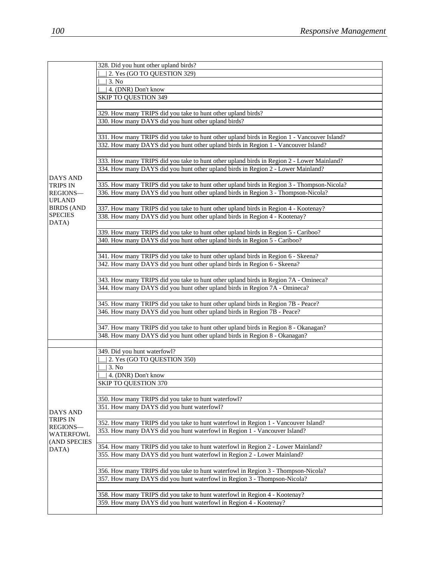|                                     | 328. Did you hunt other upland birds?                                                       |
|-------------------------------------|---------------------------------------------------------------------------------------------|
|                                     | 2. Yes (GO TO QUESTION 329)                                                                 |
|                                     | 3. No                                                                                       |
|                                     | 4. (DNR) Don't know                                                                         |
|                                     | <b>SKIP TO QUESTION 349</b>                                                                 |
|                                     |                                                                                             |
|                                     | 329. How many TRIPS did you take to hunt other upland birds?                                |
|                                     | 330. How many DAYS did you hunt other upland birds?                                         |
|                                     |                                                                                             |
|                                     | 331. How many TRIPS did you take to hunt other upland birds in Region 1 - Vancouver Island? |
|                                     | 332. How many DAYS did you hunt other upland birds in Region 1 - Vancouver Island?          |
|                                     |                                                                                             |
|                                     | 333. How many TRIPS did you take to hunt other upland birds in Region 2 - Lower Mainland?   |
|                                     | 334. How many DAYS did you hunt other upland birds in Region 2 - Lower Mainland?            |
| <b>DAYS AND</b>                     |                                                                                             |
| <b>TRIPS IN</b>                     | 335. How many TRIPS did you take to hunt other upland birds in Region 3 - Thompson-Nicola?  |
| REGIONS-                            | 336. How many DAYS did you hunt other upland birds in Region 3 - Thompson-Nicola?           |
| <b>UPLAND</b>                       |                                                                                             |
| <b>BIRDS (AND</b><br><b>SPECIES</b> | 337. How many TRIPS did you take to hunt other upland birds in Region 4 - Kootenay?         |
| DATA)                               | 338. How many DAYS did you hunt other upland birds in Region 4 - Kootenay?                  |
|                                     |                                                                                             |
|                                     | 339. How many TRIPS did you take to hunt other upland birds in Region 5 - Cariboo?          |
|                                     | 340. How many DAYS did you hunt other upland birds in Region 5 - Cariboo?                   |
|                                     | 341. How many TRIPS did you take to hunt other upland birds in Region 6 - Skeena?           |
|                                     | 342. How many DAYS did you hunt other upland birds in Region 6 - Skeena?                    |
|                                     |                                                                                             |
|                                     | 343. How many TRIPS did you take to hunt other upland birds in Region 7A - Omineca?         |
|                                     | 344. How many DAYS did you hunt other upland birds in Region 7A - Omineca?                  |
|                                     |                                                                                             |
|                                     | 345. How many TRIPS did you take to hunt other upland birds in Region 7B - Peace?           |
|                                     | 346. How many DAYS did you hunt other upland birds in Region 7B - Peace?                    |
|                                     |                                                                                             |
|                                     | 347. How many TRIPS did you take to hunt other upland birds in Region 8 - Okanagan?         |
|                                     | 348. How many DAYS did you hunt other upland birds in Region 8 - Okanagan?                  |
|                                     |                                                                                             |
|                                     | 349. Did you hunt waterfowl?                                                                |
|                                     | 2. Yes (GO TO QUESTION 350)                                                                 |
|                                     | 3. No                                                                                       |
|                                     | 4. (DNR) Don't know                                                                         |
|                                     | <b>SKIP TO QUESTION 370</b>                                                                 |
|                                     |                                                                                             |
|                                     | 350. How many TRIPS did you take to hunt waterfowl?                                         |
| DAYS AND                            | 351. How many DAYS did you hunt waterfowl?                                                  |
| TRIPS IN                            |                                                                                             |
| REGIONS-                            | 352. How many TRIPS did you take to hunt waterfowl in Region 1 - Vancouver Island?          |
| WATERFOWL                           | 353. How many DAYS did you hunt waterfowl in Region 1 - Vancouver Island?                   |
| (AND SPECIES                        |                                                                                             |
| DATA)                               | 354. How many TRIPS did you take to hunt waterfowl in Region 2 - Lower Mainland?            |
|                                     | 355. How many DAYS did you hunt waterfowl in Region 2 - Lower Mainland?                     |
|                                     |                                                                                             |
|                                     | 356. How many TRIPS did you take to hunt waterfowl in Region 3 - Thompson-Nicola?           |
|                                     | 357. How many DAYS did you hunt waterfowl in Region 3 - Thompson-Nicola?                    |
|                                     |                                                                                             |
|                                     | 358. How many TRIPS did you take to hunt waterfowl in Region 4 - Kootenay?                  |
|                                     | 359. How many DAYS did you hunt waterfowl in Region 4 - Kootenay?                           |
|                                     |                                                                                             |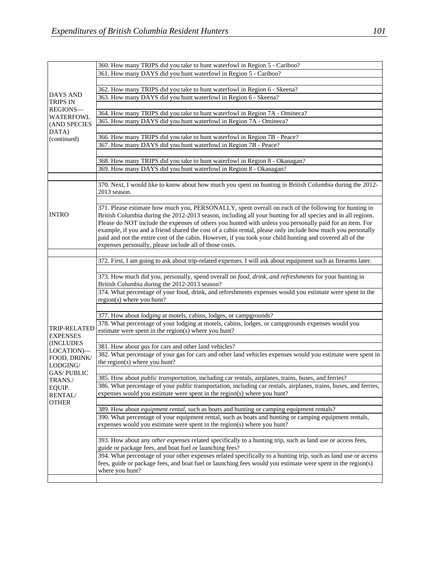|                                        | 360. How many TRIPS did you take to hunt waterfowl in Region 5 - Cariboo?                                                                   |
|----------------------------------------|---------------------------------------------------------------------------------------------------------------------------------------------|
|                                        | 361. How many DAYS did you hunt waterfowl in Region 5 - Cariboo?                                                                            |
|                                        |                                                                                                                                             |
|                                        | 362. How many TRIPS did you take to hunt waterfowl in Region 6 - Skeena?                                                                    |
| <b>DAYS AND</b>                        | 363. How many DAYS did you hunt waterfowl in Region 6 - Skeena?                                                                             |
| <b>TRIPS IN</b>                        |                                                                                                                                             |
| REGIONS-                               | 364. How many TRIPS did you take to hunt waterfowl in Region 7A - Omineca?                                                                  |
| <b>WATERFOWL</b>                       | 365. How many DAYS did you hunt waterfowl in Region 7A - Omineca?                                                                           |
| (AND SPECIES                           |                                                                                                                                             |
| DATA)<br>(continued)                   |                                                                                                                                             |
|                                        | 366. How many TRIPS did you take to hunt waterfowl in Region 7B - Peace?<br>367. How many DAYS did you hunt waterfowl in Region 7B - Peace? |
|                                        |                                                                                                                                             |
|                                        |                                                                                                                                             |
|                                        | 368. How many TRIPS did you take to hunt waterfowl in Region 8 - Okanagan?                                                                  |
|                                        | 369. How many DAYS did you hunt waterfowl in Region 8 - Okanagan?                                                                           |
|                                        |                                                                                                                                             |
|                                        | 370. Next, I would like to know about how much you spent on hunting in British Columbia during the 2012-                                    |
|                                        | 2013 season.                                                                                                                                |
|                                        |                                                                                                                                             |
|                                        | 371. Please estimate how much you, PERSONALLY, spent overall on each of the following for hunting in                                        |
| <b>INTRO</b>                           | British Columbia during the 2012-2013 season, including all your hunting for all species and in all regions.                                |
|                                        | Please do NOT include the expenses of others you hunted with unless you personally paid for an item. For                                    |
|                                        | example, if you and a friend shared the cost of a cabin rental, please only include how much you personally                                 |
|                                        | paid and not the entire cost of the cabin. However, if you took your child hunting and covered all of the                                   |
|                                        | expenses personally, please include all of those costs.                                                                                     |
|                                        |                                                                                                                                             |
|                                        | 372. First, I am going to ask about trip-related expenses. I will ask about equipment such as firearms later.                               |
|                                        |                                                                                                                                             |
|                                        | 373. How much did you, personally, spend overall on food, drink, and refreshments for your hunting in                                       |
|                                        | British Columbia during the 2012-2013 season?                                                                                               |
|                                        | 374. What percentage of your food, drink, and refreshments expenses would you estimate were spent in the                                    |
|                                        | region(s) where you hunt?                                                                                                                   |
|                                        |                                                                                                                                             |
|                                        | 377. How about <i>lodging</i> at motels, cabins, lodges, or campgrounds?                                                                    |
|                                        | 378. What percentage of your lodging at motels, cabins, lodges, or campgrounds expenses would you                                           |
| <b>TRIP-RELATED</b>                    | estimate were spent in the region(s) where you hunt?                                                                                        |
| <b>EXPENSES</b>                        |                                                                                                                                             |
| <b>(INCLUDES)</b>                      | 381. How about gas for cars and other land vehicles?                                                                                        |
| LOCATION)-<br>FOOD, DRINK/<br>LODGING/ | 382. What percentage of your gas for cars and other land vehicles expenses would you estimate were spent in                                 |
|                                        | the region(s) where you hunt?                                                                                                               |
| <b>GAS/PUBLIC</b>                      |                                                                                                                                             |
| TRANS./                                | 385. How about <i>public transportation</i> , including car rentals, airplanes, trains, buses, and ferries?                                 |
| EQUIP.                                 | 386. What percentage of your public transportation, including car rentals, airplanes, trains, buses, and ferries,                           |
| <b>RENTAL/</b>                         | expenses would you estimate were spent in the region(s) where you hunt?                                                                     |
| <b>OTHER</b>                           |                                                                                                                                             |
|                                        | 389. How about equipment rental, such as boats and hunting or camping equipment rentals?                                                    |
|                                        | 390. What percentage of your equipment rental, such as boats and hunting or camping equipment rentals,                                      |
|                                        | expenses would you estimate were spent in the region(s) where you hunt?                                                                     |
|                                        |                                                                                                                                             |
|                                        | 393. How about any other expenses related specifically to a hunting trip, such as land use or access fees,                                  |
|                                        | guide or package fees, and boat fuel or launching fees?                                                                                     |
|                                        | 394. What percentage of your other expenses related specifically to a hunting trip, such as land use or access                              |
|                                        | fees, guide or package fees, and boat fuel or launching fees would you estimate were spent in the region(s)                                 |
|                                        | where you hunt?                                                                                                                             |
|                                        |                                                                                                                                             |
|                                        |                                                                                                                                             |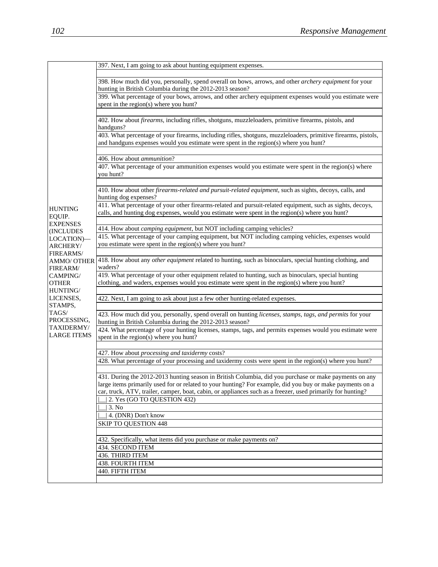|                         | 397. Next, I am going to ask about hunting equipment expenses.                                                                                      |
|-------------------------|-----------------------------------------------------------------------------------------------------------------------------------------------------|
|                         |                                                                                                                                                     |
|                         | 398. How much did you, personally, spend overall on bows, arrows, and other archery equipment for your                                              |
|                         | hunting in British Columbia during the 2012-2013 season?                                                                                            |
|                         | 399. What percentage of your bows, arrows, and other archery equipment expenses would you estimate were                                             |
|                         | spent in the region(s) where you hunt?                                                                                                              |
|                         |                                                                                                                                                     |
|                         | 402. How about <i>firearms</i> , including rifles, shotguns, muzzleloaders, primitive firearms, pistols, and                                        |
|                         | handguns?<br>403. What percentage of your firearms, including rifles, shotguns, muzzleloaders, primitive firearms, pistols,                         |
|                         | and handguns expenses would you estimate were spent in the region(s) where you hunt?                                                                |
|                         |                                                                                                                                                     |
|                         | 406. How about <i>ammunition</i> ?                                                                                                                  |
|                         | 407. What percentage of your ammunition expenses would you estimate were spent in the region(s) where                                               |
|                         | you hunt?                                                                                                                                           |
|                         |                                                                                                                                                     |
|                         | 410. How about other firearms-related and pursuit-related equipment, such as sights, decoys, calls, and                                             |
|                         | hunting dog expenses?                                                                                                                               |
| <b>HUNTING</b>          | 411. What percentage of your other firearms-related and pursuit-related equipment, such as sights, decoys,                                          |
| EQUIP.                  | calls, and hunting dog expenses, would you estimate were spent in the region(s) where you hunt?                                                     |
| <b>EXPENSES</b>         |                                                                                                                                                     |
| (INCLUDES               | 414. How about <i>camping equipment</i> , but NOT including camping vehicles?                                                                       |
| LOCATION)-              | 415. What percentage of your camping equipment, but NOT including camping vehicles, expenses would                                                  |
| ARCHERY/                | you estimate were spent in the region(s) where you hunt?                                                                                            |
| <b>FIREARMS/</b>        | 418. How about any other equipment related to hunting, such as binoculars, special hunting clothing, and                                            |
| AMMO/ OTHER<br>FIREARM/ | waders?                                                                                                                                             |
| CAMPING/                | 419. What percentage of your other equipment related to hunting, such as binoculars, special hunting                                                |
| <b>OTHER</b>            | clothing, and waders, expenses would you estimate were spent in the region(s) where you hunt?                                                       |
| HUNTING/                |                                                                                                                                                     |
| LICENSES,               | 422. Next, I am going to ask about just a few other hunting-related expenses.                                                                       |
| STAMPS,                 |                                                                                                                                                     |
| TAGS/<br>PROCESSING,    | 423. How much did you, personally, spend overall on hunting licenses, stamps, tags, and permits for your                                            |
| TAXIDERMY/              | hunting in British Columbia during the 2012-2013 season?                                                                                            |
| <b>LARGE ITEMS</b>      | 424. What percentage of your hunting licenses, stamps, tags, and permits expenses would you estimate were<br>spent in the region(s) where you hunt? |
|                         |                                                                                                                                                     |
|                         | 427. How about processing and taxidermy costs?                                                                                                      |
|                         | 428. What percentage of your processing and taxidermy costs were spent in the region(s) where you hunt?                                             |
|                         |                                                                                                                                                     |
|                         | 431. During the 2012-2013 hunting season in British Columbia, did you purchase or make payments on any                                              |
|                         | large items primarily used for or related to your hunting? For example, did you buy or make payments on a                                           |
|                         | car, truck, ATV, trailer, camper, boat, cabin, or appliances such as a freezer, used primarily for hunting?                                         |
|                         | 2. Yes (GO TO QUESTION 432)                                                                                                                         |
|                         | 3. No                                                                                                                                               |
|                         | 4. (DNR) Don't know                                                                                                                                 |
|                         | <b>SKIP TO QUESTION 448</b>                                                                                                                         |
|                         |                                                                                                                                                     |
|                         | 432. Specifically, what items did you purchase or make payments on?                                                                                 |
|                         | 434. SECOND ITEM                                                                                                                                    |
|                         | 436. THIRD ITEM                                                                                                                                     |
|                         | <b>438. FOURTH ITEM</b>                                                                                                                             |
|                         | 440. FIFTH ITEM                                                                                                                                     |
|                         |                                                                                                                                                     |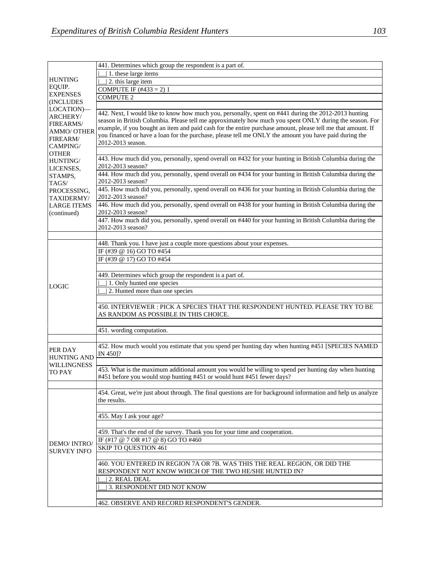|                                                                                   | 441. Determines which group the respondent is a part of.                                                                                                                                                                                                                                                                                                                                                                                                     |
|-----------------------------------------------------------------------------------|--------------------------------------------------------------------------------------------------------------------------------------------------------------------------------------------------------------------------------------------------------------------------------------------------------------------------------------------------------------------------------------------------------------------------------------------------------------|
|                                                                                   | 1. these large items                                                                                                                                                                                                                                                                                                                                                                                                                                         |
| <b>HUNTING</b>                                                                    | 2. this large item                                                                                                                                                                                                                                                                                                                                                                                                                                           |
| EQUIP.                                                                            | COMPUTE IF $(\#433 = 2)$ 1                                                                                                                                                                                                                                                                                                                                                                                                                                   |
| <b>EXPENSES</b>                                                                   | <b>COMPUTE 2</b>                                                                                                                                                                                                                                                                                                                                                                                                                                             |
| <b>(INCLUDES)</b>                                                                 |                                                                                                                                                                                                                                                                                                                                                                                                                                                              |
| LOCATION)-<br>ARCHERY/<br>FIREARMS/<br><b>AMMO/ OTHER</b><br>FIREARM/<br>CAMPING/ | 442. Next, I would like to know how much you, personally, spent on #441 during the 2012-2013 hunting<br>season in British Columbia. Please tell me approximately how much you spent ONLY during the season. For<br>example, if you bought an item and paid cash for the entire purchase amount, please tell me that amount. If<br>you financed or have a loan for the purchase, please tell me ONLY the amount you have paid during the<br>2012-2013 season. |
| <b>OTHER</b>                                                                      |                                                                                                                                                                                                                                                                                                                                                                                                                                                              |
| HUNTING/<br>LICENSES,<br>STAMPS,<br>TAGS/<br>PROCESSING,<br>TAXIDERMY/            | 443. How much did you, personally, spend overall on #432 for your hunting in British Columbia during the<br>2012-2013 season?                                                                                                                                                                                                                                                                                                                                |
|                                                                                   | 444. How much did you, personally, spend overall on #434 for your hunting in British Columbia during the<br>2012-2013 season?                                                                                                                                                                                                                                                                                                                                |
|                                                                                   | 445. How much did you, personally, spend overall on #436 for your hunting in British Columbia during the<br>2012-2013 season?                                                                                                                                                                                                                                                                                                                                |
| <b>LARGE ITEMS</b><br>(continued)                                                 | 446. How much did you, personally, spend overall on #438 for your hunting in British Columbia during the<br>2012-2013 season?                                                                                                                                                                                                                                                                                                                                |
|                                                                                   | 447. How much did you, personally, spend overall on #440 for your hunting in British Columbia during the<br>2012-2013 season?                                                                                                                                                                                                                                                                                                                                |
|                                                                                   |                                                                                                                                                                                                                                                                                                                                                                                                                                                              |
|                                                                                   | 448. Thank you. I have just a couple more questions about your expenses.                                                                                                                                                                                                                                                                                                                                                                                     |
|                                                                                   | IF (#39 @ 16) GO TO #454                                                                                                                                                                                                                                                                                                                                                                                                                                     |
|                                                                                   | IF (#39 @ 17) GO TO #454                                                                                                                                                                                                                                                                                                                                                                                                                                     |
|                                                                                   |                                                                                                                                                                                                                                                                                                                                                                                                                                                              |
|                                                                                   | 449. Determines which group the respondent is a part of.                                                                                                                                                                                                                                                                                                                                                                                                     |
| <b>LOGIC</b>                                                                      | 1. Only hunted one species<br>2. Hunted more than one species                                                                                                                                                                                                                                                                                                                                                                                                |
|                                                                                   |                                                                                                                                                                                                                                                                                                                                                                                                                                                              |
|                                                                                   | 450. INTERVIEWER: PICK A SPECIES THAT THE RESPONDENT HUNTED. PLEASE TRY TO BE<br>AS RANDOM AS POSSIBLE IN THIS CHOICE.                                                                                                                                                                                                                                                                                                                                       |
|                                                                                   |                                                                                                                                                                                                                                                                                                                                                                                                                                                              |
|                                                                                   | 451. wording computation.                                                                                                                                                                                                                                                                                                                                                                                                                                    |
|                                                                                   |                                                                                                                                                                                                                                                                                                                                                                                                                                                              |
| PER DAY<br><b>HUNTING AND</b>                                                     | 452. How much would you estimate that you spend per hunting day when hunting #451 [SPECIES NAMED<br>IN 4501?                                                                                                                                                                                                                                                                                                                                                 |
| <b>WILLINGNESS</b>                                                                |                                                                                                                                                                                                                                                                                                                                                                                                                                                              |
| <b>TO PAY</b>                                                                     | 453. What is the maximum additional amount you would be willing to spend per hunting day when hunting<br>#451 before you would stop hunting #451 or would hunt #451 fewer days?                                                                                                                                                                                                                                                                              |
|                                                                                   | 454. Great, we're just about through. The final questions are for background information and help us analyze<br>the results.                                                                                                                                                                                                                                                                                                                                 |
|                                                                                   |                                                                                                                                                                                                                                                                                                                                                                                                                                                              |
|                                                                                   | 455. May I ask your age?                                                                                                                                                                                                                                                                                                                                                                                                                                     |
|                                                                                   |                                                                                                                                                                                                                                                                                                                                                                                                                                                              |
|                                                                                   | 459. That's the end of the survey. Thank you for your time and cooperation.                                                                                                                                                                                                                                                                                                                                                                                  |
| DEMO/ INTRO/                                                                      | IF (#17 @ 7 OR #17 @ 8) GO TO #460                                                                                                                                                                                                                                                                                                                                                                                                                           |
| <b>SURVEY INFO</b>                                                                | <b>SKIP TO QUESTION 461</b>                                                                                                                                                                                                                                                                                                                                                                                                                                  |
|                                                                                   |                                                                                                                                                                                                                                                                                                                                                                                                                                                              |
|                                                                                   | 460. YOU ENTERED IN REGION 7A OR 7B. WAS THIS THE REAL REGION, OR DID THE<br>RESPONDENT NOT KNOW WHICH OF THE TWO HE/SHE HUNTED IN?                                                                                                                                                                                                                                                                                                                          |
|                                                                                   | 2. REAL DEAL                                                                                                                                                                                                                                                                                                                                                                                                                                                 |
|                                                                                   | 3. RESPONDENT DID NOT KNOW                                                                                                                                                                                                                                                                                                                                                                                                                                   |
|                                                                                   |                                                                                                                                                                                                                                                                                                                                                                                                                                                              |
|                                                                                   | 462. OBSERVE AND RECORD RESPONDENT'S GENDER.                                                                                                                                                                                                                                                                                                                                                                                                                 |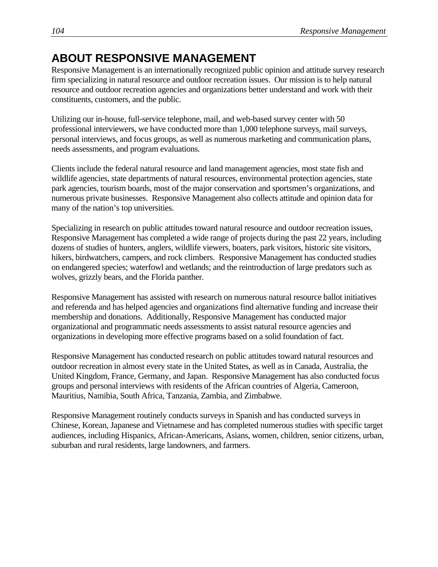## **ABOUT RESPONSIVE MANAGEMENT**

Responsive Management is an internationally recognized public opinion and attitude survey research firm specializing in natural resource and outdoor recreation issues. Our mission is to help natural resource and outdoor recreation agencies and organizations better understand and work with their constituents, customers, and the public.

Utilizing our in-house, full-service telephone, mail, and web-based survey center with 50 professional interviewers, we have conducted more than 1,000 telephone surveys, mail surveys, personal interviews, and focus groups, as well as numerous marketing and communication plans, needs assessments, and program evaluations.

Clients include the federal natural resource and land management agencies, most state fish and wildlife agencies, state departments of natural resources, environmental protection agencies, state park agencies, tourism boards, most of the major conservation and sportsmen's organizations, and numerous private businesses. Responsive Management also collects attitude and opinion data for many of the nation's top universities.

Specializing in research on public attitudes toward natural resource and outdoor recreation issues, Responsive Management has completed a wide range of projects during the past 22 years, including dozens of studies of hunters, anglers, wildlife viewers, boaters, park visitors, historic site visitors, hikers, birdwatchers, campers, and rock climbers. Responsive Management has conducted studies on endangered species; waterfowl and wetlands; and the reintroduction of large predators such as wolves, grizzly bears, and the Florida panther.

Responsive Management has assisted with research on numerous natural resource ballot initiatives and referenda and has helped agencies and organizations find alternative funding and increase their membership and donations. Additionally, Responsive Management has conducted major organizational and programmatic needs assessments to assist natural resource agencies and organizations in developing more effective programs based on a solid foundation of fact.

Responsive Management has conducted research on public attitudes toward natural resources and outdoor recreation in almost every state in the United States, as well as in Canada, Australia, the United Kingdom, France, Germany, and Japan. Responsive Management has also conducted focus groups and personal interviews with residents of the African countries of Algeria, Cameroon, Mauritius, Namibia, South Africa, Tanzania, Zambia, and Zimbabwe.

Responsive Management routinely conducts surveys in Spanish and has conducted surveys in Chinese, Korean, Japanese and Vietnamese and has completed numerous studies with specific target audiences, including Hispanics, African-Americans, Asians, women, children, senior citizens, urban, suburban and rural residents, large landowners, and farmers.